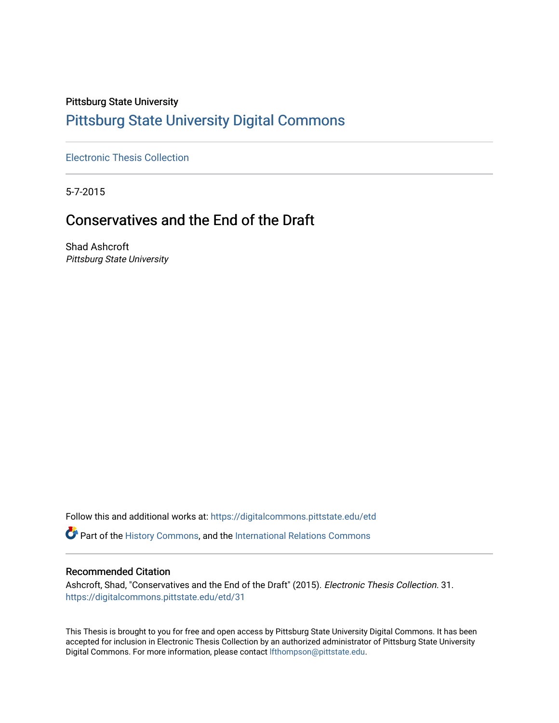# Pittsburg State University [Pittsburg State University Digital Commons](https://digitalcommons.pittstate.edu/)

[Electronic Thesis Collection](https://digitalcommons.pittstate.edu/etd)

5-7-2015

## Conservatives and the End of the Draft

Shad Ashcroft Pittsburg State University

Follow this and additional works at: [https://digitalcommons.pittstate.edu/etd](https://digitalcommons.pittstate.edu/etd?utm_source=digitalcommons.pittstate.edu%2Fetd%2F31&utm_medium=PDF&utm_campaign=PDFCoverPages)

Part of the [History Commons,](http://network.bepress.com/hgg/discipline/489?utm_source=digitalcommons.pittstate.edu%2Fetd%2F31&utm_medium=PDF&utm_campaign=PDFCoverPages) and the [International Relations Commons](http://network.bepress.com/hgg/discipline/389?utm_source=digitalcommons.pittstate.edu%2Fetd%2F31&utm_medium=PDF&utm_campaign=PDFCoverPages)

#### Recommended Citation

Ashcroft, Shad, "Conservatives and the End of the Draft" (2015). Electronic Thesis Collection. 31. [https://digitalcommons.pittstate.edu/etd/31](https://digitalcommons.pittstate.edu/etd/31?utm_source=digitalcommons.pittstate.edu%2Fetd%2F31&utm_medium=PDF&utm_campaign=PDFCoverPages) 

This Thesis is brought to you for free and open access by Pittsburg State University Digital Commons. It has been accepted for inclusion in Electronic Thesis Collection by an authorized administrator of Pittsburg State University Digital Commons. For more information, please contact [lfthompson@pittstate.edu](mailto:lfthompson@pittstate.edu).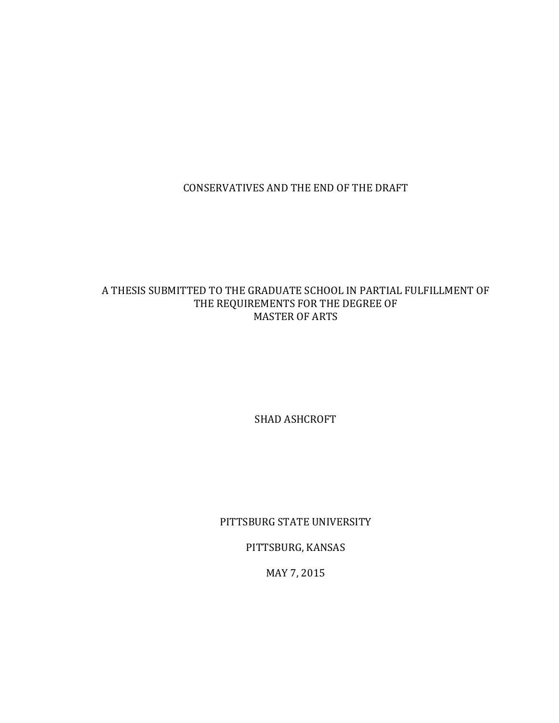CONSERVATIVES AND THE END OF THE DRAFT

## A THESIS SUBMITTED TO THE GRADUATE SCHOOL IN PARTIAL FULFILLMENT OF THE REQUIREMENTS FOR THE DEGREE OF MASTER OF ARTS

SHAD ASHCROFT

PITTSBURG STATE UNIVERSITY

PITTSBURG, KANSAS

MAY 7, 2015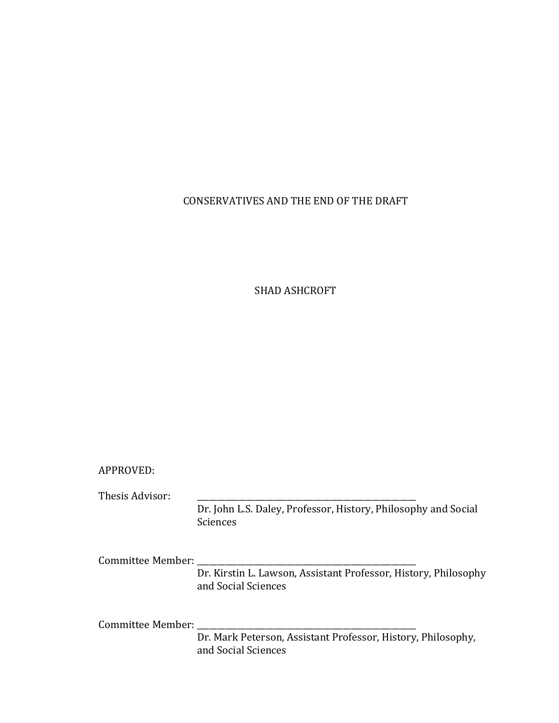## CONSERVATIVES AND THE END OF THE DRAFT

## SHAD ASHCROFT

#### APPROVED:

Thesis Advisor:

Dr. John L.S. Daley, Professor, History, Philosophy and Social Sciences

Committee Member: \_

Dr. Kirstin L. Lawson, Assistant Professor, History, Philosophy and Social Sciences

Committee Member: \_\_\_\_\_

Dr. Mark Peterson, Assistant Professor, History, Philosophy, and Social Sciences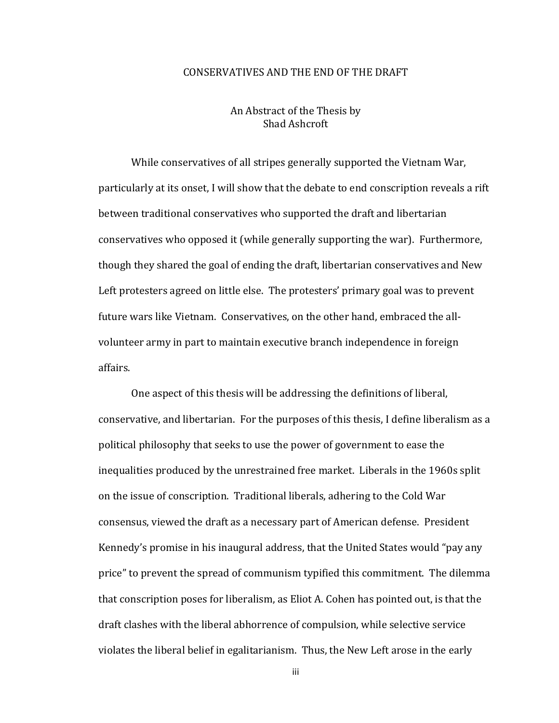#### CONSERVATIVES AND THE END OF THE DRAFT

#### An Abstract of the Thesis by Shad Ashcroft

While conservatives of all stripes generally supported the Vietnam War, particularly at its onset, I will show that the debate to end conscription reveals a rift between traditional conservatives who supported the draft and libertarian conservatives who opposed it (while generally supporting the war). Furthermore, though they shared the goal of ending the draft, libertarian conservatives and New Left protesters agreed on little else. The protesters' primary goal was to prevent future wars like Vietnam. Conservatives, on the other hand, embraced the allvolunteer army in part to maintain executive branch independence in foreign affairs.

One aspect of this thesis will be addressing the definitions of liberal, conservative, and libertarian. For the purposes of this thesis, I define liberalism as a political philosophy that seeks to use the power of government to ease the inequalities produced by the unrestrained free market. Liberals in the 1960s split on the issue of conscription. Traditional liberals, adhering to the Cold War consensus, viewed the draft as a necessary part of American defense. President Kennedy's promise in his inaugural address, that the United States would "pay any price" to prevent the spread of communism typified this commitment. The dilemma that conscription poses for liberalism, as Eliot A. Cohen has pointed out, is that the draft clashes with the liberal abhorrence of compulsion, while selective service violates the liberal belief in egalitarianism. Thus, the New Left arose in the early

iii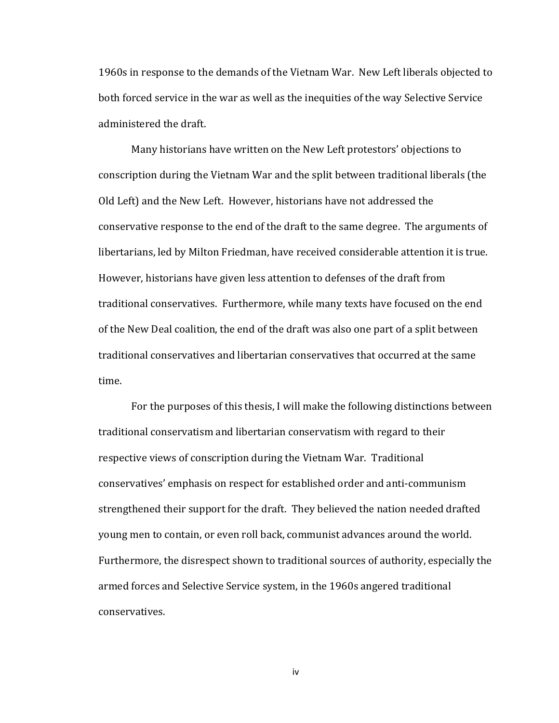1960s in response to the demands of the Vietnam War. New Left liberals objected to both forced service in the war as well as the inequities of the way Selective Service administered the draft.

Many historians have written on the New Left protestors' objections to conscription during the Vietnam War and the split between traditional liberals (the Old Left) and the New Left. However, historians have not addressed the conservative response to the end of the draft to the same degree. The arguments of libertarians, led by Milton Friedman, have received considerable attention it is true. However, historians have given less attention to defenses of the draft from traditional conservatives. Furthermore, while many texts have focused on the end of the New Deal coalition, the end of the draft was also one part of a split between traditional conservatives and libertarian conservatives that occurred at the same time.

For the purposes of this thesis, I will make the following distinctions between traditional conservatism and libertarian conservatism with regard to their respective views of conscription during the Vietnam War. Traditional conservatives' emphasis on respect for established order and anti-communism strengthened their support for the draft. They believed the nation needed drafted young men to contain, or even roll back, communist advances around the world. Furthermore, the disrespect shown to traditional sources of authority, especially the armed forces and Selective Service system, in the 1960s angered traditional conservatives.

iv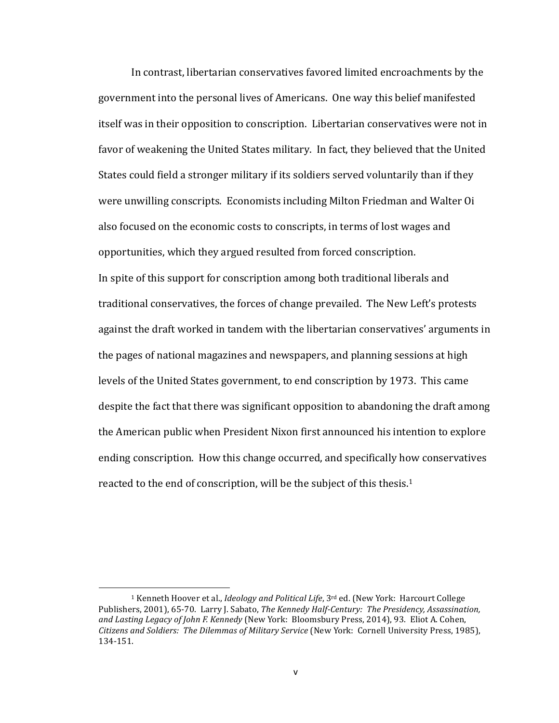In contrast, libertarian conservatives favored limited encroachments by the government into the personal lives of Americans. One way this belief manifested itself was in their opposition to conscription. Libertarian conservatives were not in favor of weakening the United States military. In fact, they believed that the United States could field a stronger military if its soldiers served voluntarily than if they were unwilling conscripts. Economists including Milton Friedman and Walter Oi also focused on the economic costs to conscripts, in terms of lost wages and opportunities, which they argued resulted from forced conscription. In spite of this support for conscription among both traditional liberals and traditional conservatives, the forces of change prevailed. The New Left's protests against the draft worked in tandem with the libertarian conservatives' arguments in the pages of national magazines and newspapers, and planning sessions at high levels of the United States government, to end conscription by 1973. This came despite the fact that there was significant opposition to abandoning the draft among the American public when President Nixon first announced his intention to explore ending conscription. How this change occurred, and specifically how conservatives reacted to the end of conscription, will be the subject of this thesis.<sup>1</sup>

<sup>&</sup>lt;sup>1</sup> Kenneth Hoover et al., *Ideology and Political Life*, 3<sup>rd</sup> ed. (New York: Harcourt College Publishers, 2001), 65-70. Larry J. Sabato, *The Kennedy Half-Century: The Presidency, Assassination,* and Lasting Legacy of John F. Kennedy (New York: Bloomsbury Press, 2014), 93. Eliot A. Cohen, Citizens and Soldiers: The Dilemmas of Military Service (New York: Cornell University Press, 1985), 134-151.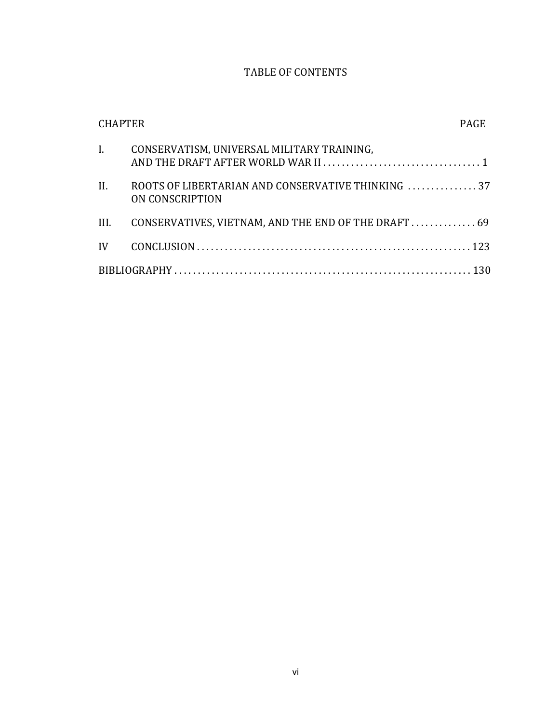## TABLE OF CONTENTS

| <b>CHAPTER</b>              |                                                                      | <b>PAGE</b> |
|-----------------------------|----------------------------------------------------------------------|-------------|
| $\mathbf{I}$ , $\mathbf{I}$ | CONSERVATISM, UNIVERSAL MILITARY TRAINING,                           |             |
| II.                         | ROOTS OF LIBERTARIAN AND CONSERVATIVE THINKING 37<br>ON CONSCRIPTION |             |
| III.                        | CONSERVATIVES, VIETNAM, AND THE END OF THE DRAFT  69                 |             |
|                             |                                                                      |             |
|                             |                                                                      |             |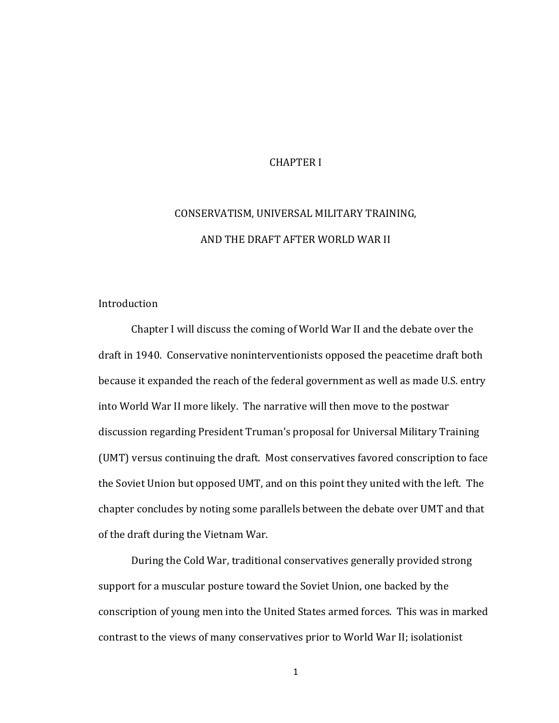#### **CHAPTER I**

# CONSERVATISM, UNIVERSAL MILITARY TRAINING, AND THE DRAFT AFTER WORLD WAR II

#### Introduction

Chapter I will discuss the coming of World War II and the debate over the draft in 1940. Conservative noninterventionists opposed the peacetime draft both because it expanded the reach of the federal government as well as made U.S. entry into World War II more likely. The narrative will then move to the postwar discussion regarding President Truman's proposal for Universal Military Training (UMT) versus continuing the draft. Most conservatives favored conscription to face the Soviet Union but opposed UMT, and on this point they united with the left. The chapter concludes by noting some parallels between the debate over UMT and that of the draft during the Vietnam War.

During the Cold War, traditional conservatives generally provided strong support for a muscular posture toward the Soviet Union, one backed by the conscription of young men into the United States armed forces. This was in marked contrast to the views of many conservatives prior to World War II; isolationist

1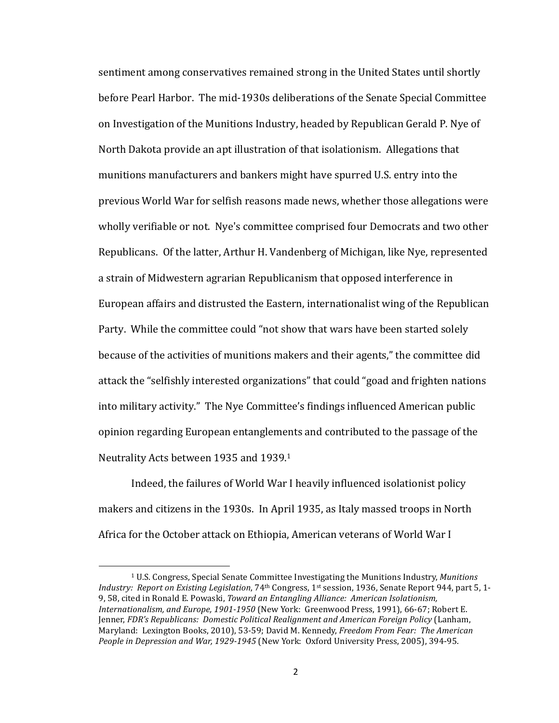sentiment among conservatives remained strong in the United States until shortly before Pearl Harbor. The mid-1930s deliberations of the Senate Special Committee on Investigation of the Munitions Industry, headed by Republican Gerald P. Nye of North Dakota provide an apt illustration of that isolationism. Allegations that munitions manufacturers and bankers might have spurred U.S. entry into the previous World War for selfish reasons made news, whether those allegations were wholly verifiable or not. Nye's committee comprised four Democrats and two other Republicans. Of the latter, Arthur H. Vandenberg of Michigan, like Nye, represented a strain of Midwestern agrarian Republicanism that opposed interference in European affairs and distrusted the Eastern, internationalist wing of the Republican Party. While the committee could "not show that wars have been started solely because of the activities of munitions makers and their agents," the committee did attack the "selfishly interested organizations" that could "goad and frighten nations into military activity." The Nye Committee's findings influenced American public opinion regarding European entanglements and contributed to the passage of the Neutrality Acts between 1935 and 1939.<sup>1</sup>

Indeed, the failures of World War I heavily influenced isolationist policy makers and citizens in the 1930s. In April 1935, as Italy massed troops in North Africa for the October attack on Ethiopia, American veterans of World War I

<sup>&</sup>lt;sup>1</sup> U.S. Congress, Special Senate Committee Investigating the Munitions Industry, *Munitions Industry:* Report on Existing Legislation, 74<sup>th</sup> Congress, 1<sup>st</sup> session, 1936, Senate Report 944, part 5, 1-9, 58, cited in Ronald E. Powaski, *Toward an Entangling Alliance: American Isolationism*, *Internationalism, and Europe, 1901-1950* (New York: Greenwood Press, 1991), 66-67; Robert E. Jenner, *FDR's Republicans: Domestic Political Realignment and American Foreign Policy* (Lanham, Maryland: Lexington Books, 2010), 53-59; David M. Kennedy, *Freedom From Fear: The American* People in Depression and War, 1929-1945 (New York: Oxford University Press, 2005), 394-95.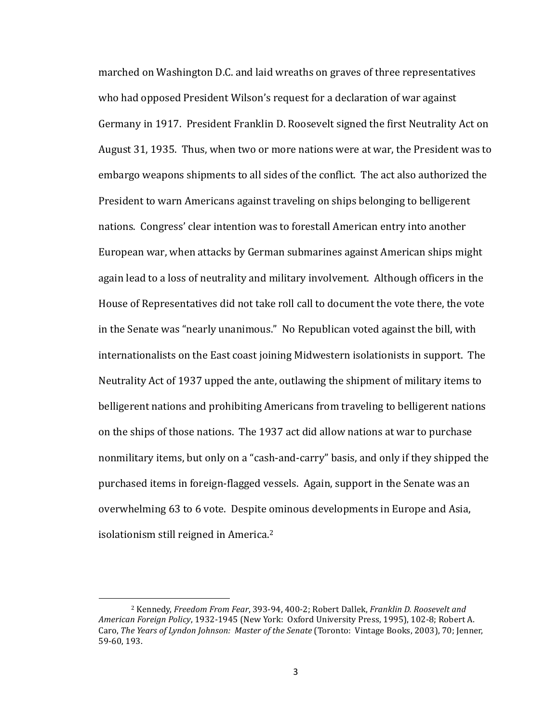marched on Washington D.C. and laid wreaths on graves of three representatives who had opposed President Wilson's request for a declaration of war against Germany in 1917. President Franklin D. Roosevelt signed the first Neutrality Act on August 31, 1935. Thus, when two or more nations were at war, the President was to embargo weapons shipments to all sides of the conflict. The act also authorized the President to warn Americans against traveling on ships belonging to belligerent nations. Congress' clear intention was to forestall American entry into another European war, when attacks by German submarines against American ships might again lead to a loss of neutrality and military involvement. Although officers in the House of Representatives did not take roll call to document the vote there, the vote in the Senate was "nearly unanimous." No Republican voted against the bill, with internationalists on the East coast joining Midwestern isolationists in support. The Neutrality Act of 1937 upped the ante, outlawing the shipment of military items to belligerent nations and prohibiting Americans from traveling to belligerent nations on the ships of those nations. The 1937 act did allow nations at war to purchase nonmilitary items, but only on a "cash-and-carry" basis, and only if they shipped the purchased items in foreign-flagged vessels. Again, support in the Senate was an overwhelming 63 to 6 vote. Despite ominous developments in Europe and Asia, isolationism still reigned in America.<sup>2</sup>

<sup>&</sup>lt;sup>2</sup> Kennedy, *Freedom From Fear*, 393-94, 400-2; Robert Dallek, *Franklin D. Roosevelt and* American Foreign Policy, 1932-1945 (New York: Oxford University Press, 1995), 102-8; Robert A. Caro, *The Years of Lyndon Johnson: Master of the Senate* (Toronto: Vintage Books, 2003), 70; Jenner, 59-60, 193.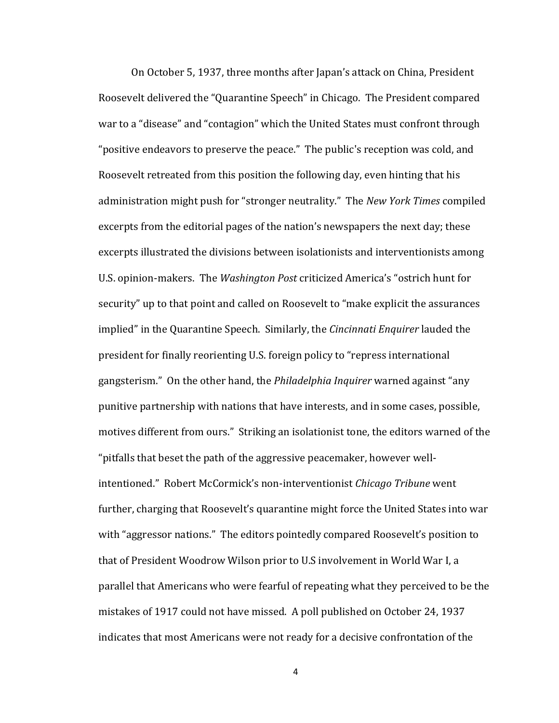On October 5, 1937, three months after Japan's attack on China, President Roosevelt delivered the "Quarantine Speech" in Chicago. The President compared war to a "disease" and "contagion" which the United States must confront through "positive endeavors to preserve the peace." The public's reception was cold, and Roosevelt retreated from this position the following day, even hinting that his administration might push for "stronger neutrality." The *New York Times* compiled excerpts from the editorial pages of the nation's newspapers the next day; these excerpts illustrated the divisions between isolationists and interventionists among U.S. opinion-makers. The *Washington Post* criticized America's "ostrich hunt for security" up to that point and called on Roosevelt to "make explicit the assurances implied" in the Quarantine Speech. Similarly, the *Cincinnati Enquirer* lauded the president for finally reorienting U.S. foreign policy to "repress international gangsterism." On the other hand, the *Philadelphia Inquirer* warned against "any punitive partnership with nations that have interests, and in some cases, possible, motives different from ours." Striking an isolationist tone, the editors warned of the "pitfalls that beset the path of the aggressive peacemaker, however wellintentioned." Robert McCormick's non-interventionist *Chicago Tribune* went further, charging that Roosevelt's quarantine might force the United States into war with "aggressor nations." The editors pointedly compared Roosevelt's position to that of President Woodrow Wilson prior to U.S involvement in World War I, a parallel that Americans who were fearful of repeating what they perceived to be the mistakes of 1917 could not have missed. A poll published on October 24, 1937 indicates that most Americans were not ready for a decisive confrontation of the

4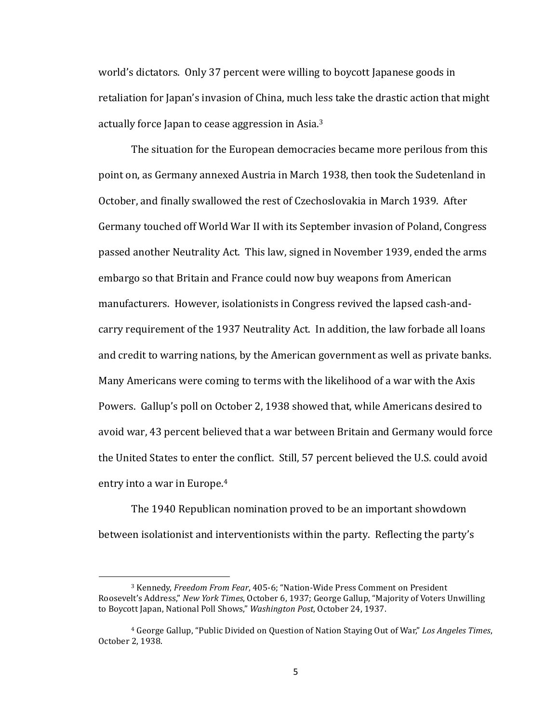world's dictators. Only 37 percent were willing to boycott Japanese goods in retaliation for Japan's invasion of China, much less take the drastic action that might actually force Japan to cease aggression in Asia.<sup>3</sup>

The situation for the European democracies became more perilous from this point on, as Germany annexed Austria in March 1938, then took the Sudetenland in October, and finally swallowed the rest of Czechoslovakia in March 1939. After Germany touched off World War II with its September invasion of Poland, Congress passed another Neutrality Act. This law, signed in November 1939, ended the arms embargo so that Britain and France could now buy weapons from American manufacturers. However, isolationists in Congress revived the lapsed cash-andcarry requirement of the 1937 Neutrality Act. In addition, the law forbade all loans and credit to warring nations, by the American government as well as private banks. Many Americans were coming to terms with the likelihood of a war with the Axis Powers. Gallup's poll on October 2, 1938 showed that, while Americans desired to avoid war, 43 percent believed that a war between Britain and Germany would force the United States to enter the conflict. Still, 57 percent believed the U.S. could avoid entry into a war in Europe. $4$ 

The 1940 Republican nomination proved to be an important showdown between isolationist and interventionists within the party. Reflecting the party's

<sup>&</sup>lt;sup>3</sup> Kennedy, *Freedom From Fear*, 405-6; "Nation-Wide Press Comment on President Roosevelt's Address," *New York Times*, October 6, 1937; George Gallup, "Majority of Voters Unwilling to Boycott Japan, National Poll Shows," *Washington Post*, October 24, 1937.

<sup>&</sup>lt;sup>4</sup> George Gallup, "Public Divided on Question of Nation Staying Out of War," Los Angeles Times, October 2, 1938.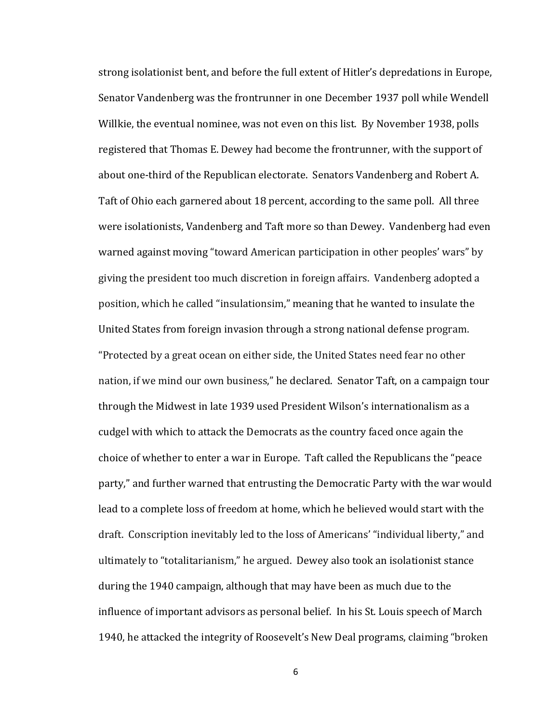strong isolationist bent, and before the full extent of Hitler's depredations in Europe, Senator Vandenberg was the frontrunner in one December 1937 poll while Wendell Willkie, the eventual nominee, was not even on this list. By November 1938, polls registered that Thomas E. Dewey had become the frontrunner, with the support of about one-third of the Republican electorate. Senators Vandenberg and Robert A. Taft of Ohio each garnered about 18 percent, according to the same poll. All three were isolationists, Vandenberg and Taft more so than Dewey. Vandenberg had even warned against moving "toward American participation in other peoples' wars" by giving the president too much discretion in foreign affairs. Vandenberg adopted a position, which he called "insulationsim," meaning that he wanted to insulate the United States from foreign invasion through a strong national defense program. "Protected by a great ocean on either side, the United States need fear no other nation, if we mind our own business," he declared. Senator Taft, on a campaign tour through the Midwest in late 1939 used President Wilson's internationalism as a cudgel with which to attack the Democrats as the country faced once again the choice of whether to enter a war in Europe. Taft called the Republicans the "peace" party," and further warned that entrusting the Democratic Party with the war would lead to a complete loss of freedom at home, which he believed would start with the draft. Conscription inevitably led to the loss of Americans' "individual liberty," and ultimately to "totalitarianism," he argued. Dewey also took an isolationist stance during the 1940 campaign, although that may have been as much due to the influence of important advisors as personal belief. In his St. Louis speech of March 1940, he attacked the integrity of Roosevelt's New Deal programs, claiming "broken

6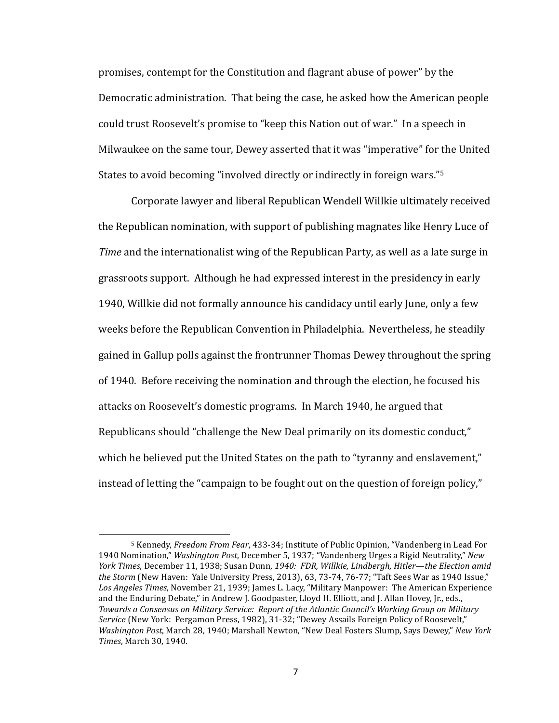promises, contempt for the Constitution and flagrant abuse of power" by the Democratic administration. That being the case, he asked how the American people could trust Roosevelt's promise to "keep this Nation out of war." In a speech in Milwaukee on the same tour, Dewey asserted that it was "imperative" for the United States to avoid becoming "involved directly or indirectly in foreign wars."<sup>5</sup>

Corporate lawyer and liberal Republican Wendell Willkie ultimately received the Republican nomination, with support of publishing magnates like Henry Luce of *Time* and the internationalist wing of the Republican Party, as well as a late surge in grassroots support. Although he had expressed interest in the presidency in early 1940, Willkie did not formally announce his candidacy until early June, only a few weeks before the Republican Convention in Philadelphia. Nevertheless, he steadily gained in Gallup polls against the frontrunner Thomas Dewey throughout the spring of 1940. Before receiving the nomination and through the election, he focused his attacks on Roosevelt's domestic programs. In March 1940, he argued that Republicans should "challenge the New Deal primarily on its domestic conduct," which he believed put the United States on the path to "tyranny and enslavement," instead of letting the "campaign to be fought out on the question of foreign policy,"

<sup>&</sup>lt;sup>5</sup> Kennedy, *Freedom From Fear*, 433-34; Institute of Public Opinion, "Vandenberg in Lead For 1940 Nomination," Washington Post, December 5, 1937; "Vandenberg Urges a Rigid Neutrality," New *York Times*, December 11, 1938; Susan Dunn, 1940: FDR, Willkie, Lindbergh, Hitler—the Election amid the Storm (New Haven: Yale University Press, 2013), 63, 73-74, 76-77; "Taft Sees War as 1940 Issue," Los Angeles Times, November 21, 1939; James L. Lacy, "Military Manpower: The American Experience and the Enduring Debate," in Andrew J. Goodpaster, Lloyd H. Elliott, and J. Allan Hovey, Jr., eds., Towards a Consensus on Military Service: Report of the Atlantic Council's Working Group on Military Service (New York: Pergamon Press, 1982), 31-32; "Dewey Assails Foreign Policy of Roosevelt," *Washington Post, March 28, 1940; Marshall Newton, "New Deal Fosters Slump, Says Dewey," New York Times*, March 30, 1940.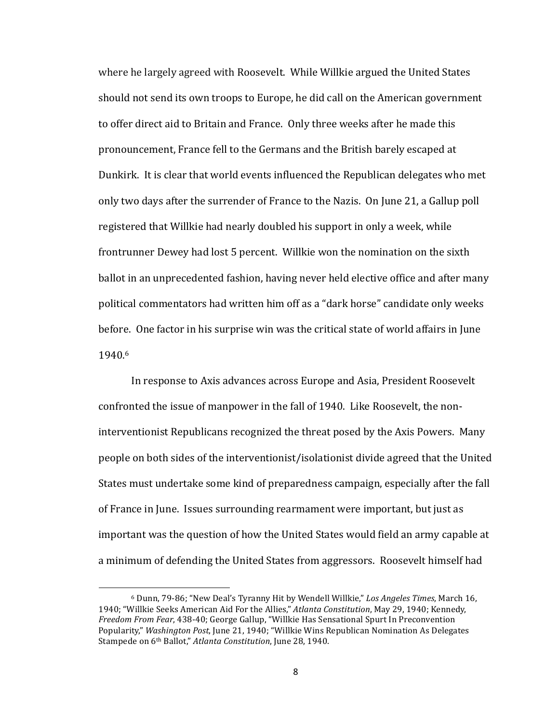where he largely agreed with Roosevelt. While Willkie argued the United States should not send its own troops to Europe, he did call on the American government to offer direct aid to Britain and France. Only three weeks after he made this pronouncement, France fell to the Germans and the British barely escaped at Dunkirk. It is clear that world events influenced the Republican delegates who met only two days after the surrender of France to the Nazis. On June 21, a Gallup poll registered that Willkie had nearly doubled his support in only a week, while frontrunner Dewey had lost 5 percent. Willkie won the nomination on the sixth ballot in an unprecedented fashion, having never held elective office and after many political commentators had written him off as a "dark horse" candidate only weeks before. One factor in his surprise win was the critical state of world affairs in June 1940.6 

In response to Axis advances across Europe and Asia, President Roosevelt confronted the issue of manpower in the fall of 1940. Like Roosevelt, the noninterventionist Republicans recognized the threat posed by the Axis Powers. Many people on both sides of the interventionist/isolationist divide agreed that the United States must undertake some kind of preparedness campaign, especially after the fall of France in June. Issues surrounding rearmament were important, but just as important was the question of how the United States would field an army capable at a minimum of defending the United States from aggressors. Roosevelt himself had

<sup>&</sup>lt;sup>6</sup> Dunn, 79-86; "New Deal's Tyranny Hit by Wendell Willkie," Los Angeles Times, March 16, 1940; "Willkie Seeks American Aid For the Allies," *Atlanta Constitution*, May 29, 1940; Kennedy, *Freedom From Fear*, 438-40; George Gallup, "Willkie Has Sensational Spurt In Preconvention Popularity," *Washington Post*, June 21, 1940; "Willkie Wins Republican Nomination As Delegates Stampede on 6<sup>th</sup> Ballot," *Atlanta Constitution*, June 28, 1940.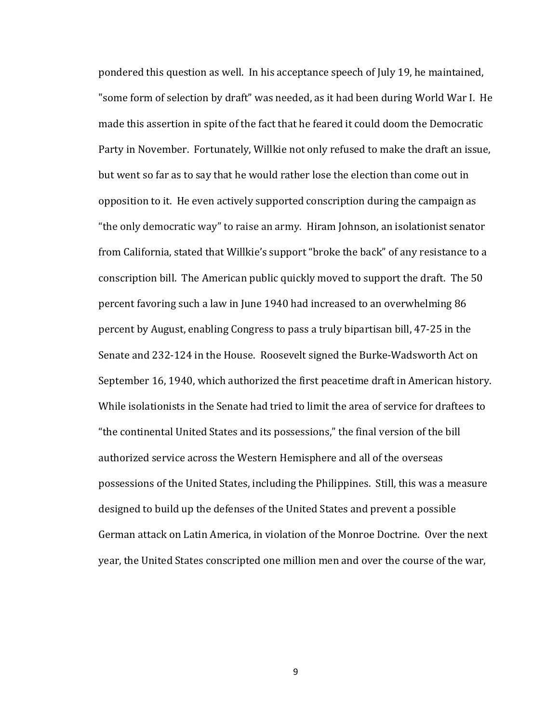pondered this question as well. In his acceptance speech of July 19, he maintained, "some form of selection by draft" was needed, as it had been during World War I. He made this assertion in spite of the fact that he feared it could doom the Democratic Party in November. Fortunately, Willkie not only refused to make the draft an issue, but went so far as to say that he would rather lose the election than come out in opposition to it. He even actively supported conscription during the campaign as "the only democratic way" to raise an army. Hiram Johnson, an isolationist senator from California, stated that Willkie's support "broke the back" of any resistance to a conscription bill. The American public quickly moved to support the draft. The 50 percent favoring such a law in June 1940 had increased to an overwhelming 86 percent by August, enabling Congress to pass a truly bipartisan bill, 47-25 in the Senate and 232-124 in the House. Roosevelt signed the Burke-Wadsworth Act on September 16, 1940, which authorized the first peacetime draft in American history. While isolationists in the Senate had tried to limit the area of service for draftees to "the continental United States and its possessions," the final version of the bill authorized service across the Western Hemisphere and all of the overseas possessions of the United States, including the Philippines. Still, this was a measure designed to build up the defenses of the United States and prevent a possible German attack on Latin America, in violation of the Monroe Doctrine. Over the next year, the United States conscripted one million men and over the course of the war,

9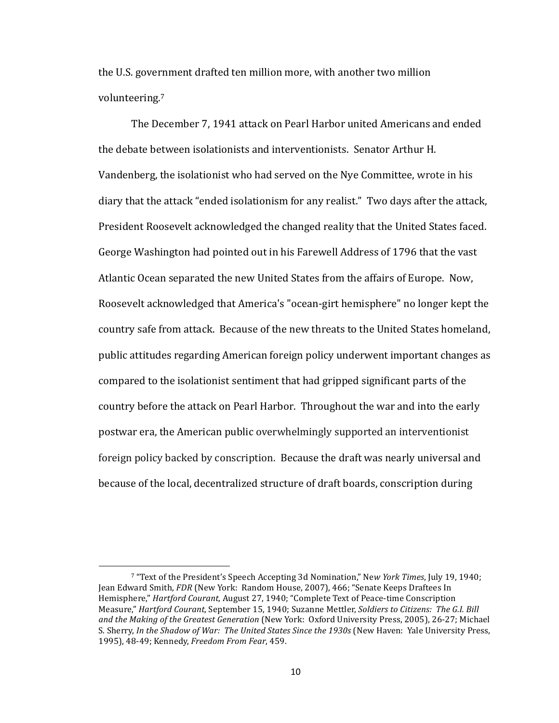the U.S. government drafted ten million more, with another two million volunteering.7 

The December 7, 1941 attack on Pearl Harbor united Americans and ended the debate between isolationists and interventionists. Senator Arthur H. Vandenberg, the isolationist who had served on the Nye Committee, wrote in his diary that the attack "ended isolationism for any realist." Two days after the attack, President Roosevelt acknowledged the changed reality that the United States faced. George Washington had pointed out in his Farewell Address of 1796 that the vast Atlantic Ocean separated the new United States from the affairs of Europe. Now, Roosevelt acknowledged that America's "ocean-girt hemisphere" no longer kept the country safe from attack. Because of the new threats to the United States homeland, public attitudes regarding American foreign policy underwent important changes as compared to the isolationist sentiment that had gripped significant parts of the country before the attack on Pearl Harbor. Throughout the war and into the early postwar era, the American public overwhelmingly supported an interventionist foreign policy backed by conscription. Because the draft was nearly universal and because of the local, decentralized structure of draft boards, conscription during

<sup>7 &</sup>quot;Text of the President's Speech Accepting 3d Nomination," New York Times, July 19, 1940; Jean Edward Smith, *FDR* (New York: Random House, 2007), 466; "Senate Keeps Draftees In Hemisphere," *Hartford Courant*, August 27, 1940; "Complete Text of Peace-time Conscription Measure," *Hartford Courant*, September 15, 1940; Suzanne Mettler, *Soldiers to Citizens: The G.I. Bill* and the Making of the Greatest Generation (New York: Oxford University Press, 2005), 26-27; Michael S. Sherry, *In the Shadow of War: The United States Since the 1930s* (New Haven: Yale University Press, 1995), 48-49; Kennedy, *Freedom From Fear*, 459.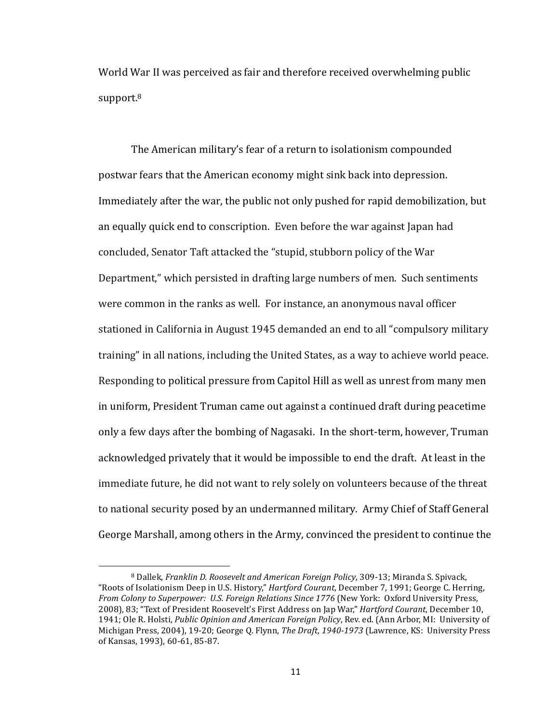World War II was perceived as fair and therefore received overwhelming public support.8

The American military's fear of a return to isolationism compounded postwar fears that the American economy might sink back into depression. Immediately after the war, the public not only pushed for rapid demobilization, but an equally quick end to conscription. Even before the war against Japan had concluded, Senator Taft attacked the "stupid, stubborn policy of the War Department," which persisted in drafting large numbers of men. Such sentiments were common in the ranks as well. For instance, an anonymous naval officer stationed in California in August 1945 demanded an end to all "compulsory military training" in all nations, including the United States, as a way to achieve world peace. Responding to political pressure from Capitol Hill as well as unrest from many men in uniform, President Truman came out against a continued draft during peacetime only a few days after the bombing of Nagasaki. In the short-term, however, Truman acknowledged privately that it would be impossible to end the draft. At least in the immediate future, he did not want to rely solely on volunteers because of the threat to national security posed by an undermanned military. Army Chief of Staff General George Marshall, among others in the Army, convinced the president to continue the

<sup>&</sup>lt;sup>8</sup> Dallek, *Franklin D. Roosevelt and American Foreign Policy*, 309-13; Miranda S. Spivack, "Roots of Isolationism Deep in U.S. History," *Hartford Courant*, December 7, 1991; George C. Herring, From Colony to Superpower: U.S. Foreign Relations Since 1776 (New York: Oxford University Press, 2008), 83; "Text of President Roosevelt's First Address on Jap War," *Hartford Courant*, December 10, 1941; Ole R. Holsti, *Public Opinion and American Foreign Policy*, Rev. ed. (Ann Arbor, MI: University of Michigan Press, 2004), 19-20; George Q. Flynn, *The Draft, 1940-1973* (Lawrence, KS: University Press of Kansas, 1993), 60-61, 85-87.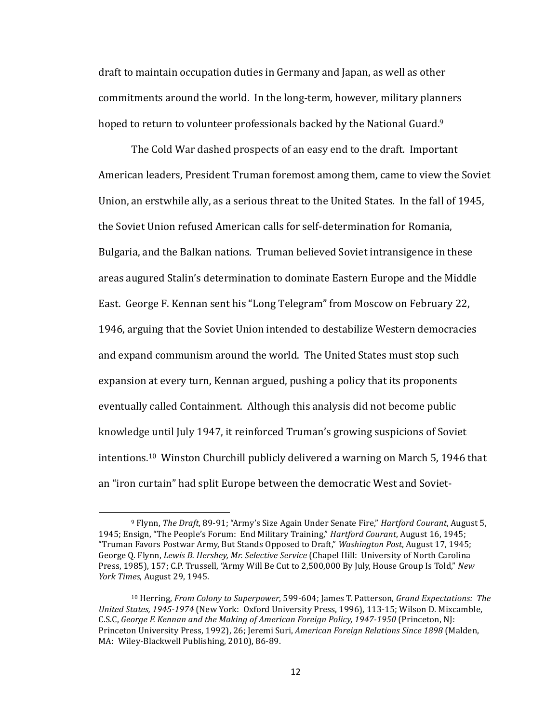draft to maintain occupation duties in Germany and Japan, as well as other commitments around the world. In the long-term, however, military planners hoped to return to volunteer professionals backed by the National Guard.<sup>9</sup>

The Cold War dashed prospects of an easy end to the draft. Important American leaders, President Truman foremost among them, came to view the Soviet Union, an erstwhile ally, as a serious threat to the United States. In the fall of 1945, the Soviet Union refused American calls for self-determination for Romania, Bulgaria, and the Balkan nations. Truman believed Soviet intransigence in these areas augured Stalin's determination to dominate Eastern Europe and the Middle East. George F. Kennan sent his "Long Telegram" from Moscow on February 22, 1946, arguing that the Soviet Union intended to destabilize Western democracies and expand communism around the world. The United States must stop such expansion at every turn, Kennan argued, pushing a policy that its proponents eventually called Containment. Although this analysis did not become public knowledge until July 1947, it reinforced Truman's growing suspicions of Soviet intentions.<sup>10</sup> Winston Churchill publicly delivered a warning on March 5, 1946 that an "iron curtain" had split Europe between the democratic West and Soviet-

<sup>9</sup> Flynn, *The Draft*, 89-91; "Army's Size Again Under Senate Fire," *Hartford Courant*, August 5, 1945; Ensign, "The People's Forum: End Military Training," *Hartford Courant*, August 16, 1945; "Truman Favors Postwar Army, But Stands Opposed to Draft," *Washington Post*, August 17, 1945; George Q. Flynn, *Lewis B. Hershey, Mr. Selective Service* (Chapel Hill: University of North Carolina Press, 1985), 157; C.P. Trussell, "Army Will Be Cut to 2,500,000 By July, House Group Is Told," *New York Times*, August 29, 1945.

<sup>&</sup>lt;sup>10</sup> Herring, *From Colony to Superpower*, 599-604; James T. Patterson, *Grand Expectations:* The *United States, 1945-1974* (New York: Oxford University Press, 1996), 113-15; Wilson D. Mixcamble, C.S.C, George F. Kennan and the Making of American Foreign Policy, 1947-1950 (Princeton, NJ: Princeton University Press, 1992), 26; Jeremi Suri, *American Foreign Relations Since 1898* (Malden, MA: Wiley-Blackwell Publishing, 2010), 86-89.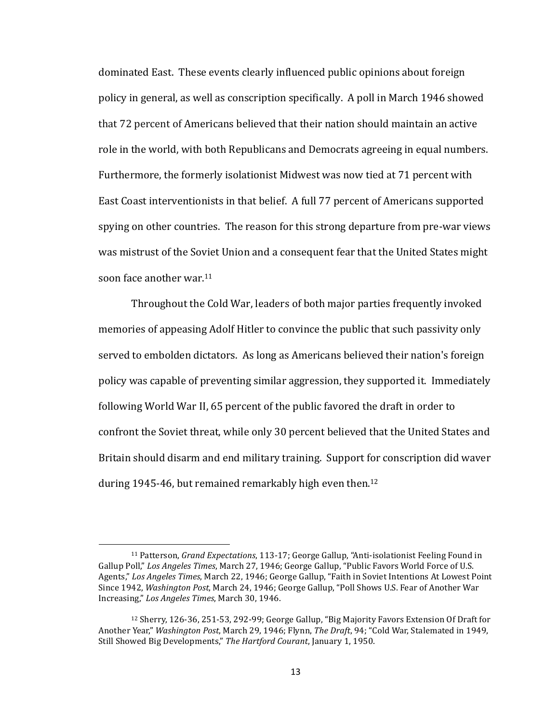dominated East. These events clearly influenced public opinions about foreign policy in general, as well as conscription specifically. A poll in March 1946 showed that 72 percent of Americans believed that their nation should maintain an active role in the world, with both Republicans and Democrats agreeing in equal numbers. Furthermore, the formerly isolationist Midwest was now tied at 71 percent with East Coast interventionists in that belief. A full 77 percent of Americans supported spying on other countries. The reason for this strong departure from pre-war views was mistrust of the Soviet Union and a consequent fear that the United States might soon face another war.<sup>11</sup>

Throughout the Cold War, leaders of both major parties frequently invoked memories of appeasing Adolf Hitler to convince the public that such passivity only served to embolden dictators. As long as Americans believed their nation's foreign policy was capable of preventing similar aggression, they supported it. Immediately following World War II, 65 percent of the public favored the draft in order to confront the Soviet threat, while only 30 percent believed that the United States and Britain should disarm and end military training. Support for conscription did waver during 1945-46, but remained remarkably high even then.<sup>12</sup>

<sup>&</sup>lt;sup>11</sup> Patterson, *Grand Expectations*, 113-17; George Gallup, "Anti-isolationist Feeling Found in Gallup Poll," Los Angeles Times, March 27, 1946; George Gallup, "Public Favors World Force of U.S. Agents," Los Angeles Times, March 22, 1946; George Gallup, "Faith in Soviet Intentions At Lowest Point Since 1942, *Washington Post*, March 24, 1946; George Gallup, "Poll Shows U.S. Fear of Another War Increasing," Los Angeles Times, March 30, 1946.

 $12$  Sherry, 126-36, 251-53, 292-99; George Gallup, "Big Majority Favors Extension Of Draft for Another Year," *Washington Post*, March 29, 1946; Flynn, *The Draft*, 94; "Cold War, Stalemated in 1949, Still Showed Big Developments," The Hartford Courant, January 1, 1950.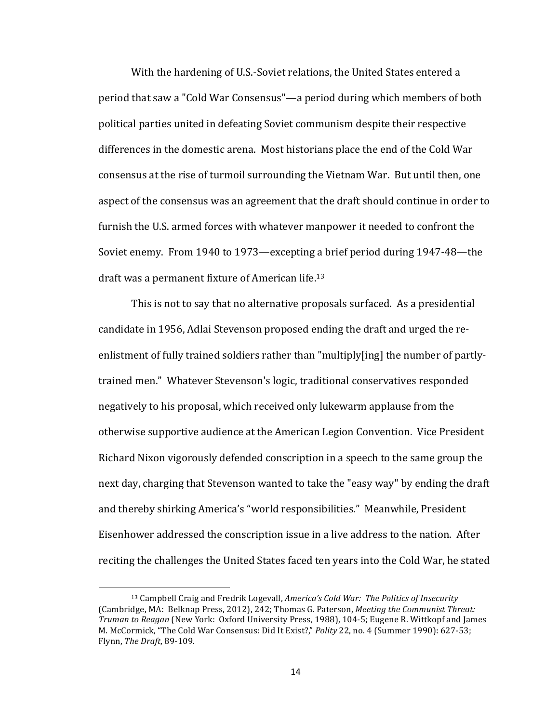With the hardening of U.S.-Soviet relations, the United States entered a period that saw a "Cold War Consensus"—a period during which members of both political parties united in defeating Soviet communism despite their respective differences in the domestic arena. Most historians place the end of the Cold War consensus at the rise of turmoil surrounding the Vietnam War. But until then, one aspect of the consensus was an agreement that the draft should continue in order to furnish the U.S. armed forces with whatever manpower it needed to confront the Soviet enemy. From 1940 to 1973—excepting a brief period during  $1947-48$ —the draft was a permanent fixture of American life.<sup>13</sup>

This is not to say that no alternative proposals surfaced. As a presidential candidate in 1956, Adlai Stevenson proposed ending the draft and urged the reenlistment of fully trained soldiers rather than "multiply[ing] the number of partlytrained men." Whatever Stevenson's logic, traditional conservatives responded negatively to his proposal, which received only lukewarm applause from the otherwise supportive audience at the American Legion Convention. Vice President Richard Nixon vigorously defended conscription in a speech to the same group the next day, charging that Stevenson wanted to take the "easy way" by ending the draft and thereby shirking America's "world responsibilities." Meanwhile, President Eisenhower addressed the conscription issue in a live address to the nation. After reciting the challenges the United States faced ten years into the Cold War, he stated

<sup>&</sup>lt;sup>13</sup> Campbell Craig and Fredrik Logevall, *America's Cold War: The Politics of Insecurity* (Cambridge, MA: Belknap Press, 2012), 242; Thomas G. Paterson, *Meeting the Communist Threat: Truman to Reagan* (New York: Oxford University Press, 1988), 104-5; Eugene R. Wittkopf and James M. McCormick, "The Cold War Consensus: Did It Exist?," *Polity* 22, no. 4 (Summer 1990): 627-53; Flynn, *The Draft*, 89-109.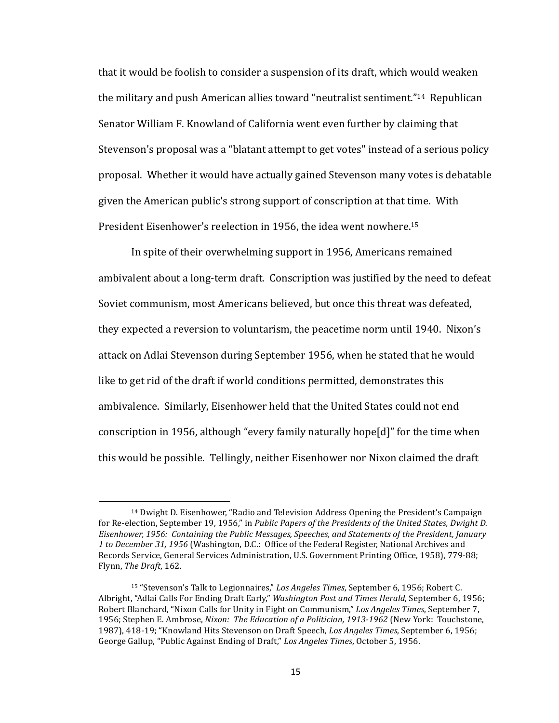that it would be foolish to consider a suspension of its draft, which would weaken the military and push American allies toward "neutralist sentiment."<sup>14</sup> Republican Senator William F. Knowland of California went even further by claiming that Stevenson's proposal was a "blatant attempt to get votes" instead of a serious policy proposal. Whether it would have actually gained Stevenson many votes is debatable given the American public's strong support of conscription at that time. With President Eisenhower's reelection in 1956, the idea went nowhere.<sup>15</sup>

In spite of their overwhelming support in 1956, Americans remained ambivalent about a long-term draft. Conscription was justified by the need to defeat Soviet communism, most Americans believed, but once this threat was defeated, they expected a reversion to voluntarism, the peacetime norm until 1940. Nixon's attack on Adlai Stevenson during September 1956, when he stated that he would like to get rid of the draft if world conditions permitted, demonstrates this ambivalence. Similarly, Eisenhower held that the United States could not end conscription in 1956, although "every family naturally hope[d]" for the time when this would be possible. Tellingly, neither Eisenhower nor Nixon claimed the draft

<sup>&</sup>lt;sup>14</sup> Dwight D. Eisenhower, "Radio and Television Address Opening the President's Campaign for Re-election, September 19, 1956," in *Public Papers of the Presidents of the United States, Dwight D.* Eisenhower, 1956: Containing the Public Messages, Speeches, and Statements of the President, January 1 to December 31, 1956 (Washington, D.C.: Office of the Federal Register, National Archives and Records Service, General Services Administration, U.S. Government Printing Office, 1958), 779-88; Flynn, *The Draft*, 162.

<sup>&</sup>lt;sup>15</sup> "Stevenson's Talk to Legionnaires," Los Angeles Times, September 6, 1956; Robert C. Albright, "Adlai Calls For Ending Draft Early," *Washington Post and Times Herald*, September 6, 1956; Robert Blanchard, "Nixon Calls for Unity in Fight on Communism," Los Angeles Times, September 7, 1956; Stephen E. Ambrose, *Nixon: The Education of a Politician, 1913-1962* (New York: Touchstone, 1987), 418-19; "Knowland Hits Stevenson on Draft Speech, *Los Angeles Times*, September 6, 1956; George Gallup, "Public Against Ending of Draft," Los Angeles Times, October 5, 1956.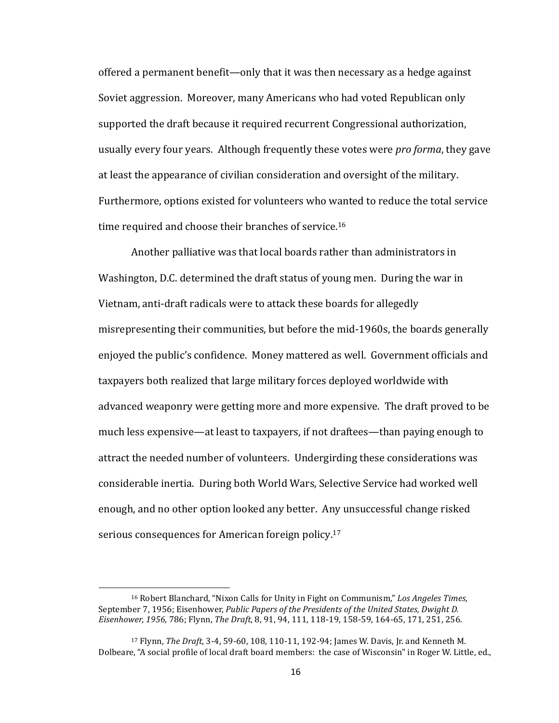offered a permanent benefit—only that it was then necessary as a hedge against Soviet aggression. Moreover, many Americans who had voted Republican only supported the draft because it required recurrent Congressional authorization, usually every four years. Although frequently these votes were *pro forma*, they gave at least the appearance of civilian consideration and oversight of the military. Furthermore, options existed for volunteers who wanted to reduce the total service time required and choose their branches of service.<sup>16</sup>

Another palliative was that local boards rather than administrators in Washington, D.C. determined the draft status of young men. During the war in Vietnam, anti-draft radicals were to attack these boards for allegedly misrepresenting their communities, but before the mid-1960s, the boards generally enjoyed the public's confidence. Money mattered as well. Government officials and taxpayers both realized that large military forces deployed worldwide with advanced weaponry were getting more and more expensive. The draft proved to be much less expensive—at least to taxpayers, if not draftees—than paying enough to attract the needed number of volunteers. Undergirding these considerations was considerable inertia. During both World Wars, Selective Service had worked well enough, and no other option looked any better. Any unsuccessful change risked serious consequences for American foreign policy.<sup>17</sup>

<sup>&</sup>lt;sup>16</sup> Robert Blanchard, "Nixon Calls for Unity in Fight on Communism," Los Angeles Times, September 7, 1956; Eisenhower, *Public Papers of the Presidents of the United States, Dwight D. Eisenhower, 1956*, 786; Flynn, *The Draft*, 8, 91, 94, 111, 118-19, 158-59, 164-65, 171, 251, 256.

<sup>&</sup>lt;sup>17</sup> Flynn, *The Draft*, 3-4, 59-60, 108, 110-11, 192-94; James W. Davis, Jr. and Kenneth M. Dolbeare, "A social profile of local draft board members: the case of Wisconsin" in Roger W. Little, ed.,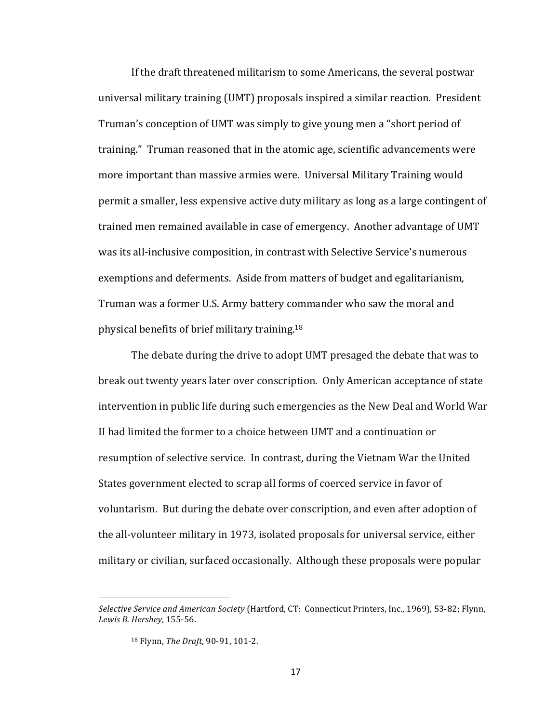If the draft threatened militarism to some Americans, the several postwar universal military training (UMT) proposals inspired a similar reaction. President Truman's conception of UMT was simply to give young men a "short period of training." Truman reasoned that in the atomic age, scientific advancements were more important than massive armies were. Universal Military Training would permit a smaller, less expensive active duty military as long as a large contingent of trained men remained available in case of emergency. Another advantage of UMT was its all-inclusive composition, in contrast with Selective Service's numerous exemptions and deferments. Aside from matters of budget and egalitarianism, Truman was a former U.S. Army battery commander who saw the moral and physical benefits of brief military training.<sup>18</sup>

The debate during the drive to adopt UMT presaged the debate that was to break out twenty years later over conscription. Only American acceptance of state intervention in public life during such emergencies as the New Deal and World War II had limited the former to a choice between UMT and a continuation or resumption of selective service. In contrast, during the Vietnam War the United States government elected to scrap all forms of coerced service in favor of voluntarism. But during the debate over conscription, and even after adoption of the all-volunteer military in 1973, isolated proposals for universal service, either military or civilian, surfaced occasionally. Although these proposals were popular

Selective Service and American Society (Hartford, CT: Connecticut Printers, Inc., 1969), 53-82; Flynn, *Lewis B. Hershey*, 155-56.

<sup>18</sup> Flynn, *The Draft*, 90-91, 101-2.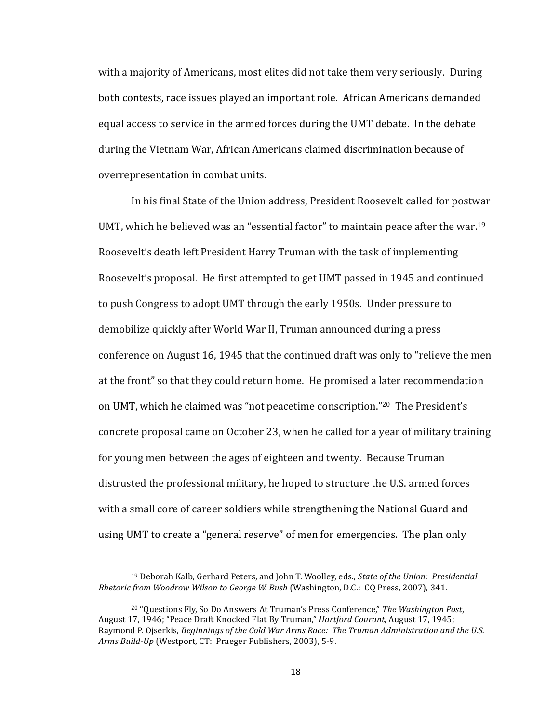with a majority of Americans, most elites did not take them very seriously. During both contests, race issues played an important role. African Americans demanded equal access to service in the armed forces during the UMT debate. In the debate during the Vietnam War, African Americans claimed discrimination because of overrepresentation in combat units.

In his final State of the Union address, President Roosevelt called for postwar UMT, which he believed was an "essential factor" to maintain peace after the war.<sup>19</sup> Roosevelt's death left President Harry Truman with the task of implementing Roosevelt's proposal. He first attempted to get UMT passed in 1945 and continued to push Congress to adopt UMT through the early 1950s. Under pressure to demobilize quickly after World War II, Truman announced during a press conference on August 16, 1945 that the continued draft was only to "relieve the men at the front" so that they could return home. He promised a later recommendation on UMT, which he claimed was "not peacetime conscription."<sup>20</sup> The President's concrete proposal came on October 23, when he called for a year of military training for young men between the ages of eighteen and twenty. Because Truman distrusted the professional military, he hoped to structure the U.S. armed forces with a small core of career soldiers while strengthening the National Guard and using UMT to create a "general reserve" of men for emergencies. The plan only

<sup>&</sup>lt;sup>19</sup> Deborah Kalb, Gerhard Peters, and John T. Woolley, eds., *State of the Union: Presidential Rhetoric from Woodrow Wilson to George W. Bush* (Washington, D.C.: CQ Press, 2007), 341.

<sup>&</sup>lt;sup>20</sup> "Questions Fly, So Do Answers At Truman's Press Conference," The Washington Post, August 17, 1946; "Peace Draft Knocked Flat By Truman," *Hartford Courant*, August 17, 1945; Raymond P. Ojserkis, *Beginnings of the Cold War Arms Race: The Truman Administration and the U.S.* Arms Build-Up (Westport, CT: Praeger Publishers, 2003), 5-9.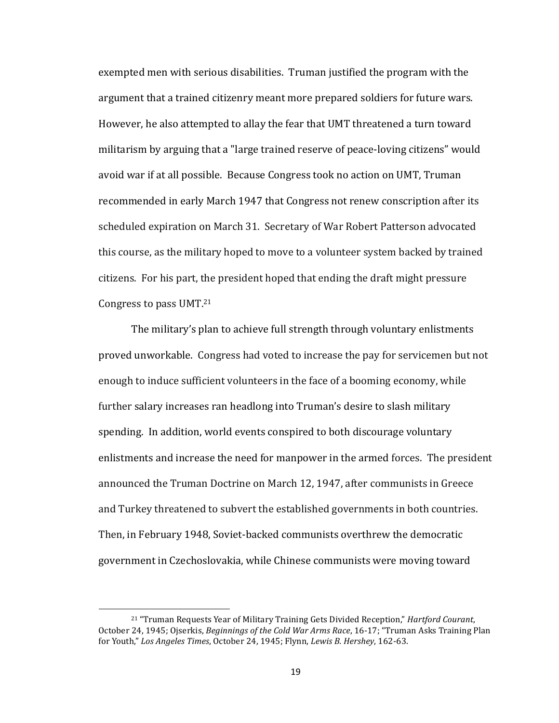exempted men with serious disabilities. Truman justified the program with the argument that a trained citizenry meant more prepared soldiers for future wars. However, he also attempted to allay the fear that UMT threatened a turn toward militarism by arguing that a "large trained reserve of peace-loving citizens" would avoid war if at all possible. Because Congress took no action on UMT, Truman recommended in early March 1947 that Congress not renew conscription after its scheduled expiration on March 31. Secretary of War Robert Patterson advocated this course, as the military hoped to move to a volunteer system backed by trained citizens. For his part, the president hoped that ending the draft might pressure Congress to pass  $UMT<sup>21</sup>$ 

The military's plan to achieve full strength through voluntary enlistments proved unworkable. Congress had voted to increase the pay for servicemen but not enough to induce sufficient volunteers in the face of a booming economy, while further salary increases ran headlong into Truman's desire to slash military spending. In addition, world events conspired to both discourage voluntary enlistments and increase the need for manpower in the armed forces. The president announced the Truman Doctrine on March 12, 1947, after communists in Greece and Turkey threatened to subvert the established governments in both countries. Then, in February 1948, Soviet-backed communists overthrew the democratic government in Czechoslovakia, while Chinese communists were moving toward

<sup>&</sup>lt;sup>21</sup> "Truman Requests Year of Military Training Gets Divided Reception," *Hartford Courant*, October 24, 1945; Ojserkis, *Beginnings of the Cold War Arms Race*, 16-17; "Truman Asks Training Plan for Youth," Los Angeles Times, October 24, 1945; Flynn, Lewis B. Hershey, 162-63.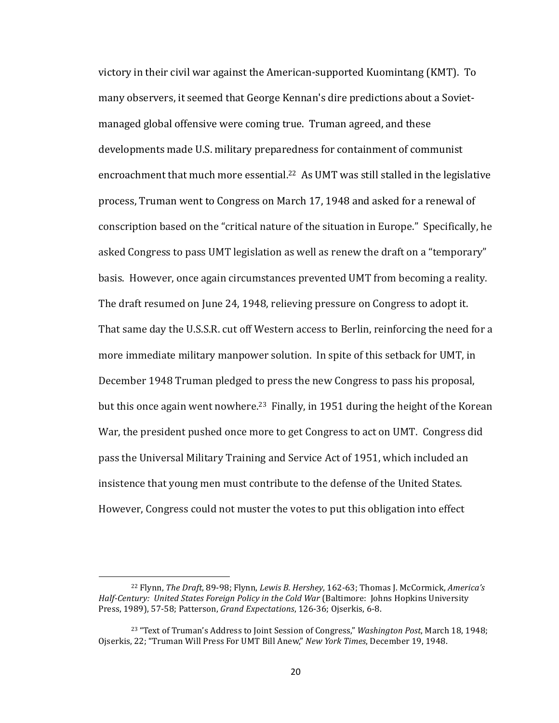victory in their civil war against the American-supported Kuomintang (KMT). To many observers, it seemed that George Kennan's dire predictions about a Sovietmanaged global offensive were coming true. Truman agreed, and these developments made U.S. military preparedness for containment of communist encroachment that much more essential.<sup>22</sup> As UMT was still stalled in the legislative process, Truman went to Congress on March 17, 1948 and asked for a renewal of conscription based on the "critical nature of the situation in Europe." Specifically, he asked Congress to pass UMT legislation as well as renew the draft on a "temporary" basis. However, once again circumstances prevented UMT from becoming a reality. The draft resumed on June 24, 1948, relieving pressure on Congress to adopt it. That same day the U.S.S.R. cut off Western access to Berlin, reinforcing the need for a more immediate military manpower solution. In spite of this setback for UMT, in December 1948 Truman pledged to press the new Congress to pass his proposal, but this once again went nowhere.<sup>23</sup> Finally, in 1951 during the height of the Korean War, the president pushed once more to get Congress to act on UMT. Congress did pass the Universal Military Training and Service Act of 1951, which included an insistence that young men must contribute to the defense of the United States. However, Congress could not muster the votes to put this obligation into effect

<sup>&</sup>lt;sup>22</sup> Flynn, *The Draft*, 89-98; Flynn, *Lewis B. Hershey*, 162-63; Thomas J. McCormick, America's Half-Century: United States Foreign Policy in the Cold War (Baltimore: Johns Hopkins University Press, 1989), 57-58; Patterson, *Grand Expectations*, 126-36; Ojserkis, 6-8.

<sup>&</sup>lt;sup>23</sup> "Text of Truman's Address to Joint Session of Congress," *Washington Post*, March 18, 1948; Ojserkis, 22; "Truman Will Press For UMT Bill Anew," *New York Times*, December 19, 1948.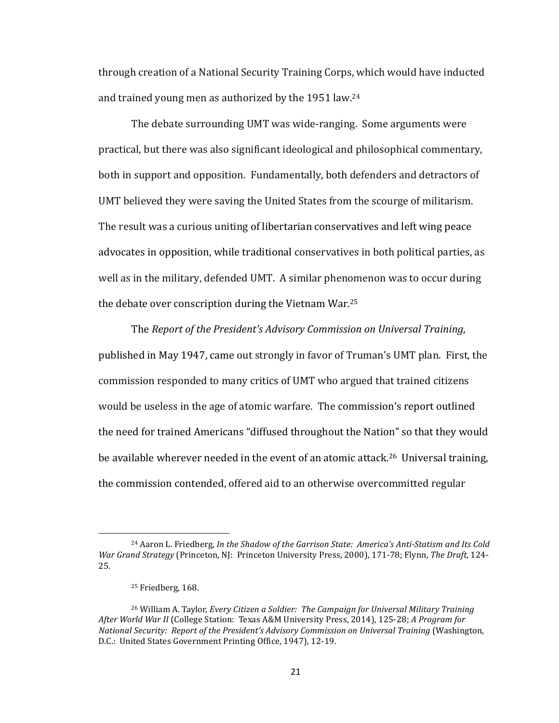through creation of a National Security Training Corps, which would have inducted and trained young men as authorized by the 1951 law.<sup>24</sup>

The debate surrounding UMT was wide-ranging. Some arguments were practical, but there was also significant ideological and philosophical commentary, both in support and opposition. Fundamentally, both defenders and detractors of UMT believed they were saving the United States from the scourge of militarism. The result was a curious uniting of libertarian conservatives and left wing peace advocates in opposition, while traditional conservatives in both political parties, as well as in the military, defended UMT. A similar phenomenon was to occur during the debate over conscription during the Vietnam War.<sup>25</sup>

The *Report of the President's Advisory Commission on Universal Training*, published in May 1947, came out strongly in favor of Truman's UMT plan. First, the commission responded to many critics of UMT who argued that trained citizens would be useless in the age of atomic warfare. The commission's report outlined the need for trained Americans "diffused throughout the Nation" so that they would be available wherever needed in the event of an atomic attack.<sup>26</sup> Universal training, the commission contended, offered aid to an otherwise overcommitted regular

<sup>&</sup>lt;sup>24</sup> Aaron L. Friedberg, *In the Shadow of the Garrison State: America's Anti-Statism and Its Cold War Grand Strategy* (Princeton, NJ: Princeton University Press, 2000), 171-78; Flynn, *The Draft*, 124-25.

<sup>&</sup>lt;sup>25</sup> Friedberg, 168.

<sup>&</sup>lt;sup>26</sup> William A. Taylor, *Every Citizen a Soldier: The Campaign for Universal Military Training* After World War II (College Station: Texas A&M University Press, 2014), 125-28; *A Program for National Security: Report of the President's Advisory Commission on Universal Training (Washington,* D.C.: United States Government Printing Office, 1947), 12-19.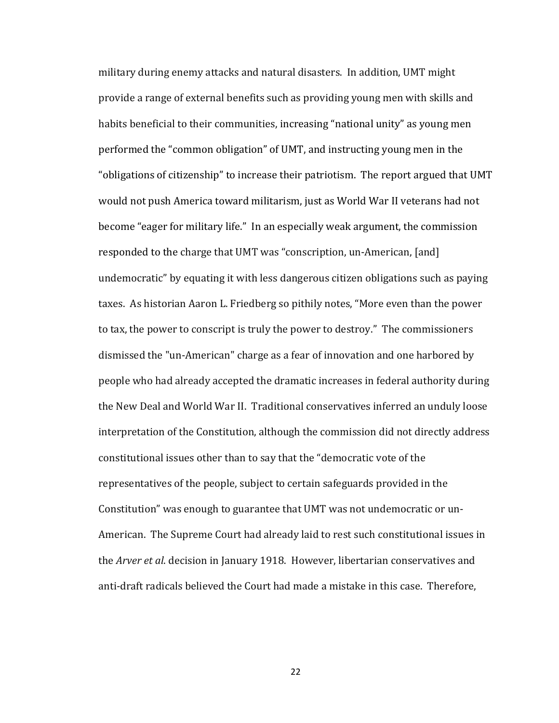military during enemy attacks and natural disasters. In addition, UMT might provide a range of external benefits such as providing young men with skills and habits beneficial to their communities, increasing "national unity" as young men performed the "common obligation" of UMT, and instructing young men in the "obligations of citizenship" to increase their patriotism. The report argued that UMT would not push America toward militarism, just as World War II veterans had not become "eager for military life." In an especially weak argument, the commission responded to the charge that UMT was "conscription, un-American, [and] undemocratic" by equating it with less dangerous citizen obligations such as paying taxes. As historian Aaron L. Friedberg so pithily notes, "More even than the power to tax, the power to conscript is truly the power to destroy." The commissioners dismissed the "un-American" charge as a fear of innovation and one harbored by people who had already accepted the dramatic increases in federal authority during the New Deal and World War II. Traditional conservatives inferred an unduly loose interpretation of the Constitution, although the commission did not directly address constitutional issues other than to say that the "democratic vote of the representatives of the people, subject to certain safeguards provided in the Constitution" was enough to guarantee that UMT was not undemocratic or un-American. The Supreme Court had already laid to rest such constitutional issues in the *Arver et al.* decision in January 1918. However, libertarian conservatives and anti-draft radicals believed the Court had made a mistake in this case. Therefore,

22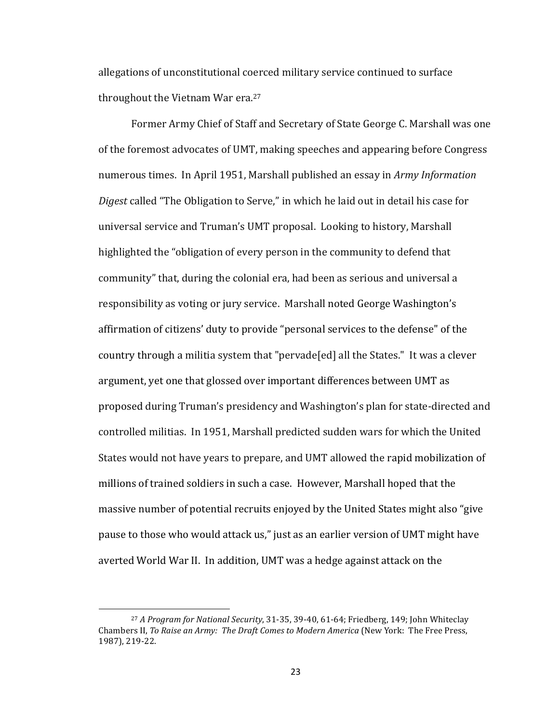allegations of unconstitutional coerced military service continued to surface throughout the Vietnam War era. $27$ 

Former Army Chief of Staff and Secretary of State George C. Marshall was one of the foremost advocates of UMT, making speeches and appearing before Congress numerous times. In April 1951, Marshall published an essay in Army Information *Digest* called "The Obligation to Serve," in which he laid out in detail his case for universal service and Truman's UMT proposal. Looking to history, Marshall highlighted the "obligation of every person in the community to defend that community" that, during the colonial era, had been as serious and universal a responsibility as voting or jury service. Marshall noted George Washington's affirmation of citizens' duty to provide "personal services to the defense" of the country through a militia system that "pervade[ed] all the States." It was a clever argument, yet one that glossed over important differences between UMT as proposed during Truman's presidency and Washington's plan for state-directed and controlled militias. In 1951, Marshall predicted sudden wars for which the United States would not have years to prepare, and UMT allowed the rapid mobilization of millions of trained soldiers in such a case. However, Marshall hoped that the massive number of potential recruits enjoyed by the United States might also "give" pause to those who would attack us," just as an earlier version of UMT might have averted World War II. In addition, UMT was a hedge against attack on the

<sup>&</sup>lt;sup>27</sup> *A Program for National Security*, 31-35, 39-40, 61-64; Friedberg, 149; John Whiteclay Chambers II, *To Raise an Army: The Draft Comes to Modern America* (New York: The Free Press, 1987), 219-22.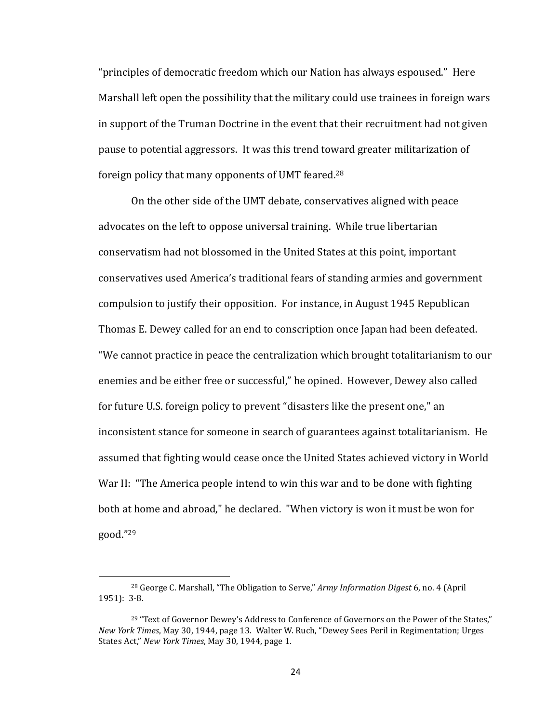"principles of democratic freedom which our Nation has always espoused." Here Marshall left open the possibility that the military could use trainees in foreign wars in support of the Truman Doctrine in the event that their recruitment had not given pause to potential aggressors. It was this trend toward greater militarization of foreign policy that many opponents of UMT feared.<sup>28</sup>

On the other side of the UMT debate, conservatives aligned with peace advocates on the left to oppose universal training. While true libertarian conservatism had not blossomed in the United States at this point, important conservatives used America's traditional fears of standing armies and government compulsion to justify their opposition. For instance, in August 1945 Republican Thomas E. Dewey called for an end to conscription once Japan had been defeated. "We cannot practice in peace the centralization which brought totalitarianism to our enemies and be either free or successful," he opined. However, Dewey also called for future U.S. foreign policy to prevent "disasters like the present one," an inconsistent stance for someone in search of guarantees against totalitarianism. He assumed that fighting would cease once the United States achieved victory in World War II: "The America people intend to win this war and to be done with fighting both at home and abroad," he declared. "When victory is won it must be won for good."29 

<sup>&</sup>lt;sup>28</sup> George C. Marshall, "The Obligation to Serve," *Army Information Digest* 6, no. 4 (April 1951): 3-8.

 $29$  "Text of Governor Dewey's Address to Conference of Governors on the Power of the States." *New York Times*, May 30, 1944, page 13. Walter W. Ruch, "Dewey Sees Peril in Regimentation; Urges States Act," New York Times, May 30, 1944, page 1.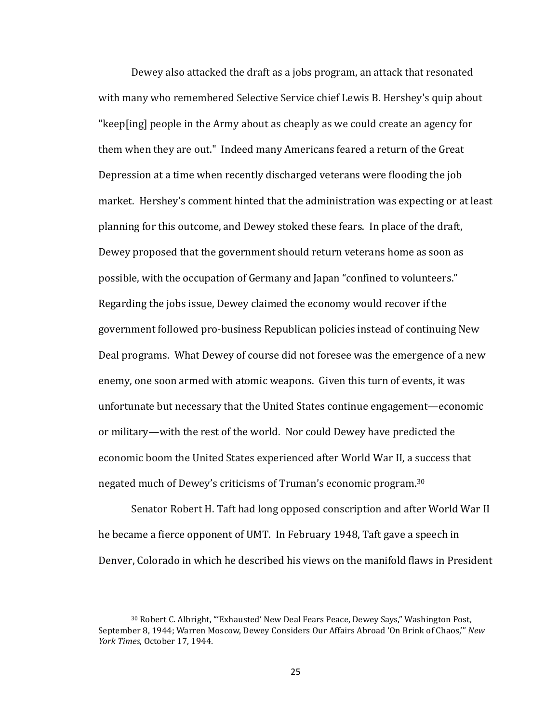Dewey also attacked the draft as a jobs program, an attack that resonated with many who remembered Selective Service chief Lewis B. Hershey's quip about "keep[ing] people in the Army about as cheaply as we could create an agency for them when they are out." Indeed many Americans feared a return of the Great Depression at a time when recently discharged veterans were flooding the job market. Hershey's comment hinted that the administration was expecting or at least planning for this outcome, and Dewey stoked these fears. In place of the draft, Dewey proposed that the government should return veterans home as soon as possible, with the occupation of Germany and Japan "confined to volunteers." Regarding the jobs issue, Dewey claimed the economy would recover if the government followed pro-business Republican policies instead of continuing New Deal programs. What Dewey of course did not foresee was the emergence of a new enemy, one soon armed with atomic weapons. Given this turn of events, it was unfortunate but necessary that the United States continue engagement—economic or military—with the rest of the world. Nor could Dewey have predicted the economic boom the United States experienced after World War II, a success that negated much of Dewey's criticisms of Truman's economic program.<sup>30</sup>

Senator Robert H. Taft had long opposed conscription and after World War II he became a fierce opponent of UMT. In February 1948, Taft gave a speech in Denver, Colorado in which he described his views on the manifold flaws in President

<sup>&</sup>lt;sup>30</sup> Robert C. Albright, "'Exhausted' New Deal Fears Peace, Dewey Says," Washington Post, September 8, 1944; Warren Moscow, Dewey Considers Our Affairs Abroad 'On Brink of Chaos," New *York Times*, October 17, 1944.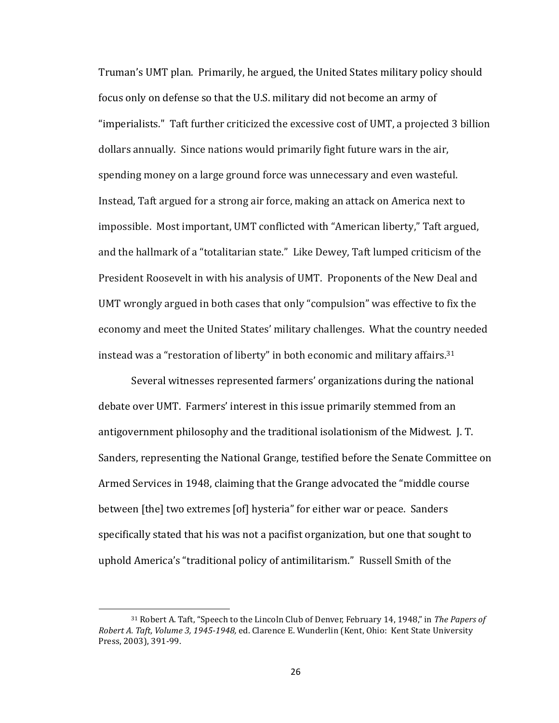Truman's UMT plan. Primarily, he argued, the United States military policy should focus only on defense so that the U.S. military did not become an army of "imperialists." Taft further criticized the excessive cost of UMT, a projected 3 billion dollars annually. Since nations would primarily fight future wars in the air, spending money on a large ground force was unnecessary and even wasteful. Instead, Taft argued for a strong air force, making an attack on America next to impossible. Most important, UMT conflicted with "American liberty," Taft argued, and the hallmark of a "totalitarian state." Like Dewey, Taft lumped criticism of the President Roosevelt in with his analysis of UMT. Proponents of the New Deal and UMT wrongly argued in both cases that only "compulsion" was effective to fix the economy and meet the United States' military challenges. What the country needed instead was a "restoration of liberty" in both economic and military affairs.<sup>31</sup>

Several witnesses represented farmers' organizations during the national debate over UMT. Farmers' interest in this issue primarily stemmed from an antigovernment philosophy and the traditional isolationism of the Midwest. J.T. Sanders, representing the National Grange, testified before the Senate Committee on Armed Services in 1948, claiming that the Grange advocated the "middle course between [the] two extremes [of] hysteria" for either war or peace. Sanders specifically stated that his was not a pacifist organization, but one that sought to uphold America's "traditional policy of antimilitarism." Russell Smith of the

<sup>&</sup>lt;sup>31</sup> Robert A. Taft, "Speech to the Lincoln Club of Denver, February 14, 1948," in *The Papers of Robert A. Taft, Volume 3, 1945-1948, ed. Clarence E. Wunderlin (Kent, Ohio: Kent State University* Press, 2003), 391-99.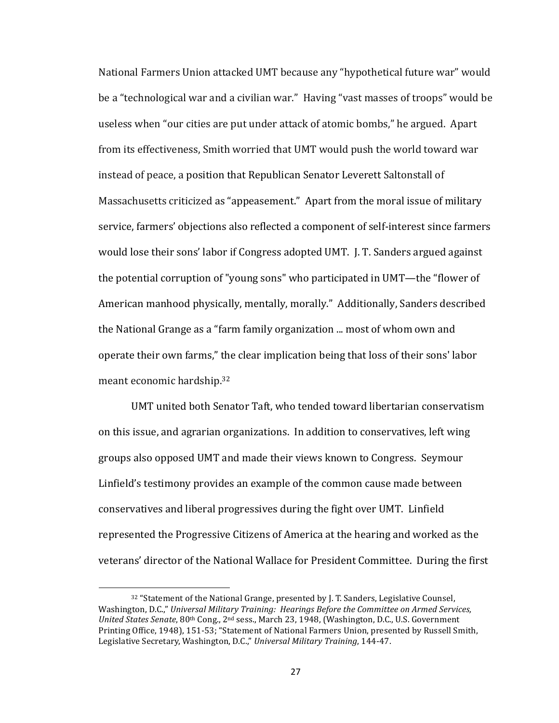National Farmers Union attacked UMT because any "hypothetical future war" would be a "technological war and a civilian war." Having "vast masses of troops" would be useless when "our cities are put under attack of atomic bombs," he argued. Apart from its effectiveness, Smith worried that UMT would push the world toward war instead of peace, a position that Republican Senator Leverett Saltonstall of Massachusetts criticized as "appeasement." Apart from the moral issue of military service, farmers' objections also reflected a component of self-interest since farmers would lose their sons' labor if Congress adopted UMT. J. T. Sanders argued against the potential corruption of "young sons" who participated in UMT—the "flower of American manhood physically, mentally, morally." Additionally, Sanders described the National Grange as a "farm family organization ... most of whom own and operate their own farms," the clear implication being that loss of their sons' labor meant economic hardship.<sup>32</sup>

UMT united both Senator Taft, who tended toward libertarian conservatism on this issue, and agrarian organizations. In addition to conservatives, left wing groups also opposed UMT and made their views known to Congress. Seymour Linfield's testimony provides an example of the common cause made between conservatives and liberal progressives during the fight over UMT. Linfield represented the Progressive Citizens of America at the hearing and worked as the veterans' director of the National Wallace for President Committee. During the first

<sup>32 &</sup>quot;Statement of the National Grange, presented by J. T. Sanders, Legislative Counsel, Washington, D.C.," Universal Military Training: Hearings Before the Committee on Armed Services, *United States Senate*, 80<sup>th</sup> Cong., 2<sup>nd</sup> sess., March 23, 1948, (Washington, D.C., U.S. Government Printing Office, 1948), 151-53; "Statement of National Farmers Union, presented by Russell Smith, Legislative Secretary, Washington, D.C.," Universal Military Training, 144-47.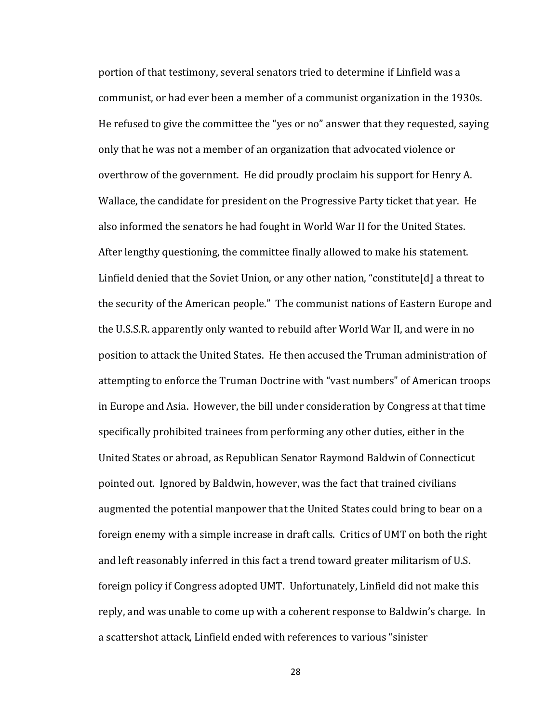portion of that testimony, several senators tried to determine if Linfield was a communist, or had ever been a member of a communist organization in the 1930s. He refused to give the committee the "yes or no" answer that they requested, saying only that he was not a member of an organization that advocated violence or overthrow of the government. He did proudly proclaim his support for Henry A. Wallace, the candidate for president on the Progressive Party ticket that year. He also informed the senators he had fought in World War II for the United States. After lengthy questioning, the committee finally allowed to make his statement. Linfield denied that the Soviet Union, or any other nation, "constitute[d] a threat to the security of the American people." The communist nations of Eastern Europe and the U.S.S.R. apparently only wanted to rebuild after World War II, and were in no position to attack the United States. He then accused the Truman administration of attempting to enforce the Truman Doctrine with "vast numbers" of American troops in Europe and Asia. However, the bill under consideration by Congress at that time specifically prohibited trainees from performing any other duties, either in the United States or abroad, as Republican Senator Raymond Baldwin of Connecticut pointed out. Ignored by Baldwin, however, was the fact that trained civilians augmented the potential manpower that the United States could bring to bear on a foreign enemy with a simple increase in draft calls. Critics of UMT on both the right and left reasonably inferred in this fact a trend toward greater militarism of U.S. foreign policy if Congress adopted UMT. Unfortunately, Linfield did not make this reply, and was unable to come up with a coherent response to Baldwin's charge. In a scattershot attack, Linfield ended with references to various "sinister

28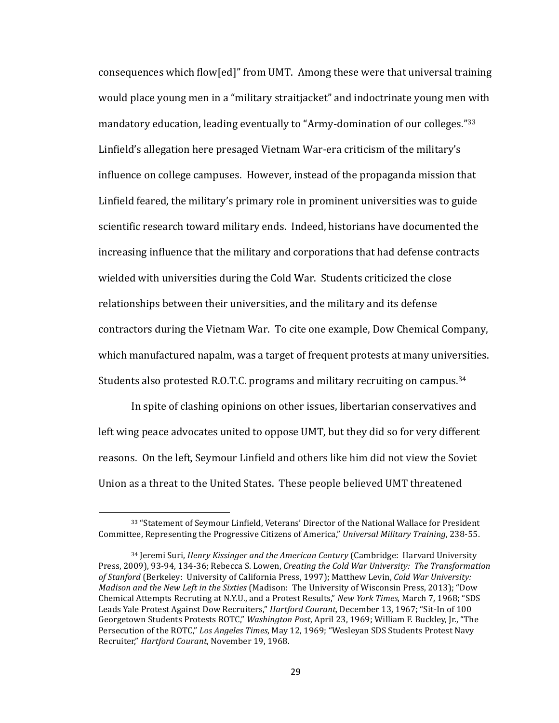consequences which flow[ed]" from UMT. Among these were that universal training would place young men in a "military straitjacket" and indoctrinate young men with mandatory education, leading eventually to "Army-domination of our colleges."<sup>33</sup> Linfield's allegation here presaged Vietnam War-era criticism of the military's influence on college campuses. However, instead of the propaganda mission that Linfield feared, the military's primary role in prominent universities was to guide scientific research toward military ends. Indeed, historians have documented the increasing influence that the military and corporations that had defense contracts wielded with universities during the Cold War. Students criticized the close relationships between their universities, and the military and its defense contractors during the Vietnam War. To cite one example, Dow Chemical Company, which manufactured napalm, was a target of frequent protests at many universities. Students also protested R.O.T.C. programs and military recruiting on campus.<sup>34</sup>

In spite of clashing opinions on other issues, libertarian conservatives and left wing peace advocates united to oppose UMT, but they did so for very different reasons. On the left, Seymour Linfield and others like him did not view the Soviet Union as a threat to the United States. These people believed UMT threatened

<sup>33 &</sup>quot;Statement of Seymour Linfield, Veterans' Director of the National Wallace for President Committee, Representing the Progressive Citizens of America," Universal Military Training, 238-55.

<sup>&</sup>lt;sup>34</sup> Jeremi Suri, *Henry Kissinger and the American Century* (Cambridge: Harvard University Press, 2009), 93-94, 134-36; Rebecca S. Lowen, *Creating the Cold War University: The Transformation* of Stanford (Berkeley: University of California Press, 1997); Matthew Levin, Cold War University: *Madison and the New Left in the Sixties* (Madison: The University of Wisconsin Press, 2013); "Dow Chemical Attempts Recruting at N.Y.U., and a Protest Results," *New York Times*, March 7, 1968; "SDS Leads Yale Protest Against Dow Recruiters," *Hartford Courant*, December 13, 1967; "Sit-In of 100 Georgetown Students Protests ROTC," *Washington Post*, April 23, 1969; William F. Buckley, Ir., "The Persecution of the ROTC," Los Angeles Times, May 12, 1969; "Wesleyan SDS Students Protest Navy Recruiter," *Hartford Courant*, November 19, 1968.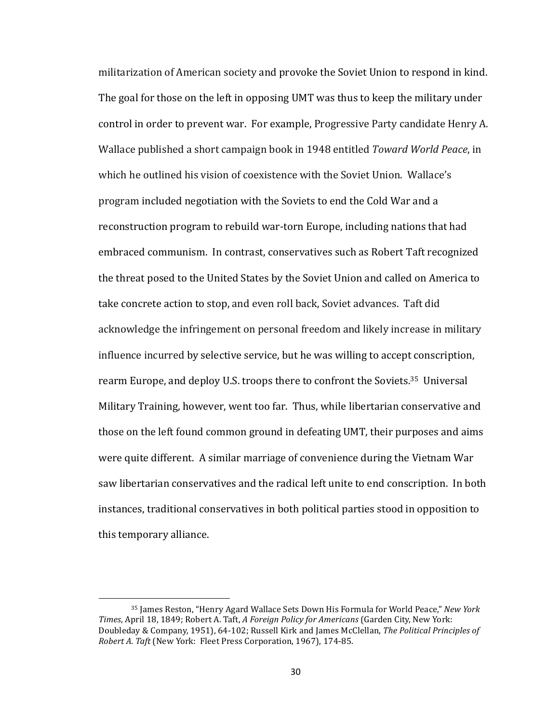militarization of American society and provoke the Soviet Union to respond in kind. The goal for those on the left in opposing UMT was thus to keep the military under control in order to prevent war. For example, Progressive Party candidate Henry A. Wallace published a short campaign book in 1948 entitled *Toward World Peace*, in which he outlined his vision of coexistence with the Soviet Union. Wallace's program included negotiation with the Soviets to end the Cold War and a reconstruction program to rebuild war-torn Europe, including nations that had embraced communism. In contrast, conservatives such as Robert Taft recognized the threat posed to the United States by the Soviet Union and called on America to take concrete action to stop, and even roll back, Soviet advances. Taft did acknowledge the infringement on personal freedom and likely increase in military influence incurred by selective service, but he was willing to accept conscription, rearm Europe, and deploy U.S. troops there to confront the Soviets.<sup>35</sup> Universal Military Training, however, went too far. Thus, while libertarian conservative and those on the left found common ground in defeating UMT, their purposes and aims were quite different. A similar marriage of convenience during the Vietnam War saw libertarian conservatives and the radical left unite to end conscription. In both instances, traditional conservatives in both political parties stood in opposition to this temporary alliance.

<sup>&</sup>lt;sup>35</sup> James Reston, "Henry Agard Wallace Sets Down His Formula for World Peace," *New York Times*, April 18, 1849; Robert A. Taft, *A Foreign Policy for Americans* (Garden City, New York: Doubleday & Company, 1951), 64-102; Russell Kirk and James McClellan, *The Political Principles of Robert A. Taft* (New York: Fleet Press Corporation, 1967), 174-85.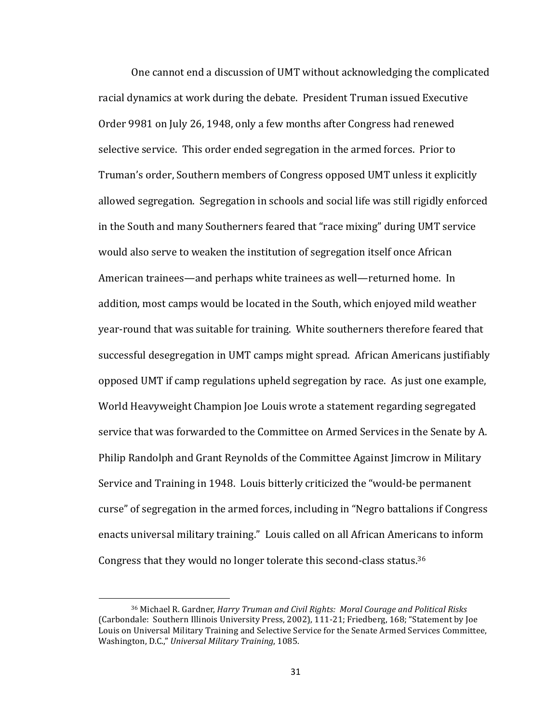One cannot end a discussion of UMT without acknowledging the complicated racial dynamics at work during the debate. President Truman issued Executive Order 9981 on July 26, 1948, only a few months after Congress had renewed selective service. This order ended segregation in the armed forces. Prior to Truman's order, Southern members of Congress opposed UMT unless it explicitly allowed segregation. Segregation in schools and social life was still rigidly enforced in the South and many Southerners feared that "race mixing" during UMT service would also serve to weaken the institution of segregation itself once African American trainees—and perhaps white trainees as well—returned home. In addition, most camps would be located in the South, which enjoyed mild weather year-round that was suitable for training. White southerners therefore feared that successful desegregation in UMT camps might spread. African Americans justifiably opposed UMT if camp regulations upheld segregation by race. As just one example, World Heavyweight Champion Joe Louis wrote a statement regarding segregated service that was forwarded to the Committee on Armed Services in the Senate by A. Philip Randolph and Grant Reynolds of the Committee Against Jimcrow in Military Service and Training in 1948. Louis bitterly criticized the "would-be permanent curse" of segregation in the armed forces, including in "Negro battalions if Congress enacts universal military training." Louis called on all African Americans to inform Congress that they would no longer tolerate this second-class status.<sup>36</sup>

<sup>&</sup>lt;sup>36</sup> Michael R. Gardner, *Harry Truman and Civil Rights: Moral Courage and Political Risks* (Carbondale: Southern Illinois University Press, 2002), 111-21; Friedberg, 168; "Statement by Joe Louis on Universal Military Training and Selective Service for the Senate Armed Services Committee, Washington, D.C.," Universal Military Training, 1085.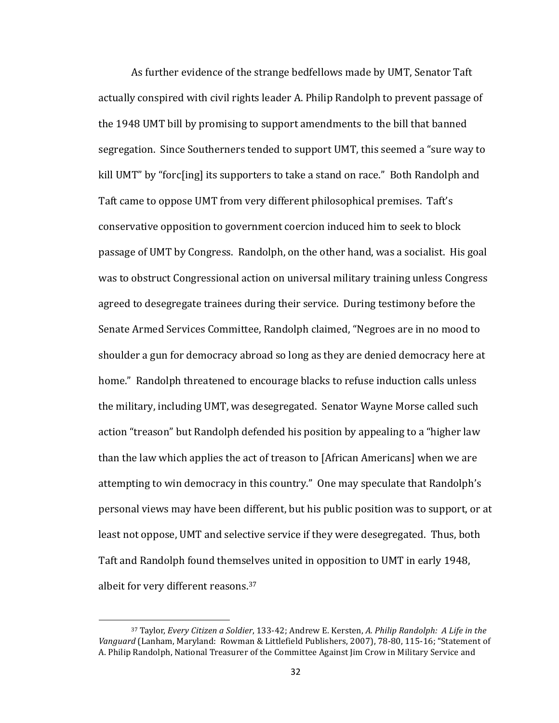As further evidence of the strange bedfellows made by UMT, Senator Taft actually conspired with civil rights leader A. Philip Randolph to prevent passage of the 1948 UMT bill by promising to support amendments to the bill that banned segregation. Since Southerners tended to support UMT, this seemed a "sure way to kill UMT" by "forc[ing] its supporters to take a stand on race." Both Randolph and Taft came to oppose UMT from very different philosophical premises. Taft's conservative opposition to government coercion induced him to seek to block passage of UMT by Congress. Randolph, on the other hand, was a socialist. His goal was to obstruct Congressional action on universal military training unless Congress agreed to desegregate trainees during their service. During testimony before the Senate Armed Services Committee, Randolph claimed, "Negroes are in no mood to shoulder a gun for democracy abroad so long as they are denied democracy here at home." Randolph threatened to encourage blacks to refuse induction calls unless the military, including UMT, was desegregated. Senator Wayne Morse called such action "treason" but Randolph defended his position by appealing to a "higher law than the law which applies the act of treason to [African Americans] when we are attempting to win democracy in this country." One may speculate that Randolph's personal views may have been different, but his public position was to support, or at least not oppose, UMT and selective service if they were desegregated. Thus, both Taft and Randolph found themselves united in opposition to UMT in early 1948, albeit for very different reasons.<sup>37</sup>

<sup>&</sup>lt;sup>37</sup> Taylor, *Every Citizen a Soldier*, 133-42; Andrew E. Kersten, A. Philip Randolph: A Life in the Vanguard (Lanham, Maryland: Rowman & Littlefield Publishers, 2007), 78-80, 115-16; "Statement of A. Philip Randolph, National Treasurer of the Committee Against Jim Crow in Military Service and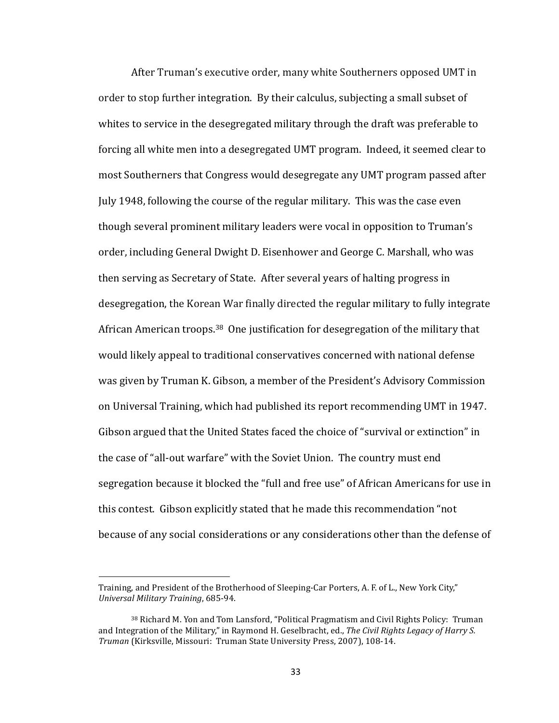After Truman's executive order, many white Southerners opposed UMT in order to stop further integration. By their calculus, subjecting a small subset of whites to service in the desegregated military through the draft was preferable to forcing all white men into a desegregated UMT program. Indeed, it seemed clear to most Southerners that Congress would desegregate any UMT program passed after July 1948, following the course of the regular military. This was the case even though several prominent military leaders were vocal in opposition to Truman's order, including General Dwight D. Eisenhower and George C. Marshall, who was then serving as Secretary of State. After several years of halting progress in desegregation, the Korean War finally directed the regular military to fully integrate African American troops.<sup>38</sup> One justification for desegregation of the military that would likely appeal to traditional conservatives concerned with national defense was given by Truman K. Gibson, a member of the President's Advisory Commission on Universal Training, which had published its report recommending UMT in 1947. Gibson argued that the United States faced the choice of "survival or extinction" in the case of "all-out warfare" with the Soviet Union. The country must end segregation because it blocked the "full and free use" of African Americans for use in this contest. Gibson explicitly stated that he made this recommendation "not" because of any social considerations or any considerations other than the defense of

 $\overline{a}$ 

Training, and President of the Brotherhood of Sleeping-Car Porters, A. F. of L., New York City," *Universal Military Training*, 685-94.

<sup>&</sup>lt;sup>38</sup> Richard M. Yon and Tom Lansford, "Political Pragmatism and Civil Rights Policy: Truman and Integration of the Military," in Raymond H. Geselbracht, ed., *The Civil Rights Legacy of Harry S. Truman* (Kirksville, Missouri: Truman State University Press, 2007), 108-14.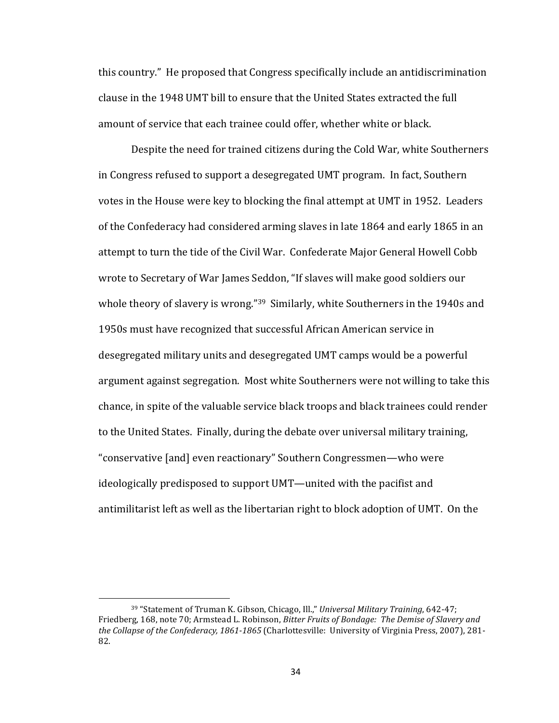this country." He proposed that Congress specifically include an antidiscrimination clause in the 1948 UMT bill to ensure that the United States extracted the full amount of service that each trainee could offer, whether white or black.

Despite the need for trained citizens during the Cold War, white Southerners in Congress refused to support a desegregated UMT program. In fact, Southern votes in the House were key to blocking the final attempt at UMT in 1952. Leaders of the Confederacy had considered arming slaves in late 1864 and early 1865 in an attempt to turn the tide of the Civil War. Confederate Major General Howell Cobb wrote to Secretary of War James Seddon, "If slaves will make good soldiers our whole theory of slavery is wrong."<sup>39</sup> Similarly, white Southerners in the 1940s and 1950s must have recognized that successful African American service in desegregated military units and desegregated UMT camps would be a powerful argument against segregation. Most white Southerners were not willing to take this chance, in spite of the valuable service black troops and black trainees could render to the United States. Finally, during the debate over universal military training, "conservative [and] even reactionary" Southern Congressmen—who were ideologically predisposed to support UMT—united with the pacifist and antimilitarist left as well as the libertarian right to block adoption of UMT. On the

<sup>&</sup>lt;sup>39</sup> "Statement of Truman K. Gibson, Chicago, Ill.," *Universal Military Training*, 642-47; Friedberg, 168, note 70; Armstead L. Robinson, *Bitter Fruits of Bondage: The Demise of Slavery and* the Collapse of the Confederacy, 1861-1865 (Charlottesville: University of Virginia Press, 2007), 281-82.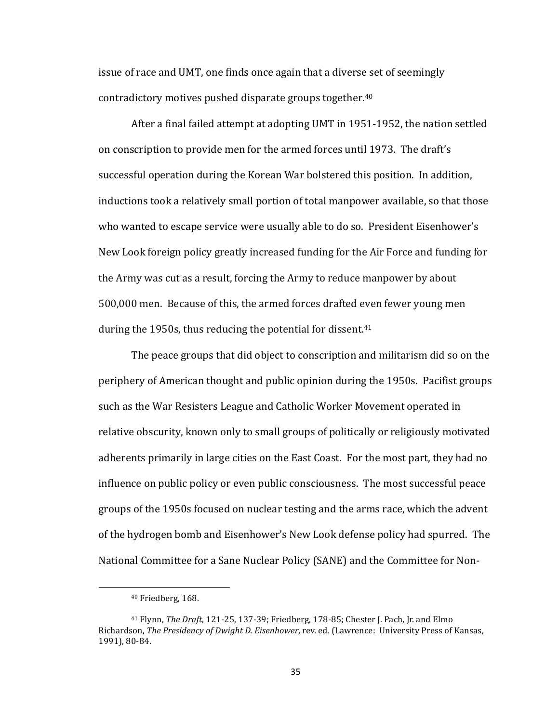issue of race and UMT, one finds once again that a diverse set of seemingly contradictory motives pushed disparate groups together.<sup>40</sup>

After a final failed attempt at adopting UMT in 1951-1952, the nation settled on conscription to provide men for the armed forces until 1973. The draft's successful operation during the Korean War bolstered this position. In addition, inductions took a relatively small portion of total manpower available, so that those who wanted to escape service were usually able to do so. President Eisenhower's New Look foreign policy greatly increased funding for the Air Force and funding for the Army was cut as a result, forcing the Army to reduce manpower by about 500,000 men. Because of this, the armed forces drafted even fewer young men during the  $1950s$ , thus reducing the potential for dissent.<sup>41</sup>

The peace groups that did object to conscription and militarism did so on the periphery of American thought and public opinion during the 1950s. Pacifist groups such as the War Resisters League and Catholic Worker Movement operated in relative obscurity, known only to small groups of politically or religiously motivated adherents primarily in large cities on the East Coast. For the most part, they had no influence on public policy or even public consciousness. The most successful peace groups of the 1950s focused on nuclear testing and the arms race, which the advent of the hydrogen bomb and Eisenhower's New Look defense policy had spurred. The National Committee for a Sane Nuclear Policy (SANE) and the Committee for Non-

<sup>&</sup>lt;sup>40</sup> Friedberg, 168.

<sup>&</sup>lt;sup>41</sup> Flynn, *The Draft*, 121-25, 137-39; Friedberg, 178-85; Chester I. Pach, Ir. and Elmo Richardson, *The Presidency of Dwight D. Eisenhower*, rev. ed. (Lawrence: University Press of Kansas, 1991), 80-84.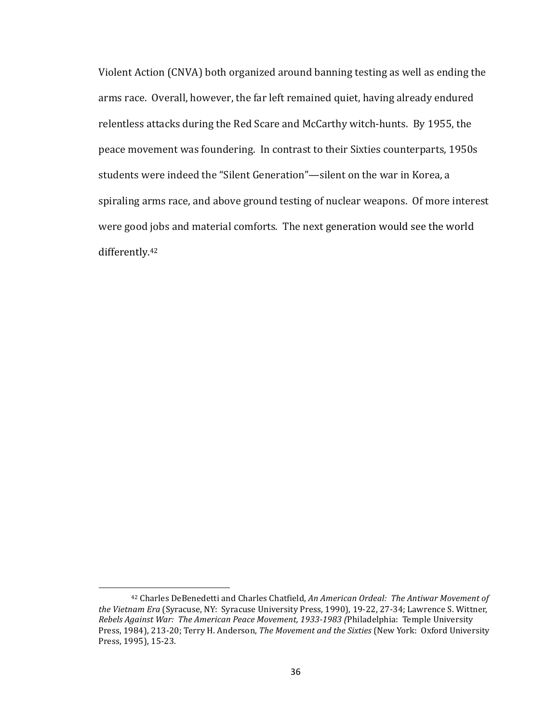Violent Action (CNVA) both organized around banning testing as well as ending the arms race. Overall, however, the far left remained quiet, having already endured relentless attacks during the Red Scare and McCarthy witch-hunts. By 1955, the peace movement was foundering. In contrast to their Sixties counterparts, 1950s students were indeed the "Silent Generation"—silent on the war in Korea, a spiraling arms race, and above ground testing of nuclear weapons. Of more interest were good jobs and material comforts. The next generation would see the world differently.42

 $\overline{a}$ 

<sup>&</sup>lt;sup>42</sup> Charles DeBenedetti and Charles Chatfield, An American Ordeal: The Antiwar Movement of the Vietnam Era (Syracuse, NY: Syracuse University Press, 1990), 19-22, 27-34; Lawrence S. Wittner, Rebels Against War: The American Peace Movement, 1933-1983 (Philadelphia: Temple University Press, 1984), 213-20; Terry H. Anderson, *The Movement and the Sixties* (New York: Oxford University Press, 1995), 15-23.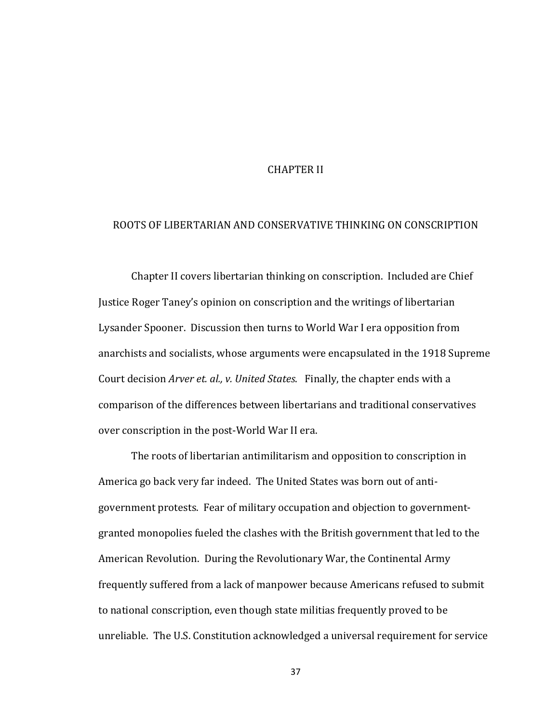## CHAPTER II

## ROOTS OF LIBERTARIAN AND CONSERVATIVE THINKING ON CONSCRIPTION

Chapter II covers libertarian thinking on conscription. Included are Chief Justice Roger Taney's opinion on conscription and the writings of libertarian Lysander Spooner. Discussion then turns to World War I era opposition from anarchists and socialists, whose arguments were encapsulated in the 1918 Supreme Court decision *Arver et. al., v. United States*. Finally, the chapter ends with a comparison of the differences between libertarians and traditional conservatives over conscription in the post-World War II era.

The roots of libertarian antimilitarism and opposition to conscription in America go back very far indeed. The United States was born out of antigovernment protests. Fear of military occupation and objection to governmentgranted monopolies fueled the clashes with the British government that led to the American Revolution. During the Revolutionary War, the Continental Army frequently suffered from a lack of manpower because Americans refused to submit to national conscription, even though state militias frequently proved to be unreliable. The U.S. Constitution acknowledged a universal requirement for service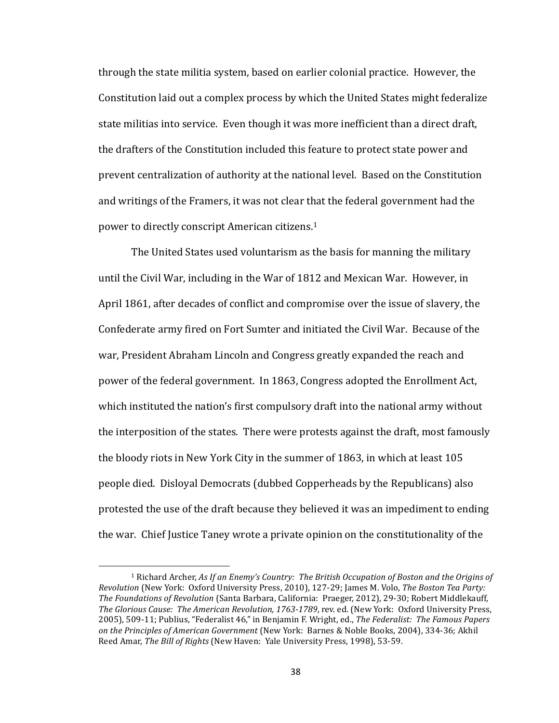through the state militia system, based on earlier colonial practice. However, the Constitution laid out a complex process by which the United States might federalize state militias into service. Even though it was more inefficient than a direct draft, the drafters of the Constitution included this feature to protect state power and prevent centralization of authority at the national level. Based on the Constitution and writings of the Framers, it was not clear that the federal government had the power to directly conscript American citizens.<sup>1</sup>

The United States used voluntarism as the basis for manning the military until the Civil War, including in the War of 1812 and Mexican War. However, in April 1861, after decades of conflict and compromise over the issue of slavery, the Confederate army fired on Fort Sumter and initiated the Civil War. Because of the war, President Abraham Lincoln and Congress greatly expanded the reach and power of the federal government. In 1863, Congress adopted the Enrollment Act, which instituted the nation's first compulsory draft into the national army without the interposition of the states. There were protests against the draft, most famously the bloody riots in New York City in the summer of 1863, in which at least 105 people died. Disloyal Democrats (dubbed Copperheads by the Republicans) also protested the use of the draft because they believed it was an impediment to ending the war. Chief Justice Taney wrote a private opinion on the constitutionality of the

<sup>&</sup>lt;sup>1</sup> Richard Archer, As If an Enemy's Country: The British Occupation of Boston and the Origins of *Revolution* (New York: Oxford University Press, 2010), 127-29; James M. Volo, The Boston Tea Party: The Foundations of Revolution (Santa Barbara, California: Praeger, 2012), 29-30; Robert Middlekauff, The Glorious Cause: The American Revolution, 1763-1789, rev. ed. (New York: Oxford University Press, 2005), 509-11; Publius, "Federalist 46," in Benjamin F. Wright, ed., *The Federalist: The Famous Papers on the Principles of American Government* (New York: Barnes & Noble Books, 2004), 334-36; Akhil Reed Amar, *The Bill of Rights* (New Haven: Yale University Press, 1998), 53-59.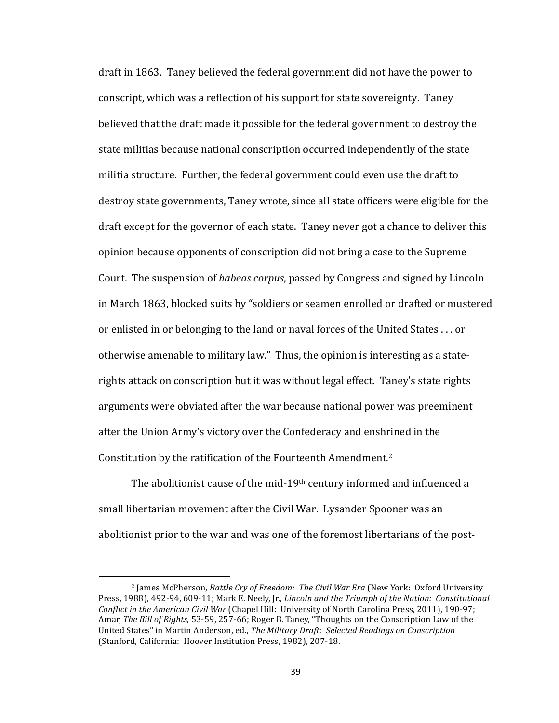draft in 1863. Taney believed the federal government did not have the power to conscript, which was a reflection of his support for state sovereignty. Taney believed that the draft made it possible for the federal government to destroy the state militias because national conscription occurred independently of the state militia structure. Further, the federal government could even use the draft to destroy state governments, Taney wrote, since all state officers were eligible for the draft except for the governor of each state. Taney never got a chance to deliver this opinion because opponents of conscription did not bring a case to the Supreme Court. The suspension of *habeas corpus*, passed by Congress and signed by Lincoln in March 1863, blocked suits by "soldiers or seamen enrolled or drafted or mustered or enlisted in or belonging to the land or naval forces of the United States . . . or otherwise amenable to military law." Thus, the opinion is interesting as a staterights attack on conscription but it was without legal effect. Taney's state rights arguments were obviated after the war because national power was preeminent after the Union Army's victory over the Confederacy and enshrined in the Constitution by the ratification of the Fourteenth Amendment.<sup>2</sup>

The abolitionist cause of the mid-19<sup>th</sup> century informed and influenced a small libertarian movement after the Civil War. Lysander Spooner was an abolitionist prior to the war and was one of the foremost libertarians of the post-

<sup>&</sup>lt;sup>2</sup> James McPherson, *Battle Cry of Freedom: The Civil War Era* (New York: Oxford University Press, 1988), 492-94, 609-11; Mark E. Neely, Jr., *Lincoln and the Triumph of the Nation: Constitutional Conflict in the American Civil War* (Chapel Hill: University of North Carolina Press, 2011), 190-97; Amar, *The Bill of Rights*, 53-59, 257-66; Roger B. Taney, "Thoughts on the Conscription Law of the United States" in Martin Anderson, ed., *The Military Draft: Selected Readings on Conscription* (Stanford, California: Hoover Institution Press, 1982), 207-18.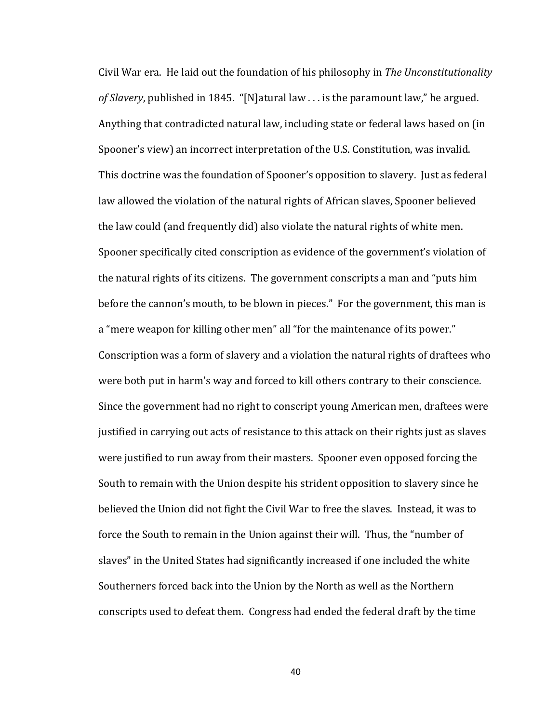Civil War era. He laid out the foundation of his philosophy in *The Unconstitutionality* of *Slavery*, published in 1845. "[N]atural law ... is the paramount law," he argued. Anything that contradicted natural law, including state or federal laws based on (in Spooner's view) an incorrect interpretation of the U.S. Constitution, was invalid. This doctrine was the foundation of Spooner's opposition to slavery. Just as federal law allowed the violation of the natural rights of African slaves, Spooner believed the law could (and frequently did) also violate the natural rights of white men. Spooner specifically cited conscription as evidence of the government's violation of the natural rights of its citizens. The government conscripts a man and "puts him before the cannon's mouth, to be blown in pieces." For the government, this man is a "mere weapon for killing other men" all "for the maintenance of its power." Conscription was a form of slavery and a violation the natural rights of draftees who were both put in harm's way and forced to kill others contrary to their conscience. Since the government had no right to conscript young American men, draftees were justified in carrying out acts of resistance to this attack on their rights just as slaves were justified to run away from their masters. Spooner even opposed forcing the South to remain with the Union despite his strident opposition to slavery since he believed the Union did not fight the Civil War to free the slaves. Instead, it was to force the South to remain in the Union against their will. Thus, the "number of slaves" in the United States had significantly increased if one included the white Southerners forced back into the Union by the North as well as the Northern conscripts used to defeat them. Congress had ended the federal draft by the time

40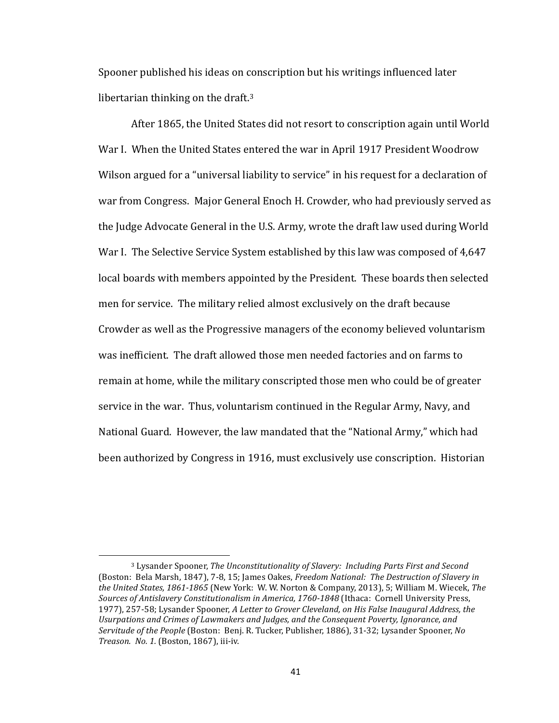Spooner published his ideas on conscription but his writings influenced later libertarian thinking on the draft. $3$ 

After 1865, the United States did not resort to conscription again until World War I. When the United States entered the war in April 1917 President Woodrow Wilson argued for a "universal liability to service" in his request for a declaration of war from Congress. Major General Enoch H. Crowder, who had previously served as the Judge Advocate General in the U.S. Army, wrote the draft law used during World War I. The Selective Service System established by this law was composed of 4,647 local boards with members appointed by the President. These boards then selected men for service. The military relied almost exclusively on the draft because Crowder as well as the Progressive managers of the economy believed voluntarism was inefficient. The draft allowed those men needed factories and on farms to remain at home, while the military conscripted those men who could be of greater service in the war. Thus, voluntarism continued in the Regular Army, Navy, and National Guard. However, the law mandated that the "National Army," which had been authorized by Congress in 1916, must exclusively use conscription. Historian

<sup>&</sup>lt;sup>3</sup> Lysander Spooner, *The Unconstitutionality of Slavery: Including Parts First and Second* (Boston: Bela Marsh, 1847), 7-8, 15; James Oakes, *Freedom National: The Destruction of Slavery in* the United States, 1861-1865 (New York: W. W. Norton & Company, 2013), 5; William M. Wiecek, The Sources of Antislavery Constitutionalism in America, 1760-1848 (Ithaca: Cornell University Press, 1977), 257-58; Lysander Spooner, *A Letter to Grover Cleveland, on His False Inaugural Address, the* Usurpations and Crimes of Lawmakers and Judges, and the Consequent Poverty, Ignorance, and Servitude of the People (Boston: Benj. R. Tucker, Publisher, 1886), 31-32; Lysander Spooner, No *Treason. No. 1.* (Boston, 1867), iii-iv.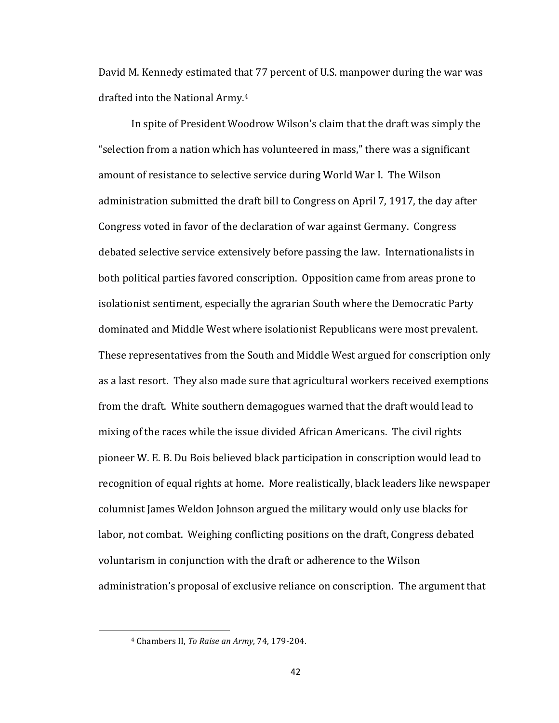David M. Kennedy estimated that 77 percent of U.S. manpower during the war was drafted into the National Army.<sup>4</sup>

In spite of President Woodrow Wilson's claim that the draft was simply the "selection from a nation which has volunteered in mass," there was a significant amount of resistance to selective service during World War I. The Wilson administration submitted the draft bill to Congress on April 7, 1917, the day after Congress voted in favor of the declaration of war against Germany. Congress debated selective service extensively before passing the law. Internationalists in both political parties favored conscription. Opposition came from areas prone to isolationist sentiment, especially the agrarian South where the Democratic Party dominated and Middle West where isolationist Republicans were most prevalent. These representatives from the South and Middle West argued for conscription only as a last resort. They also made sure that agricultural workers received exemptions from the draft. White southern demagogues warned that the draft would lead to mixing of the races while the issue divided African Americans. The civil rights pioneer W. E. B. Du Bois believed black participation in conscription would lead to recognition of equal rights at home. More realistically, black leaders like newspaper columnist James Weldon Johnson argued the military would only use blacks for labor, not combat. Weighing conflicting positions on the draft, Congress debated voluntarism in conjunction with the draft or adherence to the Wilson administration's proposal of exclusive reliance on conscription. The argument that

<sup>&</sup>lt;sup>4</sup> Chambers II, *To Raise an Army*, 74, 179-204.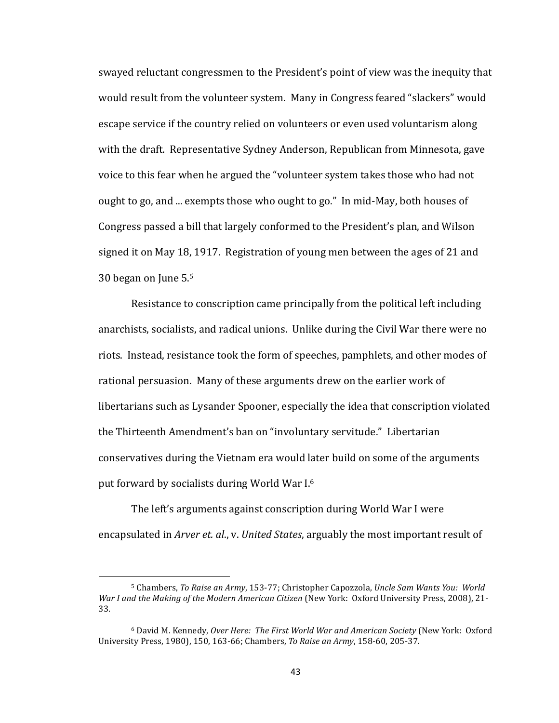swayed reluctant congressmen to the President's point of view was the inequity that would result from the volunteer system. Many in Congress feared "slackers" would escape service if the country relied on volunteers or even used voluntarism along with the draft. Representative Sydney Anderson, Republican from Minnesota, gave voice to this fear when he argued the "volunteer system takes those who had not ought to go, and ... exempts those who ought to go." In mid-May, both houses of Congress passed a bill that largely conformed to the President's plan, and Wilson signed it on May 18, 1917. Registration of young men between the ages of 21 and 30 began on June 5.<sup>5</sup>

Resistance to conscription came principally from the political left including anarchists, socialists, and radical unions. Unlike during the Civil War there were no riots. Instead, resistance took the form of speeches, pamphlets, and other modes of rational persuasion. Many of these arguments drew on the earlier work of libertarians such as Lysander Spooner, especially the idea that conscription violated the Thirteenth Amendment's ban on "involuntary servitude." Libertarian conservatives during the Vietnam era would later build on some of the arguments put forward by socialists during World War I.<sup>6</sup>

The left's arguments against conscription during World War I were encapsulated in *Arver et. al., v. United States,* arguably the most important result of

 $\overline{a}$ 

<sup>&</sup>lt;sup>5</sup> Chambers, *To Raise an Army*, 153-77; Christopher Capozzola, *Uncle Sam Wants You: World War I and the Making of the Modern American Citizen* (New York: Oxford University Press, 2008), 21-33. 

<sup>&</sup>lt;sup>6</sup> David M. Kennedy, Over Here: The First World War and American Society (New York: Oxford University Press, 1980), 150, 163-66; Chambers, *To Raise an Army*, 158-60, 205-37.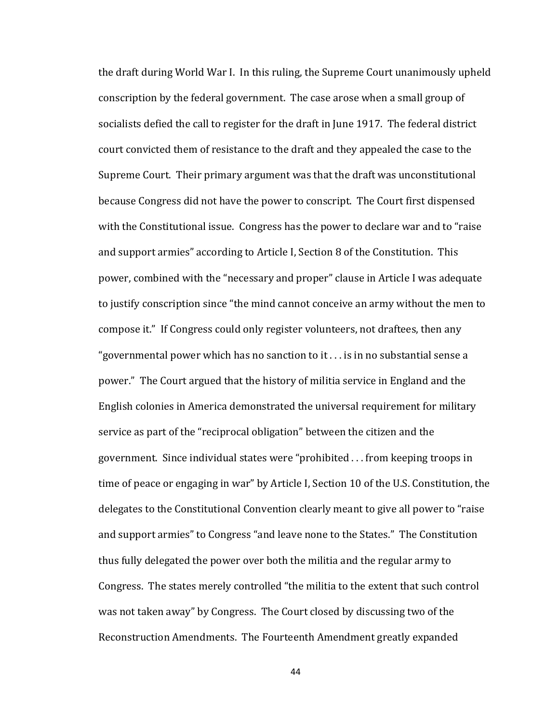the draft during World War I. In this ruling, the Supreme Court unanimously upheld conscription by the federal government. The case arose when a small group of socialists defied the call to register for the draft in June 1917. The federal district court convicted them of resistance to the draft and they appealed the case to the Supreme Court. Their primary argument was that the draft was unconstitutional because Congress did not have the power to conscript. The Court first dispensed with the Constitutional issue. Congress has the power to declare war and to "raise and support armies" according to Article I, Section 8 of the Constitution. This power, combined with the "necessary and proper" clause in Article I was adequate to justify conscription since "the mind cannot conceive an army without the men to compose it." If Congress could only register volunteers, not draftees, then any "governmental power which has no sanction to it  $\ldots$  is in no substantial sense a power." The Court argued that the history of militia service in England and the English colonies in America demonstrated the universal requirement for military service as part of the "reciprocal obligation" between the citizen and the government. Since individual states were "prohibited  $\ldots$  from keeping troops in time of peace or engaging in war" by Article I, Section 10 of the U.S. Constitution, the delegates to the Constitutional Convention clearly meant to give all power to "raise" and support armies" to Congress "and leave none to the States." The Constitution thus fully delegated the power over both the militia and the regular army to Congress. The states merely controlled "the militia to the extent that such control was not taken away" by Congress. The Court closed by discussing two of the Reconstruction Amendments. The Fourteenth Amendment greatly expanded

44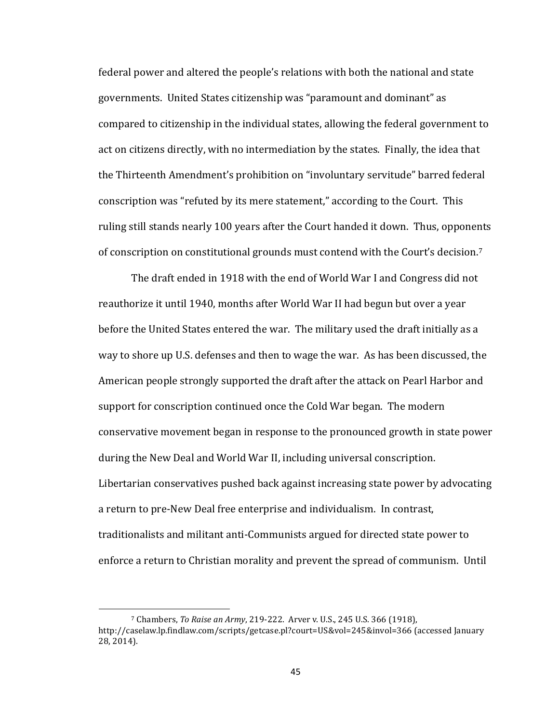federal power and altered the people's relations with both the national and state governments. United States citizenship was "paramount and dominant" as compared to citizenship in the individual states, allowing the federal government to act on citizens directly, with no intermediation by the states. Finally, the idea that the Thirteenth Amendment's prohibition on "involuntary servitude" barred federal conscription was "refuted by its mere statement," according to the Court. This ruling still stands nearly 100 years after the Court handed it down. Thus, opponents of conscription on constitutional grounds must contend with the Court's decision.<sup>7</sup>

The draft ended in 1918 with the end of World War I and Congress did not reauthorize it until 1940, months after World War II had begun but over a year before the United States entered the war. The military used the draft initially as a way to shore up U.S. defenses and then to wage the war. As has been discussed, the American people strongly supported the draft after the attack on Pearl Harbor and support for conscription continued once the Cold War began. The modern conservative movement began in response to the pronounced growth in state power during the New Deal and World War II, including universal conscription. Libertarian conservatives pushed back against increasing state power by advocating a return to pre-New Deal free enterprise and individualism. In contrast, traditionalists and militant anti-Communists argued for directed state power to enforce a return to Christian morality and prevent the spread of communism. Until

<sup>7</sup> Chambers, *To Raise an Army*, 219-222. Arver v. U.S., 245 U.S. 366 (1918), http://caselaw.lp.findlaw.com/scripts/getcase.pl?court=US&vol=245&invol=366 (accessed January 28, 2014).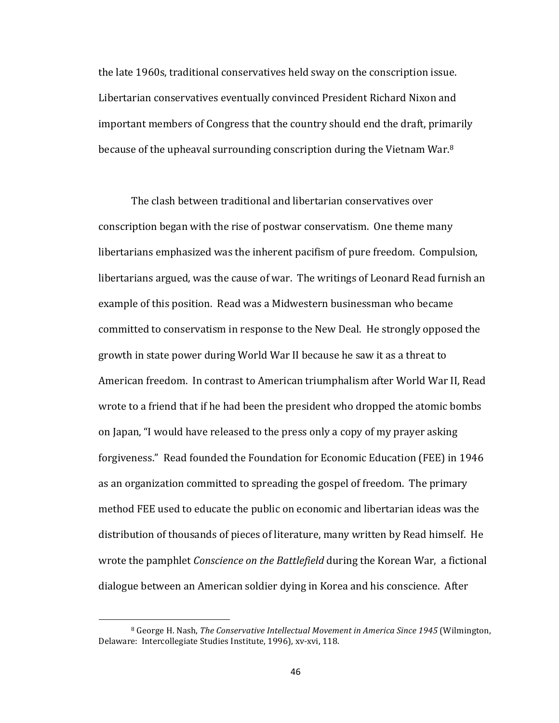the late 1960s, traditional conservatives held sway on the conscription issue. Libertarian conservatives eventually convinced President Richard Nixon and important members of Congress that the country should end the draft, primarily because of the upheaval surrounding conscription during the Vietnam War.<sup>8</sup>

The clash between traditional and libertarian conservatives over conscription began with the rise of postwar conservatism. One theme many libertarians emphasized was the inherent pacifism of pure freedom. Compulsion, libertarians argued, was the cause of war. The writings of Leonard Read furnish an example of this position. Read was a Midwestern businessman who became committed to conservatism in response to the New Deal. He strongly opposed the growth in state power during World War II because he saw it as a threat to American freedom. In contrast to American triumphalism after World War II, Read wrote to a friend that if he had been the president who dropped the atomic bombs on Japan, "I would have released to the press only a copy of my prayer asking forgiveness." Read founded the Foundation for Economic Education (FEE) in 1946 as an organization committed to spreading the gospel of freedom. The primary method FEE used to educate the public on economic and libertarian ideas was the distribution of thousands of pieces of literature, many written by Read himself. He wrote the pamphlet *Conscience on the Battlefield* during the Korean War, a fictional dialogue between an American soldier dying in Korea and his conscience. After

<sup>&</sup>lt;sup>8</sup> George H. Nash, *The Conservative Intellectual Movement in America Since 1945* (Wilmington, Delaware: Intercollegiate Studies Institute, 1996), xv-xvi, 118.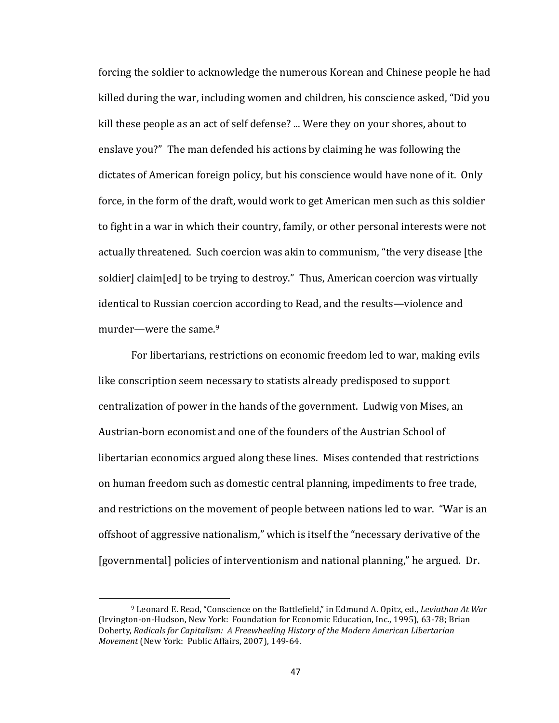forcing the soldier to acknowledge the numerous Korean and Chinese people he had killed during the war, including women and children, his conscience asked, "Did you kill these people as an act of self defense? ... Were they on your shores, about to enslave you?" The man defended his actions by claiming he was following the dictates of American foreign policy, but his conscience would have none of it. Only force, in the form of the draft, would work to get American men such as this soldier to fight in a war in which their country, family, or other personal interests were not actually threatened. Such coercion was akin to communism, "the very disease [the soldier] claim[ed] to be trying to destroy." Thus, American coercion was virtually identical to Russian coercion according to Read, and the results—violence and murder—were the same. $9$ 

For libertarians, restrictions on economic freedom led to war, making evils like conscription seem necessary to statists already predisposed to support centralization of power in the hands of the government. Ludwig von Mises, an Austrian-born economist and one of the founders of the Austrian School of libertarian economics argued along these lines. Mises contended that restrictions on human freedom such as domestic central planning, impediments to free trade, and restrictions on the movement of people between nations led to war. "War is an offshoot of aggressive nationalism," which is itself the "necessary derivative of the [governmental] policies of interventionism and national planning," he argued. Dr.

<sup>&</sup>lt;sup>9</sup> Leonard E. Read, "Conscience on the Battlefield," in Edmund A. Opitz, ed., *Leviathan At War* (Irvington-on-Hudson, New York: Foundation for Economic Education, Inc., 1995), 63-78; Brian Doherty, *Radicals for Capitalism: A Freewheeling History of the Modern American Libertarian Movement* (New York: Public Affairs, 2007), 149-64.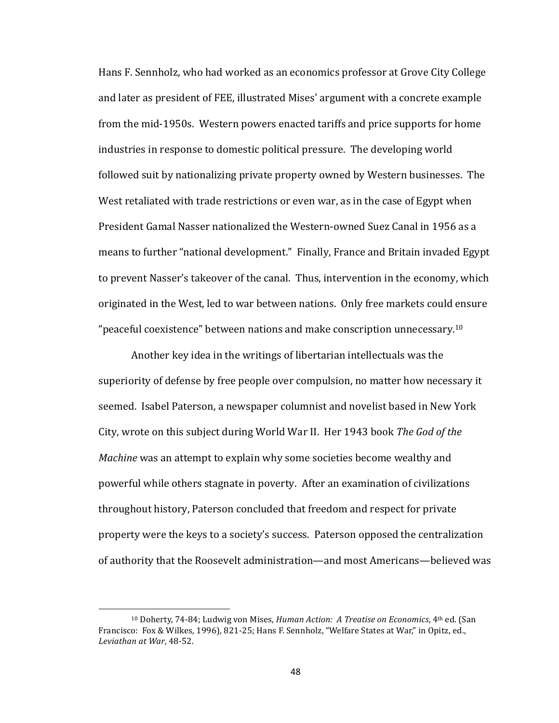Hans F. Sennholz, who had worked as an economics professor at Grove City College and later as president of FEE, illustrated Mises' argument with a concrete example from the mid-1950s. Western powers enacted tariffs and price supports for home industries in response to domestic political pressure. The developing world followed suit by nationalizing private property owned by Western businesses. The West retaliated with trade restrictions or even war, as in the case of Egypt when President Gamal Nasser nationalized the Western-owned Suez Canal in 1956 as a means to further "national development." Finally, France and Britain invaded Egypt to prevent Nasser's takeover of the canal. Thus, intervention in the economy, which originated in the West, led to war between nations. Only free markets could ensure "peaceful coexistence" between nations and make conscription unnecessary.<sup>10</sup>

Another key idea in the writings of libertarian intellectuals was the superiority of defense by free people over compulsion, no matter how necessary it seemed. Isabel Paterson, a newspaper columnist and novelist based in New York City, wrote on this subject during World War II. Her 1943 book The God of the *Machine* was an attempt to explain why some societies become wealthy and powerful while others stagnate in poverty. After an examination of civilizations throughout history, Paterson concluded that freedom and respect for private property were the keys to a society's success. Paterson opposed the centralization of authority that the Roosevelt administration—and most Americans—believed was

 $10$  Doherty,  $74-84$ ; Ludwig von Mises, *Human Action: A Treatise on Economics*,  $4$ <sup>th</sup> ed. (San Francisco: Fox & Wilkes, 1996), 821-25; Hans F. Sennholz, "Welfare States at War," in Opitz, ed., *Leviathan at War*, 48-52.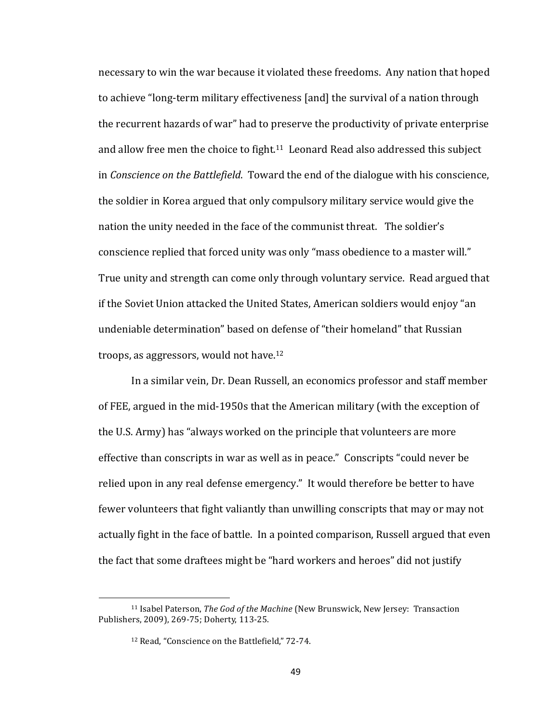necessary to win the war because it violated these freedoms. Any nation that hoped to achieve "long-term military effectiveness [and] the survival of a nation through the recurrent hazards of war" had to preserve the productivity of private enterprise and allow free men the choice to fight.<sup>11</sup> Leonard Read also addressed this subject in *Conscience on the Battlefield*. Toward the end of the dialogue with his conscience, the soldier in Korea argued that only compulsory military service would give the nation the unity needed in the face of the communist threat. The soldier's conscience replied that forced unity was only "mass obedience to a master will." True unity and strength can come only through voluntary service. Read argued that if the Soviet Union attacked the United States, American soldiers would enjoy "an undeniable determination" based on defense of "their homeland" that Russian troops, as aggressors, would not have.<sup>12</sup>

In a similar vein, Dr. Dean Russell, an economics professor and staff member of FEE, argued in the mid-1950s that the American military (with the exception of the U.S. Army) has "always worked on the principle that volunteers are more effective than conscripts in war as well as in peace." Conscripts "could never be relied upon in any real defense emergency." It would therefore be better to have fewer volunteers that fight valiantly than unwilling conscripts that may or may not actually fight in the face of battle. In a pointed comparison, Russell argued that even the fact that some draftees might be "hard workers and heroes" did not justify

<sup>&</sup>lt;sup>11</sup> Isabel Paterson, *The God of the Machine* (New Brunswick, New Jersey: Transaction Publishers, 2009), 269-75; Doherty, 113-25.

<sup>&</sup>lt;sup>12</sup> Read, "Conscience on the Battlefield," 72-74.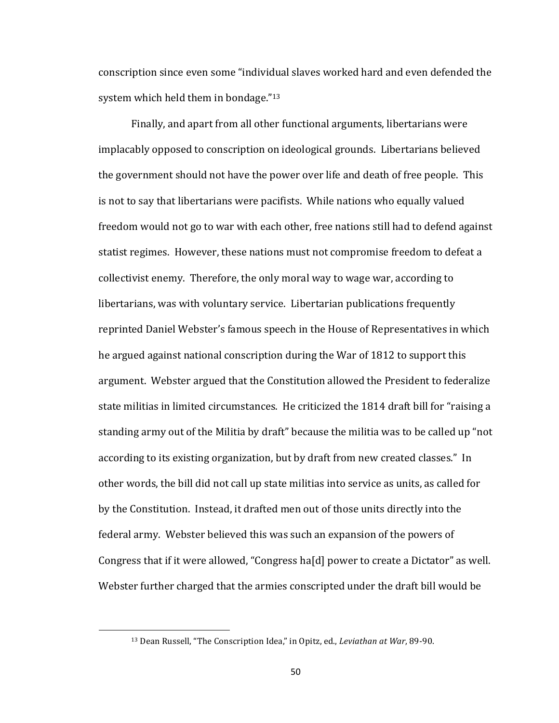conscription since even some "individual slaves worked hard and even defended the system which held them in bondage." $13$ 

Finally, and apart from all other functional arguments, libertarians were implacably opposed to conscription on ideological grounds. Libertarians believed the government should not have the power over life and death of free people. This is not to say that libertarians were pacifists. While nations who equally valued freedom would not go to war with each other, free nations still had to defend against statist regimes. However, these nations must not compromise freedom to defeat a collectivist enemy. Therefore, the only moral way to wage war, according to libertarians, was with voluntary service. Libertarian publications frequently reprinted Daniel Webster's famous speech in the House of Representatives in which he argued against national conscription during the War of 1812 to support this argument. Webster argued that the Constitution allowed the President to federalize state militias in limited circumstances. He criticized the 1814 draft bill for "raising a standing army out of the Militia by draft" because the militia was to be called up "not according to its existing organization, but by draft from new created classes." In other words, the bill did not call up state militias into service as units, as called for by the Constitution. Instead, it drafted men out of those units directly into the federal army. Webster believed this was such an expansion of the powers of Congress that if it were allowed, "Congress  $ha[d]$  power to create a Dictator" as well. Webster further charged that the armies conscripted under the draft bill would be

<sup>&</sup>lt;sup>13</sup> Dean Russell, "The Conscription Idea," in Opitz, ed., *Leviathan at War*, 89-90.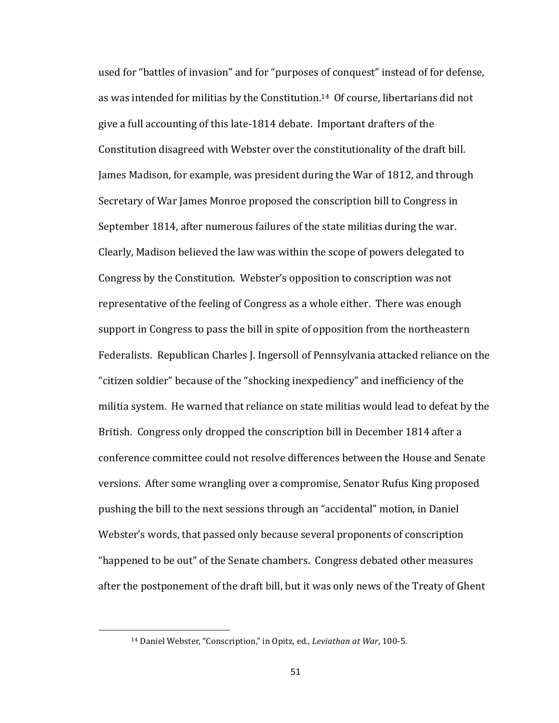used for "battles of invasion" and for "purposes of conquest" instead of for defense, as was intended for militias by the Constitution.<sup>14</sup> Of course, libertarians did not give a full accounting of this late-1814 debate. Important drafters of the Constitution disagreed with Webster over the constitutionality of the draft bill. James Madison, for example, was president during the War of 1812, and through Secretary of War James Monroe proposed the conscription bill to Congress in September 1814, after numerous failures of the state militias during the war. Clearly, Madison believed the law was within the scope of powers delegated to Congress by the Constitution. Webster's opposition to conscription was not representative of the feeling of Congress as a whole either. There was enough support in Congress to pass the bill in spite of opposition from the northeastern Federalists. Republican Charles J. Ingersoll of Pennsylvania attacked reliance on the "citizen soldier" because of the "shocking inexpediency" and inefficiency of the militia system. He warned that reliance on state militias would lead to defeat by the British. Congress only dropped the conscription bill in December 1814 after a conference committee could not resolve differences between the House and Senate versions. After some wrangling over a compromise, Senator Rufus King proposed pushing the bill to the next sessions through an "accidental" motion, in Daniel Webster's words, that passed only because several proponents of conscription "happened to be out" of the Senate chambers. Congress debated other measures after the postponement of the draft bill, but it was only news of the Treaty of Ghent

<sup>&</sup>lt;sup>14</sup> Daniel Webster, "Conscription," in Opitz, ed., *Leviathan at War*, 100-5.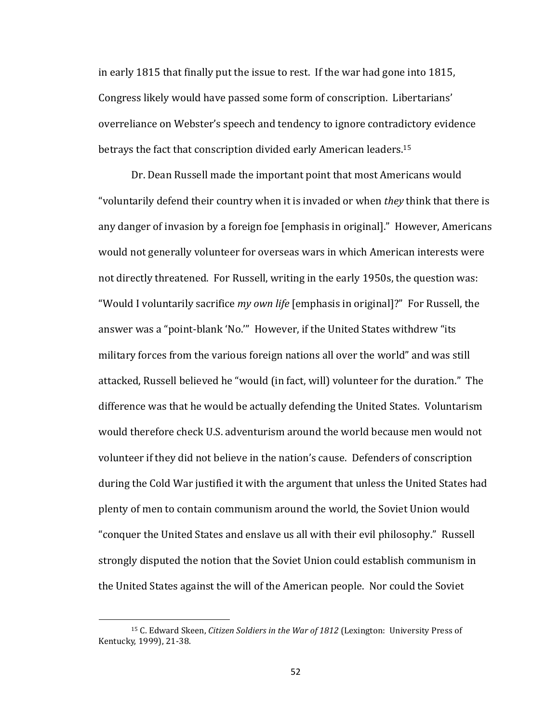in early 1815 that finally put the issue to rest. If the war had gone into 1815, Congress likely would have passed some form of conscription. Libertarians' overreliance on Webster's speech and tendency to ignore contradictory evidence betrays the fact that conscription divided early American leaders.<sup>15</sup>

Dr. Dean Russell made the important point that most Americans would "voluntarily defend their country when it is invaded or when *they* think that there is any danger of invasion by a foreign foe [emphasis in original]." However, Americans would not generally volunteer for overseas wars in which American interests were not directly threatened. For Russell, writing in the early 1950s, the question was: "Would I voluntarily sacrifice *my own life* [emphasis in original]?" For Russell, the answer was a "point-blank 'No."" However, if the United States withdrew "its military forces from the various foreign nations all over the world" and was still attacked, Russell believed he "would (in fact, will) volunteer for the duration." The difference was that he would be actually defending the United States. Voluntarism would therefore check U.S. adventurism around the world because men would not volunteer if they did not believe in the nation's cause. Defenders of conscription during the Cold War justified it with the argument that unless the United States had plenty of men to contain communism around the world, the Soviet Union would "conquer the United States and enslave us all with their evil philosophy." Russell strongly disputed the notion that the Soviet Union could establish communism in the United States against the will of the American people. Nor could the Soviet

<sup>&</sup>lt;sup>15</sup> C. Edward Skeen, *Citizen Soldiers in the War of 1812* (Lexington: University Press of Kentucky, 1999), 21-38.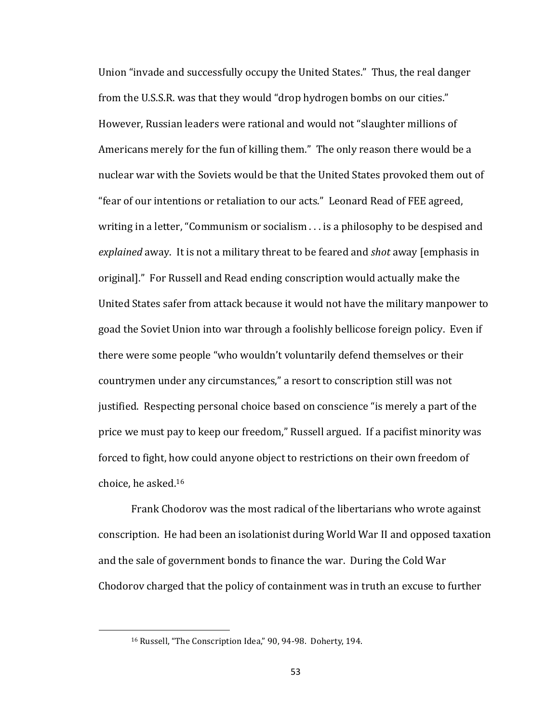Union "invade and successfully occupy the United States." Thus, the real danger from the U.S.S.R. was that they would "drop hydrogen bombs on our cities." However, Russian leaders were rational and would not "slaughter millions of Americans merely for the fun of killing them." The only reason there would be a nuclear war with the Soviets would be that the United States provoked them out of "fear of our intentions or retaliation to our acts." Leonard Read of FEE agreed, writing in a letter, "Communism or socialism  $\ldots$  is a philosophy to be despised and explained away. It is not a military threat to be feared and *shot* away [emphasis in original]." For Russell and Read ending conscription would actually make the United States safer from attack because it would not have the military manpower to goad the Soviet Union into war through a foolishly bellicose foreign policy. Even if there were some people "who wouldn't voluntarily defend themselves or their countrymen under any circumstances," a resort to conscription still was not justified. Respecting personal choice based on conscience "is merely a part of the price we must pay to keep our freedom," Russell argued. If a pacifist minority was forced to fight, how could anyone object to restrictions on their own freedom of choice, he asked. $16$ 

Frank Chodorov was the most radical of the libertarians who wrote against conscription. He had been an isolationist during World War II and opposed taxation and the sale of government bonds to finance the war. During the Cold War Chodorov charged that the policy of containment was in truth an excuse to further

<sup>&</sup>lt;sup>16</sup> Russell, "The Conscription Idea," 90, 94-98. Doherty, 194.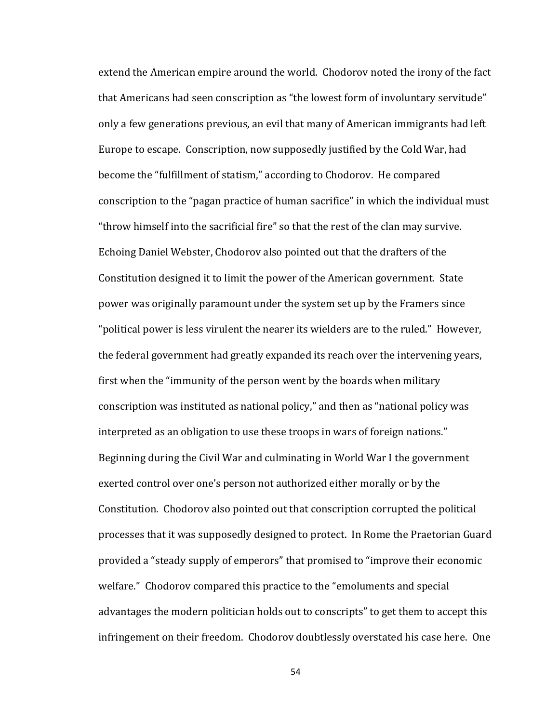extend the American empire around the world. Chodorov noted the irony of the fact that Americans had seen conscription as "the lowest form of involuntary servitude" only a few generations previous, an evil that many of American immigrants had left Europe to escape. Conscription, now supposedly justified by the Cold War, had become the "fulfillment of statism," according to Chodorov. He compared conscription to the "pagan practice of human sacrifice" in which the individual must "throw himself into the sacrificial fire" so that the rest of the clan may survive. Echoing Daniel Webster, Chodorov also pointed out that the drafters of the Constitution designed it to limit the power of the American government. State power was originally paramount under the system set up by the Framers since "political power is less virulent the nearer its wielders are to the ruled." However, the federal government had greatly expanded its reach over the intervening years, first when the "immunity of the person went by the boards when military conscription was instituted as national policy," and then as "national policy was interpreted as an obligation to use these troops in wars of foreign nations." Beginning during the Civil War and culminating in World War I the government exerted control over one's person not authorized either morally or by the Constitution. Chodorov also pointed out that conscription corrupted the political processes that it was supposedly designed to protect. In Rome the Praetorian Guard provided a "steady supply of emperors" that promised to "improve their economic welfare." Chodorov compared this practice to the "emoluments and special advantages the modern politician holds out to conscripts" to get them to accept this infringement on their freedom. Chodorov doubtlessly overstated his case here. One

54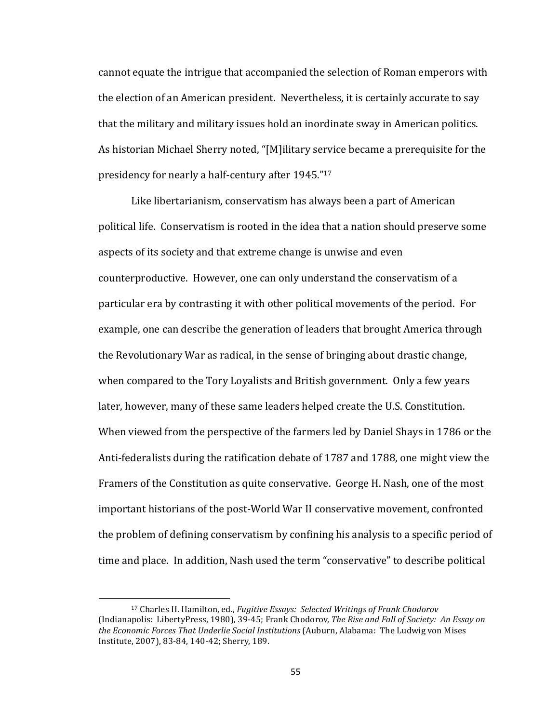cannot equate the intrigue that accompanied the selection of Roman emperors with the election of an American president. Nevertheless, it is certainly accurate to say that the military and military issues hold an inordinate sway in American politics. As historian Michael Sherry noted, "[M]ilitary service became a prerequisite for the presidency for nearly a half-century after 1945."<sup>17</sup>

Like libertarianism, conservatism has always been a part of American political life. Conservatism is rooted in the idea that a nation should preserve some aspects of its society and that extreme change is unwise and even counterproductive. However, one can only understand the conservatism of a particular era by contrasting it with other political movements of the period. For example, one can describe the generation of leaders that brought America through the Revolutionary War as radical, in the sense of bringing about drastic change, when compared to the Tory Loyalists and British government. Only a few years later, however, many of these same leaders helped create the U.S. Constitution. When viewed from the perspective of the farmers led by Daniel Shays in 1786 or the Anti-federalists during the ratification debate of 1787 and 1788, one might view the Framers of the Constitution as quite conservative. George H. Nash, one of the most important historians of the post-World War II conservative movement, confronted the problem of defining conservatism by confining his analysis to a specific period of time and place. In addition, Nash used the term "conservative" to describe political

<sup>&</sup>lt;sup>17</sup> Charles H. Hamilton, ed., *Fugitive Essays: Selected Writings of Frank Chodorov* (Indianapolis: LibertyPress, 1980), 39-45; Frank Chodorov, *The Rise and Fall of Society: An Essay on* the *Economic Forces That Underlie Social Institutions* (Auburn, Alabama: The Ludwig von Mises Institute, 2007), 83-84, 140-42; Sherry, 189.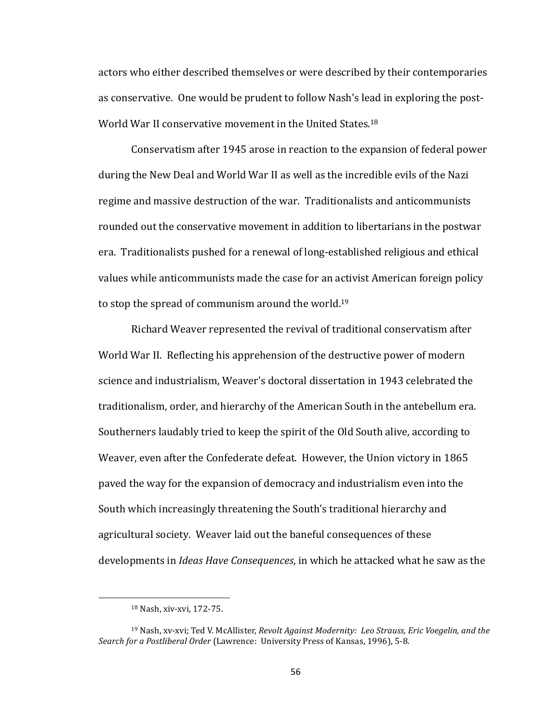actors who either described themselves or were described by their contemporaries as conservative. One would be prudent to follow Nash's lead in exploring the post-World War II conservative movement in the United States.<sup>18</sup>

Conservatism after 1945 arose in reaction to the expansion of federal power during the New Deal and World War II as well as the incredible evils of the Nazi regime and massive destruction of the war. Traditionalists and anticommunists rounded out the conservative movement in addition to libertarians in the postwar era. Traditionalists pushed for a renewal of long-established religious and ethical values while anticommunists made the case for an activist American foreign policy to stop the spread of communism around the world.<sup>19</sup>

Richard Weaver represented the revival of traditional conservatism after World War II. Reflecting his apprehension of the destructive power of modern science and industrialism, Weaver's doctoral dissertation in 1943 celebrated the traditionalism, order, and hierarchy of the American South in the antebellum era. Southerners laudably tried to keep the spirit of the Old South alive, according to Weaver, even after the Confederate defeat. However, the Union victory in 1865 paved the way for the expansion of democracy and industrialism even into the South which increasingly threatening the South's traditional hierarchy and agricultural society. Weaver laid out the baneful consequences of these developments in *Ideas Have Consequences*, in which he attacked what he saw as the

<sup>&</sup>lt;sup>18</sup> Nash, xiv-xvi, 172-75.

<sup>&</sup>lt;sup>19</sup> Nash, xv-xvi; Ted V. McAllister, *Revolt Against Modernity: Leo Strauss, Eric Voegelin, and the Search for a Postliberal Order* (Lawrence: University Press of Kansas, 1996), 5-8.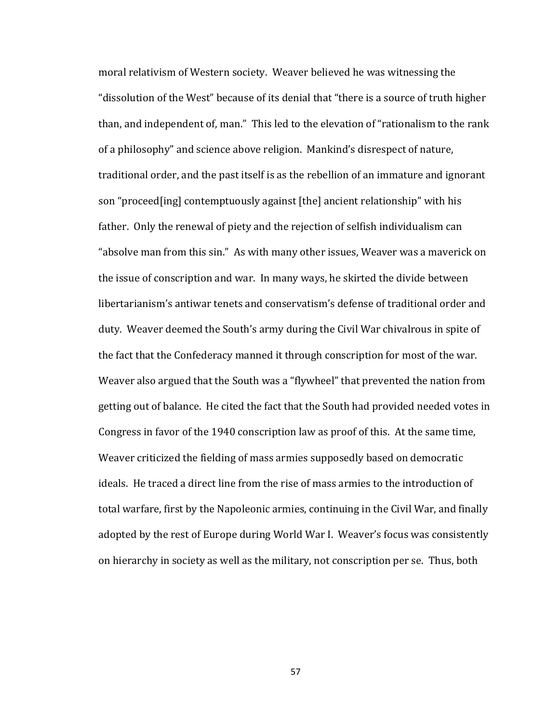moral relativism of Western society. Weaver believed he was witnessing the "dissolution of the West" because of its denial that "there is a source of truth higher than, and independent of, man." This led to the elevation of "rationalism to the rank of a philosophy" and science above religion. Mankind's disrespect of nature, traditional order, and the past itself is as the rebellion of an immature and ignorant son "proceed[ing] contemptuously against [the] ancient relationship" with his father. Only the renewal of piety and the rejection of selfish individualism can "absolve man from this sin." As with many other issues, Weaver was a maverick on the issue of conscription and war. In many ways, he skirted the divide between libertarianism's antiwar tenets and conservatism's defense of traditional order and duty. Weaver deemed the South's army during the Civil War chivalrous in spite of the fact that the Confederacy manned it through conscription for most of the war. Weaver also argued that the South was a "flywheel" that prevented the nation from getting out of balance. He cited the fact that the South had provided needed votes in Congress in favor of the 1940 conscription law as proof of this. At the same time, Weaver criticized the fielding of mass armies supposedly based on democratic ideals. He traced a direct line from the rise of mass armies to the introduction of total warfare, first by the Napoleonic armies, continuing in the Civil War, and finally adopted by the rest of Europe during World War I. Weaver's focus was consistently on hierarchy in society as well as the military, not conscription per se. Thus, both

57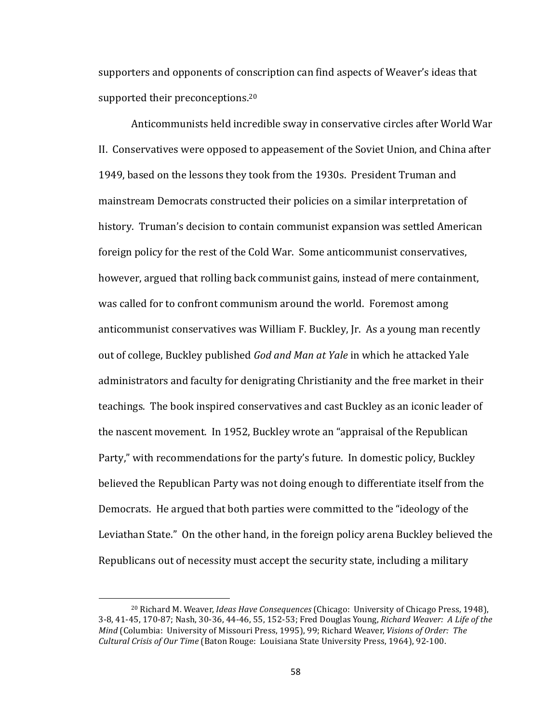supporters and opponents of conscription can find aspects of Weaver's ideas that supported their preconceptions.<sup>20</sup>

Anticommunists held incredible sway in conservative circles after World War II. Conservatives were opposed to appeasement of the Soviet Union, and China after 1949, based on the lessons they took from the 1930s. President Truman and mainstream Democrats constructed their policies on a similar interpretation of history. Truman's decision to contain communist expansion was settled American foreign policy for the rest of the Cold War. Some anticommunist conservatives, however, argued that rolling back communist gains, instead of mere containment, was called for to confront communism around the world. Foremost among anticommunist conservatives was William F. Buckley, Jr. As a young man recently out of college, Buckley published *God and Man at Yale* in which he attacked Yale administrators and faculty for denigrating Christianity and the free market in their teachings. The book inspired conservatives and cast Buckley as an iconic leader of the nascent movement. In 1952, Buckley wrote an "appraisal of the Republican Party," with recommendations for the party's future. In domestic policy, Buckley believed the Republican Party was not doing enough to differentiate itself from the Democrats. He argued that both parties were committed to the "ideology of the Leviathan State." On the other hand, in the foreign policy arena Buckley believed the Republicans out of necessity must accept the security state, including a military

<sup>&</sup>lt;sup>20</sup> Richard M. Weaver, *Ideas Have Consequences* (Chicago: University of Chicago Press, 1948), 3-8, 41-45, 170-87; Nash, 30-36, 44-46, 55, 152-53; Fred Douglas Young, *Richard Weaver: A Life of the Mind* (Columbia: University of Missouri Press, 1995), 99; Richard Weaver, *Visions of Order: The Cultural Crisis of Our Time* (Baton Rouge: Louisiana State University Press, 1964), 92-100.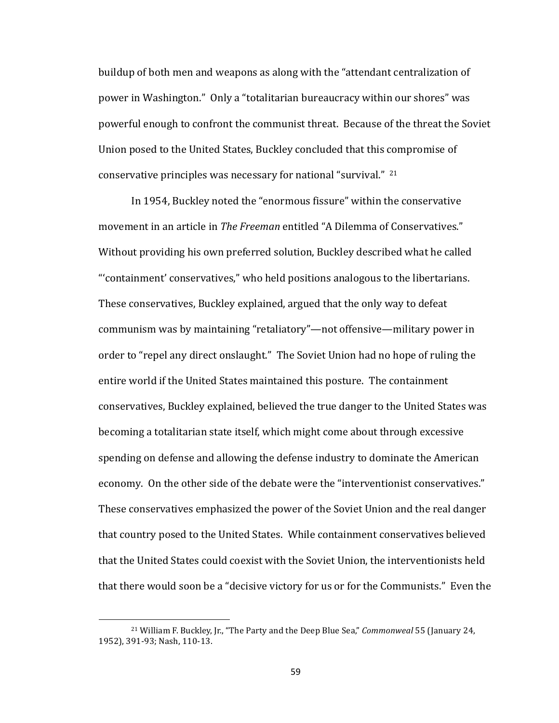buildup of both men and weapons as along with the "attendant centralization of power in Washington." Only a "totalitarian bureaucracy within our shores" was powerful enough to confront the communist threat. Because of the threat the Soviet Union posed to the United States, Buckley concluded that this compromise of conservative principles was necessary for national "survival."  $21$ 

In 1954, Buckley noted the "enormous fissure" within the conservative movement in an article in *The Freeman* entitled "A Dilemma of Conservatives." Without providing his own preferred solution, Buckley described what he called " containment' conservatives," who held positions analogous to the libertarians. These conservatives, Buckley explained, argued that the only way to defeat communism was by maintaining "retaliatory"—not offensive—military power in order to "repel any direct onslaught." The Soviet Union had no hope of ruling the entire world if the United States maintained this posture. The containment conservatives, Buckley explained, believed the true danger to the United States was becoming a totalitarian state itself, which might come about through excessive spending on defense and allowing the defense industry to dominate the American economy. On the other side of the debate were the "interventionist conservatives." These conservatives emphasized the power of the Soviet Union and the real danger that country posed to the United States. While containment conservatives believed that the United States could coexist with the Soviet Union, the interventionists held that there would soon be a "decisive victory for us or for the Communists." Even the

<sup>&</sup>lt;sup>21</sup> William F. Buckley, Jr., "The Party and the Deep Blue Sea," *Commonweal* 55 (January 24, 1952), 391-93; Nash, 110-13.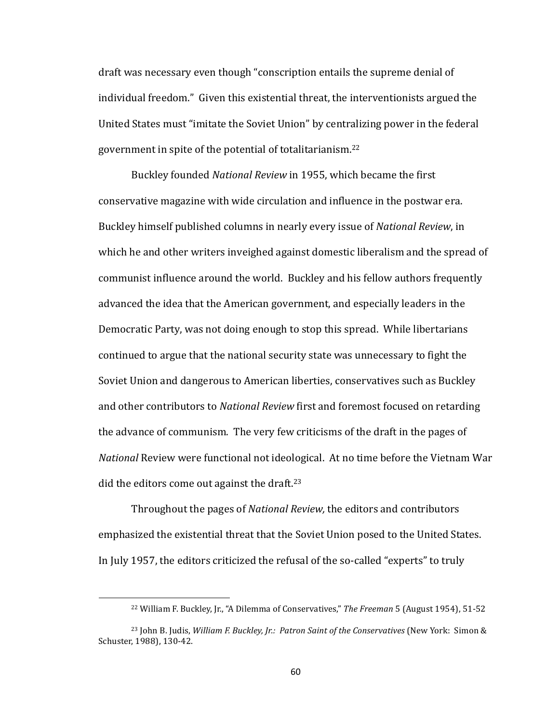draft was necessary even though "conscription entails the supreme denial of individual freedom." Given this existential threat, the interventionists argued the United States must "imitate the Soviet Union" by centralizing power in the federal government in spite of the potential of totalitarianism.<sup>22</sup>

Buckley founded *National Review* in 1955, which became the first conservative magazine with wide circulation and influence in the postwar era. Buckley himself published columns in nearly every issue of *National Review*, in which he and other writers inveighed against domestic liberalism and the spread of communist influence around the world. Buckley and his fellow authors frequently advanced the idea that the American government, and especially leaders in the Democratic Party, was not doing enough to stop this spread. While libertarians continued to argue that the national security state was unnecessary to fight the Soviet Union and dangerous to American liberties, conservatives such as Buckley and other contributors to *National Review* first and foremost focused on retarding the advance of communism. The very few criticisms of the draft in the pages of *National* Review were functional not ideological. At no time before the Vietnam War did the editors come out against the draft.<sup>23</sup>

Throughout the pages of *National Review*, the editors and contributors emphasized the existential threat that the Soviet Union posed to the United States. In July 1957, the editors criticized the refusal of the so-called "experts" to truly

<sup>&</sup>lt;sup>22</sup> William F. Buckley, Jr., "A Dilemma of Conservatives," *The Freeman* 5 (August 1954), 51-52

<sup>&</sup>lt;sup>23</sup> John B. Judis, *William F. Buckley, Jr.: Patron Saint of the Conservatives* (New York: Simon & Schuster, 1988), 130-42.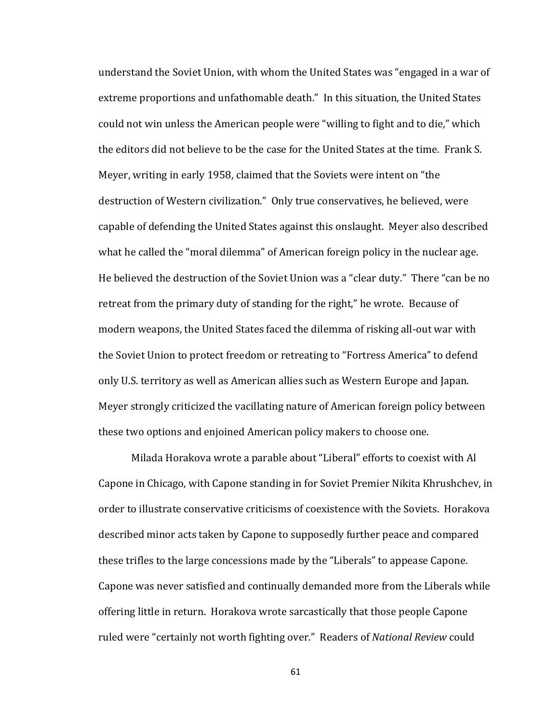understand the Soviet Union, with whom the United States was "engaged in a war of extreme proportions and unfathomable death." In this situation, the United States could not win unless the American people were "willing to fight and to die," which the editors did not believe to be the case for the United States at the time. Frank S. Meyer, writing in early 1958, claimed that the Soviets were intent on "the destruction of Western civilization." Only true conservatives, he believed, were capable of defending the United States against this onslaught. Meyer also described what he called the "moral dilemma" of American foreign policy in the nuclear age. He believed the destruction of the Soviet Union was a "clear duty." There "can be no retreat from the primary duty of standing for the right," he wrote. Because of modern weapons, the United States faced the dilemma of risking all-out war with the Soviet Union to protect freedom or retreating to "Fortress America" to defend only U.S. territory as well as American allies such as Western Europe and Japan. Meyer strongly criticized the vacillating nature of American foreign policy between these two options and enjoined American policy makers to choose one.

Milada Horakova wrote a parable about "Liberal" efforts to coexist with Al Capone in Chicago, with Capone standing in for Soviet Premier Nikita Khrushchev, in order to illustrate conservative criticisms of coexistence with the Soviets. Horakova described minor acts taken by Capone to supposedly further peace and compared these trifles to the large concessions made by the "Liberals" to appease Capone. Capone was never satisfied and continually demanded more from the Liberals while offering little in return. Horakova wrote sarcastically that those people Capone ruled were "certainly not worth fighting over." Readers of *National Review* could

61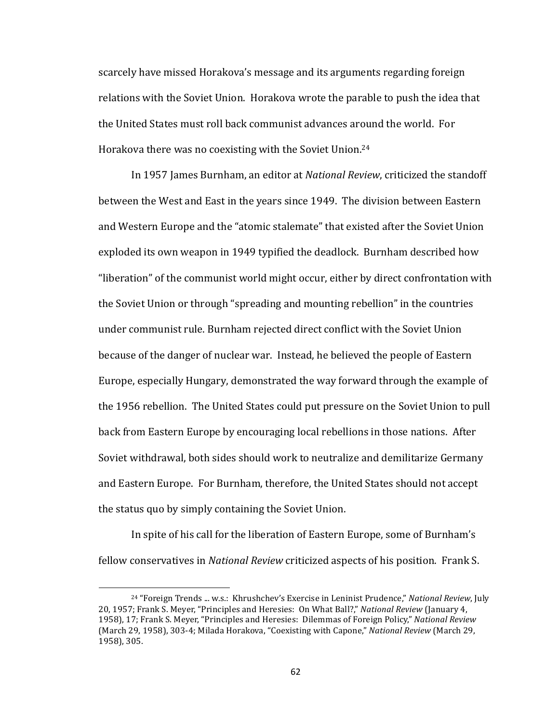scarcely have missed Horakova's message and its arguments regarding foreign relations with the Soviet Union. Horakova wrote the parable to push the idea that the United States must roll back communist advances around the world. For Horakova there was no coexisting with the Soviet Union.<sup>24</sup>

In 1957 James Burnham, an editor at *National Review*, criticized the standoff between the West and East in the years since 1949. The division between Eastern and Western Europe and the "atomic stalemate" that existed after the Soviet Union exploded its own weapon in 1949 typified the deadlock. Burnham described how "liberation" of the communist world might occur, either by direct confrontation with the Soviet Union or through "spreading and mounting rebellion" in the countries under communist rule. Burnham rejected direct conflict with the Soviet Union because of the danger of nuclear war. Instead, he believed the people of Eastern Europe, especially Hungary, demonstrated the way forward through the example of the 1956 rebellion. The United States could put pressure on the Soviet Union to pull back from Eastern Europe by encouraging local rebellions in those nations. After Soviet withdrawal, both sides should work to neutralize and demilitarize Germany and Eastern Europe. For Burnham, therefore, the United States should not accept the status quo by simply containing the Soviet Union.

In spite of his call for the liberation of Eastern Europe, some of Burnham's fellow conservatives in *National Review* criticized aspects of his position. Frank S.

 $\overline{a}$ 

<sup>&</sup>lt;sup>24</sup> "Foreign Trends ... w.s.: Khrushchev's Exercise in Leninist Prudence," National Review, July 20, 1957; Frank S. Meyer, "Principles and Heresies: On What Ball?," *National Review* (January 4, 1958), 17; Frank S. Meyer, "Principles and Heresies: Dilemmas of Foreign Policy," *National Review* (March 29, 1958), 303-4; Milada Horakova, "Coexisting with Capone," *National Review* (March 29, 1958), 305.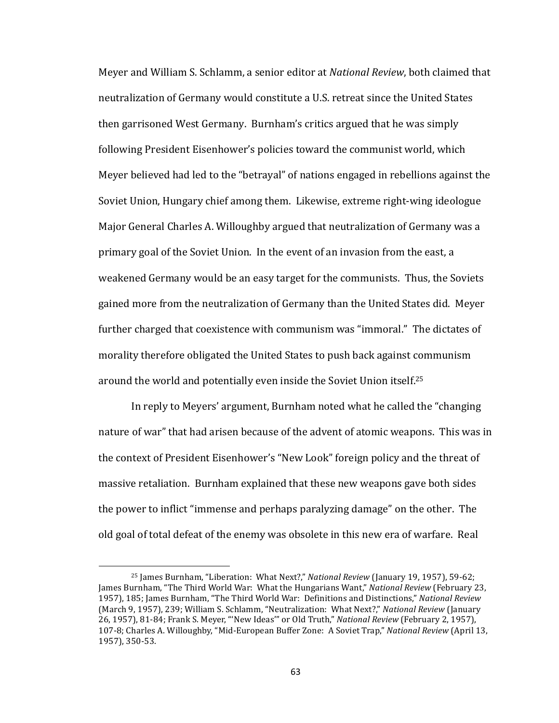Meyer and William S. Schlamm, a senior editor at *National Review*, both claimed that neutralization of Germany would constitute a U.S. retreat since the United States then garrisoned West Germany. Burnham's critics argued that he was simply following President Eisenhower's policies toward the communist world, which Meyer believed had led to the "betrayal" of nations engaged in rebellions against the Soviet Union, Hungary chief among them. Likewise, extreme right-wing ideologue Major General Charles A. Willoughby argued that neutralization of Germany was a primary goal of the Soviet Union. In the event of an invasion from the east, a weakened Germany would be an easy target for the communists. Thus, the Soviets gained more from the neutralization of Germany than the United States did. Meyer further charged that coexistence with communism was "immoral." The dictates of morality therefore obligated the United States to push back against communism around the world and potentially even inside the Soviet Union itself.<sup>25</sup>

In reply to Meyers' argument, Burnham noted what he called the "changing nature of war" that had arisen because of the advent of atomic weapons. This was in the context of President Eisenhower's "New Look" foreign policy and the threat of massive retaliation. Burnham explained that these new weapons gave both sides the power to inflict "immense and perhaps paralyzing damage" on the other. The old goal of total defeat of the enemy was obsolete in this new era of warfare. Real

<sup>&</sup>lt;sup>25</sup> James Burnham, "Liberation: What Next?," *National Review* (January 19, 1957), 59-62; James Burnham, "The Third World War: What the Hungarians Want," National Review (February 23, 1957), 185; James Burnham, "The Third World War: Definitions and Distinctions," National Review (March 9, 1957), 239; William S. Schlamm, "Neutralization: What Next?," *National Review* (January 26, 1957), 81-84; Frank S. Meyer, "'New Ideas'" or Old Truth," *National Review* (February 2, 1957), 107-8; Charles A. Willoughby, "Mid-European Buffer Zone: A Soviet Trap," *National Review* (April 13, 1957), 350-53.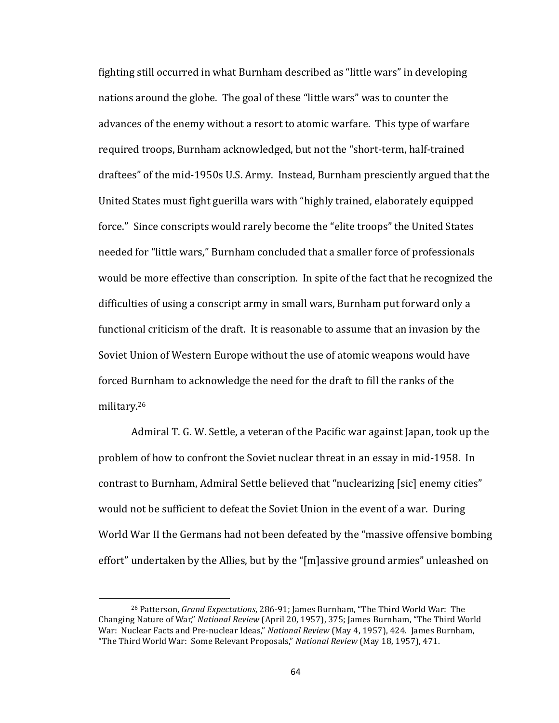fighting still occurred in what Burnham described as "little wars" in developing nations around the globe. The goal of these "little wars" was to counter the advances of the enemy without a resort to atomic warfare. This type of warfare required troops, Burnham acknowledged, but not the "short-term, half-trained draftees" of the mid-1950s U.S. Army. Instead, Burnham presciently argued that the United States must fight guerilla wars with "highly trained, elaborately equipped force." Since conscripts would rarely become the "elite troops" the United States needed for "little wars," Burnham concluded that a smaller force of professionals would be more effective than conscription. In spite of the fact that he recognized the difficulties of using a conscript army in small wars, Burnham put forward only a functional criticism of the draft. It is reasonable to assume that an invasion by the Soviet Union of Western Europe without the use of atomic weapons would have forced Burnham to acknowledge the need for the draft to fill the ranks of the military.26 

Admiral T. G. W. Settle, a veteran of the Pacific war against Japan, took up the problem of how to confront the Soviet nuclear threat in an essay in mid-1958. In contrast to Burnham, Admiral Settle believed that "nuclearizing [sic] enemy cities" would not be sufficient to defeat the Soviet Union in the event of a war. During World War II the Germans had not been defeated by the "massive offensive bombing effort" undertaken by the Allies, but by the "[m]assive ground armies" unleashed on

<sup>&</sup>lt;sup>26</sup> Patterson, *Grand Expectations*, 286-91; James Burnham, "The Third World War: The Changing Nature of War," *National Review* (April 20, 1957), 375; James Burnham, "The Third World War: Nuclear Facts and Pre-nuclear Ideas," *National Review* (May 4, 1957), 424. James Burnham, "The Third World War: Some Relevant Proposals," *National Review* (May 18, 1957), 471.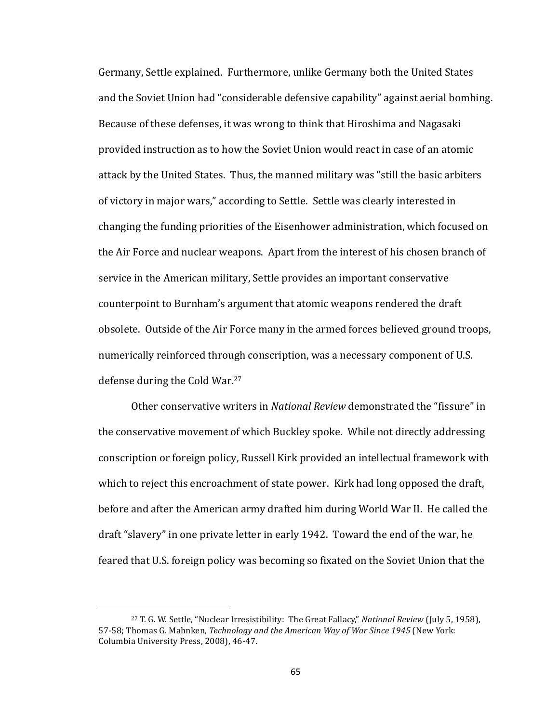Germany, Settle explained. Furthermore, unlike Germany both the United States and the Soviet Union had "considerable defensive capability" against aerial bombing. Because of these defenses, it was wrong to think that Hiroshima and Nagasaki provided instruction as to how the Soviet Union would react in case of an atomic attack by the United States. Thus, the manned military was "still the basic arbiters of victory in major wars," according to Settle. Settle was clearly interested in changing the funding priorities of the Eisenhower administration, which focused on the Air Force and nuclear weapons. Apart from the interest of his chosen branch of service in the American military, Settle provides an important conservative counterpoint to Burnham's argument that atomic weapons rendered the draft obsolete. Outside of the Air Force many in the armed forces believed ground troops, numerically reinforced through conscription, was a necessary component of U.S. defense during the Cold War.<sup>27</sup>

Other conservative writers in *National Review* demonstrated the "fissure" in the conservative movement of which Buckley spoke. While not directly addressing conscription or foreign policy, Russell Kirk provided an intellectual framework with which to reject this encroachment of state power. Kirk had long opposed the draft, before and after the American army drafted him during World War II. He called the draft "slavery" in one private letter in early 1942. Toward the end of the war, he feared that U.S. foreign policy was becoming so fixated on the Soviet Union that the

<sup>&</sup>lt;sup>27</sup> T. G. W. Settle, "Nuclear Irresistibility: The Great Fallacy," *National Review* (July 5, 1958), 57-58; Thomas G. Mahnken, *Technology and the American Way of War Since 1945* (New York: Columbia University Press, 2008), 46-47.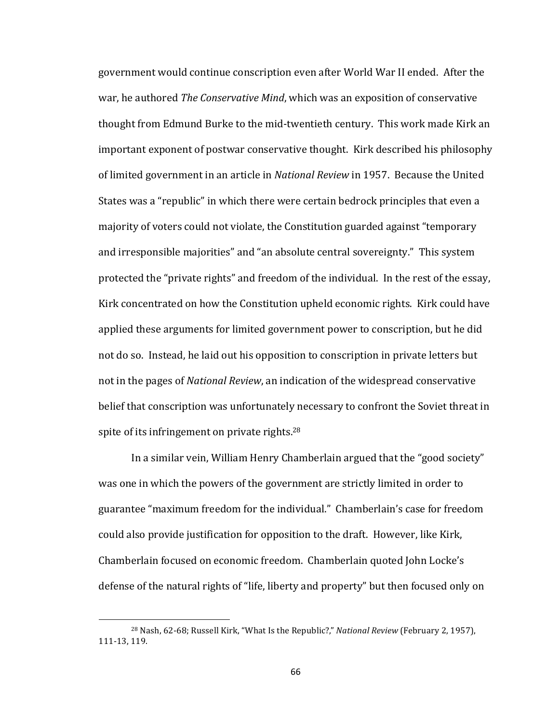government would continue conscription even after World War II ended. After the war, he authored *The Conservative Mind*, which was an exposition of conservative thought from Edmund Burke to the mid-twentieth century. This work made Kirk an important exponent of postwar conservative thought. Kirk described his philosophy of limited government in an article in *National Review* in 1957. Because the United States was a "republic" in which there were certain bedrock principles that even a majority of voters could not violate, the Constitution guarded against "temporary and irresponsible majorities" and "an absolute central sovereignty." This system protected the "private rights" and freedom of the individual. In the rest of the essay, Kirk concentrated on how the Constitution upheld economic rights. Kirk could have applied these arguments for limited government power to conscription, but he did not do so. Instead, he laid out his opposition to conscription in private letters but not in the pages of *National Review*, an indication of the widespread conservative belief that conscription was unfortunately necessary to confront the Soviet threat in spite of its infringement on private rights. $28$ 

In a similar vein, William Henry Chamberlain argued that the "good society" was one in which the powers of the government are strictly limited in order to guarantee "maximum freedom for the individual." Chamberlain's case for freedom could also provide justification for opposition to the draft. However, like Kirk, Chamberlain focused on economic freedom. Chamberlain quoted John Locke's defense of the natural rights of "life, liberty and property" but then focused only on

<sup>&</sup>lt;sup>28</sup> Nash, 62-68; Russell Kirk, "What Is the Republic?," *National Review* (February 2, 1957), 111-13, 119.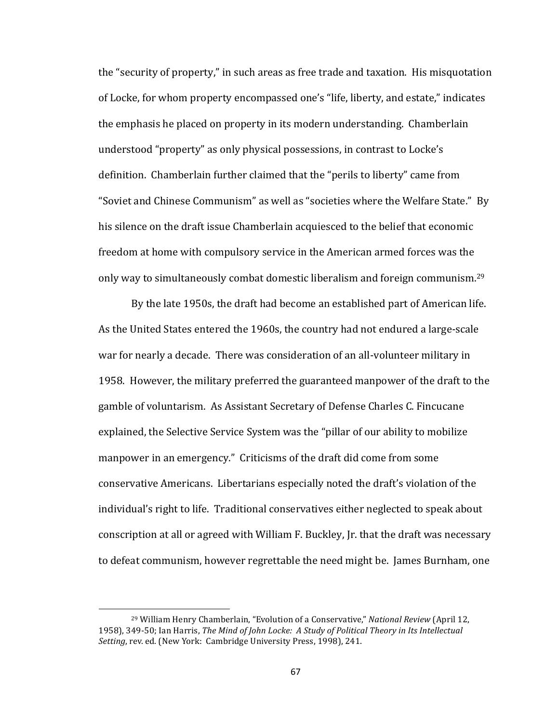the "security of property," in such areas as free trade and taxation. His misquotation of Locke, for whom property encompassed one's "life, liberty, and estate," indicates the emphasis he placed on property in its modern understanding. Chamberlain understood "property" as only physical possessions, in contrast to Locke's definition. Chamberlain further claimed that the "perils to liberty" came from "Soviet and Chinese Communism" as well as "societies where the Welfare State." By his silence on the draft issue Chamberlain acquiesced to the belief that economic freedom at home with compulsory service in the American armed forces was the only way to simultaneously combat domestic liberalism and foreign communism.<sup>29</sup>

By the late 1950s, the draft had become an established part of American life. As the United States entered the 1960s, the country had not endured a large-scale war for nearly a decade. There was consideration of an all-volunteer military in 1958. However, the military preferred the guaranteed manpower of the draft to the gamble of voluntarism. As Assistant Secretary of Defense Charles C. Fincucane explained, the Selective Service System was the "pillar of our ability to mobilize manpower in an emergency." Criticisms of the draft did come from some conservative Americans. Libertarians especially noted the draft's violation of the individual's right to life. Traditional conservatives either neglected to speak about conscription at all or agreed with William F. Buckley, Jr. that the draft was necessary to defeat communism, however regrettable the need might be. James Burnham, one

<sup>&</sup>lt;sup>29</sup> William Henry Chamberlain, "Evolution of a Conservative," *National Review* (April 12, 1958), 349-50; Ian Harris, *The Mind of John Locke: A Study of Political Theory in Its Intellectual Setting*, rev. ed. (New York: Cambridge University Press, 1998), 241.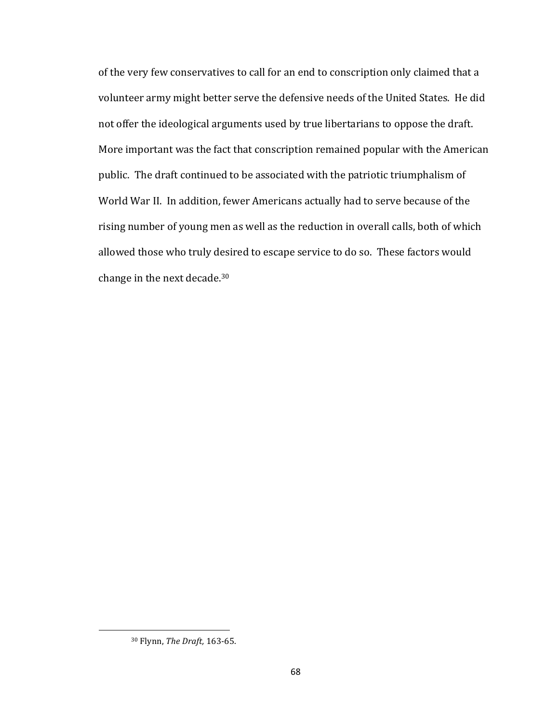of the very few conservatives to call for an end to conscription only claimed that a volunteer army might better serve the defensive needs of the United States. He did not offer the ideological arguments used by true libertarians to oppose the draft. More important was the fact that conscription remained popular with the American public. The draft continued to be associated with the patriotic triumphalism of World War II. In addition, fewer Americans actually had to serve because of the rising number of young men as well as the reduction in overall calls, both of which allowed those who truly desired to escape service to do so. These factors would change in the next decade.<sup>30</sup>

<sup>&</sup>lt;sup>30</sup> Flynn, *The Draft*, 163-65.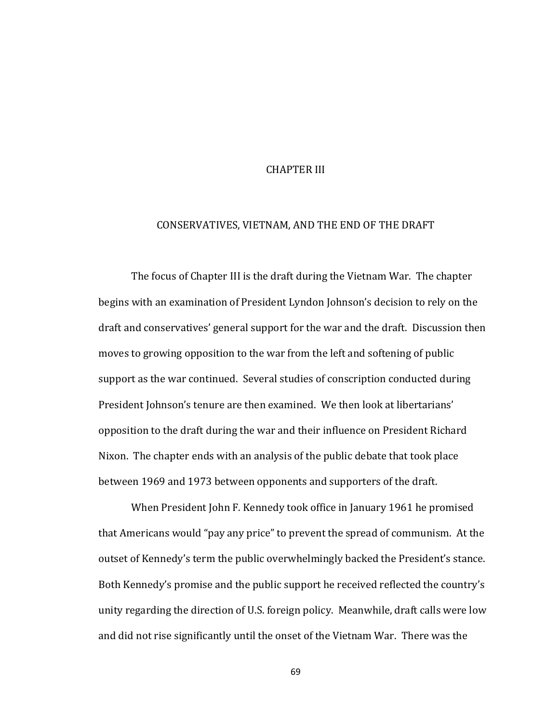## **CHAPTER III**

## CONSERVATIVES, VIETNAM, AND THE END OF THE DRAFT

The focus of Chapter III is the draft during the Vietnam War. The chapter begins with an examination of President Lyndon Johnson's decision to rely on the draft and conservatives' general support for the war and the draft. Discussion then moves to growing opposition to the war from the left and softening of public support as the war continued. Several studies of conscription conducted during President Johnson's tenure are then examined. We then look at libertarians' opposition to the draft during the war and their influence on President Richard Nixon. The chapter ends with an analysis of the public debate that took place between 1969 and 1973 between opponents and supporters of the draft.

When President John F. Kennedy took office in January 1961 he promised that Americans would "pay any price" to prevent the spread of communism. At the outset of Kennedy's term the public overwhelmingly backed the President's stance. Both Kennedy's promise and the public support he received reflected the country's unity regarding the direction of U.S. foreign policy. Meanwhile, draft calls were low and did not rise significantly until the onset of the Vietnam War. There was the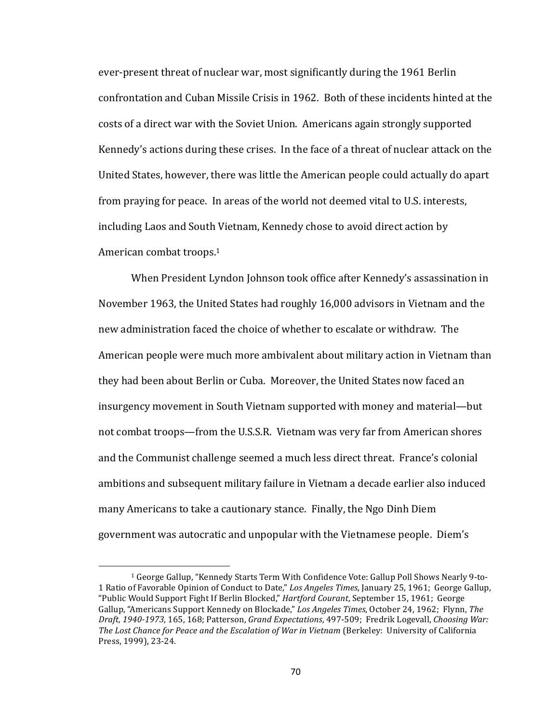ever-present threat of nuclear war, most significantly during the 1961 Berlin confrontation and Cuban Missile Crisis in 1962. Both of these incidents hinted at the costs of a direct war with the Soviet Union. Americans again strongly supported Kennedy's actions during these crises. In the face of a threat of nuclear attack on the United States, however, there was little the American people could actually do apart from praying for peace. In areas of the world not deemed vital to U.S. interests, including Laos and South Vietnam, Kennedy chose to avoid direct action by American combat troops. $1$ 

When President Lyndon Johnson took office after Kennedy's assassination in November 1963, the United States had roughly 16,000 advisors in Vietnam and the new administration faced the choice of whether to escalate or withdraw. The American people were much more ambivalent about military action in Vietnam than they had been about Berlin or Cuba. Moreover, the United States now faced an insurgency movement in South Vietnam supported with money and material—but not combat troops—from the U.S.S.R. Vietnam was very far from American shores and the Communist challenge seemed a much less direct threat. France's colonial ambitions and subsequent military failure in Vietnam a decade earlier also induced many Americans to take a cautionary stance. Finally, the Ngo Dinh Diem government was autocratic and unpopular with the Vietnamese people. Diem's

<sup>&</sup>lt;sup>1</sup> George Gallup, "Kennedy Starts Term With Confidence Vote: Gallup Poll Shows Nearly 9-to-1 Ratio of Favorable Opinion of Conduct to Date," Los Angeles Times, January 25, 1961; George Gallup, "Public Would Support Fight If Berlin Blocked," *Hartford Courant*, September 15, 1961; George Gallup, "Americans Support Kennedy on Blockade," *Los Angeles Times*, October 24, 1962; Flynn, *The Draft,* 1940-1973, 165, 168; Patterson, *Grand Expectations*, 497-509; Fredrik Logevall, *Choosing War:* The Lost Chance for Peace and the Escalation of War in Vietnam (Berkeley: University of California Press, 1999), 23-24.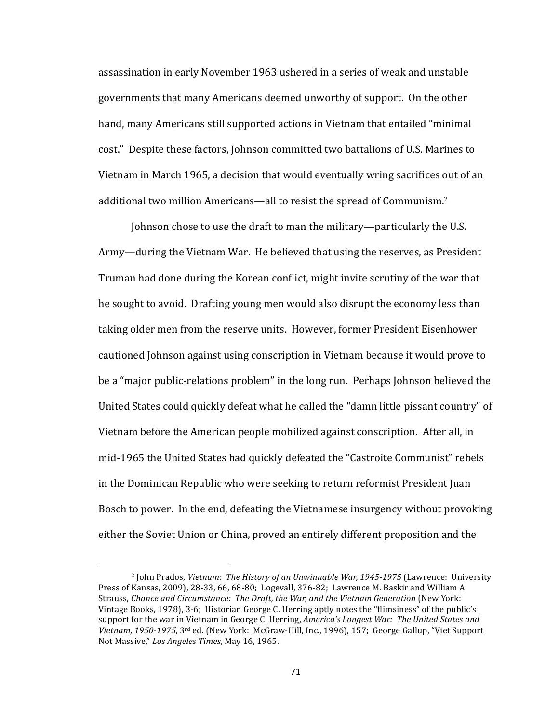assassination in early November 1963 ushered in a series of weak and unstable governments that many Americans deemed unworthy of support. On the other hand, many Americans still supported actions in Vietnam that entailed "minimal cost." Despite these factors, Johnson committed two battalions of U.S. Marines to Vietnam in March 1965, a decision that would eventually wring sacrifices out of an additional two million Americans—all to resist the spread of Communism.<sup>2</sup>

Johnson chose to use the draft to man the military—particularly the U.S. Army—during the Vietnam War. He believed that using the reserves, as President Truman had done during the Korean conflict, might invite scrutiny of the war that he sought to avoid. Drafting young men would also disrupt the economy less than taking older men from the reserve units. However, former President Eisenhower cautioned Johnson against using conscription in Vietnam because it would prove to be a "major public-relations problem" in the long run. Perhaps Johnson believed the United States could quickly defeat what he called the "damn little pissant country" of Vietnam before the American people mobilized against conscription. After all, in mid-1965 the United States had quickly defeated the "Castroite Communist" rebels in the Dominican Republic who were seeking to return reformist President Juan Bosch to power. In the end, defeating the Vietnamese insurgency without provoking either the Soviet Union or China, proved an entirely different proposition and the

<sup>&</sup>lt;sup>2</sup> John Prados, *Vietnam: The History of an Unwinnable War, 1945-1975* (Lawrence: University Press of Kansas, 2009), 28-33, 66, 68-80; Logevall, 376-82; Lawrence M. Baskir and William A. Strauss, *Chance and Circumstance: The Draft, the War, and the Vietnam Generation* (New York: Vintage Books, 1978), 3-6; Historian George C. Herring aptly notes the "flimsiness" of the public's support for the war in Vietnam in George C. Herring, *America's Longest War: The United States and* Vietnam, 1950-1975, 3<sup>rd</sup> ed. (New York: McGraw-Hill, Inc., 1996), 157; George Gallup, "Viet Support Not Massive," Los Angeles Times, May 16, 1965.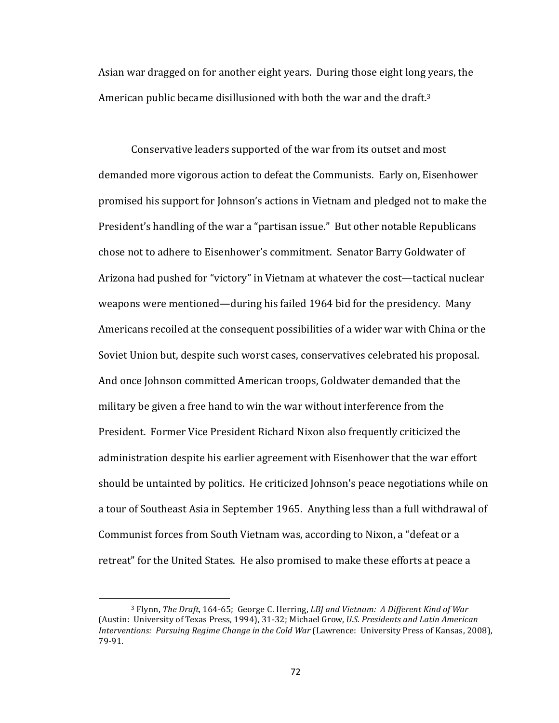Asian war dragged on for another eight years. During those eight long years, the American public became disillusioned with both the war and the draft.<sup>3</sup>

Conservative leaders supported of the war from its outset and most demanded more vigorous action to defeat the Communists. Early on, Eisenhower promised his support for Johnson's actions in Vietnam and pledged not to make the President's handling of the war a "partisan issue." But other notable Republicans chose not to adhere to Eisenhower's commitment. Senator Barry Goldwater of Arizona had pushed for "victory" in Vietnam at whatever the cost—tactical nuclear weapons were mentioned—during his failed 1964 bid for the presidency. Many Americans recoiled at the consequent possibilities of a wider war with China or the Soviet Union but, despite such worst cases, conservatives celebrated his proposal. And once Johnson committed American troops, Goldwater demanded that the military be given a free hand to win the war without interference from the President. Former Vice President Richard Nixon also frequently criticized the administration despite his earlier agreement with Eisenhower that the war effort should be untainted by politics. He criticized Johnson's peace negotiations while on a tour of Southeast Asia in September 1965. Anything less than a full withdrawal of Communist forces from South Vietnam was, according to Nixon, a "defeat or a retreat" for the United States. He also promised to make these efforts at peace a

<sup>&</sup>lt;sup>3</sup> Flynn, *The Draft*, 164-65; George C. Herring, *LBJ and Vietnam: A Different Kind of War* (Austin: University of Texas Press, 1994), 31-32; Michael Grow, *U.S. Presidents and Latin American Interventions: Pursuing Regime Change in the Cold War (Lawrence: University Press of Kansas, 2008),* 79-91.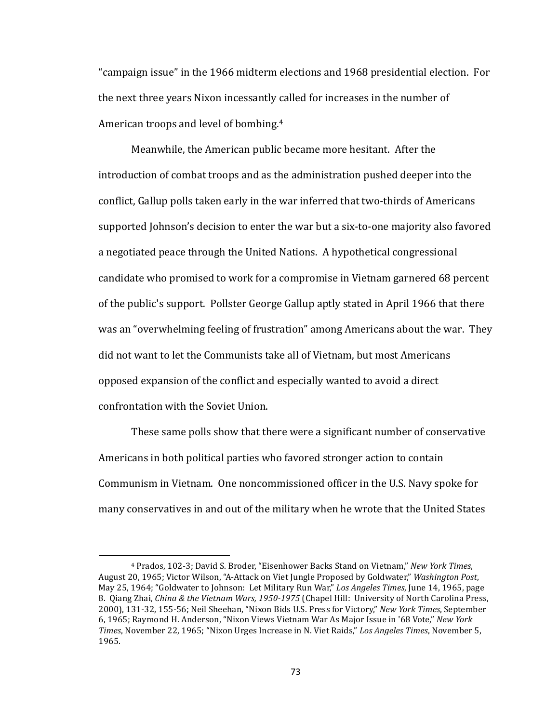"campaign issue" in the 1966 midterm elections and 1968 presidential election. For the next three years Nixon incessantly called for increases in the number of American troops and level of bombing.<sup>4</sup>

Meanwhile, the American public became more hesitant. After the introduction of combat troops and as the administration pushed deeper into the conflict, Gallup polls taken early in the war inferred that two-thirds of Americans supported Johnson's decision to enter the war but a six-to-one majority also favored a negotiated peace through the United Nations. A hypothetical congressional candidate who promised to work for a compromise in Vietnam garnered 68 percent of the public's support. Pollster George Gallup aptly stated in April 1966 that there was an "overwhelming feeling of frustration" among Americans about the war. They did not want to let the Communists take all of Vietnam, but most Americans opposed expansion of the conflict and especially wanted to avoid a direct confrontation with the Soviet Union.

These same polls show that there were a significant number of conservative Americans in both political parties who favored stronger action to contain Communism in Vietnam. One noncommissioned officer in the U.S. Navy spoke for many conservatives in and out of the military when he wrote that the United States

<sup>&</sup>lt;sup>4</sup> Prados, 102-3; David S. Broder, "Eisenhower Backs Stand on Vietnam," New York Times, August 20, 1965; Victor Wilson, "A-Attack on Viet Jungle Proposed by Goldwater," Washington Post, May 25, 1964; "Goldwater to Johnson: Let Military Run War," Los Angeles Times, June 14, 1965, page 8. Qiang Zhai, *China & the Vietnam Wars, 1950-1975* (Chapel Hill: University of North Carolina Press, 2000), 131-32, 155-56; Neil Sheehan, "Nixon Bids U.S. Press for Victory," *New York Times*, September 6, 1965; Raymond H. Anderson, "Nixon Views Vietnam War As Major Issue in '68 Vote," *New York Times*, November 22, 1965; "Nixon Urges Increase in N. Viet Raids," Los Angeles Times, November 5, 1965.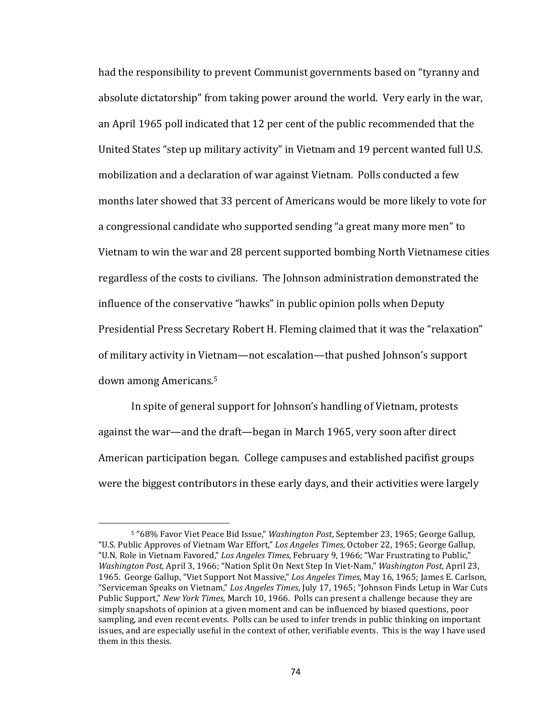had the responsibility to prevent Communist governments based on "tyranny and absolute dictatorship" from taking power around the world. Very early in the war, an April 1965 poll indicated that 12 per cent of the public recommended that the United States "step up military activity" in Vietnam and 19 percent wanted full U.S. mobilization and a declaration of war against Vietnam. Polls conducted a few months later showed that 33 percent of Americans would be more likely to vote for a congressional candidate who supported sending "a great many more men" to Vietnam to win the war and 28 percent supported bombing North Vietnamese cities regardless of the costs to civilians. The Johnson administration demonstrated the influence of the conservative "hawks" in public opinion polls when Deputy Presidential Press Secretary Robert H. Fleming claimed that it was the "relaxation" of military activity in Vietnam—not escalation—that pushed Johnson's support down among Americans.<sup>5</sup>

In spite of general support for Johnson's handling of Vietnam, protests against the war—and the draft—began in March 1965, very soon after direct American participation began. College campuses and established pacifist groups were the biggest contributors in these early days, and their activities were largely

<sup>&</sup>lt;sup>5</sup> "68% Favor Viet Peace Bid Issue," *Washington Post*, September 23, 1965; George Gallup, "U.S. Public Approves of Vietnam War Effort," *Los Angeles Times*, October 22, 1965; George Gallup, "U.N. Role in Vietnam Favored," Los Angeles Times, February 9, 1966; "War Frustrating to Public," *Washington Post, April* 3, 1966; "Nation Split On Next Step In Viet-Nam," *Washington Post, April* 23, 1965. George Gallup, "Viet Support Not Massive," Los Angeles Times, May 16, 1965; James E. Carlson, "Serviceman Speaks on Vietnam," *Los Angeles Times*, July 17, 1965; "Johnson Finds Letup in War Cuts Public Support," *New York Times*, March 10, 1966. Polls can present a challenge because they are simply snapshots of opinion at a given moment and can be influenced by biased questions, poor sampling, and even recent events. Polls can be used to infer trends in public thinking on important issues, and are especially useful in the context of other, verifiable events. This is the way I have used them in this thesis.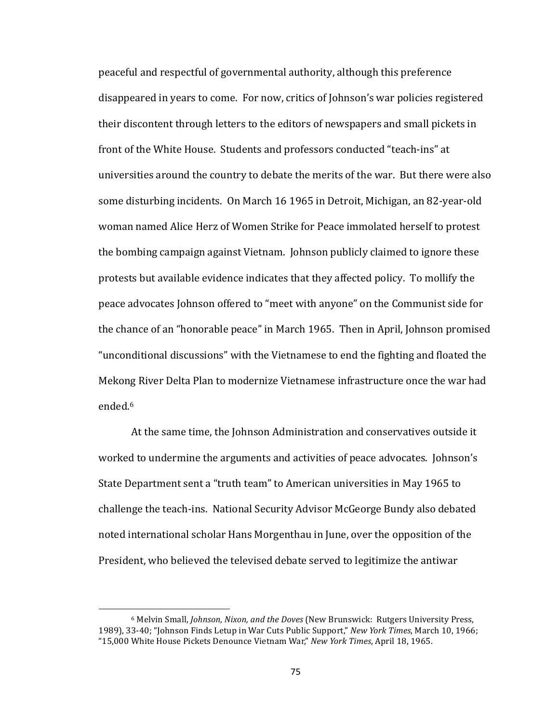peaceful and respectful of governmental authority, although this preference disappeared in years to come. For now, critics of Johnson's war policies registered their discontent through letters to the editors of newspapers and small pickets in front of the White House. Students and professors conducted "teach-ins" at universities around the country to debate the merits of the war. But there were also some disturbing incidents. On March 16 1965 in Detroit, Michigan, an 82-year-old woman named Alice Herz of Women Strike for Peace immolated herself to protest the bombing campaign against Vietnam. Johnson publicly claimed to ignore these protests but available evidence indicates that they affected policy. To mollify the peace advocates Johnson offered to "meet with anyone" on the Communist side for the chance of an "honorable peace" in March 1965. Then in April, Johnson promised "unconditional discussions" with the Vietnamese to end the fighting and floated the Mekong River Delta Plan to modernize Vietnamese infrastructure once the war had ended.6 

At the same time, the Johnson Administration and conservatives outside it worked to undermine the arguments and activities of peace advocates. Johnson's State Department sent a "truth team" to American universities in May 1965 to challenge the teach-ins. National Security Advisor McGeorge Bundy also debated noted international scholar Hans Morgenthau in June, over the opposition of the President, who believed the televised debate served to legitimize the antiwar

<sup>&</sup>lt;sup>6</sup> Melvin Small, *Johnson, Nixon, and the Doves* (New Brunswick: Rutgers University Press, 1989), 33-40; "Johnson Finds Letup in War Cuts Public Support," *New York Times*, March 10, 1966; "15,000 White House Pickets Denounce Vietnam War," New York Times, April 18, 1965.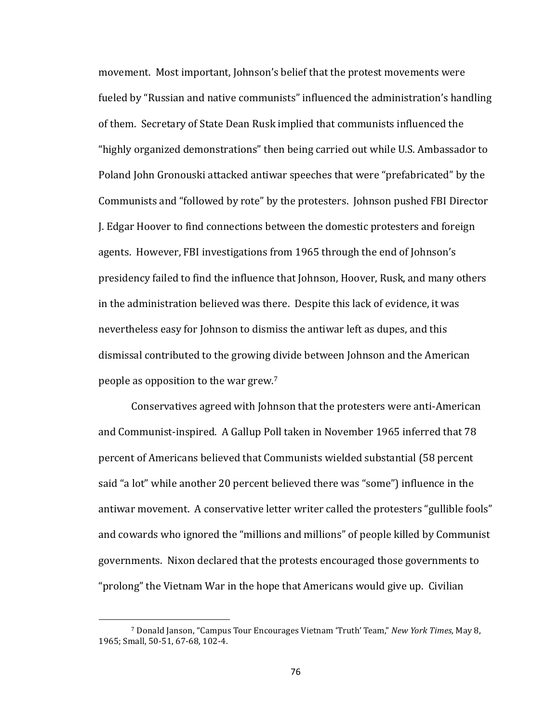movement. Most important, Johnson's belief that the protest movements were fueled by "Russian and native communists" influenced the administration's handling of them. Secretary of State Dean Rusk implied that communists influenced the "highly organized demonstrations" then being carried out while U.S. Ambassador to Poland John Gronouski attacked antiwar speeches that were "prefabricated" by the Communists and "followed by rote" by the protesters. Johnson pushed FBI Director I. Edgar Hoover to find connections between the domestic protesters and foreign agents. However, FBI investigations from 1965 through the end of Johnson's presidency failed to find the influence that Johnson, Hoover, Rusk, and many others in the administration believed was there. Despite this lack of evidence, it was nevertheless easy for Johnson to dismiss the antiwar left as dupes, and this dismissal contributed to the growing divide between Johnson and the American people as opposition to the war grew.<sup>7</sup>

Conservatives agreed with Johnson that the protesters were anti-American and Communist-inspired. A Gallup Poll taken in November 1965 inferred that 78 percent of Americans believed that Communists wielded substantial (58 percent said "a lot" while another 20 percent believed there was "some") influence in the antiwar movement. A conservative letter writer called the protesters "gullible fools" and cowards who ignored the "millions and millions" of people killed by Communist governments. Nixon declared that the protests encouraged those governments to "prolong" the Vietnam War in the hope that Americans would give up. Civilian

<sup>&</sup>lt;sup>7</sup> Donald Janson, "Campus Tour Encourages Vietnam 'Truth' Team," *New York Times*, May 8, 1965; Small, 50-51, 67-68, 102-4.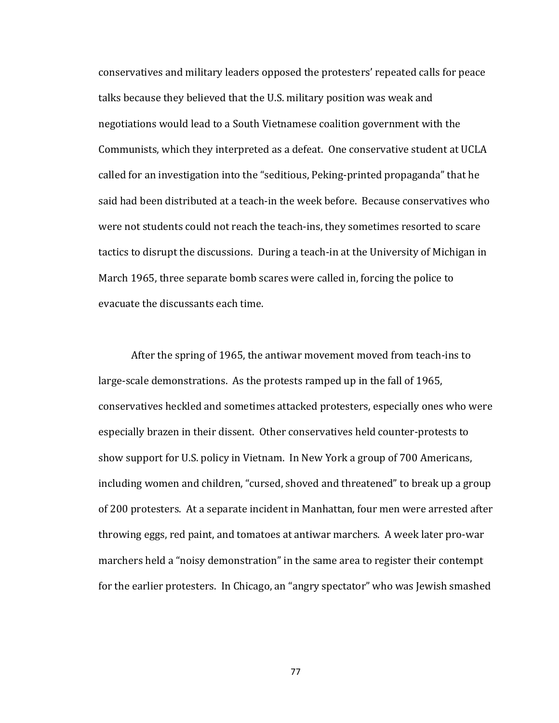conservatives and military leaders opposed the protesters' repeated calls for peace talks because they believed that the U.S. military position was weak and negotiations would lead to a South Vietnamese coalition government with the Communists, which they interpreted as a defeat. One conservative student at UCLA called for an investigation into the "seditious, Peking-printed propaganda" that he said had been distributed at a teach-in the week before. Because conservatives who were not students could not reach the teach-ins, they sometimes resorted to scare tactics to disrupt the discussions. During a teach-in at the University of Michigan in March 1965, three separate bomb scares were called in, forcing the police to evacuate the discussants each time.

After the spring of 1965, the antiwar movement moved from teach-ins to large-scale demonstrations. As the protests ramped up in the fall of 1965, conservatives heckled and sometimes attacked protesters, especially ones who were especially brazen in their dissent. Other conservatives held counter-protests to show support for U.S. policy in Vietnam. In New York a group of 700 Americans, including women and children, "cursed, shoved and threatened" to break up a group of 200 protesters. At a separate incident in Manhattan, four men were arrested after throwing eggs, red paint, and tomatoes at antiwar marchers. A week later pro-war marchers held a "noisy demonstration" in the same area to register their contempt for the earlier protesters. In Chicago, an "angry spectator" who was Jewish smashed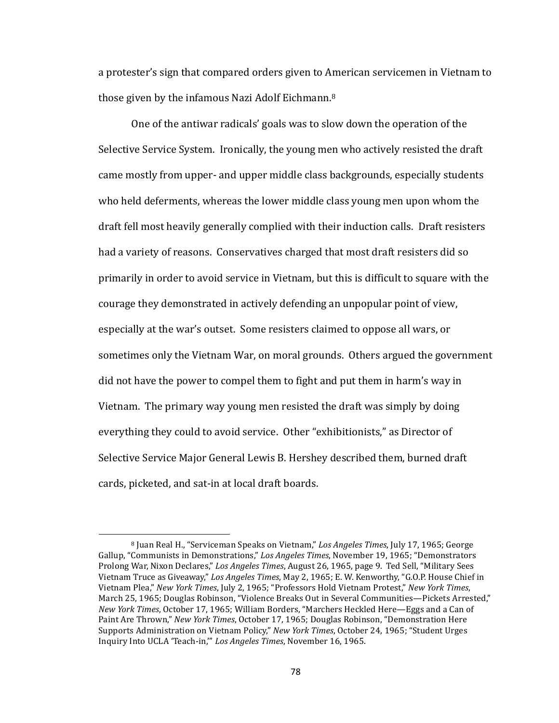a protester's sign that compared orders given to American servicemen in Vietnam to those given by the infamous Nazi Adolf Eichmann.<sup>8</sup>

One of the antiwar radicals' goals was to slow down the operation of the Selective Service System. Ironically, the young men who actively resisted the draft came mostly from upper- and upper middle class backgrounds, especially students who held deferments, whereas the lower middle class young men upon whom the draft fell most heavily generally complied with their induction calls. Draft resisters had a variety of reasons. Conservatives charged that most draft resisters did so primarily in order to avoid service in Vietnam, but this is difficult to square with the courage they demonstrated in actively defending an unpopular point of view, especially at the war's outset. Some resisters claimed to oppose all wars, or sometimes only the Vietnam War, on moral grounds. Others argued the government did not have the power to compel them to fight and put them in harm's way in Vietnam. The primary way young men resisted the draft was simply by doing everything they could to avoid service. Other "exhibitionists," as Director of Selective Service Major General Lewis B. Hershey described them, burned draft cards, picketed, and sat-in at local draft boards.

<sup>&</sup>lt;sup>8</sup> Juan Real H., "Serviceman Speaks on Vietnam," *Los Angeles Times*, July 17, 1965; George Gallup, "Communists in Demonstrations," Los Angeles Times, November 19, 1965; "Demonstrators Prolong War, Nixon Declares," *Los Angeles Times*, August 26, 1965, page 9. Ted Sell, "Military Sees Vietnam Truce as Giveaway," Los Angeles Times, May 2, 1965; E. W. Kenworthy, "G.O.P. House Chief in Vietnam Plea," New York Times, July 2, 1965; "Professors Hold Vietnam Protest," New York Times, March 25, 1965; Douglas Robinson, "Violence Breaks Out in Several Communities—Pickets Arrested," *New York Times*, October 17, 1965; William Borders, "Marchers Heckled Here—Eggs and a Can of Paint Are Thrown," New York Times, October 17, 1965; Douglas Robinson, "Demonstration Here Supports Administration on Vietnam Policy," *New York Times*, October 24, 1965; "Student Urges Inquiry Into UCLA 'Teach-in,'" *Los Angeles Times*, November 16, 1965.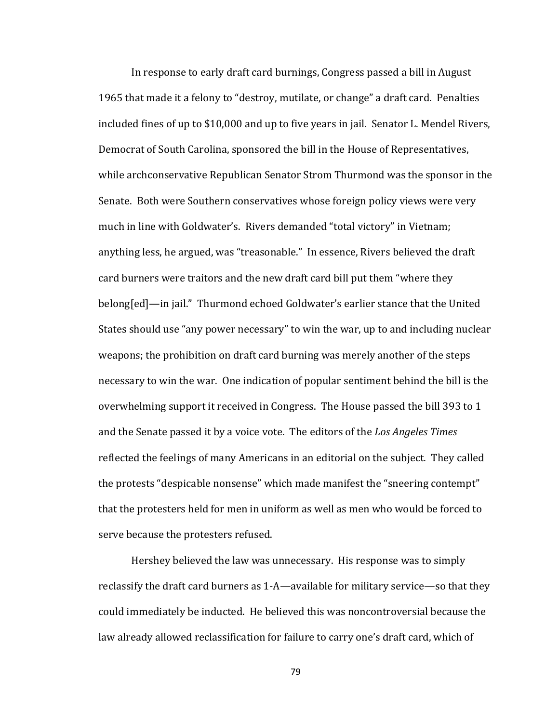In response to early draft card burnings, Congress passed a bill in August 1965 that made it a felony to "destroy, mutilate, or change" a draft card. Penalties included fines of up to \$10,000 and up to five years in jail. Senator L. Mendel Rivers, Democrat of South Carolina, sponsored the bill in the House of Representatives, while archconservative Republican Senator Strom Thurmond was the sponsor in the Senate. Both were Southern conservatives whose foreign policy views were very much in line with Goldwater's. Rivers demanded "total victory" in Vietnam; anything less, he argued, was "treasonable." In essence, Rivers believed the draft card burners were traitors and the new draft card bill put them "where they belong[ed]—in jail." Thurmond echoed Goldwater's earlier stance that the United States should use "any power necessary" to win the war, up to and including nuclear weapons; the prohibition on draft card burning was merely another of the steps necessary to win the war. One indication of popular sentiment behind the bill is the overwhelming support it received in Congress. The House passed the bill 393 to 1 and the Senate passed it by a voice vote. The editors of the *Los Angeles Times* reflected the feelings of many Americans in an editorial on the subject. They called the protests "despicable nonsense" which made manifest the "sneering contempt" that the protesters held for men in uniform as well as men who would be forced to serve because the protesters refused.

Hershey believed the law was unnecessary. His response was to simply reclassify the draft card burners as  $1-A$ —available for military service—so that they could immediately be inducted. He believed this was noncontroversial because the law already allowed reclassification for failure to carry one's draft card, which of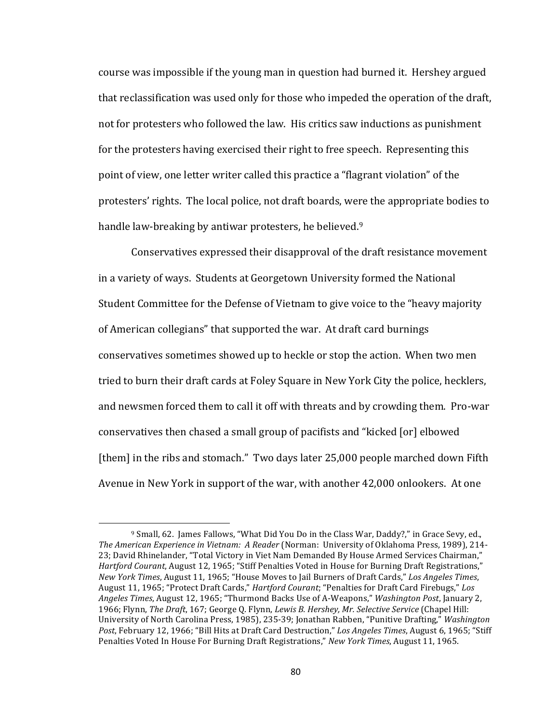course was impossible if the young man in question had burned it. Hershey argued that reclassification was used only for those who impeded the operation of the draft, not for protesters who followed the law. His critics saw inductions as punishment for the protesters having exercised their right to free speech. Representing this point of view, one letter writer called this practice a "flagrant violation" of the protesters' rights. The local police, not draft boards, were the appropriate bodies to handle law-breaking by antiwar protesters, he believed.<sup>9</sup>

Conservatives expressed their disapproval of the draft resistance movement in a variety of ways. Students at Georgetown University formed the National Student Committee for the Defense of Vietnam to give voice to the "heavy majority of American collegians" that supported the war. At draft card burnings conservatives sometimes showed up to heckle or stop the action. When two men tried to burn their draft cards at Foley Square in New York City the police, hecklers, and newsmen forced them to call it off with threats and by crowding them. Pro-war conservatives then chased a small group of pacifists and "kicked [or] elbowed [them] in the ribs and stomach." Two days later 25,000 people marched down Fifth Avenue in New York in support of the war, with another 42,000 onlookers. At one

<sup>&</sup>lt;sup>9</sup> Small, 62. James Fallows, "What Did You Do in the Class War, Daddy?," in Grace Sevy, ed., *The American Experience in Vietnam: A Reader* (Norman: University of Oklahoma Press, 1989), 214-23; David Rhinelander, "Total Victory in Viet Nam Demanded By House Armed Services Chairman," Hartford Courant, August 12, 1965; "Stiff Penalties Voted in House for Burning Draft Registrations," *New York Times*, August 11, 1965; "House Moves to Jail Burners of Draft Cards," *Los Angeles Times*, August 11, 1965; "Protect Draft Cards," *Hartford Courant*; "Penalties for Draft Card Firebugs," Los *Angeles Times*, August 12, 1965; "Thurmond Backs Use of A-Weapons," *Washington Post*, January 2, 1966; Flynn, *The Draft*, 167; George Q. Flynn, *Lewis B. Hershey, Mr. Selective Service* (Chapel Hill: University of North Carolina Press, 1985), 235-39; Jonathan Rabben, "Punitive Drafting," *Washington* Post, February 12, 1966; "Bill Hits at Draft Card Destruction," *Los Angeles Times*, August 6, 1965; "Stiff Penalties Voted In House For Burning Draft Registrations," *New York Times*, August 11, 1965.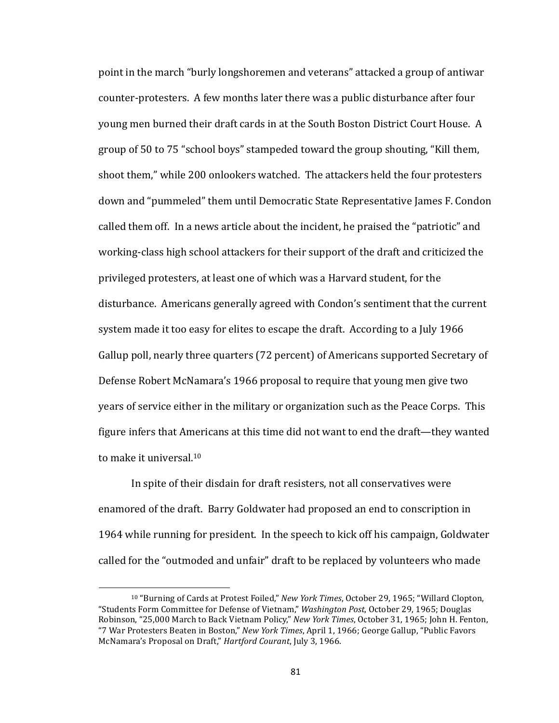point in the march "burly longshoremen and veterans" attacked a group of antiwar counter-protesters. A few months later there was a public disturbance after four young men burned their draft cards in at the South Boston District Court House. A group of 50 to 75 "school boys" stampeded toward the group shouting, "Kill them, shoot them," while 200 onlookers watched. The attackers held the four protesters down and "pummeled" them until Democratic State Representative James F. Condon called them off. In a news article about the incident, he praised the "patriotic" and working-class high school attackers for their support of the draft and criticized the privileged protesters, at least one of which was a Harvard student, for the disturbance. Americans generally agreed with Condon's sentiment that the current system made it too easy for elites to escape the draft. According to a July 1966 Gallup poll, nearly three quarters (72 percent) of Americans supported Secretary of Defense Robert McNamara's 1966 proposal to require that young men give two years of service either in the military or organization such as the Peace Corps. This figure infers that Americans at this time did not want to end the draft—they wanted to make it universal.<sup>10</sup>

In spite of their disdain for draft resisters, not all conservatives were enamored of the draft. Barry Goldwater had proposed an end to conscription in 1964 while running for president. In the speech to kick off his campaign, Goldwater called for the "outmoded and unfair" draft to be replaced by volunteers who made

 $\overline{a}$ 

<sup>&</sup>lt;sup>10</sup> "Burning of Cards at Protest Foiled," *New York Times*, October 29, 1965; "Willard Clopton, "Students Form Committee for Defense of Vietnam," *Washington Post*, October 29, 1965; Douglas Robinson, "25,000 March to Back Vietnam Policy," *New York Times*, October 31, 1965; John H. Fenton, "7 War Protesters Beaten in Boston," *New York Times*, April 1, 1966; George Gallup, "Public Favors McNamara's Proposal on Draft," *Hartford Courant*, July 3, 1966.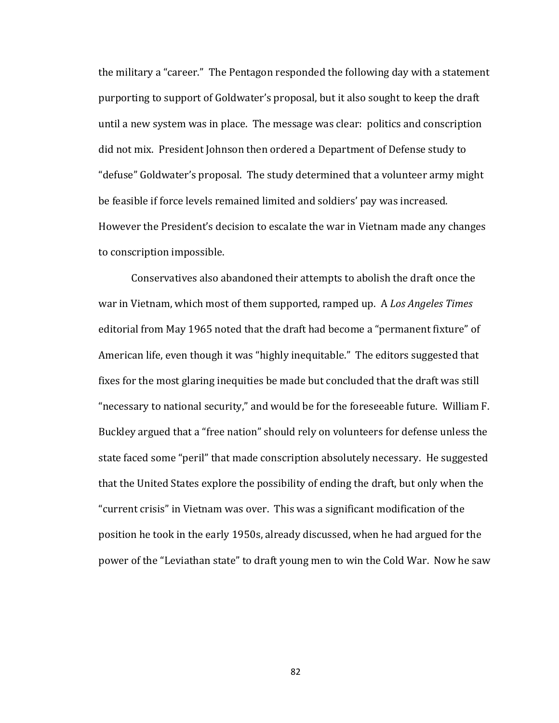the military a "career." The Pentagon responded the following day with a statement purporting to support of Goldwater's proposal, but it also sought to keep the draft until a new system was in place. The message was clear: politics and conscription did not mix. President Johnson then ordered a Department of Defense study to "defuse" Goldwater's proposal. The study determined that a volunteer army might be feasible if force levels remained limited and soldiers' pay was increased. However the President's decision to escalate the war in Vietnam made any changes to conscription impossible.

Conservatives also abandoned their attempts to abolish the draft once the war in Vietnam, which most of them supported, ramped up. A *Los Angeles Times* editorial from May 1965 noted that the draft had become a "permanent fixture" of American life, even though it was "highly inequitable." The editors suggested that fixes for the most glaring inequities be made but concluded that the draft was still "necessary to national security," and would be for the foreseeable future. William F. Buckley argued that a "free nation" should rely on volunteers for defense unless the state faced some "peril" that made conscription absolutely necessary. He suggested that the United States explore the possibility of ending the draft, but only when the "current crisis" in Vietnam was over. This was a significant modification of the position he took in the early 1950s, already discussed, when he had argued for the power of the "Leviathan state" to draft young men to win the Cold War. Now he saw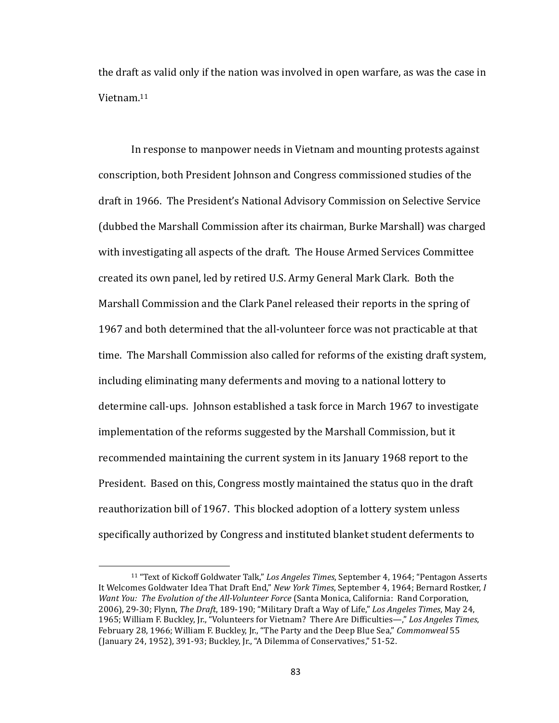the draft as valid only if the nation was involved in open warfare, as was the case in Vietnam.11 

In response to manpower needs in Vietnam and mounting protests against conscription, both President Johnson and Congress commissioned studies of the draft in 1966. The President's National Advisory Commission on Selective Service (dubbed the Marshall Commission after its chairman, Burke Marshall) was charged with investigating all aspects of the draft. The House Armed Services Committee created its own panel, led by retired U.S. Army General Mark Clark. Both the Marshall Commission and the Clark Panel released their reports in the spring of 1967 and both determined that the all-volunteer force was not practicable at that time. The Marshall Commission also called for reforms of the existing draft system, including eliminating many deferments and moving to a national lottery to determine call-ups. Johnson established a task force in March 1967 to investigate implementation of the reforms suggested by the Marshall Commission, but it recommended maintaining the current system in its January 1968 report to the President. Based on this, Congress mostly maintained the status quo in the draft reauthorization bill of 1967. This blocked adoption of a lottery system unless specifically authorized by Congress and instituted blanket student deferments to

<sup>&</sup>lt;sup>11</sup> "Text of Kickoff Goldwater Talk," Los Angeles Times, September 4, 1964; "Pentagon Asserts It Welcomes Goldwater Idea That Draft End," *New York Times*, September 4, 1964; Bernard Rostker, *I Want You: The Evolution of the All-Volunteer Force* (Santa Monica, California: Rand Corporation, 2006), 29-30; Flynn, *The Draft*, 189-190; "Military Draft a Way of Life," Los Angeles Times, May 24, 1965; William F. Buckley, Jr., "Volunteers for Vietnam? There Are Difficulties—," Los Angeles Times, February 28, 1966; William F. Buckley, Jr., "The Party and the Deep Blue Sea," *Commonweal* 55 (January 24, 1952), 391-93; Buckley, Jr., "A Dilemma of Conservatives," 51-52.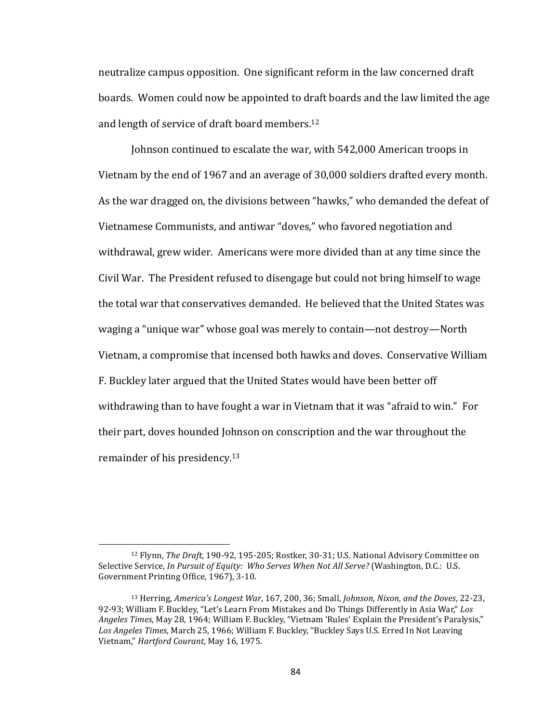neutralize campus opposition. One significant reform in the law concerned draft boards. Women could now be appointed to draft boards and the law limited the age and length of service of draft board members.<sup>12</sup>

Johnson continued to escalate the war, with 542,000 American troops in Vietnam by the end of 1967 and an average of 30,000 soldiers drafted every month. As the war dragged on, the divisions between "hawks," who demanded the defeat of Vietnamese Communists, and antiwar "doves," who favored negotiation and withdrawal, grew wider. Americans were more divided than at any time since the Civil War. The President refused to disengage but could not bring himself to wage the total war that conservatives demanded. He believed that the United States was waging a "unique war" whose goal was merely to contain—not destroy—North Vietnam, a compromise that incensed both hawks and doves. Conservative William F. Buckley later argued that the United States would have been better off withdrawing than to have fought a war in Vietnam that it was "afraid to win." For their part, doves hounded Johnson on conscription and the war throughout the remainder of his presidency.<sup>13</sup>

<sup>&</sup>lt;sup>12</sup> Flynn, *The Draft*, 190-92, 195-205; Rostker, 30-31; U.S. National Advisory Committee on Selective Service, *In Pursuit of Equity: Who Serves When Not All Serve?* (Washington, D.C.: U.S. Government Printing Office, 1967), 3-10.

<sup>&</sup>lt;sup>13</sup> Herring, *America's Longest War*, 167, 200, 36; Small, *Johnson, Nixon, and the Doves*, 22-23, 92-93; William F. Buckley, "Let's Learn From Mistakes and Do Things Differently in Asia War," Los Angeles Times, May 28, 1964; William F. Buckley, "Vietnam 'Rules' Explain the President's Paralysis," Los Angeles Times, March 25, 1966; William F. Buckley, "Buckley Says U.S. Erred In Not Leaving Vietnam," *Hartford Courant*, May 16, 1975.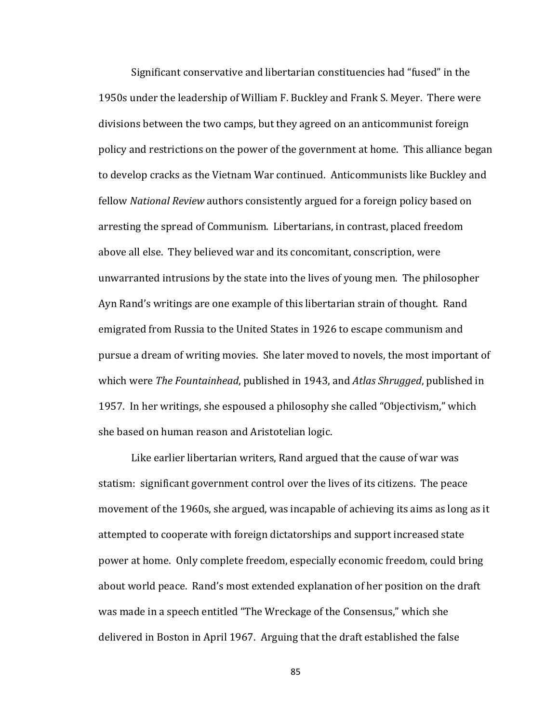Significant conservative and libertarian constituencies had "fused" in the 1950s under the leadership of William F. Buckley and Frank S. Meyer. There were divisions between the two camps, but they agreed on an anticommunist foreign policy and restrictions on the power of the government at home. This alliance began to develop cracks as the Vietnam War continued. Anticommunists like Buckley and fellow *National Review* authors consistently argued for a foreign policy based on arresting the spread of Communism. Libertarians, in contrast, placed freedom above all else. They believed war and its concomitant, conscription, were unwarranted intrusions by the state into the lives of young men. The philosopher Ayn Rand's writings are one example of this libertarian strain of thought. Rand emigrated from Russia to the United States in 1926 to escape communism and pursue a dream of writing movies. She later moved to novels, the most important of which were *The Fountainhead*, published in 1943, and *Atlas Shrugged*, published in 1957. In her writings, she espoused a philosophy she called "Objectivism," which she based on human reason and Aristotelian logic.

Like earlier libertarian writers, Rand argued that the cause of war was statism: significant government control over the lives of its citizens. The peace movement of the 1960s, she argued, was incapable of achieving its aims as long as it attempted to cooperate with foreign dictatorships and support increased state power at home. Only complete freedom, especially economic freedom, could bring about world peace. Rand's most extended explanation of her position on the draft was made in a speech entitled "The Wreckage of the Consensus," which she delivered in Boston in April 1967. Arguing that the draft established the false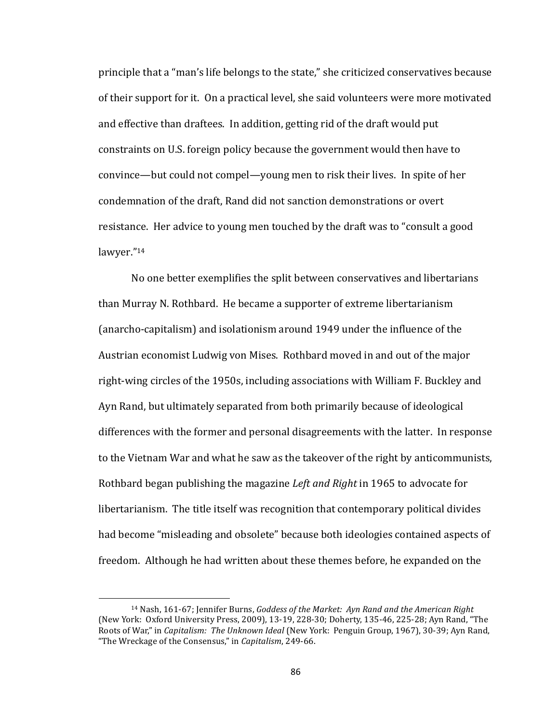principle that a "man's life belongs to the state," she criticized conservatives because of their support for it. On a practical level, she said volunteers were more motivated and effective than draftees. In addition, getting rid of the draft would put constraints on U.S. foreign policy because the government would then have to convince—but could not compel—young men to risk their lives. In spite of her condemnation of the draft, Rand did not sanction demonstrations or overt resistance. Her advice to young men touched by the draft was to "consult a good" lawyer."14

No one better exemplifies the split between conservatives and libertarians than Murray N. Rothbard. He became a supporter of extreme libertarianism (anarcho-capitalism) and isolationism around 1949 under the influence of the Austrian economist Ludwig von Mises. Rothbard moved in and out of the major right-wing circles of the 1950s, including associations with William F. Buckley and Ayn Rand, but ultimately separated from both primarily because of ideological differences with the former and personal disagreements with the latter. In response to the Vietnam War and what he saw as the takeover of the right by anticommunists, Rothbard began publishing the magazine *Left and Right* in 1965 to advocate for libertarianism. The title itself was recognition that contemporary political divides had become "misleading and obsolete" because both ideologies contained aspects of freedom. Although he had written about these themes before, he expanded on the

<sup>&</sup>lt;sup>14</sup> Nash, 161-67; Jennifer Burns, *Goddess of the Market: Ayn Rand and the American Right* (New York: Oxford University Press, 2009), 13-19, 228-30; Doherty, 135-46, 225-28; Ayn Rand, "The Roots of War," in *Capitalism: The Unknown Ideal* (New York: Penguin Group, 1967), 30-39; Ayn Rand, "The Wreckage of the Consensus," in *Capitalism*, 249-66.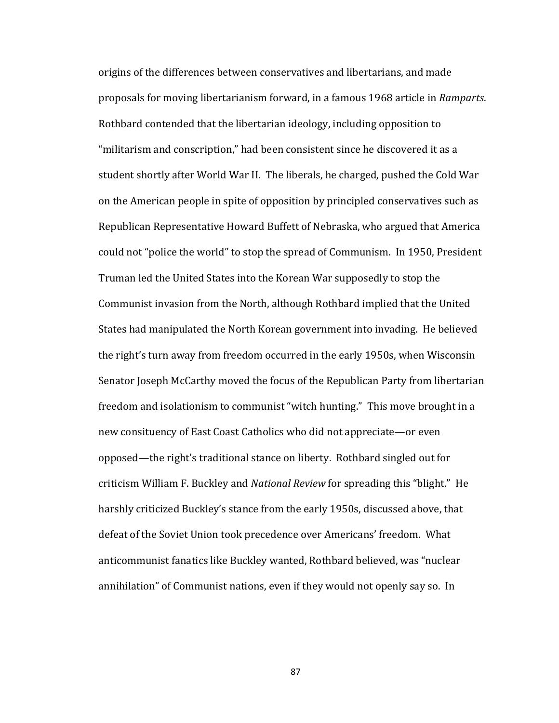origins of the differences between conservatives and libertarians, and made proposals for moving libertarianism forward, in a famous 1968 article in *Ramparts*. Rothbard contended that the libertarian ideology, including opposition to "militarism and conscription," had been consistent since he discovered it as a student shortly after World War II. The liberals, he charged, pushed the Cold War on the American people in spite of opposition by principled conservatives such as Republican Representative Howard Buffett of Nebraska, who argued that America could not "police the world" to stop the spread of Communism. In 1950, President Truman led the United States into the Korean War supposedly to stop the Communist invasion from the North, although Rothbard implied that the United States had manipulated the North Korean government into invading. He believed the right's turn away from freedom occurred in the early 1950s, when Wisconsin Senator Joseph McCarthy moved the focus of the Republican Party from libertarian freedom and isolationism to communist "witch hunting." This move brought in a new consituency of East Coast Catholics who did not appreciate—or even opposed—the right's traditional stance on liberty. Rothbard singled out for criticism William F. Buckley and *National Review* for spreading this "blight." He harshly criticized Buckley's stance from the early 1950s, discussed above, that defeat of the Soviet Union took precedence over Americans' freedom. What anticommunist fanatics like Buckley wanted, Rothbard believed, was "nuclear annihilation" of Communist nations, even if they would not openly say so. In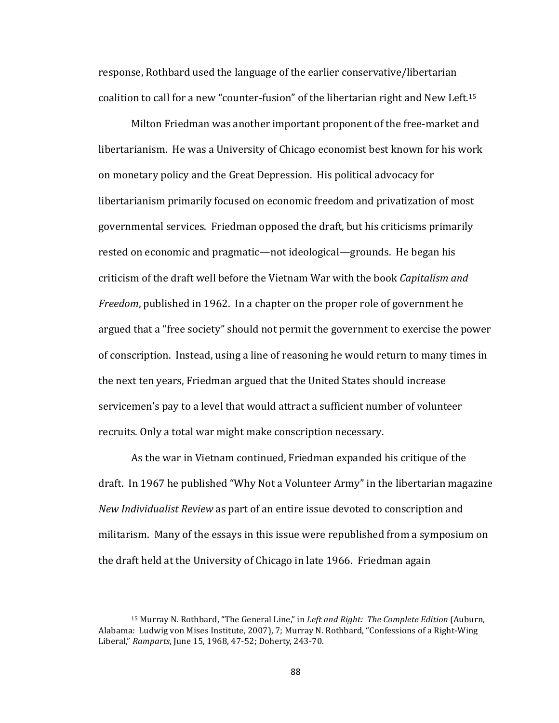response, Rothbard used the language of the earlier conservative/libertarian coalition to call for a new "counter-fusion" of the libertarian right and New Left.<sup>15</sup>

Milton Friedman was another important proponent of the free-market and libertarianism. He was a University of Chicago economist best known for his work on monetary policy and the Great Depression. His political advocacy for libertarianism primarily focused on economic freedom and privatization of most governmental services. Friedman opposed the draft, but his criticisms primarily rested on economic and pragmatic—not ideological—grounds. He began his criticism of the draft well before the Vietnam War with the book *Capitalism and Freedom*, published in 1962. In a chapter on the proper role of government he argued that a "free society" should not permit the government to exercise the power of conscription. Instead, using a line of reasoning he would return to many times in the next ten years, Friedman argued that the United States should increase servicemen's pay to a level that would attract a sufficient number of volunteer recruits. Only a total war might make conscription necessary.

As the war in Vietnam continued, Friedman expanded his critique of the draft. In 1967 he published "Why Not a Volunteer Army" in the libertarian magazine *New Individualist Review* as part of an entire issue devoted to conscription and militarism. Many of the essays in this issue were republished from a symposium on the draft held at the University of Chicago in late 1966. Friedman again

<sup>&</sup>lt;sup>15</sup> Murray N. Rothbard, "The General Line," in *Left and Right: The Complete Edition* (Auburn, Alabama: Ludwig von Mises Institute, 2007), 7; Murray N. Rothbard, "Confessions of a Right-Wing Liberal," *Ramparts*, June 15, 1968, 47-52; Doherty, 243-70.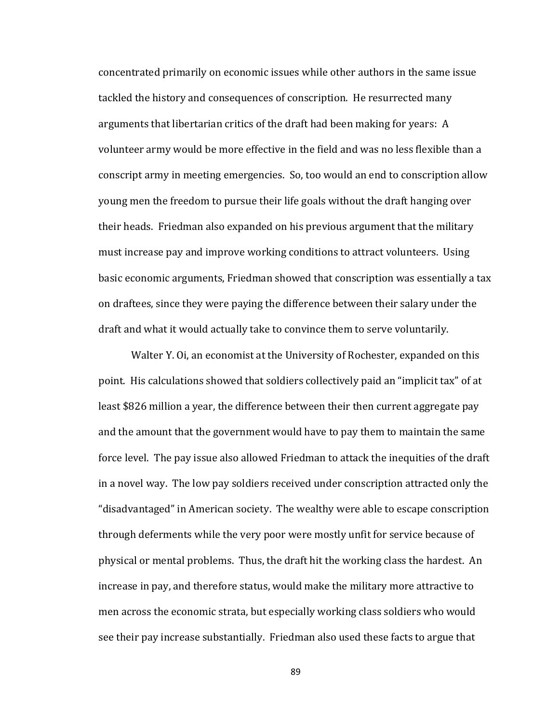concentrated primarily on economic issues while other authors in the same issue tackled the history and consequences of conscription. He resurrected many arguments that libertarian critics of the draft had been making for years: A volunteer army would be more effective in the field and was no less flexible than a conscript army in meeting emergencies. So, too would an end to conscription allow young men the freedom to pursue their life goals without the draft hanging over their heads. Friedman also expanded on his previous argument that the military must increase pay and improve working conditions to attract volunteers. Using basic economic arguments, Friedman showed that conscription was essentially a tax on draftees, since they were paying the difference between their salary under the draft and what it would actually take to convince them to serve voluntarily.

Walter Y. Oi, an economist at the University of Rochester, expanded on this point. His calculations showed that soldiers collectively paid an "implicit tax" of at least \$826 million a year, the difference between their then current aggregate pay and the amount that the government would have to pay them to maintain the same force level. The pay issue also allowed Friedman to attack the inequities of the draft in a novel way. The low pay soldiers received under conscription attracted only the "disadvantaged" in American society. The wealthy were able to escape conscription through deferments while the very poor were mostly unfit for service because of physical or mental problems. Thus, the draft hit the working class the hardest. An increase in pay, and therefore status, would make the military more attractive to men across the economic strata, but especially working class soldiers who would see their pay increase substantially. Friedman also used these facts to argue that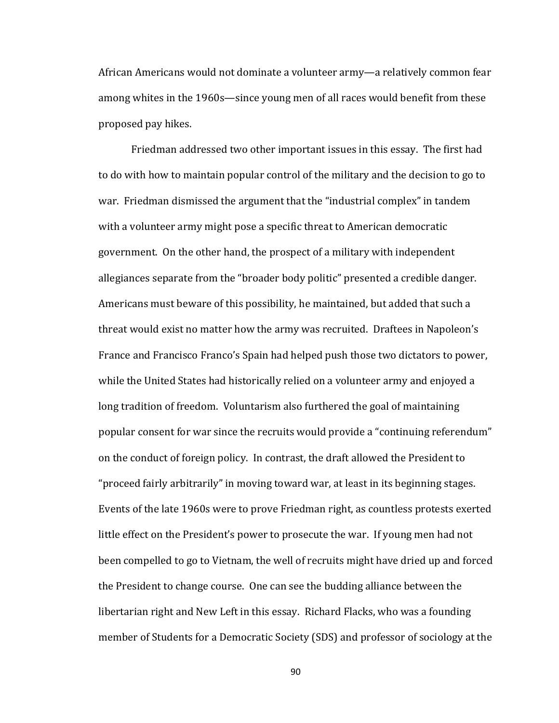African Americans would not dominate a volunteer army—a relatively common fear among whites in the 1960s—since young men of all races would benefit from these proposed pay hikes.

Friedman addressed two other important issues in this essay. The first had to do with how to maintain popular control of the military and the decision to go to war. Friedman dismissed the argument that the "industrial complex" in tandem with a volunteer army might pose a specific threat to American democratic government. On the other hand, the prospect of a military with independent allegiances separate from the "broader body politic" presented a credible danger. Americans must beware of this possibility, he maintained, but added that such a threat would exist no matter how the army was recruited. Draftees in Napoleon's France and Francisco Franco's Spain had helped push those two dictators to power, while the United States had historically relied on a volunteer army and enjoyed a long tradition of freedom. Voluntarism also furthered the goal of maintaining popular consent for war since the recruits would provide a "continuing referendum" on the conduct of foreign policy. In contrast, the draft allowed the President to "proceed fairly arbitrarily" in moving toward war, at least in its beginning stages. Events of the late 1960s were to prove Friedman right, as countless protests exerted little effect on the President's power to prosecute the war. If young men had not been compelled to go to Vietnam, the well of recruits might have dried up and forced the President to change course. One can see the budding alliance between the libertarian right and New Left in this essay. Richard Flacks, who was a founding member of Students for a Democratic Society (SDS) and professor of sociology at the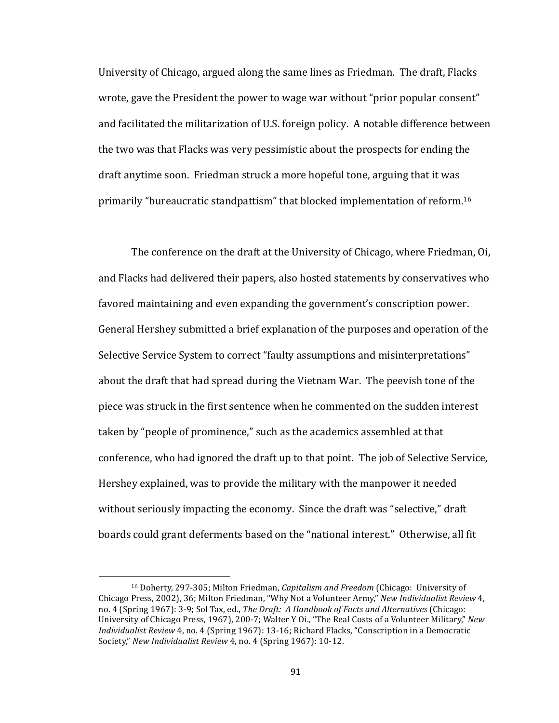University of Chicago, argued along the same lines as Friedman. The draft, Flacks wrote, gave the President the power to wage war without "prior popular consent" and facilitated the militarization of U.S. foreign policy. A notable difference between the two was that Flacks was very pessimistic about the prospects for ending the draft anytime soon. Friedman struck a more hopeful tone, arguing that it was primarily "bureaucratic standpattism" that blocked implementation of reform.<sup>16</sup>

The conference on the draft at the University of Chicago, where Friedman, Oi, and Flacks had delivered their papers, also hosted statements by conservatives who favored maintaining and even expanding the government's conscription power. General Hershey submitted a brief explanation of the purposes and operation of the Selective Service System to correct "faulty assumptions and misinterpretations" about the draft that had spread during the Vietnam War. The peevish tone of the piece was struck in the first sentence when he commented on the sudden interest taken by "people of prominence," such as the academics assembled at that conference, who had ignored the draft up to that point. The job of Selective Service, Hershey explained, was to provide the military with the manpower it needed without seriously impacting the economy. Since the draft was "selective," draft boards could grant deferments based on the "national interest." Otherwise, all fit

<sup>&</sup>lt;sup>16</sup> Doherty, 297-305; Milton Friedman, *Capitalism and Freedom* (Chicago: University of Chicago Press, 2002), 36; Milton Friedman, "Why Not a Volunteer Army," *New Individualist Review 4*, no. 4 (Spring 1967): 3-9; Sol Tax, ed., *The Draft: A Handbook of Facts and Alternatives* (Chicago: University of Chicago Press, 1967), 200-7; Walter Y Oi., "The Real Costs of a Volunteer Military," *New Individualist Review* 4, no. 4 (Spring 1967): 13-16; Richard Flacks, "Conscription in a Democratic Society," New Individualist Review 4, no. 4 (Spring 1967): 10-12.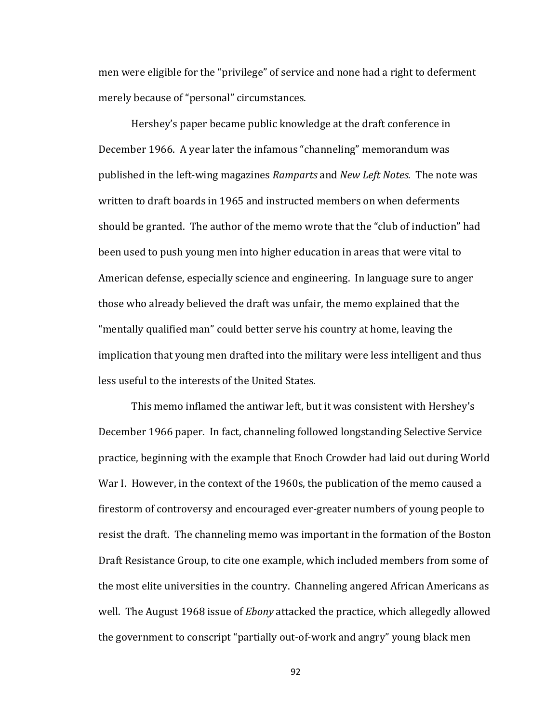men were eligible for the "privilege" of service and none had a right to deferment merely because of "personal" circumstances.

Hershey's paper became public knowledge at the draft conference in December 1966. A year later the infamous "channeling" memorandum was published in the left-wing magazines *Ramparts* and *New Left Notes*. The note was written to draft boards in 1965 and instructed members on when deferments should be granted. The author of the memo wrote that the "club of induction" had been used to push young men into higher education in areas that were vital to American defense, especially science and engineering. In language sure to anger those who already believed the draft was unfair, the memo explained that the "mentally qualified man" could better serve his country at home, leaving the implication that young men drafted into the military were less intelligent and thus less useful to the interests of the United States.

This memo inflamed the antiwar left, but it was consistent with Hershey's December 1966 paper. In fact, channeling followed longstanding Selective Service practice, beginning with the example that Enoch Crowder had laid out during World War I. However, in the context of the 1960s, the publication of the memo caused a firestorm of controversy and encouraged ever-greater numbers of young people to resist the draft. The channeling memo was important in the formation of the Boston Draft Resistance Group, to cite one example, which included members from some of the most elite universities in the country. Channeling angered African Americans as well. The August 1968 issue of *Ebony* attacked the practice, which allegedly allowed the government to conscript "partially out-of-work and angry" young black men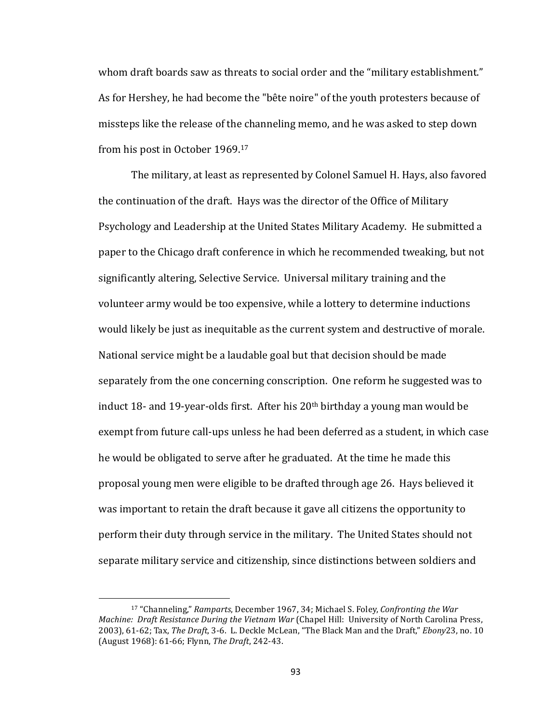whom draft boards saw as threats to social order and the "military establishment." As for Hershey, he had become the "bête noire" of the youth protesters because of missteps like the release of the channeling memo, and he was asked to step down from his post in October 1969.<sup>17</sup>

The military, at least as represented by Colonel Samuel H. Hays, also favored the continuation of the draft. Hays was the director of the Office of Military Psychology and Leadership at the United States Military Academy. He submitted a paper to the Chicago draft conference in which he recommended tweaking, but not significantly altering, Selective Service. Universal military training and the volunteer army would be too expensive, while a lottery to determine inductions would likely be just as inequitable as the current system and destructive of morale. National service might be a laudable goal but that decision should be made separately from the one concerning conscription. One reform he suggested was to induct  $18$ - and  $19$ -year-olds first. After his  $20<sup>th</sup>$  birthday a young man would be exempt from future call-ups unless he had been deferred as a student, in which case he would be obligated to serve after he graduated. At the time he made this proposal young men were eligible to be drafted through age 26. Hays believed it was important to retain the draft because it gave all citizens the opportunity to perform their duty through service in the military. The United States should not separate military service and citizenship, since distinctions between soldiers and

<sup>&</sup>lt;sup>17</sup> "Channeling," *Ramparts*, December 1967, 34; Michael S. Foley, *Confronting the War Machine: Draft Resistance During the Vietnam War* (Chapel Hill: University of North Carolina Press, 2003), 61-62; Tax, *The Draft*, 3-6. L. Deckle McLean, "The Black Man and the Draft," *Ebony*23, no. 10 (August 1968): 61-66; Flynn, *The Draft*, 242-43.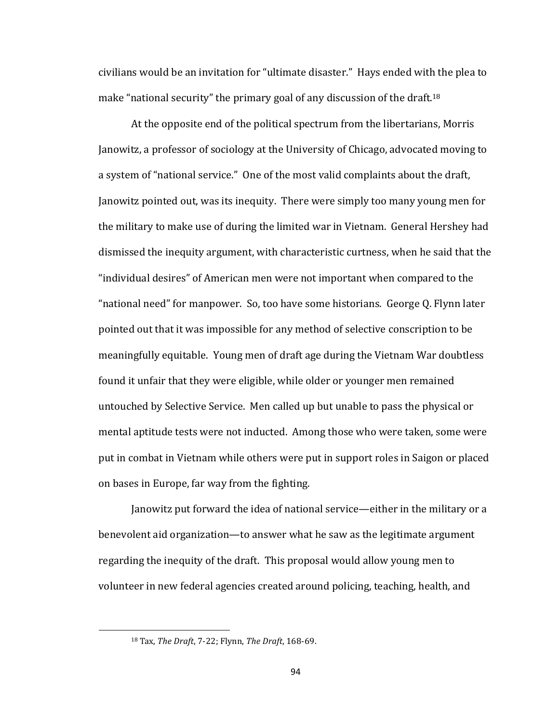civilians would be an invitation for "ultimate disaster." Hays ended with the plea to make "national security" the primary goal of any discussion of the draft.<sup>18</sup>

At the opposite end of the political spectrum from the libertarians, Morris Janowitz, a professor of sociology at the University of Chicago, advocated moving to a system of "national service." One of the most valid complaints about the draft, Janowitz pointed out, was its inequity. There were simply too many young men for the military to make use of during the limited war in Vietnam. General Hershey had dismissed the inequity argument, with characteristic curtness, when he said that the "individual desires" of American men were not important when compared to the "national need" for manpower. So, too have some historians. George Q. Flynn later pointed out that it was impossible for any method of selective conscription to be meaningfully equitable. Young men of draft age during the Vietnam War doubtless found it unfair that they were eligible, while older or younger men remained untouched by Selective Service. Men called up but unable to pass the physical or mental aptitude tests were not inducted. Among those who were taken, some were put in combat in Vietnam while others were put in support roles in Saigon or placed on bases in Europe, far way from the fighting.

Janowitz put forward the idea of national service—either in the military or a benevolent aid organization—to answer what he saw as the legitimate argument regarding the inequity of the draft. This proposal would allow young men to volunteer in new federal agencies created around policing, teaching, health, and

<sup>18</sup> Tax, *The Draft*, 7-22; Flynn, *The Draft*, 168-69.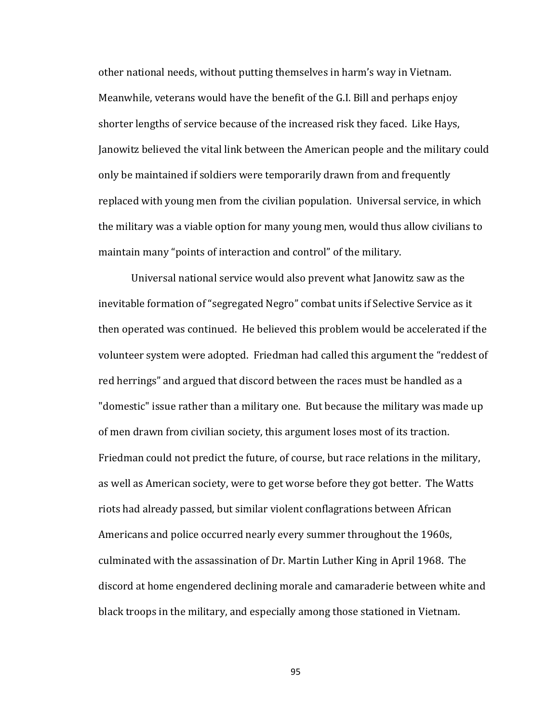other national needs, without putting themselves in harm's way in Vietnam. Meanwhile, veterans would have the benefit of the G.I. Bill and perhaps enjoy shorter lengths of service because of the increased risk they faced. Like Hays, Janowitz believed the vital link between the American people and the military could only be maintained if soldiers were temporarily drawn from and frequently replaced with young men from the civilian population. Universal service, in which the military was a viable option for many young men, would thus allow civilians to maintain many "points of interaction and control" of the military.

Universal national service would also prevent what Janowitz saw as the inevitable formation of "segregated Negro" combat units if Selective Service as it then operated was continued. He believed this problem would be accelerated if the volunteer system were adopted. Friedman had called this argument the "reddest of red herrings" and argued that discord between the races must be handled as a "domestic" issue rather than a military one. But because the military was made up of men drawn from civilian society, this argument loses most of its traction. Friedman could not predict the future, of course, but race relations in the military, as well as American society, were to get worse before they got better. The Watts riots had already passed, but similar violent conflagrations between African Americans and police occurred nearly every summer throughout the 1960s, culminated with the assassination of Dr. Martin Luther King in April 1968. The discord at home engendered declining morale and camaraderie between white and black troops in the military, and especially among those stationed in Vietnam.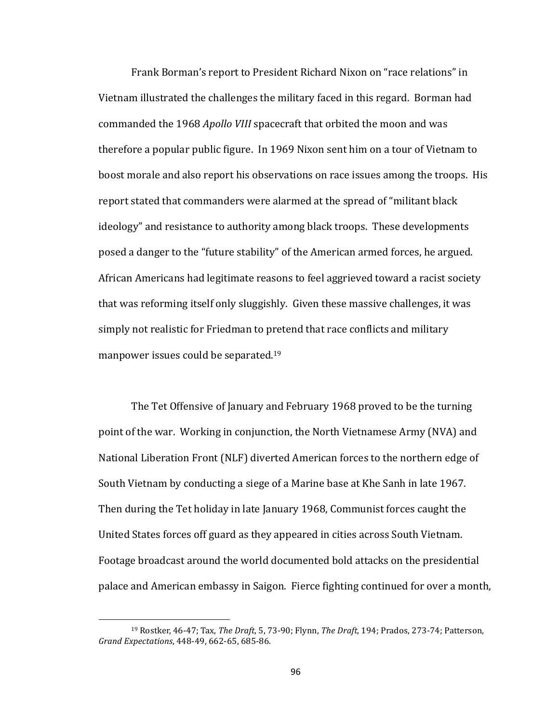Frank Borman's report to President Richard Nixon on "race relations" in Vietnam illustrated the challenges the military faced in this regard. Borman had commanded the 1968 *Apollo VIII* spacecraft that orbited the moon and was therefore a popular public figure. In 1969 Nixon sent him on a tour of Vietnam to boost morale and also report his observations on race issues among the troops. His report stated that commanders were alarmed at the spread of "militant black ideology" and resistance to authority among black troops. These developments posed a danger to the "future stability" of the American armed forces, he argued. African Americans had legitimate reasons to feel aggrieved toward a racist society that was reforming itself only sluggishly. Given these massive challenges, it was simply not realistic for Friedman to pretend that race conflicts and military manpower issues could be separated.<sup>19</sup>

The Tet Offensive of January and February 1968 proved to be the turning point of the war. Working in conjunction, the North Vietnamese Army (NVA) and National Liberation Front (NLF) diverted American forces to the northern edge of South Vietnam by conducting a siege of a Marine base at Khe Sanh in late 1967. Then during the Tet holiday in late January 1968, Communist forces caught the United States forces off guard as they appeared in cities across South Vietnam. Footage broadcast around the world documented bold attacks on the presidential palace and American embassy in Saigon. Fierce fighting continued for over a month,

<sup>&</sup>lt;sup>19</sup> Rostker, 46-47; Tax, The Draft, 5, 73-90; Flynn, The Draft, 194; Prados, 273-74; Patterson, *Grand Expectations*, 448-49, 662-65, 685-86.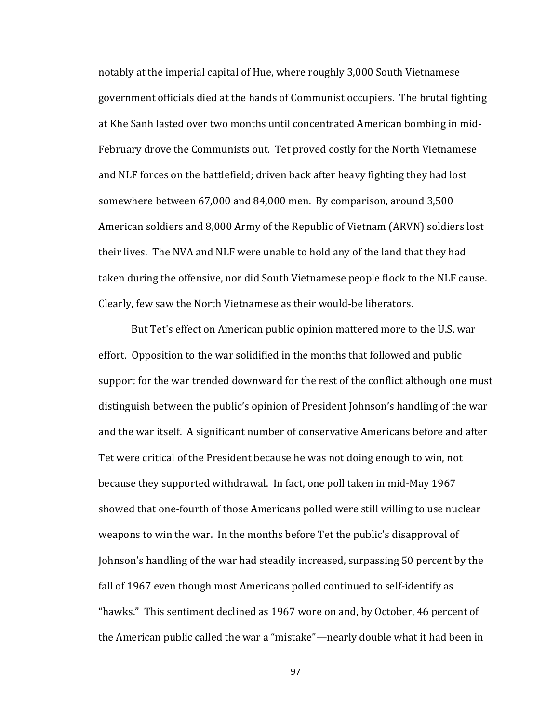notably at the imperial capital of Hue, where roughly 3,000 South Vietnamese government officials died at the hands of Communist occupiers. The brutal fighting at Khe Sanh lasted over two months until concentrated American bombing in mid-February drove the Communists out. Tet proved costly for the North Vietnamese and NLF forces on the battlefield; driven back after heavy fighting they had lost somewhere between 67,000 and 84,000 men. By comparison, around 3,500 American soldiers and 8,000 Army of the Republic of Vietnam (ARVN) soldiers lost their lives. The NVA and NLF were unable to hold any of the land that they had taken during the offensive, nor did South Vietnamese people flock to the NLF cause. Clearly, few saw the North Vietnamese as their would-be liberators.

But Tet's effect on American public opinion mattered more to the U.S. war effort. Opposition to the war solidified in the months that followed and public support for the war trended downward for the rest of the conflict although one must distinguish between the public's opinion of President Johnson's handling of the war and the war itself. A significant number of conservative Americans before and after Tet were critical of the President because he was not doing enough to win, not because they supported withdrawal. In fact, one poll taken in mid-May 1967 showed that one-fourth of those Americans polled were still willing to use nuclear weapons to win the war. In the months before Tet the public's disapproval of Johnson's handling of the war had steadily increased, surpassing 50 percent by the fall of 1967 even though most Americans polled continued to self-identify as "hawks." This sentiment declined as 1967 wore on and, by October, 46 percent of the American public called the war a "mistake"—nearly double what it had been in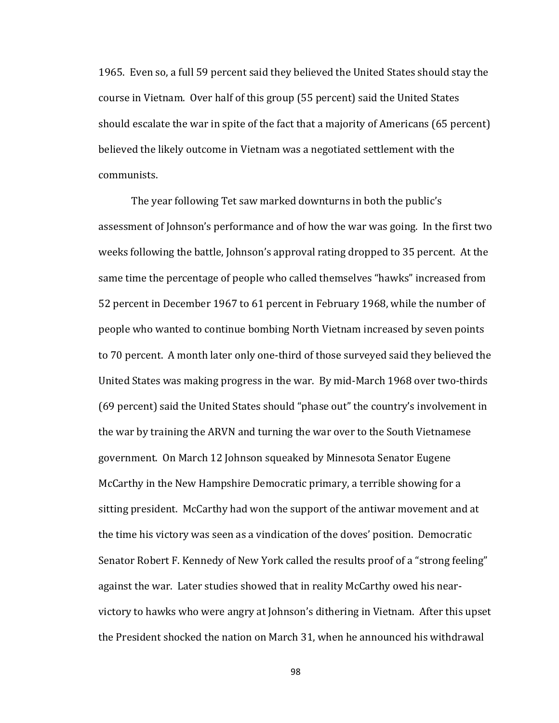1965. Even so, a full 59 percent said they believed the United States should stay the course in Vietnam. Over half of this group (55 percent) said the United States should escalate the war in spite of the fact that a majority of Americans  $(65$  percent) believed the likely outcome in Vietnam was a negotiated settlement with the communists.

The year following Tet saw marked downturns in both the public's assessment of Johnson's performance and of how the war was going. In the first two weeks following the battle, Johnson's approval rating dropped to 35 percent. At the same time the percentage of people who called themselves "hawks" increased from 52 percent in December 1967 to 61 percent in February 1968, while the number of people who wanted to continue bombing North Vietnam increased by seven points to 70 percent. A month later only one-third of those surveyed said they believed the United States was making progress in the war. By mid-March 1968 over two-thirds (69 percent) said the United States should "phase out" the country's involvement in the war by training the ARVN and turning the war over to the South Vietnamese government. On March 12 Johnson squeaked by Minnesota Senator Eugene McCarthy in the New Hampshire Democratic primary, a terrible showing for a sitting president. McCarthy had won the support of the antiwar movement and at the time his victory was seen as a vindication of the doves' position. Democratic Senator Robert F. Kennedy of New York called the results proof of a "strong feeling" against the war. Later studies showed that in reality McCarthy owed his nearvictory to hawks who were angry at Johnson's dithering in Vietnam. After this upset the President shocked the nation on March 31, when he announced his withdrawal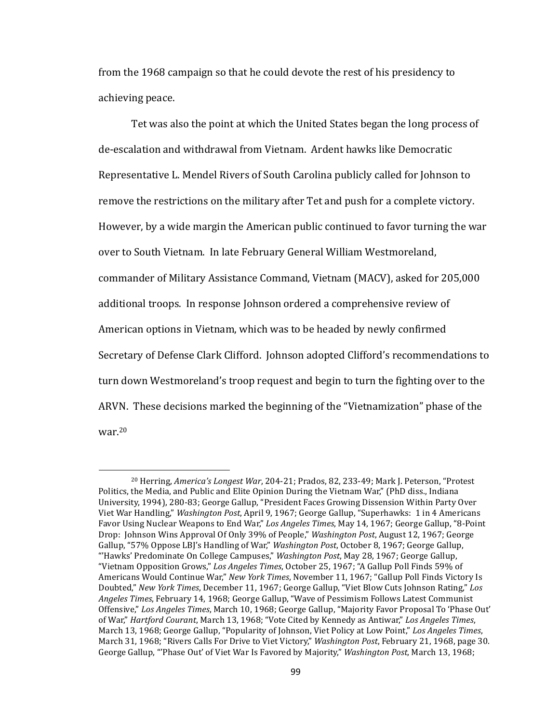from the 1968 campaign so that he could devote the rest of his presidency to achieving peace.

Tet was also the point at which the United States began the long process of de-escalation and withdrawal from Vietnam. Ardent hawks like Democratic Representative L. Mendel Rivers of South Carolina publicly called for Johnson to remove the restrictions on the military after Tet and push for a complete victory. However, by a wide margin the American public continued to favor turning the war over to South Vietnam. In late February General William Westmoreland, commander of Military Assistance Command, Vietnam (MACV), asked for 205,000 additional troops. In response Johnson ordered a comprehensive review of American options in Vietnam, which was to be headed by newly confirmed Secretary of Defense Clark Clifford. Johnson adopted Clifford's recommendations to turn down Westmoreland's troop request and begin to turn the fighting over to the ARVN. These decisions marked the beginning of the "Vietnamization" phase of the war.20

 $\overline{a}$ 

<sup>&</sup>lt;sup>20</sup> Herring, *America's Longest War*, 204-21; Prados, 82, 233-49; Mark J. Peterson, "Protest Politics, the Media, and Public and Elite Opinion During the Vietnam War," (PhD diss., Indiana University, 1994), 280-83; George Gallup, "President Faces Growing Dissension Within Party Over Viet War Handling," *Washington Post*, April 9, 1967; George Gallup, "Superhawks: 1 in 4 Americans Favor Using Nuclear Weapons to End War," *Los Angeles Times*, May 14, 1967; George Gallup, "8-Point Drop: Johnson Wins Approval Of Only 39% of People," *Washington Post*, August 12, 1967; George Gallup, "57% Oppose LBJ's Handling of War," *Washington Post*, October 8, 1967; George Gallup, "'Hawks' Predominate On College Campuses," *Washington Post*, May 28, 1967; George Gallup, "Vietnam Opposition Grows," Los Angeles Times, October 25, 1967; "A Gallup Poll Finds 59% of Americans Would Continue War," *New York Times*, November 11, 1967; "Gallup Poll Finds Victory Is Doubted," New York Times, December 11, 1967; George Gallup, "Viet Blow Cuts Johnson Rating," Los Angeles Times, February 14, 1968; George Gallup, "Wave of Pessimism Follows Latest Communist Offensive," Los Angeles Times, March 10, 1968; George Gallup, "Majority Favor Proposal To 'Phase Out' of War," *Hartford Courant*, March 13, 1968; "Vote Cited by Kennedy as Antiwar," Los Angeles Times, March 13, 1968; George Gallup, "Popularity of Johnson, Viet Policy at Low Point," Los Angeles Times, March 31, 1968; "Rivers Calls For Drive to Viet Victory," *Washington Post*, February 21, 1968, page 30. George Gallup, "'Phase Out' of Viet War Is Favored by Majority," *Washington Post*, March 13, 1968;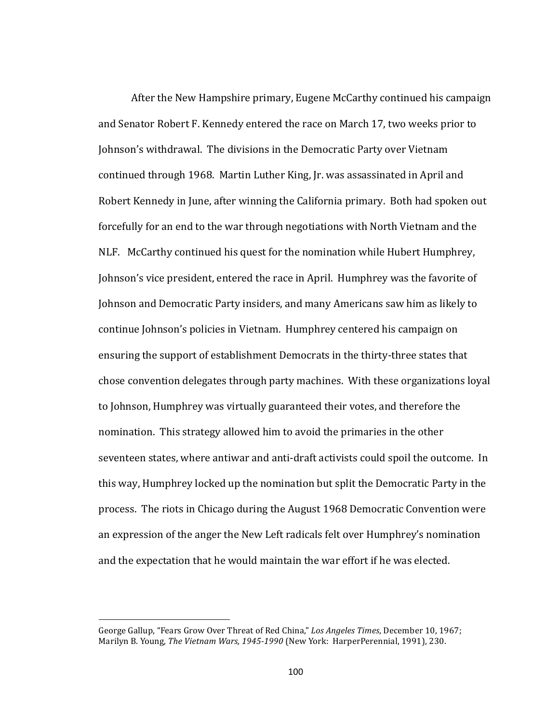After the New Hampshire primary, Eugene McCarthy continued his campaign and Senator Robert F. Kennedy entered the race on March 17, two weeks prior to Johnson's withdrawal. The divisions in the Democratic Party over Vietnam continued through 1968. Martin Luther King, Jr. was assassinated in April and Robert Kennedy in June, after winning the California primary. Both had spoken out forcefully for an end to the war through negotiations with North Vietnam and the NLF. McCarthy continued his quest for the nomination while Hubert Humphrey, Johnson's vice president, entered the race in April. Humphrey was the favorite of Johnson and Democratic Party insiders, and many Americans saw him as likely to continue Johnson's policies in Vietnam. Humphrey centered his campaign on ensuring the support of establishment Democrats in the thirty-three states that chose convention delegates through party machines. With these organizations loyal to Johnson, Humphrey was virtually guaranteed their votes, and therefore the nomination. This strategy allowed him to avoid the primaries in the other seventeen states, where antiwar and anti-draft activists could spoil the outcome. In this way, Humphrey locked up the nomination but split the Democratic Party in the process. The riots in Chicago during the August 1968 Democratic Convention were an expression of the anger the New Left radicals felt over Humphrey's nomination and the expectation that he would maintain the war effort if he was elected.

George Gallup, "Fears Grow Over Threat of Red China," *Los Angeles Times*, December 10, 1967; Marilyn B. Young, *The Vietnam Wars, 1945-1990* (New York: HarperPerennial, 1991), 230.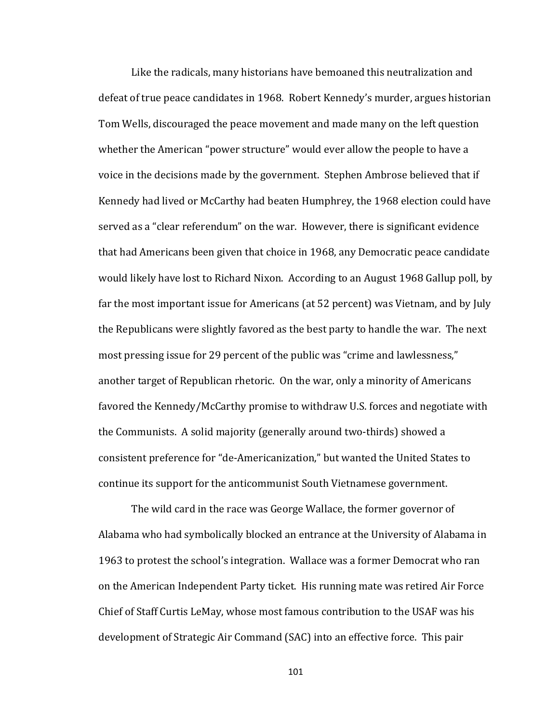Like the radicals, many historians have bemoaned this neutralization and defeat of true peace candidates in 1968. Robert Kennedy's murder, argues historian Tom Wells, discouraged the peace movement and made many on the left question whether the American "power structure" would ever allow the people to have a voice in the decisions made by the government. Stephen Ambrose believed that if Kennedy had lived or McCarthy had beaten Humphrey, the 1968 election could have served as a "clear referendum" on the war. However, there is significant evidence that had Americans been given that choice in 1968, any Democratic peace candidate would likely have lost to Richard Nixon. According to an August 1968 Gallup poll, by far the most important issue for Americans (at 52 percent) was Vietnam, and by July the Republicans were slightly favored as the best party to handle the war. The next most pressing issue for 29 percent of the public was "crime and lawlessness," another target of Republican rhetoric. On the war, only a minority of Americans favored the Kennedy/McCarthy promise to withdraw U.S. forces and negotiate with the Communists. A solid majority (generally around two-thirds) showed a consistent preference for "de-Americanization," but wanted the United States to continue its support for the anticommunist South Vietnamese government.

The wild card in the race was George Wallace, the former governor of Alabama who had symbolically blocked an entrance at the University of Alabama in 1963 to protest the school's integration. Wallace was a former Democrat who ran on the American Independent Party ticket. His running mate was retired Air Force Chief of Staff Curtis LeMay, whose most famous contribution to the USAF was his development of Strategic Air Command (SAC) into an effective force. This pair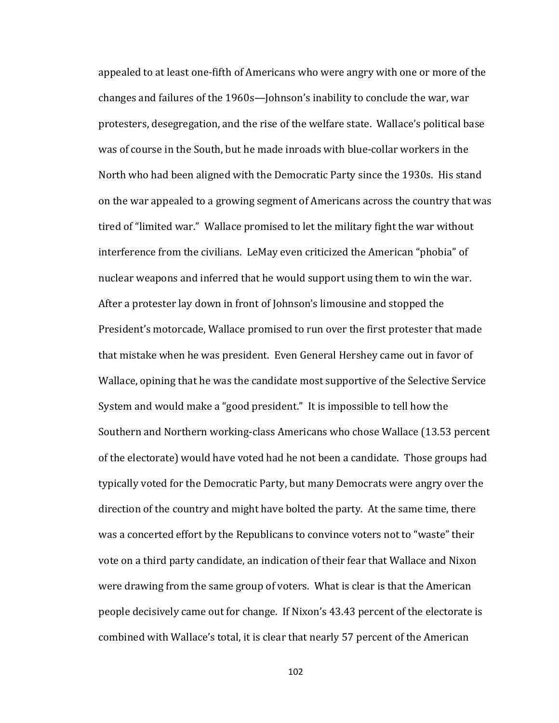appealed to at least one-fifth of Americans who were angry with one or more of the changes and failures of the 1960s—Johnson's inability to conclude the war, war protesters, desegregation, and the rise of the welfare state. Wallace's political base was of course in the South, but he made inroads with blue-collar workers in the North who had been aligned with the Democratic Party since the 1930s. His stand on the war appealed to a growing segment of Americans across the country that was tired of "limited war." Wallace promised to let the military fight the war without interference from the civilians. LeMay even criticized the American "phobia" of nuclear weapons and inferred that he would support using them to win the war. After a protester lay down in front of Johnson's limousine and stopped the President's motorcade, Wallace promised to run over the first protester that made that mistake when he was president. Even General Hershey came out in favor of Wallace, opining that he was the candidate most supportive of the Selective Service System and would make a "good president." It is impossible to tell how the Southern and Northern working-class Americans who chose Wallace (13.53 percent of the electorate) would have voted had he not been a candidate. Those groups had typically voted for the Democratic Party, but many Democrats were angry over the direction of the country and might have bolted the party. At the same time, there was a concerted effort by the Republicans to convince voters not to "waste" their vote on a third party candidate, an indication of their fear that Wallace and Nixon were drawing from the same group of voters. What is clear is that the American people decisively came out for change. If Nixon's 43.43 percent of the electorate is combined with Wallace's total, it is clear that nearly 57 percent of the American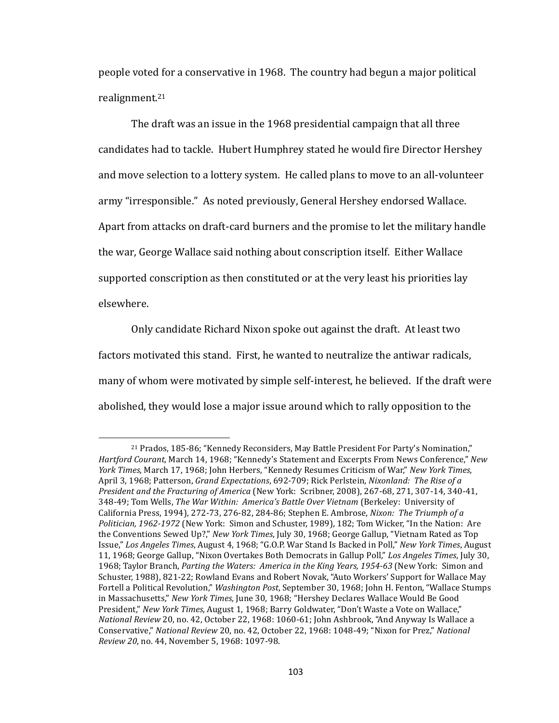people voted for a conservative in 1968. The country had begun a major political realignment.21

The draft was an issue in the 1968 presidential campaign that all three candidates had to tackle. Hubert Humphrey stated he would fire Director Hershey and move selection to a lottery system. He called plans to move to an all-volunteer army "irresponsible." As noted previously, General Hershey endorsed Wallace. Apart from attacks on draft-card burners and the promise to let the military handle the war, George Wallace said nothing about conscription itself. Either Wallace supported conscription as then constituted or at the very least his priorities lay elsewhere.

Only candidate Richard Nixon spoke out against the draft. At least two factors motivated this stand. First, he wanted to neutralize the antiwar radicals, many of whom were motivated by simple self-interest, he believed. If the draft were abolished, they would lose a major issue around which to rally opposition to the

<sup>&</sup>lt;sup>21</sup> Prados, 185-86; "Kennedy Reconsiders, May Battle President For Party's Nomination," Hartford Courant, March 14, 1968; "Kennedy's Statement and Excerpts From News Conference," New *York Times,* March 17, 1968; John Herbers, "Kennedy Resumes Criticism of War," *New York Times*, April 3, 1968; Patterson, *Grand Expectations*, 692-709; Rick Perlstein, *Nixonland: The Rise of a President and the Fracturing of America* (New York: Scribner, 2008), 267-68, 271, 307-14, 340-41, 348-49; Tom Wells, The War Within: America's Battle Over Vietnam (Berkeley: University of California Press, 1994), 272-73, 276-82, 284-86; Stephen E. Ambrose, *Nixon: The Triumph of a* Politician, 1962-1972 (New York: Simon and Schuster, 1989), 182; Tom Wicker, "In the Nation: Are the Conventions Sewed Up?," New York Times, July 30, 1968; George Gallup, "Vietnam Rated as Top Issue," Los Angeles Times, August 4, 1968; "G.O.P. War Stand Is Backed in Poll," New York Times, August 11, 1968; George Gallup, "Nixon Overtakes Both Democrats in Gallup Poll," Los Angeles Times, July 30, 1968; Taylor Branch, *Parting the Waters: America in the King Years, 1954-63* (New York: Simon and Schuster, 1988), 821-22; Rowland Evans and Robert Novak, "Auto Workers' Support for Wallace May Fortell a Political Revolution," *Washington Post*, September 30, 1968; John H. Fenton, "Wallace Stumps in Massachusetts," New York Times, June 30, 1968; "Hershey Declares Wallace Would Be Good President," New York Times, August 1, 1968; Barry Goldwater, "Don't Waste a Vote on Wallace," *National Review* 20, no. 42, October 22, 1968: 1060-61; John Ashbrook, "And Anyway Is Wallace a Conservative," National Review 20, no. 42, October 22, 1968: 1048-49; "Nixon for Prez," National *Review 20*, no. 44, November 5, 1968: 1097-98.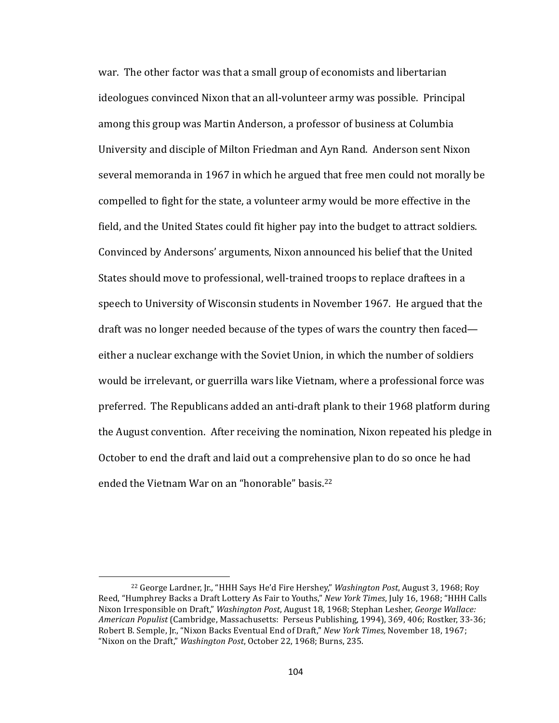war. The other factor was that a small group of economists and libertarian ideologues convinced Nixon that an all-volunteer army was possible. Principal among this group was Martin Anderson, a professor of business at Columbia University and disciple of Milton Friedman and Ayn Rand. Anderson sent Nixon several memoranda in 1967 in which he argued that free men could not morally be compelled to fight for the state, a volunteer army would be more effective in the field, and the United States could fit higher pay into the budget to attract soldiers. Convinced by Andersons' arguments, Nixon announced his belief that the United States should move to professional, well-trained troops to replace draftees in a speech to University of Wisconsin students in November 1967. He argued that the draft was no longer needed because of the types of wars the country then faced either a nuclear exchange with the Soviet Union, in which the number of soldiers would be irrelevant, or guerrilla wars like Vietnam, where a professional force was preferred. The Republicans added an anti-draft plank to their 1968 platform during the August convention. After receiving the nomination, Nixon repeated his pledge in October to end the draft and laid out a comprehensive plan to do so once he had ended the Vietnam War on an "honorable" basis. $22$ 

<sup>&</sup>lt;sup>22</sup> George Lardner, Jr., "HHH Says He'd Fire Hershey," *Washington Post*, August 3, 1968; Roy Reed, "Humphrey Backs a Draft Lottery As Fair to Youths," New York Times, July 16, 1968; "HHH Calls Nixon Irresponsible on Draft," *Washington Post*, August 18, 1968; Stephan Lesher, *George Wallace: American Populist* (Cambridge, Massachusetts: Perseus Publishing, 1994), 369, 406; Rostker, 33-36; Robert B. Semple, Jr., "Nixon Backs Eventual End of Draft," *New York Times*, November 18, 1967; "Nixon on the Draft," *Washington Post*, October 22, 1968; Burns, 235.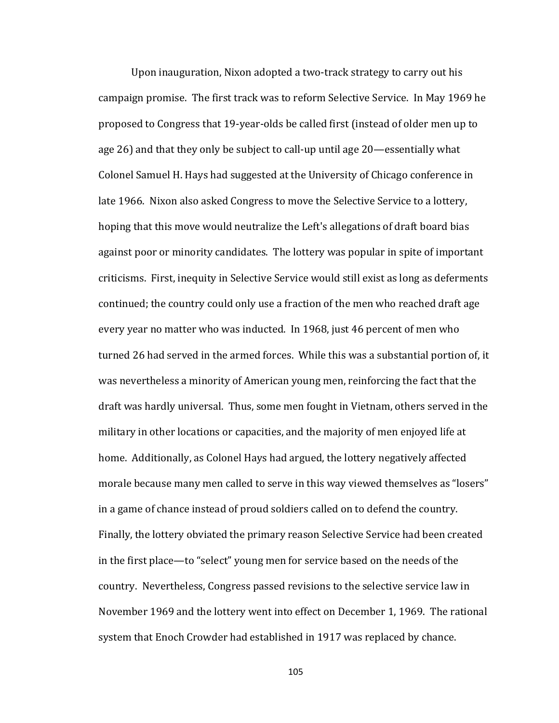Upon inauguration, Nixon adopted a two-track strategy to carry out his campaign promise. The first track was to reform Selective Service. In May 1969 he proposed to Congress that 19-year-olds be called first (instead of older men up to age  $26$ ) and that they only be subject to call-up until age  $20$ —essentially what Colonel Samuel H. Hays had suggested at the University of Chicago conference in late 1966. Nixon also asked Congress to move the Selective Service to a lottery, hoping that this move would neutralize the Left's allegations of draft board bias against poor or minority candidates. The lottery was popular in spite of important criticisms. First, inequity in Selective Service would still exist as long as deferments continued; the country could only use a fraction of the men who reached draft age every year no matter who was inducted. In 1968, just 46 percent of men who turned 26 had served in the armed forces. While this was a substantial portion of, it was nevertheless a minority of American young men, reinforcing the fact that the draft was hardly universal. Thus, some men fought in Vietnam, others served in the military in other locations or capacities, and the majority of men enjoyed life at home. Additionally, as Colonel Hays had argued, the lottery negatively affected morale because many men called to serve in this way viewed themselves as "losers" in a game of chance instead of proud soldiers called on to defend the country. Finally, the lottery obviated the primary reason Selective Service had been created in the first place—to "select" young men for service based on the needs of the country. Nevertheless, Congress passed revisions to the selective service law in November 1969 and the lottery went into effect on December 1, 1969. The rational system that Enoch Crowder had established in 1917 was replaced by chance.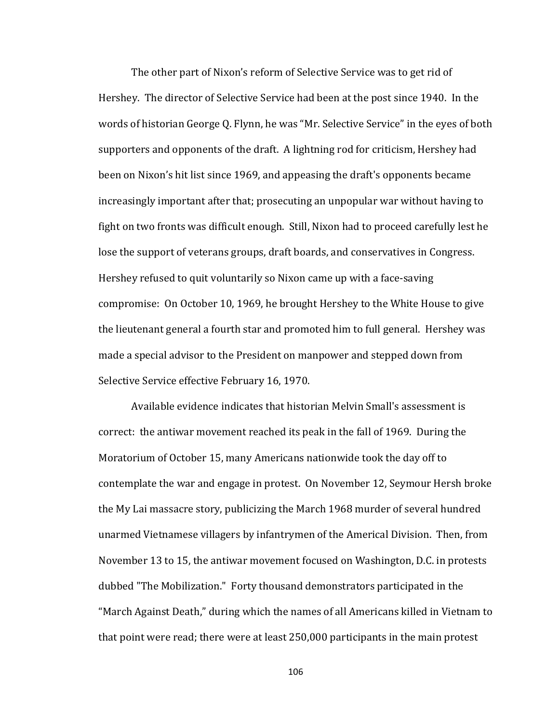The other part of Nixon's reform of Selective Service was to get rid of Hershey. The director of Selective Service had been at the post since 1940. In the words of historian George Q. Flynn, he was "Mr. Selective Service" in the eyes of both supporters and opponents of the draft. A lightning rod for criticism, Hershey had been on Nixon's hit list since 1969, and appeasing the draft's opponents became increasingly important after that; prosecuting an unpopular war without having to fight on two fronts was difficult enough. Still, Nixon had to proceed carefully lest he lose the support of veterans groups, draft boards, and conservatives in Congress. Hershey refused to quit voluntarily so Nixon came up with a face-saving compromise: On October 10, 1969, he brought Hershey to the White House to give the lieutenant general a fourth star and promoted him to full general. Hershey was made a special advisor to the President on manpower and stepped down from Selective Service effective February 16, 1970.

Available evidence indicates that historian Melvin Small's assessment is correct: the antiwar movement reached its peak in the fall of 1969. During the Moratorium of October 15, many Americans nationwide took the day off to contemplate the war and engage in protest. On November 12, Seymour Hersh broke the My Lai massacre story, publicizing the March 1968 murder of several hundred unarmed Vietnamese villagers by infantrymen of the Americal Division. Then, from November 13 to 15, the antiwar movement focused on Washington, D.C. in protests dubbed "The Mobilization." Forty thousand demonstrators participated in the "March Against Death," during which the names of all Americans killed in Vietnam to that point were read; there were at least 250,000 participants in the main protest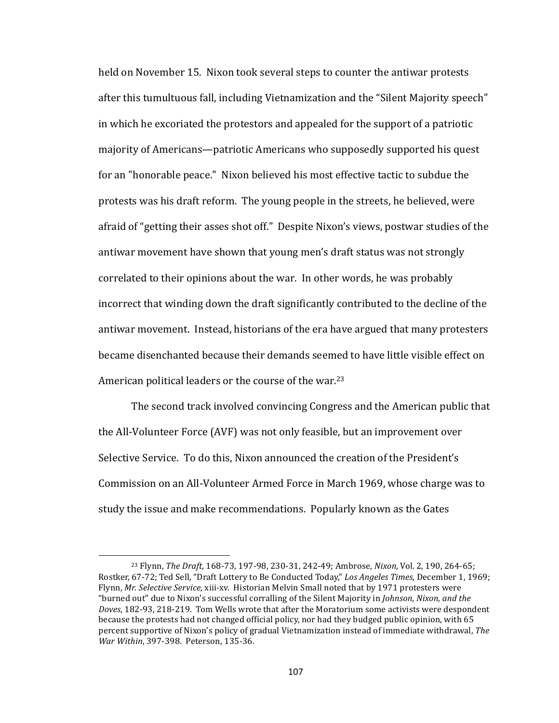held on November 15. Nixon took several steps to counter the antiwar protests after this tumultuous fall, including Vietnamization and the "Silent Majority speech" in which he excoriated the protestors and appealed for the support of a patriotic majority of Americans—patriotic Americans who supposedly supported his quest for an "honorable peace." Nixon believed his most effective tactic to subdue the protests was his draft reform. The young people in the streets, he believed, were afraid of "getting their asses shot off." Despite Nixon's views, postwar studies of the antiwar movement have shown that young men's draft status was not strongly correlated to their opinions about the war. In other words, he was probably incorrect that winding down the draft significantly contributed to the decline of the antiwar movement. Instead, historians of the era have argued that many protesters became disenchanted because their demands seemed to have little visible effect on American political leaders or the course of the war.<sup>23</sup>

The second track involved convincing Congress and the American public that the All-Volunteer Force (AVF) was not only feasible, but an improvement over Selective Service. To do this, Nixon announced the creation of the President's Commission on an All-Volunteer Armed Force in March 1969, whose charge was to study the issue and make recommendations. Popularly known as the Gates

<sup>&</sup>lt;sup>23</sup> Flynn, *The Draft*, 168-73, 197-98, 230-31, 242-49; Ambrose, *Nixon*, Vol. 2, 190, 264-65; Rostker, 67-72; Ted Sell, "Draft Lottery to Be Conducted Today," Los Angeles Times, December 1, 1969; Flynn, *Mr. Selective Service*, xiii-xv. Historian Melvin Small noted that by 1971 protesters were "burned out" due to Nixon's successful corralling of the Silent Majority in *Johnson, Nixon, and the Doves*, 182-93, 218-219. Tom Wells wrote that after the Moratorium some activists were despondent because the protests had not changed official policy, nor had they budged public opinion, with 65 percent supportive of Nixon's policy of gradual Vietnamization instead of immediate withdrawal, *The War Within, 397-398. Peterson, 135-36.*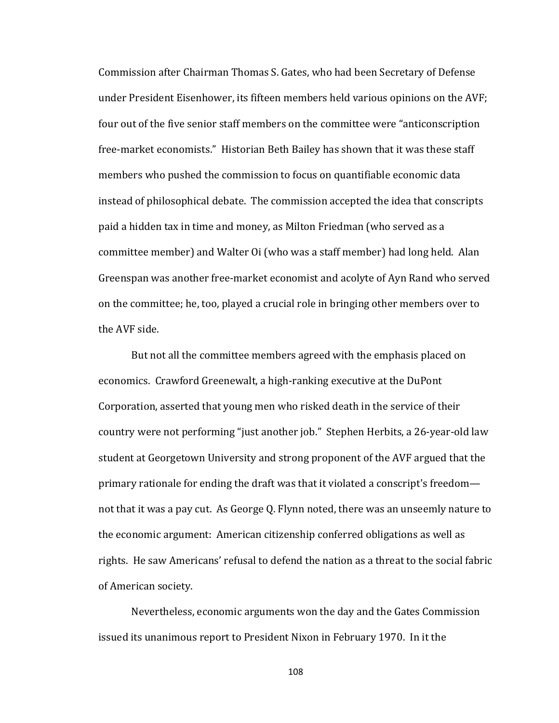Commission after Chairman Thomas S. Gates, who had been Secretary of Defense under President Eisenhower, its fifteen members held various opinions on the AVF; four out of the five senior staff members on the committee were "anticonscription" free-market economists." Historian Beth Bailey has shown that it was these staff members who pushed the commission to focus on quantifiable economic data instead of philosophical debate. The commission accepted the idea that conscripts paid a hidden tax in time and money, as Milton Friedman (who served as a committee member) and Walter Oi (who was a staff member) had long held. Alan Greenspan was another free-market economist and acolyte of Ayn Rand who served on the committee; he, too, played a crucial role in bringing other members over to the AVF side.

But not all the committee members agreed with the emphasis placed on economics. Crawford Greenewalt, a high-ranking executive at the DuPont Corporation, asserted that young men who risked death in the service of their country were not performing "just another job." Stephen Herbits, a 26-year-old law student at Georgetown University and strong proponent of the AVF argued that the primary rationale for ending the draft was that it violated a conscript's freedom not that it was a pay cut. As George Q. Flynn noted, there was an unseemly nature to the economic argument: American citizenship conferred obligations as well as rights. He saw Americans' refusal to defend the nation as a threat to the social fabric of American society.

Nevertheless, economic arguments won the day and the Gates Commission issued its unanimous report to President Nixon in February 1970. In it the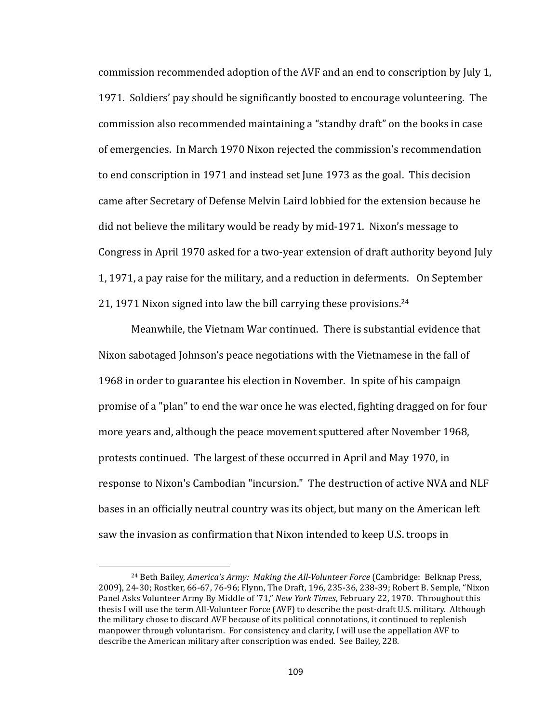commission recommended adoption of the AVF and an end to conscription by July 1, 1971. Soldiers' pay should be significantly boosted to encourage volunteering. The commission also recommended maintaining a "standby draft" on the books in case of emergencies. In March 1970 Nixon rejected the commission's recommendation to end conscription in 1971 and instead set June 1973 as the goal. This decision came after Secretary of Defense Melvin Laird lobbied for the extension because he did not believe the military would be ready by mid-1971. Nixon's message to Congress in April 1970 asked for a two-year extension of draft authority beyond July 1, 1971, a pay raise for the military, and a reduction in deferments. On September 21, 1971 Nixon signed into law the bill carrying these provisions.<sup>24</sup>

Meanwhile, the Vietnam War continued. There is substantial evidence that Nixon sabotaged Johnson's peace negotiations with the Vietnamese in the fall of 1968 in order to guarantee his election in November. In spite of his campaign promise of a "plan" to end the war once he was elected, fighting dragged on for four more years and, although the peace movement sputtered after November 1968, protests continued. The largest of these occurred in April and May 1970, in response to Nixon's Cambodian "incursion." The destruction of active NVA and NLF bases in an officially neutral country was its object, but many on the American left saw the invasion as confirmation that Nixon intended to keep U.S. troops in

<sup>&</sup>lt;sup>24</sup> Beth Bailey, *America's Army: Making the All-Volunteer Force* (Cambridge: Belknap Press, 2009), 24-30; Rostker, 66-67, 76-96; Flynn, The Draft, 196, 235-36, 238-39; Robert B. Semple, "Nixon Panel Asks Volunteer Army By Middle of '71," *New York Times*, February 22, 1970. Throughout this thesis I will use the term All-Volunteer Force (AVF) to describe the post-draft U.S. military. Although the military chose to discard AVF because of its political connotations, it continued to replenish manpower through voluntarism. For consistency and clarity, I will use the appellation AVF to describe the American military after conscription was ended. See Bailey, 228.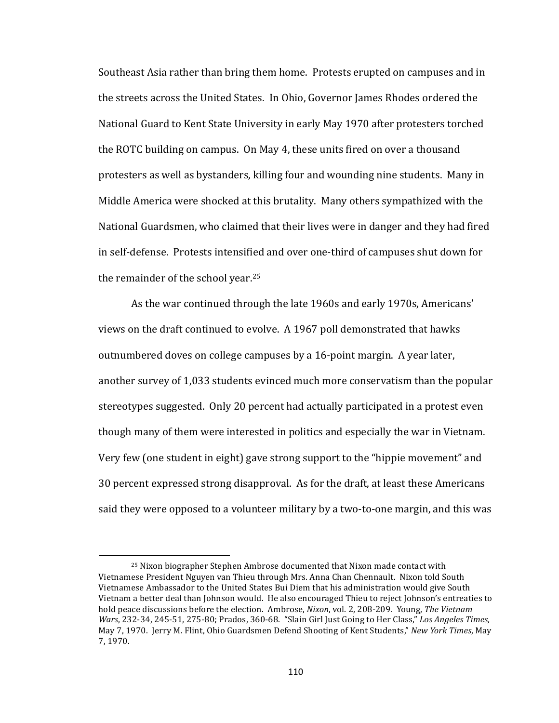Southeast Asia rather than bring them home. Protests erupted on campuses and in the streets across the United States. In Ohio, Governor James Rhodes ordered the National Guard to Kent State University in early May 1970 after protesters torched the ROTC building on campus. On May 4, these units fired on over a thousand protesters as well as bystanders, killing four and wounding nine students. Many in Middle America were shocked at this brutality. Many others sympathized with the National Guardsmen, who claimed that their lives were in danger and they had fired in self-defense. Protests intensified and over one-third of campuses shut down for the remainder of the school year.<sup>25</sup>

As the war continued through the late 1960s and early 1970s, Americans' views on the draft continued to evolve. A 1967 poll demonstrated that hawks outnumbered doves on college campuses by a 16-point margin. A year later, another survey of 1,033 students evinced much more conservatism than the popular stereotypes suggested. Only 20 percent had actually participated in a protest even though many of them were interested in politics and especially the war in Vietnam. Very few (one student in eight) gave strong support to the "hippie movement" and 30 percent expressed strong disapproval. As for the draft, at least these Americans said they were opposed to a volunteer military by a two-to-one margin, and this was

 $25$  Nixon biographer Stephen Ambrose documented that Nixon made contact with Vietnamese President Nguyen van Thieu through Mrs. Anna Chan Chennault. Nixon told South Vietnamese Ambassador to the United States Bui Diem that his administration would give South Vietnam a better deal than Johnson would. He also encouraged Thieu to reject Johnson's entreaties to hold peace discussions before the election. Ambrose, *Nixon*, vol. 2, 208-209. Young, *The Vietnam Wars*, 232-34, 245-51, 275-80; Prados, 360-68. "Slain Girl Just Going to Her Class," Los Angeles Times, May 7, 1970. Jerry M. Flint, Ohio Guardsmen Defend Shooting of Kent Students," *New York Times*, May 7, 1970.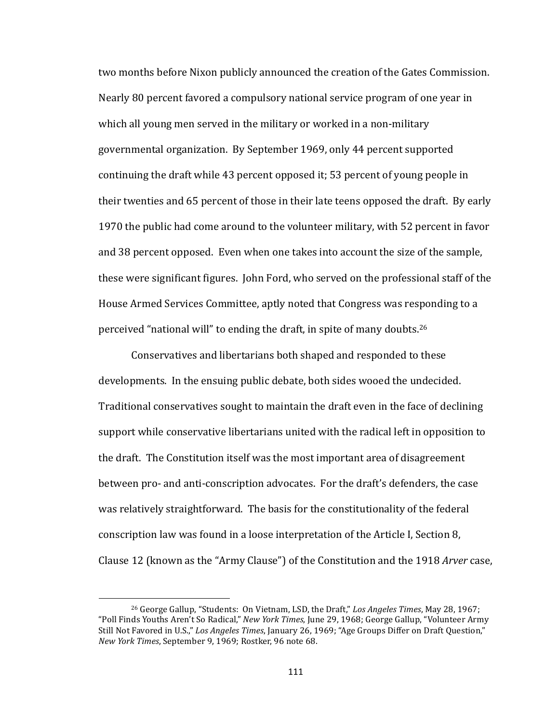two months before Nixon publicly announced the creation of the Gates Commission. Nearly 80 percent favored a compulsory national service program of one year in which all young men served in the military or worked in a non-military governmental organization. By September 1969, only 44 percent supported continuing the draft while 43 percent opposed it; 53 percent of young people in their twenties and 65 percent of those in their late teens opposed the draft. By early 1970 the public had come around to the volunteer military, with 52 percent in favor and 38 percent opposed. Even when one takes into account the size of the sample, these were significant figures. John Ford, who served on the professional staff of the House Armed Services Committee, aptly noted that Congress was responding to a perceived "national will" to ending the draft, in spite of many doubts.<sup>26</sup>

Conservatives and libertarians both shaped and responded to these developments. In the ensuing public debate, both sides wooed the undecided. Traditional conservatives sought to maintain the draft even in the face of declining support while conservative libertarians united with the radical left in opposition to the draft. The Constitution itself was the most important area of disagreement between pro- and anti-conscription advocates. For the draft's defenders, the case was relatively straightforward. The basis for the constitutionality of the federal conscription law was found in a loose interpretation of the Article I, Section 8, Clause 12 (known as the "Army Clause") of the Constitution and the 1918 *Arver* case,

<sup>&</sup>lt;sup>26</sup> George Gallup, "Students: On Vietnam, LSD, the Draft," Los Angeles Times, May 28, 1967; "Poll Finds Youths Aren't So Radical," *New York Times*, June 29, 1968; George Gallup, "Volunteer Army Still Not Favored in U.S.," Los *Angeles Times*, January 26, 1969; "Age Groups Differ on Draft Question," *New York Times*, September 9, 1969; Rostker, 96 note 68.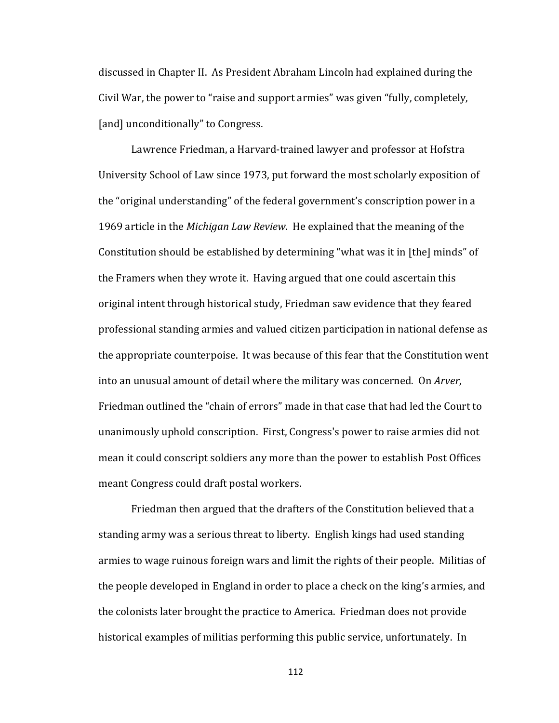discussed in Chapter II. As President Abraham Lincoln had explained during the Civil War, the power to "raise and support armies" was given "fully, completely, [and] unconditionally" to Congress.

Lawrence Friedman, a Harvard-trained lawyer and professor at Hofstra University School of Law since 1973, put forward the most scholarly exposition of the "original understanding" of the federal government's conscription power in a 1969 article in the *Michigan Law Review*. He explained that the meaning of the Constitution should be established by determining "what was it in [the] minds" of the Framers when they wrote it. Having argued that one could ascertain this original intent through historical study, Friedman saw evidence that they feared professional standing armies and valued citizen participation in national defense as the appropriate counterpoise. It was because of this fear that the Constitution went into an unusual amount of detail where the military was concerned. On *Arver*, Friedman outlined the "chain of errors" made in that case that had led the Court to unanimously uphold conscription. First, Congress's power to raise armies did not mean it could conscript soldiers any more than the power to establish Post Offices meant Congress could draft postal workers.

Friedman then argued that the drafters of the Constitution believed that a standing army was a serious threat to liberty. English kings had used standing armies to wage ruinous foreign wars and limit the rights of their people. Militias of the people developed in England in order to place a check on the king's armies, and the colonists later brought the practice to America. Friedman does not provide historical examples of militias performing this public service, unfortunately. In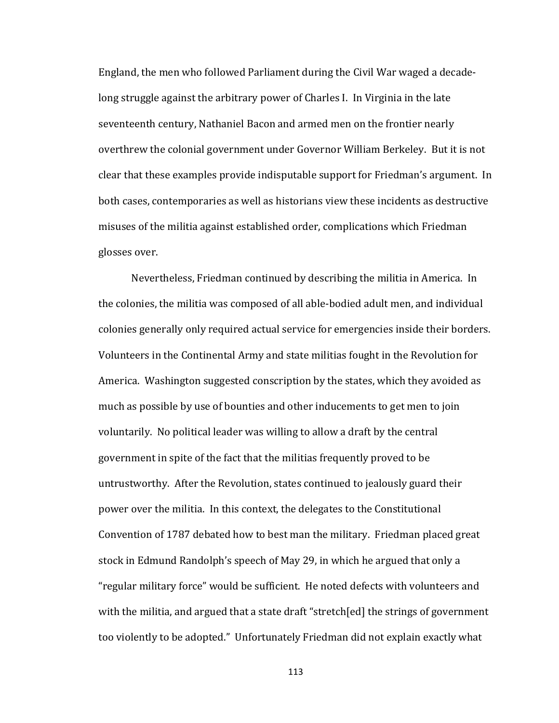England, the men who followed Parliament during the Civil War waged a decadelong struggle against the arbitrary power of Charles I. In Virginia in the late seventeenth century, Nathaniel Bacon and armed men on the frontier nearly overthrew the colonial government under Governor William Berkeley. But it is not clear that these examples provide indisputable support for Friedman's argument. In both cases, contemporaries as well as historians view these incidents as destructive misuses of the militia against established order, complications which Friedman glosses over.

Nevertheless, Friedman continued by describing the militia in America. In the colonies, the militia was composed of all able-bodied adult men, and individual colonies generally only required actual service for emergencies inside their borders. Volunteers in the Continental Army and state militias fought in the Revolution for America. Washington suggested conscription by the states, which they avoided as much as possible by use of bounties and other inducements to get men to join voluntarily. No political leader was willing to allow a draft by the central government in spite of the fact that the militias frequently proved to be untrustworthy. After the Revolution, states continued to jealously guard their power over the militia. In this context, the delegates to the Constitutional Convention of 1787 debated how to best man the military. Friedman placed great stock in Edmund Randolph's speech of May 29, in which he argued that only a "regular military force" would be sufficient. He noted defects with volunteers and with the militia, and argued that a state draft "stretch[ed] the strings of government too violently to be adopted." Unfortunately Friedman did not explain exactly what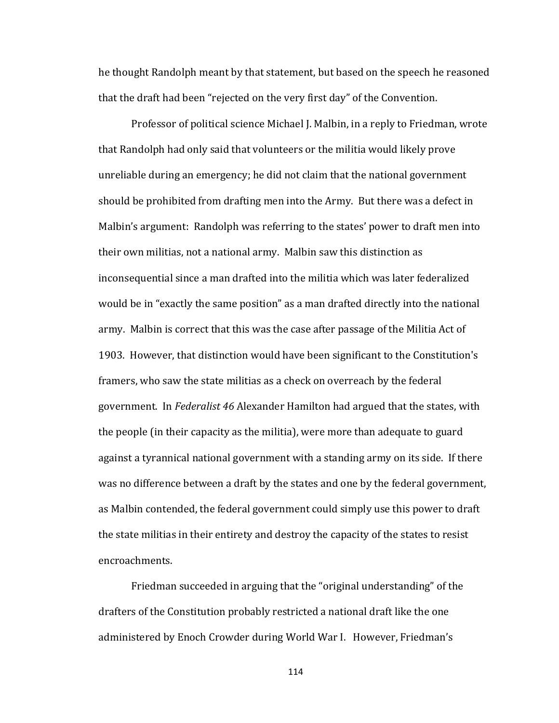he thought Randolph meant by that statement, but based on the speech he reasoned that the draft had been "rejected on the very first day" of the Convention.

Professor of political science Michael J. Malbin, in a reply to Friedman, wrote that Randolph had only said that volunteers or the militia would likely prove unreliable during an emergency; he did not claim that the national government should be prohibited from drafting men into the Army. But there was a defect in Malbin's argument: Randolph was referring to the states' power to draft men into their own militias, not a national army. Malbin saw this distinction as inconsequential since a man drafted into the militia which was later federalized would be in "exactly the same position" as a man drafted directly into the national army. Malbin is correct that this was the case after passage of the Militia Act of 1903. However, that distinction would have been significant to the Constitution's framers, who saw the state militias as a check on overreach by the federal government. In *Federalist* 46 Alexander Hamilton had argued that the states, with the people (in their capacity as the militia), were more than adequate to guard against a tyrannical national government with a standing army on its side. If there was no difference between a draft by the states and one by the federal government, as Malbin contended, the federal government could simply use this power to draft the state militias in their entirety and destroy the capacity of the states to resist encroachments.

Friedman succeeded in arguing that the "original understanding" of the drafters of the Constitution probably restricted a national draft like the one administered by Enoch Crowder during World War I. However, Friedman's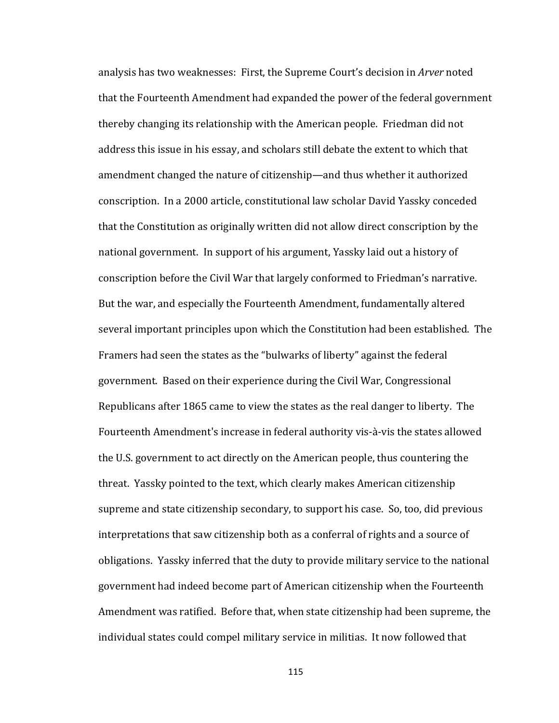analysis has two weaknesses: First, the Supreme Court's decision in *Arver* noted that the Fourteenth Amendment had expanded the power of the federal government thereby changing its relationship with the American people. Friedman did not address this issue in his essay, and scholars still debate the extent to which that amendment changed the nature of citizenship—and thus whether it authorized conscription. In a 2000 article, constitutional law scholar David Yassky conceded that the Constitution as originally written did not allow direct conscription by the national government. In support of his argument, Yassky laid out a history of conscription before the Civil War that largely conformed to Friedman's narrative. But the war, and especially the Fourteenth Amendment, fundamentally altered several important principles upon which the Constitution had been established. The Framers had seen the states as the "bulwarks of liberty" against the federal government. Based on their experience during the Civil War, Congressional Republicans after 1865 came to view the states as the real danger to liberty. The Fourteenth Amendment's increase in federal authority vis-à-vis the states allowed the U.S. government to act directly on the American people, thus countering the threat. Yassky pointed to the text, which clearly makes American citizenship supreme and state citizenship secondary, to support his case. So, too, did previous interpretations that saw citizenship both as a conferral of rights and a source of obligations. Yassky inferred that the duty to provide military service to the national government had indeed become part of American citizenship when the Fourteenth Amendment was ratified. Before that, when state citizenship had been supreme, the individual states could compel military service in militias. It now followed that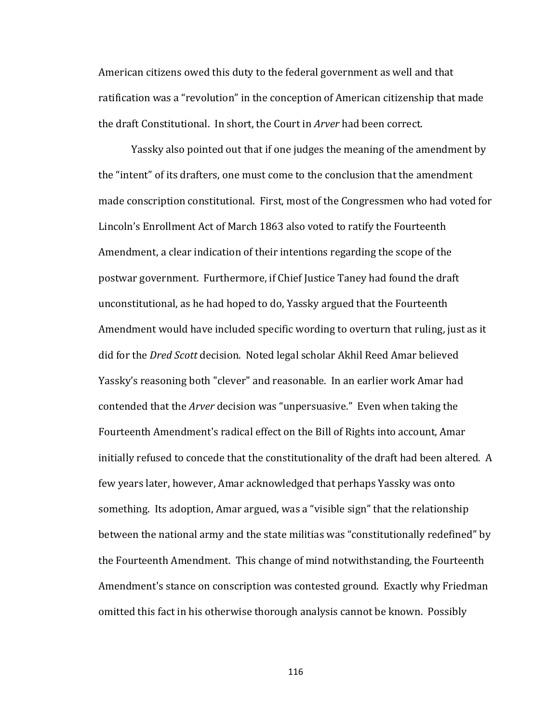American citizens owed this duty to the federal government as well and that ratification was a "revolution" in the conception of American citizenship that made the draft Constitutional. In short, the Court in *Arver* had been correct.

Yassky also pointed out that if one judges the meaning of the amendment by the "intent" of its drafters, one must come to the conclusion that the amendment made conscription constitutional. First, most of the Congressmen who had voted for Lincoln's Enrollment Act of March 1863 also voted to ratify the Fourteenth Amendment, a clear indication of their intentions regarding the scope of the postwar government. Furthermore, if Chief Justice Taney had found the draft unconstitutional, as he had hoped to do, Yassky argued that the Fourteenth Amendment would have included specific wording to overturn that ruling, just as it did for the *Dred Scott* decision. Noted legal scholar Akhil Reed Amar believed Yassky's reasoning both "clever" and reasonable. In an earlier work Amar had contended that the *Arver* decision was "unpersuasive." Even when taking the Fourteenth Amendment's radical effect on the Bill of Rights into account, Amar initially refused to concede that the constitutionality of the draft had been altered. A few years later, however, Amar acknowledged that perhaps Yassky was onto something. Its adoption, Amar argued, was a "visible sign" that the relationship between the national army and the state militias was "constitutionally redefined" by the Fourteenth Amendment. This change of mind notwithstanding, the Fourteenth Amendment's stance on conscription was contested ground. Exactly why Friedman omitted this fact in his otherwise thorough analysis cannot be known. Possibly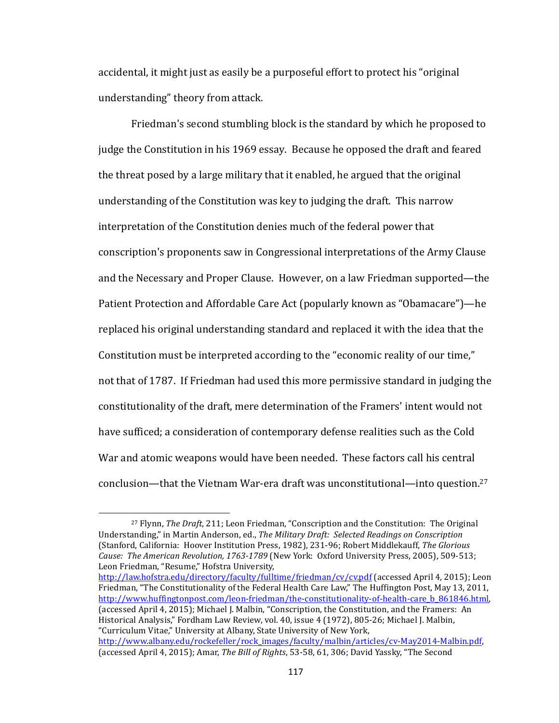accidental, it might just as easily be a purposeful effort to protect his "original understanding" theory from attack.

Friedman's second stumbling block is the standard by which he proposed to judge the Constitution in his 1969 essay. Because he opposed the draft and feared the threat posed by a large military that it enabled, he argued that the original understanding of the Constitution was key to judging the draft. This narrow interpretation of the Constitution denies much of the federal power that conscription's proponents saw in Congressional interpretations of the Army Clause and the Necessary and Proper Clause. However, on a law Friedman supported—the Patient Protection and Affordable Care Act (popularly known as "Obamacare")—he replaced his original understanding standard and replaced it with the idea that the Constitution must be interpreted according to the "economic reality of our time," not that of 1787. If Friedman had used this more permissive standard in judging the constitutionality of the draft, mere determination of the Framers' intent would not have sufficed; a consideration of contemporary defense realities such as the Cold War and atomic weapons would have been needed. These factors call his central conclusion—that the Vietnam War-era draft was unconstitutional—into question.<sup>27</sup>

 $\overline{\phantom{a}}$ 

http://law.hofstra.edu/directory/faculty/fulltime/friedman/cv/cv.pdf (accessed April 4, 2015); Leon Friedman, "The Constitutionality of the Federal Health Care Law," The Huffington Post, May 13, 2011, http://www.huffingtonpost.com/leon-friedman/the-constitutionality-of-health-care\_b\_861846.html, (accessed April 4, 2015); Michael J. Malbin, "Conscription, the Constitution, and the Framers: An Historical Analysis," Fordham Law Review, vol. 40, issue 4 (1972), 805-26; Michael J. Malbin, "Curriculum Vitae," University at Albany, State University of New York, http://www.albany.edu/rockefeller/rock\_images/faculty/malbin/articles/cv-May2014-Malbin.pdf, (accessed April 4, 2015); Amar, *The Bill of Rights*, 53-58, 61, 306; David Yassky, "The Second

<sup>&</sup>lt;sup>27</sup> Flynn, *The Draft*, 211; Leon Friedman, "Conscription and the Constitution: The Original Understanding," in Martin Anderson, ed., *The Military Draft: Selected Readings on Conscription* (Stanford, California: Hoover Institution Press, 1982), 231-96; Robert Middlekauff, *The Glorious* Cause: The American Revolution, 1763-1789 (New York: Oxford University Press, 2005), 509-513; Leon Friedman, "Resume," Hofstra University,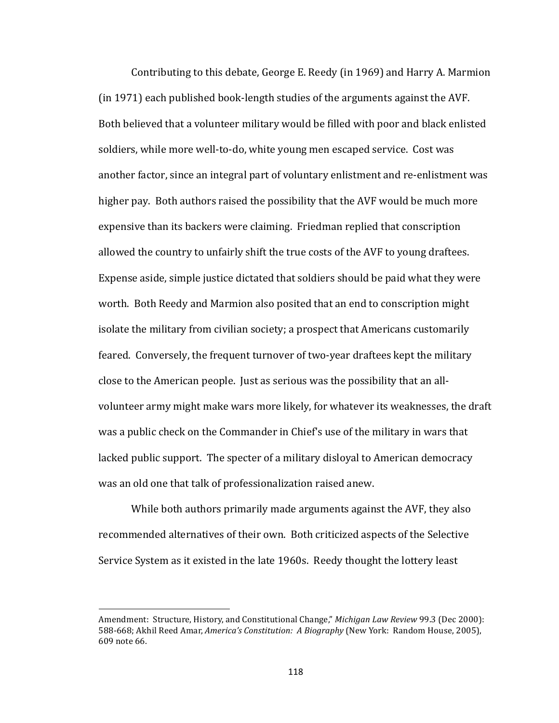Contributing to this debate, George E. Reedy (in 1969) and Harry A. Marmion (in 1971) each published book-length studies of the arguments against the AVF. Both believed that a volunteer military would be filled with poor and black enlisted soldiers, while more well-to-do, white young men escaped service. Cost was another factor, since an integral part of voluntary enlistment and re-enlistment was higher pay. Both authors raised the possibility that the AVF would be much more expensive than its backers were claiming. Friedman replied that conscription allowed the country to unfairly shift the true costs of the AVF to young draftees. Expense aside, simple justice dictated that soldiers should be paid what they were worth. Both Reedy and Marmion also posited that an end to conscription might isolate the military from civilian society; a prospect that Americans customarily feared. Conversely, the frequent turnover of two-year draftees kept the military close to the American people. Just as serious was the possibility that an allvolunteer army might make wars more likely, for whatever its weaknesses, the draft was a public check on the Commander in Chief's use of the military in wars that lacked public support. The specter of a military disloyal to American democracy was an old one that talk of professionalization raised anew.

While both authors primarily made arguments against the AVF, they also recommended alternatives of their own. Both criticized aspects of the Selective Service System as it existed in the late 1960s. Reedy thought the lottery least

Amendment: Structure, History, and Constitutional Change," *Michigan Law Review* 99.3 (Dec 2000): 588-668; Akhil Reed Amar, *America's Constitution: A Biography* (New York: Random House, 2005), 609 note 66.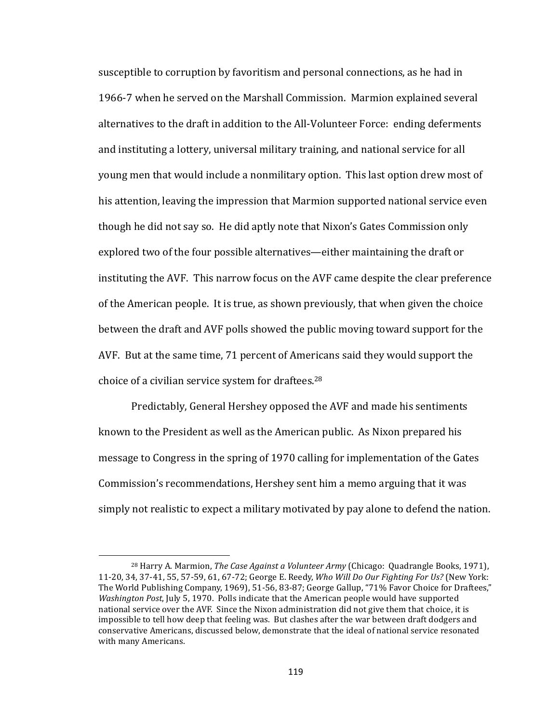susceptible to corruption by favoritism and personal connections, as he had in 1966-7 when he served on the Marshall Commission. Marmion explained several alternatives to the draft in addition to the All-Volunteer Force: ending deferments and instituting a lottery, universal military training, and national service for all young men that would include a nonmilitary option. This last option drew most of his attention, leaving the impression that Marmion supported national service even though he did not say so. He did aptly note that Nixon's Gates Commission only explored two of the four possible alternatives—either maintaining the draft or instituting the AVF. This narrow focus on the AVF came despite the clear preference of the American people. It is true, as shown previously, that when given the choice between the draft and AVF polls showed the public moving toward support for the AVF. But at the same time, 71 percent of Americans said they would support the choice of a civilian service system for draftees.<sup>28</sup>

Predictably, General Hershey opposed the AVF and made his sentiments known to the President as well as the American public. As Nixon prepared his message to Congress in the spring of 1970 calling for implementation of the Gates Commission's recommendations, Hershey sent him a memo arguing that it was simply not realistic to expect a military motivated by pay alone to defend the nation.

<sup>&</sup>lt;sup>28</sup> Harry A. Marmion, *The Case Against a Volunteer Army* (Chicago: Quadrangle Books, 1971), 11-20, 34, 37-41, 55, 57-59, 61, 67-72; George E. Reedy, *Who Will Do Our Fighting For Us?* (New York: The World Publishing Company, 1969), 51-56, 83-87; George Gallup, "71% Favor Choice for Draftees," *Washington Post,* July 5, 1970. Polls indicate that the American people would have supported national service over the AVF. Since the Nixon administration did not give them that choice, it is impossible to tell how deep that feeling was. But clashes after the war between draft dodgers and conservative Americans, discussed below, demonstrate that the ideal of national service resonated with many Americans.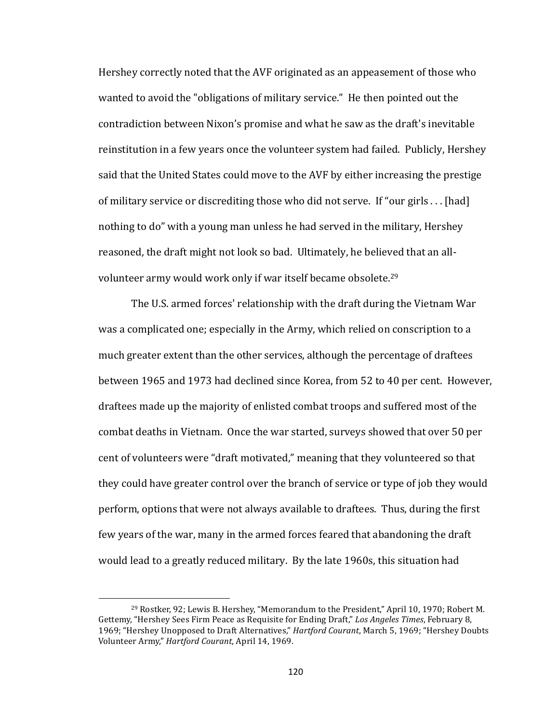Hershey correctly noted that the AVF originated as an appeasement of those who wanted to avoid the "obligations of military service." He then pointed out the contradiction between Nixon's promise and what he saw as the draft's inevitable reinstitution in a few years once the volunteer system had failed. Publicly, Hershey said that the United States could move to the AVF by either increasing the prestige of military service or discrediting those who did not serve. If "our girls ... [had] nothing to do" with a young man unless he had served in the military, Hershey reasoned, the draft might not look so bad. Ultimately, he believed that an allvolunteer army would work only if war itself became obsolete.<sup>29</sup>

The U.S. armed forces' relationship with the draft during the Vietnam War was a complicated one; especially in the Army, which relied on conscription to a much greater extent than the other services, although the percentage of draftees between 1965 and 1973 had declined since Korea, from 52 to 40 per cent. However, draftees made up the majority of enlisted combat troops and suffered most of the combat deaths in Vietnam. Once the war started, surveys showed that over 50 per cent of volunteers were "draft motivated," meaning that they volunteered so that they could have greater control over the branch of service or type of job they would perform, options that were not always available to draftees. Thus, during the first few years of the war, many in the armed forces feared that abandoning the draft would lead to a greatly reduced military. By the late 1960s, this situation had

<sup>&</sup>lt;sup>29</sup> Rostker, 92; Lewis B. Hershey, "Memorandum to the President," April 10, 1970; Robert M. Gettemy, "Hershey Sees Firm Peace as Requisite for Ending Draft," Los Angeles Times, February 8, 1969; "Hershey Unopposed to Draft Alternatives," *Hartford Courant*, March 5, 1969; "Hershey Doubts Volunteer Army," *Hartford Courant*, April 14, 1969.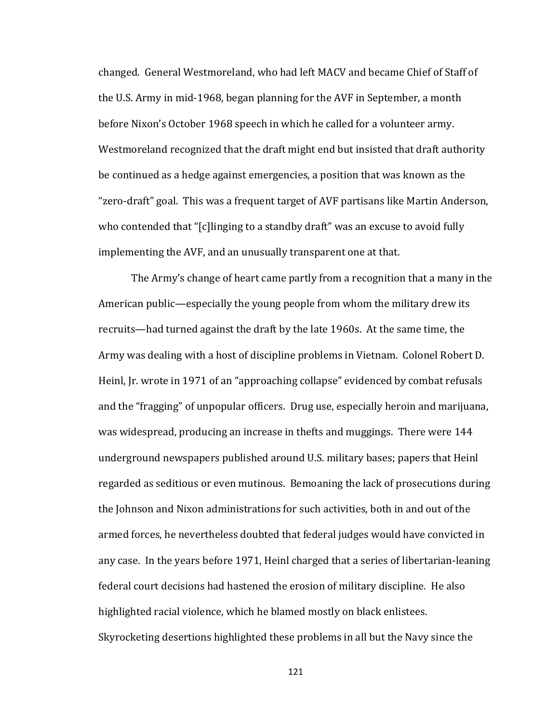changed. General Westmoreland, who had left MACV and became Chief of Staff of the U.S. Army in mid-1968, began planning for the AVF in September, a month before Nixon's October 1968 speech in which he called for a volunteer army. Westmoreland recognized that the draft might end but insisted that draft authority be continued as a hedge against emergencies, a position that was known as the "zero-draft" goal. This was a frequent target of AVF partisans like Martin Anderson, who contended that "[c]linging to a standby draft" was an excuse to avoid fully implementing the AVF, and an unusually transparent one at that.

The Army's change of heart came partly from a recognition that a many in the American public—especially the young people from whom the military drew its recruits—had turned against the draft by the late 1960s. At the same time, the Army was dealing with a host of discipline problems in Vietnam. Colonel Robert D. Heinl, Jr. wrote in 1971 of an "approaching collapse" evidenced by combat refusals and the "fragging" of unpopular officers. Drug use, especially heroin and marijuana, was widespread, producing an increase in thefts and muggings. There were 144 underground newspapers published around U.S. military bases; papers that Heinl regarded as seditious or even mutinous. Bemoaning the lack of prosecutions during the Johnson and Nixon administrations for such activities, both in and out of the armed forces, he nevertheless doubted that federal judges would have convicted in any case. In the years before 1971, Heinl charged that a series of libertarian-leaning federal court decisions had hastened the erosion of military discipline. He also highlighted racial violence, which he blamed mostly on black enlistees. Skyrocketing desertions highlighted these problems in all but the Navy since the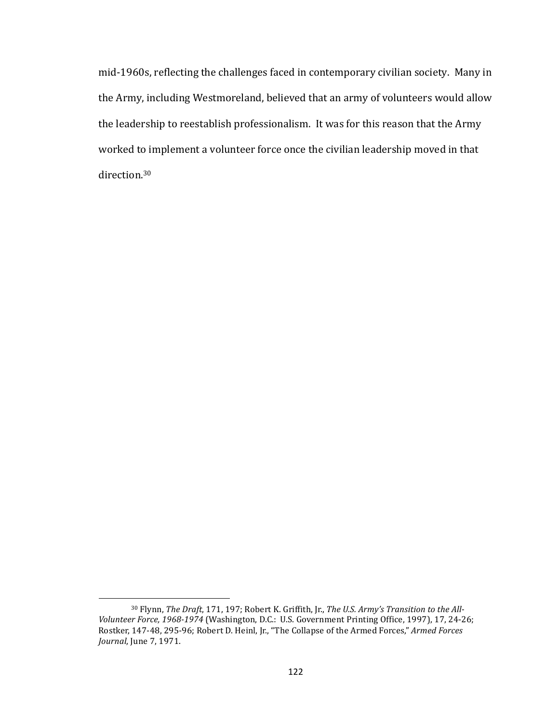mid-1960s, reflecting the challenges faced in contemporary civilian society. Many in the Army, including Westmoreland, believed that an army of volunteers would allow the leadership to reestablish professionalism. It was for this reason that the Army worked to implement a volunteer force once the civilian leadership moved in that direction. 30

<sup>&</sup>lt;sup>30</sup> Flynn, *The Draft*, 171, 197; Robert K. Griffith, Jr., *The U.S. Army's Transition to the All-*Volunteer Force, 1968-1974 (Washington, D.C.: U.S. Government Printing Office, 1997), 17, 24-26; Rostker, 147-48, 295-96; Robert D. Heinl, Jr., "The Collapse of the Armed Forces," Armed Forces *Journal*, June 7, 1971.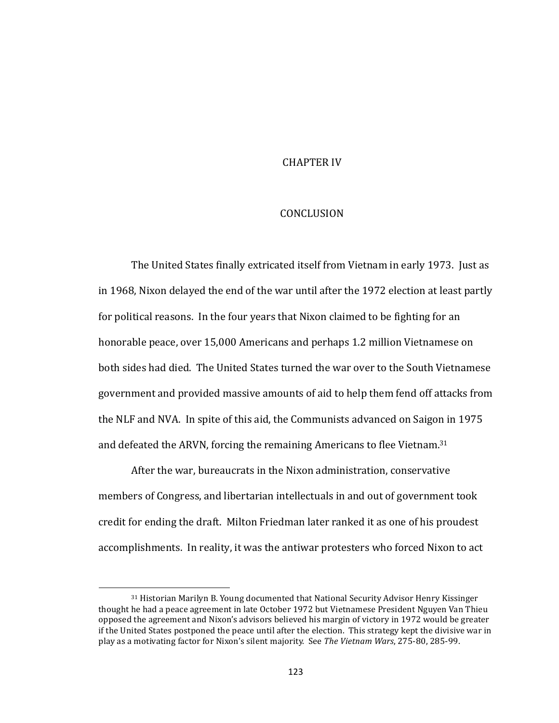## **CHAPTER IV**

## **CONCLUSION**

The United States finally extricated itself from Vietnam in early 1973. Just as in 1968, Nixon delayed the end of the war until after the 1972 election at least partly for political reasons. In the four years that Nixon claimed to be fighting for an honorable peace, over 15,000 Americans and perhaps 1.2 million Vietnamese on both sides had died. The United States turned the war over to the South Vietnamese government and provided massive amounts of aid to help them fend off attacks from the NLF and NVA. In spite of this aid, the Communists advanced on Saigon in 1975 and defeated the ARVN, forcing the remaining Americans to flee Vietnam.<sup>31</sup>

After the war, bureaucrats in the Nixon administration, conservative members of Congress, and libertarian intellectuals in and out of government took credit for ending the draft. Milton Friedman later ranked it as one of his proudest accomplishments. In reality, it was the antiwar protesters who forced Nixon to act

 $\overline{a}$ 

<sup>&</sup>lt;sup>31</sup> Historian Marilyn B. Young documented that National Security Advisor Henry Kissinger thought he had a peace agreement in late October 1972 but Vietnamese President Nguyen Van Thieu opposed the agreement and Nixon's advisors believed his margin of victory in 1972 would be greater if the United States postponed the peace until after the election. This strategy kept the divisive war in play as a motivating factor for Nixon's silent majority. See *The Vietnam Wars*, 275-80, 285-99.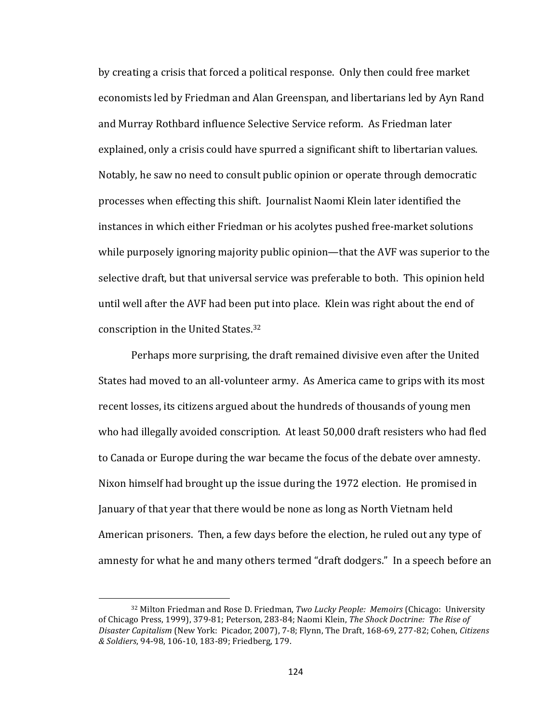by creating a crisis that forced a political response. Only then could free market economists led by Friedman and Alan Greenspan, and libertarians led by Ayn Rand and Murray Rothbard influence Selective Service reform. As Friedman later explained, only a crisis could have spurred a significant shift to libertarian values. Notably, he saw no need to consult public opinion or operate through democratic processes when effecting this shift. Journalist Naomi Klein later identified the instances in which either Friedman or his acolytes pushed free-market solutions while purposely ignoring majority public opinion—that the AVF was superior to the selective draft, but that universal service was preferable to both. This opinion held until well after the AVF had been put into place. Klein was right about the end of conscription in the United States.<sup>32</sup>

Perhaps more surprising, the draft remained divisive even after the United States had moved to an all-volunteer army. As America came to grips with its most recent losses, its citizens argued about the hundreds of thousands of young men who had illegally avoided conscription. At least 50,000 draft resisters who had fled to Canada or Europe during the war became the focus of the debate over amnesty. Nixon himself had brought up the issue during the 1972 election. He promised in January of that year that there would be none as long as North Vietnam held American prisoners. Then, a few days before the election, he ruled out any type of amnesty for what he and many others termed "draft dodgers." In a speech before an

<sup>32</sup> Milton Friedman and Rose D. Friedman, *Two Lucky People: Memoirs* (Chicago: University of Chicago Press, 1999), 379-81; Peterson, 283-84; Naomi Klein, *The Shock Doctrine: The Rise of* Disaster Capitalism (New York: Picador, 2007), 7-8; Flynn, The Draft, 168-69, 277-82; Cohen, Citizens *& Soldiers*, 94-98, 106-10, 183-89; Friedberg, 179.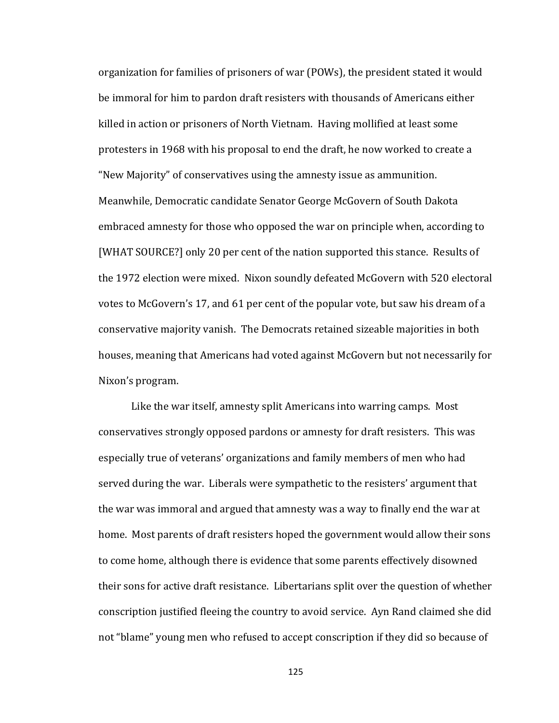organization for families of prisoners of war (POWs), the president stated it would be immoral for him to pardon draft resisters with thousands of Americans either killed in action or prisoners of North Vietnam. Having mollified at least some protesters in 1968 with his proposal to end the draft, he now worked to create a "New Majority" of conservatives using the amnesty issue as ammunition. Meanwhile, Democratic candidate Senator George McGovern of South Dakota embraced amnesty for those who opposed the war on principle when, according to [WHAT SOURCE?] only 20 per cent of the nation supported this stance. Results of the 1972 election were mixed. Nixon soundly defeated McGovern with 520 electoral votes to McGovern's 17, and 61 per cent of the popular vote, but saw his dream of a conservative majority vanish. The Democrats retained sizeable majorities in both houses, meaning that Americans had voted against McGovern but not necessarily for Nixon's program.

Like the war itself, amnesty split Americans into warring camps. Most conservatives strongly opposed pardons or amnesty for draft resisters. This was especially true of veterans' organizations and family members of men who had served during the war. Liberals were sympathetic to the resisters' argument that the war was immoral and argued that amnesty was a way to finally end the war at home. Most parents of draft resisters hoped the government would allow their sons to come home, although there is evidence that some parents effectively disowned their sons for active draft resistance. Libertarians split over the question of whether conscription justified fleeing the country to avoid service. Ayn Rand claimed she did not "blame" young men who refused to accept conscription if they did so because of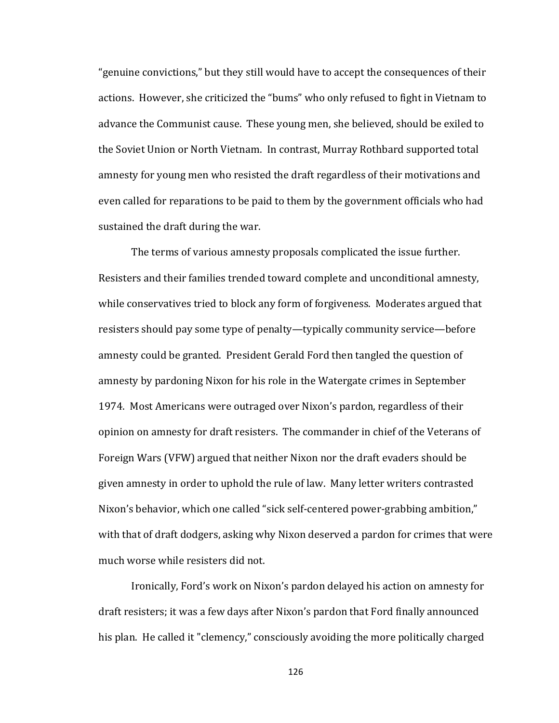"genuine convictions," but they still would have to accept the consequences of their actions. However, she criticized the "bums" who only refused to fight in Vietnam to advance the Communist cause. These young men, she believed, should be exiled to the Soviet Union or North Vietnam. In contrast, Murray Rothbard supported total amnesty for young men who resisted the draft regardless of their motivations and even called for reparations to be paid to them by the government officials who had sustained the draft during the war.

The terms of various amnesty proposals complicated the issue further. Resisters and their families trended toward complete and unconditional amnesty, while conservatives tried to block any form of forgiveness. Moderates argued that resisters should pay some type of penalty—typically community service—before amnesty could be granted. President Gerald Ford then tangled the question of amnesty by pardoning Nixon for his role in the Watergate crimes in September 1974. Most Americans were outraged over Nixon's pardon, regardless of their opinion on amnesty for draft resisters. The commander in chief of the Veterans of Foreign Wars (VFW) argued that neither Nixon nor the draft evaders should be given amnesty in order to uphold the rule of law. Many letter writers contrasted Nixon's behavior, which one called "sick self-centered power-grabbing ambition," with that of draft dodgers, asking why Nixon deserved a pardon for crimes that were much worse while resisters did not.

Ironically, Ford's work on Nixon's pardon delayed his action on amnesty for draft resisters; it was a few days after Nixon's pardon that Ford finally announced his plan. He called it "clemency," consciously avoiding the more politically charged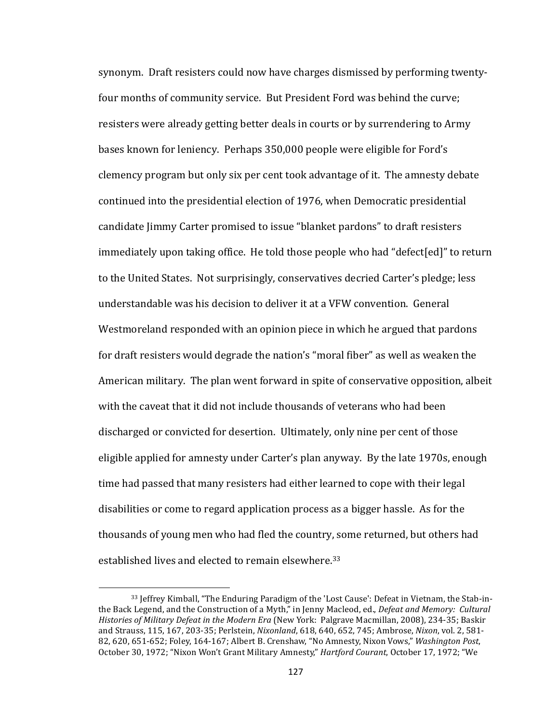synonym. Draft resisters could now have charges dismissed by performing twentyfour months of community service. But President Ford was behind the curve; resisters were already getting better deals in courts or by surrendering to Army bases known for leniency. Perhaps 350,000 people were eligible for Ford's clemency program but only six per cent took advantage of it. The amnesty debate continued into the presidential election of 1976, when Democratic presidential candidate Jimmy Carter promised to issue "blanket pardons" to draft resisters immediately upon taking office. He told those people who had "defect[ed]" to return to the United States. Not surprisingly, conservatives decried Carter's pledge; less understandable was his decision to deliver it at a VFW convention. General Westmoreland responded with an opinion piece in which he argued that pardons for draft resisters would degrade the nation's "moral fiber" as well as weaken the American military. The plan went forward in spite of conservative opposition, albeit with the caveat that it did not include thousands of veterans who had been discharged or convicted for desertion. Ultimately, only nine per cent of those eligible applied for amnesty under Carter's plan anyway. By the late 1970s, enough time had passed that many resisters had either learned to cope with their legal disabilities or come to regard application process as a bigger hassle. As for the thousands of young men who had fled the country, some returned, but others had established lives and elected to remain elsewhere.<sup>33</sup>

<sup>33</sup> Jeffrey Kimball, "The Enduring Paradigm of the 'Lost Cause': Defeat in Vietnam, the Stab-inthe Back Legend, and the Construction of a Myth," in Jenny Macleod, ed., *Defeat and Memory: Cultural Histories of Military Defeat in the Modern Era* (New York: Palgrave Macmillan, 2008), 234-35; Baskir and Strauss, 115, 167, 203-35; Perlstein, *Nixonland*, 618, 640, 652, 745; Ambrose, *Nixon*, vol. 2, 581-82, 620, 651-652; Foley, 164-167; Albert B. Crenshaw, "No Amnesty, Nixon Vows," Washington Post, October 30, 1972; "Nixon Won't Grant Military Amnesty," *Hartford Courant*, October 17, 1972; "We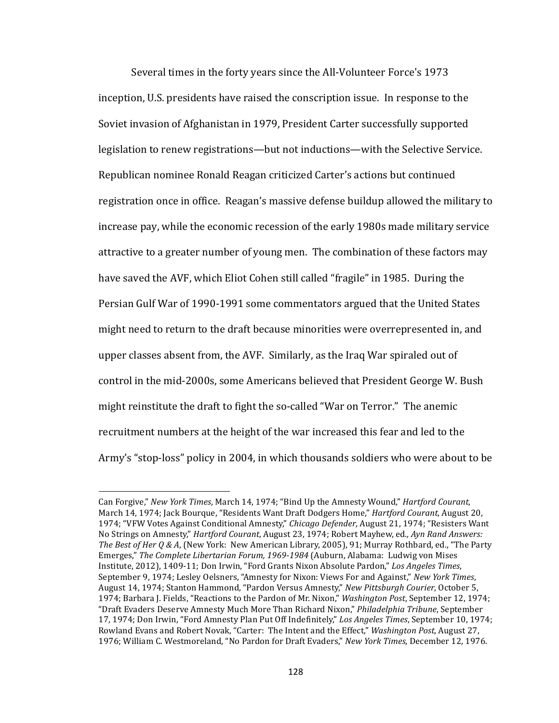Several times in the forty years since the All-Volunteer Force's 1973 inception, U.S. presidents have raised the conscription issue. In response to the Soviet invasion of Afghanistan in 1979, President Carter successfully supported legislation to renew registrations—but not inductions—with the Selective Service. Republican nominee Ronald Reagan criticized Carter's actions but continued registration once in office. Reagan's massive defense buildup allowed the military to increase pay, while the economic recession of the early 1980s made military service attractive to a greater number of young men. The combination of these factors may have saved the AVF, which Eliot Cohen still called "fragile" in 1985. During the Persian Gulf War of 1990-1991 some commentators argued that the United States might need to return to the draft because minorities were overrepresented in, and upper classes absent from, the AVF. Similarly, as the Iraq War spiraled out of control in the mid-2000s, some Americans believed that President George W. Bush might reinstitute the draft to fight the so-called "War on Terror." The anemic recruitment numbers at the height of the war increased this fear and led to the Army's "stop-loss" policy in 2004, in which thousands soldiers who were about to be

Can Forgive," New York Times, March 14, 1974; "Bind Up the Amnesty Wound," *Hartford Courant*, March 14, 1974; Jack Bourque, "Residents Want Draft Dodgers Home," *Hartford Courant*, August 20, 1974; "VFW Votes Against Conditional Amnesty," *Chicago Defender*, August 21, 1974; "Resisters Want No Strings on Amnesty," *Hartford Courant*, August 23, 1974; Robert Mayhew, ed., Ayn Rand Answers: *The Best of Her O & A*, (New York: New American Library, 2005), 91; Murray Rothbard, ed., "The Party Emerges," The Complete Libertarian Forum, 1969-1984 (Auburn, Alabama: Ludwig von Mises Institute, 2012), 1409-11; Don Irwin, "Ford Grants Nixon Absolute Pardon," Los Angeles Times, September 9, 1974; Lesley Oelsners, "Amnesty for Nixon: Views For and Against," New York Times, August 14, 1974; Stanton Hammond, "Pardon Versus Amnesty," *New Pittsburgh Courier*, October 5, 1974; Barbara J. Fields, "Reactions to the Pardon of Mr. Nixon," *Washington Post*, September 12, 1974; "Draft Evaders Deserve Amnesty Much More Than Richard Nixon," *Philadelphia Tribune*, September 17, 1974; Don Irwin, "Ford Amnesty Plan Put Off Indefinitely," *Los Angeles Times*, September 10, 1974; Rowland Evans and Robert Novak, "Carter: The Intent and the Effect," *Washington Post*, August 27, 1976; William C. Westmoreland, "No Pardon for Draft Evaders," *New York Times*, December 12, 1976.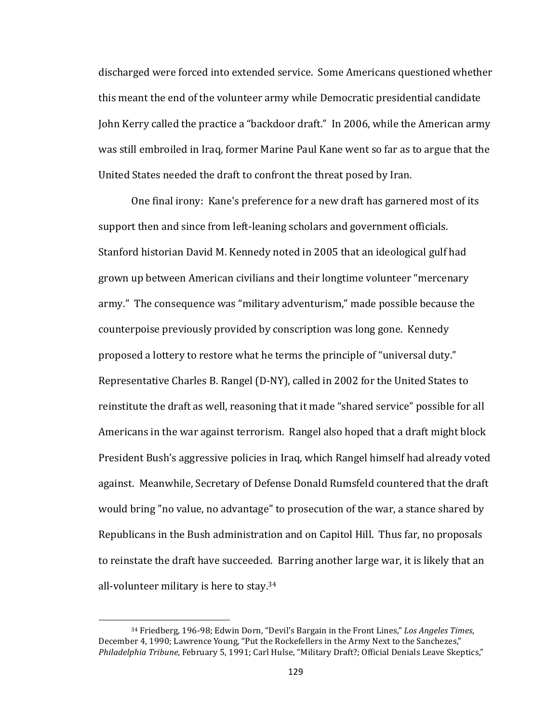discharged were forced into extended service. Some Americans questioned whether this meant the end of the volunteer army while Democratic presidential candidate John Kerry called the practice a "backdoor draft." In 2006, while the American army was still embroiled in Iraq, former Marine Paul Kane went so far as to argue that the United States needed the draft to confront the threat posed by Iran.

One final irony: Kane's preference for a new draft has garnered most of its support then and since from left-leaning scholars and government officials. Stanford historian David M. Kennedy noted in 2005 that an ideological gulf had grown up between American civilians and their longtime volunteer "mercenary army." The consequence was "military adventurism," made possible because the counterpoise previously provided by conscription was long gone. Kennedy proposed a lottery to restore what he terms the principle of "universal duty." Representative Charles B. Rangel (D-NY), called in 2002 for the United States to reinstitute the draft as well, reasoning that it made "shared service" possible for all Americans in the war against terrorism. Rangel also hoped that a draft might block President Bush's aggressive policies in Iraq, which Rangel himself had already voted against. Meanwhile, Secretary of Defense Donald Rumsfeld countered that the draft would bring "no value, no advantage" to prosecution of the war, a stance shared by Republicans in the Bush administration and on Capitol Hill. Thus far, no proposals to reinstate the draft have succeeded. Barring another large war, it is likely that an all-volunteer military is here to stay.<sup>34</sup>

<sup>&</sup>lt;sup>34</sup> Friedberg, 196-98; Edwin Dorn, "Devil's Bargain in the Front Lines," Los Angeles Times, December 4, 1990; Lawrence Young, "Put the Rockefellers in the Army Next to the Sanchezes," Philadelphia Tribune, February 5, 1991; Carl Hulse, "Military Draft?; Official Denials Leave Skeptics,"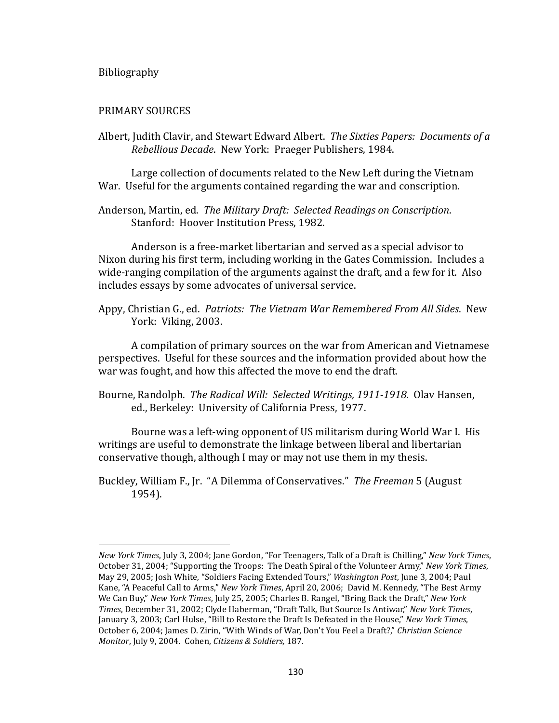## Bibliography

 $\overline{\phantom{a}}$ 

## PRIMARY SOURCES

Albert, Judith Clavir, and Stewart Edward Albert. The Sixties Papers: Documents of a *Rebellious Decade.* New York: Praeger Publishers, 1984.

Large collection of documents related to the New Left during the Vietnam War. Useful for the arguments contained regarding the war and conscription.

Anderson, Martin, ed. The Military Draft: Selected Readings on Conscription. Stanford: Hoover Institution Press, 1982.

Anderson is a free-market libertarian and served as a special advisor to Nixon during his first term, including working in the Gates Commission. Includes a wide-ranging compilation of the arguments against the draft, and a few for it. Also includes essays by some advocates of universal service.

Appy, Christian G., ed. *Patriots: The Vietnam War Remembered From All Sides*. New York: Viking, 2003.

A compilation of primary sources on the war from American and Vietnamese perspectives. Useful for these sources and the information provided about how the war was fought, and how this affected the move to end the draft.

Bourne, Randolph. *The Radical Will: Selected Writings, 1911-1918*. Olav Hansen, ed., Berkeley: University of California Press, 1977.

Bourne was a left-wing opponent of US militarism during World War I. His writings are useful to demonstrate the linkage between liberal and libertarian conservative though, although I may or may not use them in my thesis.

Buckley, William F., Jr. "A Dilemma of Conservatives." *The Freeman* 5 (August 1954).

*New York Times*, July 3, 2004; Jane Gordon, "For Teenagers, Talk of a Draft is Chilling," *New York Times*, October 31, 2004; "Supporting the Troops: The Death Spiral of the Volunteer Army," *New York Times*, May 29, 2005; Josh White, "Soldiers Facing Extended Tours," *Washington Post*, June 3, 2004; Paul Kane, "A Peaceful Call to Arms," *New York Times*, April 20, 2006; David M. Kennedy, "The Best Army We Can Buy," *New York Times*, July 25, 2005; Charles B. Rangel, "Bring Back the Draft," *New York Times*, December 31, 2002; Clyde Haberman, "Draft Talk, But Source Is Antiwar," New York Times, January 3, 2003; Carl Hulse, "Bill to Restore the Draft Is Defeated in the House," *New York Times*, October 6, 2004; James D. Zirin, "With Winds of War, Don't You Feel a Draft?," *Christian Science Monitor*, July 9, 2004. Cohen, *Citizens & Soldiers*, 187.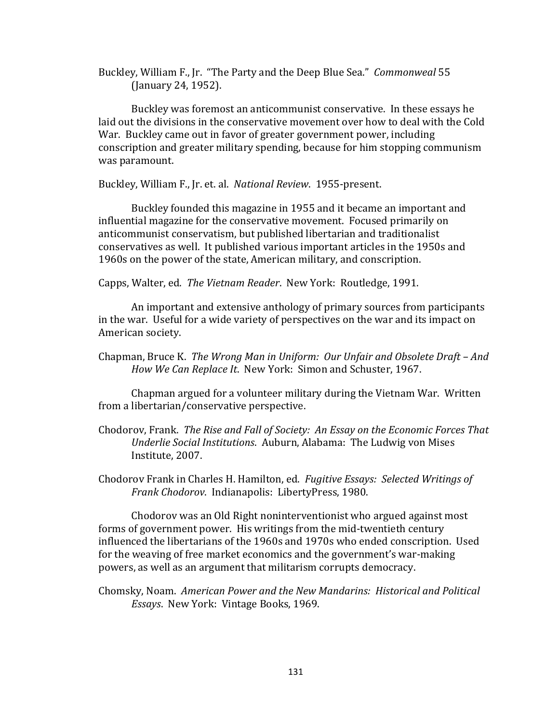Buckley, William F., Jr. "The Party and the Deep Blue Sea." *Commonweal* 55 (January 24, 1952). 

Buckley was foremost an anticommunist conservative. In these essays he laid out the divisions in the conservative movement over how to deal with the Cold War. Buckley came out in favor of greater government power, including conscription and greater military spending, because for him stopping communism was paramount.

Buckley, William F., Jr. et. al. National Review. 1955-present.

Buckley founded this magazine in 1955 and it became an important and influential magazine for the conservative movement. Focused primarily on anticommunist conservatism, but published libertarian and traditionalist conservatives as well. It published various important articles in the 1950s and 1960s on the power of the state, American military, and conscription.

Capps, Walter, ed. The Vietnam Reader. New York: Routledge, 1991.

An important and extensive anthology of primary sources from participants in the war. Useful for a wide variety of perspectives on the war and its impact on American society.

Chapman, Bruce K. The Wrong Man in Uniform: Our Unfair and Obsolete Draft – And How We Can Replace It. New York: Simon and Schuster, 1967.

Chapman argued for a volunteer military during the Vietnam War. Written from a libertarian/conservative perspective.

- Chodorov, Frank. The Rise and Fall of Society: An Essay on the Economic Forces That *Underlie Social Institutions. Auburn, Alabama: The Ludwig von Mises* Institute, 2007.
- Chodorov Frank in Charles H. Hamilton, ed. *Fugitive Essays: Selected Writings of* Frank Chodorov. Indianapolis: LibertyPress, 1980.

Chodorov was an Old Right noninterventionist who argued against most forms of government power. His writings from the mid-twentieth century influenced the libertarians of the 1960s and 1970s who ended conscription. Used for the weaving of free market economics and the government's war-making powers, as well as an argument that militarism corrupts democracy.

Chomsky, Noam. American Power and the New Mandarins: Historical and Political *Essays.* New York: Vintage Books, 1969.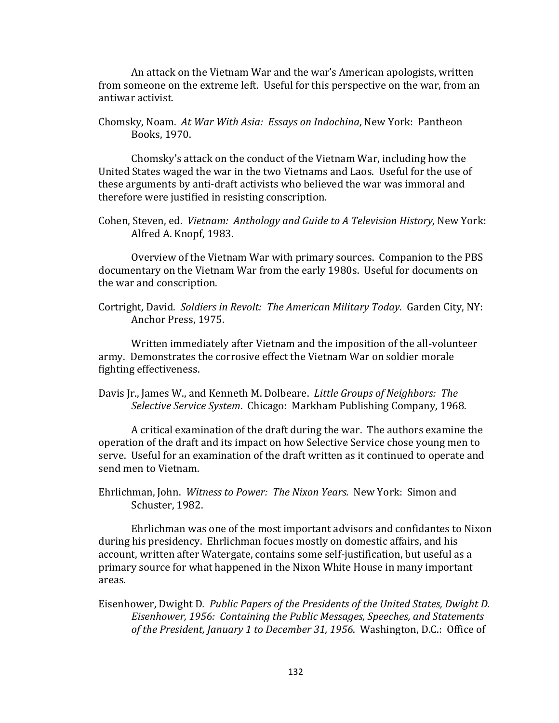An attack on the Vietnam War and the war's American apologists, written from someone on the extreme left. Useful for this perspective on the war, from an antiwar activist. 

Chomsky, Noam. At War With Asia: Essays on Indochina, New York: Pantheon Books, 1970. 

Chomsky's attack on the conduct of the Vietnam War, including how the United States waged the war in the two Vietnams and Laos. Useful for the use of these arguments by anti-draft activists who believed the war was immoral and therefore were justified in resisting conscription.

Cohen, Steven, ed. Vietnam: Anthology and Guide to A Television History, New York: Alfred A. Knopf, 1983.

Overview of the Vietnam War with primary sources. Companion to the PBS documentary on the Vietnam War from the early 1980s. Useful for documents on the war and conscription.

Written immediately after Vietnam and the imposition of the all-volunteer army. Demonstrates the corrosive effect the Vietnam War on soldier morale fighting effectiveness.

Davis Jr., James W., and Kenneth M. Dolbeare. *Little Groups of Neighbors: The Selective Service System.* Chicago: Markham Publishing Company, 1968.

A critical examination of the draft during the war. The authors examine the operation of the draft and its impact on how Selective Service chose young men to serve. Useful for an examination of the draft written as it continued to operate and send men to Vietnam.

Ehrlichman, John. Witness to Power: The Nixon Years. New York: Simon and Schuster, 1982.

Ehrlichman was one of the most important advisors and confidantes to Nixon during his presidency. Ehrlichman focues mostly on domestic affairs, and his account, written after Watergate, contains some self-justification, but useful as a primary source for what happened in the Nixon White House in many important areas. 

Eisenhower, Dwight D. Public Papers of the Presidents of the United States, Dwight D. Eisenhower, 1956: Containing the Public Messages, Speeches, and Statements *of the President, January 1 to December 31, 1956.* Washington, D.C.: Office of

Cortright, David. Soldiers in Revolt: The American Military Today. Garden City, NY: Anchor Press, 1975.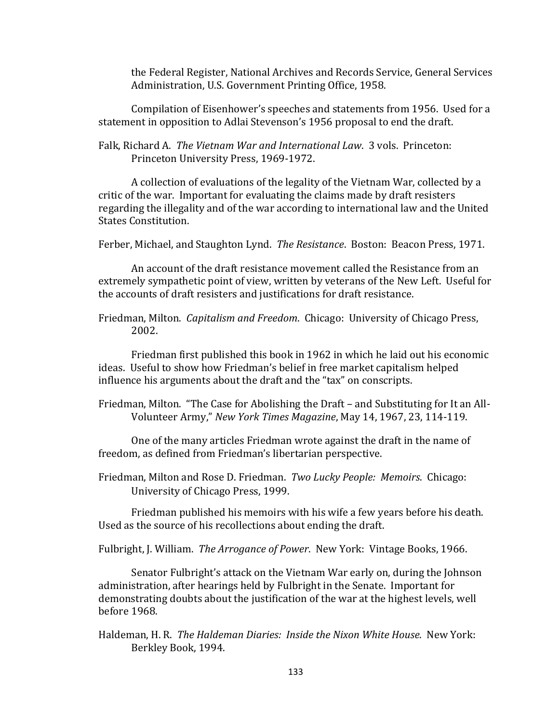the Federal Register, National Archives and Records Service, General Services Administration, U.S. Government Printing Office, 1958.

Compilation of Eisenhower's speeches and statements from 1956. Used for a statement in opposition to Adlai Stevenson's 1956 proposal to end the draft.

Falk, Richard A. The Vietnam War and International Law. 3 vols. Princeton: Princeton University Press, 1969-1972.

A collection of evaluations of the legality of the Vietnam War, collected by a critic of the war. Important for evaluating the claims made by draft resisters regarding the illegality and of the war according to international law and the United States Constitution.

Ferber, Michael, and Staughton Lynd. The Resistance. Boston: Beacon Press, 1971.

An account of the draft resistance movement called the Resistance from an extremely sympathetic point of view, written by veterans of the New Left. Useful for the accounts of draft resisters and justifications for draft resistance.

Friedman, Milton. *Capitalism and Freedom*. Chicago: University of Chicago Press, 2002. 

Friedman first published this book in 1962 in which he laid out his economic ideas. Useful to show how Friedman's belief in free market capitalism helped influence his arguments about the draft and the "tax" on conscripts.

Friedman, Milton. "The Case for Abolishing the Draft - and Substituting for It an All-Volunteer Army," *New York Times Magazine*, May 14, 1967, 23, 114-119. 

One of the many articles Friedman wrote against the draft in the name of freedom, as defined from Friedman's libertarian perspective.

Friedman, Milton and Rose D. Friedman. *Two Lucky People: Memoirs*. Chicago: University of Chicago Press, 1999.

Friedman published his memoirs with his wife a few years before his death. Used as the source of his recollections about ending the draft.

Fulbright, J. William. The Arrogance of Power. New York: Vintage Books, 1966.

Senator Fulbright's attack on the Vietnam War early on, during the Johnson administration, after hearings held by Fulbright in the Senate. Important for demonstrating doubts about the justification of the war at the highest levels, well before 1968. 

Haldeman, H. R. The Haldeman Diaries: Inside the Nixon White House. New York: Berkley Book, 1994.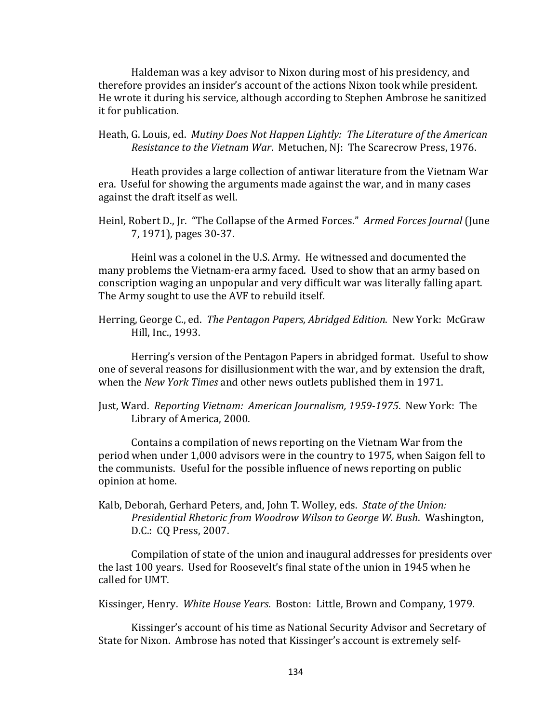Haldeman was a key advisor to Nixon during most of his presidency, and therefore provides an insider's account of the actions Nixon took while president. He wrote it during his service, although according to Stephen Ambrose he sanitized it for publication.

Heath, G. Louis, ed. Mutiny Does Not Happen Lightly: The Literature of the American *Resistance to the Vietnam War. Metuchen, NJ: The Scarecrow Press, 1976.* 

Heath provides a large collection of antiwar literature from the Vietnam War era. Useful for showing the arguments made against the war, and in many cases against the draft itself as well.

Heinl, Robert D., Jr. "The Collapse of the Armed Forces." Armed Forces Journal (June 7, 1971), pages 30-37.

Heinl was a colonel in the U.S. Army. He witnessed and documented the many problems the Vietnam-era army faced. Used to show that an army based on conscription waging an unpopular and very difficult war was literally falling apart. The Army sought to use the AVF to rebuild itself.

Herring, George C., ed. The Pentagon Papers, Abridged Edition. New York: McGraw Hill, Inc., 1993.

Herring's version of the Pentagon Papers in abridged format. Useful to show one of several reasons for disillusionment with the war, and by extension the draft, when the *New York Times* and other news outlets published them in 1971.

Just, Ward. Reporting Vietnam: American Journalism, 1959-1975. New York: The Library of America, 2000.

Contains a compilation of news reporting on the Vietnam War from the period when under 1,000 advisors were in the country to 1975, when Saigon fell to the communists. Useful for the possible influence of news reporting on public opinion at home.

Kalb, Deborah, Gerhard Peters, and, John T. Wolley, eds. State of the Union: *Presidential Rhetoric from Woodrow Wilson to George W. Bush.* Washington, D.C.: CQ Press, 2007.

Compilation of state of the union and inaugural addresses for presidents over the last 100 years. Used for Roosevelt's final state of the union in 1945 when he called for UMT. 

Kissinger, Henry. White House Years. Boston: Little, Brown and Company, 1979.

Kissinger's account of his time as National Security Advisor and Secretary of State for Nixon. Ambrose has noted that Kissinger's account is extremely self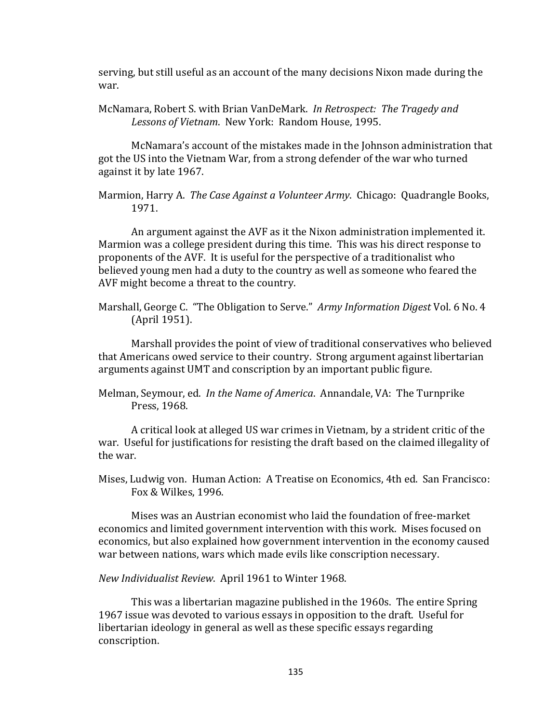serving, but still useful as an account of the many decisions Nixon made during the war. 

McNamara, Robert S. with Brian VanDeMark. *In Retrospect: The Tragedy and* Lessons of Vietnam. New York: Random House, 1995.

McNamara's account of the mistakes made in the Johnson administration that got the US into the Vietnam War, from a strong defender of the war who turned against it by late 1967.

Marmion, Harry A. The Case Against a Volunteer Army. Chicago: Quadrangle Books, 1971. 

An argument against the AVF as it the Nixon administration implemented it. Marmion was a college president during this time. This was his direct response to proponents of the AVF. It is useful for the perspective of a traditionalist who believed young men had a duty to the country as well as someone who feared the AVF might become a threat to the country.

Marshall, George C. "The Obligation to Serve." Army Information Digest Vol. 6 No. 4 (April 1951).

Marshall provides the point of view of traditional conservatives who believed that Americans owed service to their country. Strong argument against libertarian arguments against UMT and conscription by an important public figure.

Melman, Seymour, ed. In the Name of America. Annandale, VA: The Turnprike Press, 1968.

A critical look at alleged US war crimes in Vietnam, by a strident critic of the war. Useful for justifications for resisting the draft based on the claimed illegality of the war.

Mises, Ludwig von. Human Action: A Treatise on Economics, 4th ed. San Francisco: Fox & Wilkes, 1996.

Mises was an Austrian economist who laid the foundation of free-market economics and limited government intervention with this work. Mises focused on economics, but also explained how government intervention in the economy caused war between nations, wars which made evils like conscription necessary.

*New Individualist Review. April* 1961 to Winter 1968.

This was a libertarian magazine published in the 1960s. The entire Spring 1967 issue was devoted to various essays in opposition to the draft. Useful for libertarian ideology in general as well as these specific essays regarding conscription.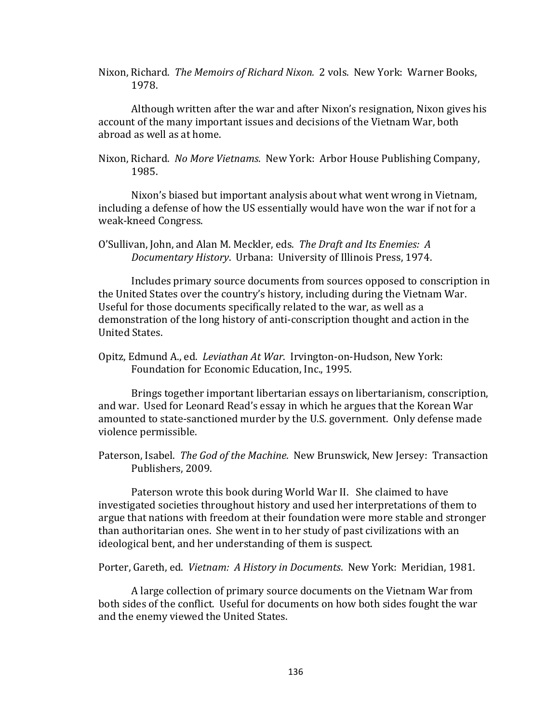Nixon, Richard. The Memoirs of Richard Nixon. 2 vols. New York: Warner Books, 1978. 

Although written after the war and after Nixon's resignation, Nixon gives his account of the many important issues and decisions of the Vietnam War, both abroad as well as at home.

Nixon, Richard. No More Vietnams. New York: Arbor House Publishing Company, 1985. 

Nixon's biased but important analysis about what went wrong in Vietnam, including a defense of how the US essentially would have won the war if not for a weak-kneed Congress.

O'Sullivan, John, and Alan M. Meckler, eds. The Draft and Its Enemies: A *Documentary History*. Urbana: University of Illinois Press, 1974. 

Includes primary source documents from sources opposed to conscription in the United States over the country's history, including during the Vietnam War. Useful for those documents specifically related to the war, as well as a demonstration of the long history of anti-conscription thought and action in the United States. 

Opitz, Edmund A., ed. *Leviathan At War*. Irvington-on-Hudson, New York: Foundation for Economic Education, Inc., 1995.

Brings together important libertarian essays on libertarianism, conscription, and war. Used for Leonard Read's essay in which he argues that the Korean War amounted to state-sanctioned murder by the U.S. government. Only defense made violence permissible.

Paterson, Isabel. The God of the Machine. New Brunswick, New Jersey: Transaction Publishers, 2009.

Paterson wrote this book during World War II. She claimed to have investigated societies throughout history and used her interpretations of them to argue that nations with freedom at their foundation were more stable and stronger than authoritarian ones. She went in to her study of past civilizations with an ideological bent, and her understanding of them is suspect.

Porter, Gareth, ed. Vietnam: A History in Documents. New York: Meridian, 1981.

A large collection of primary source documents on the Vietnam War from both sides of the conflict. Useful for documents on how both sides fought the war and the enemy viewed the United States.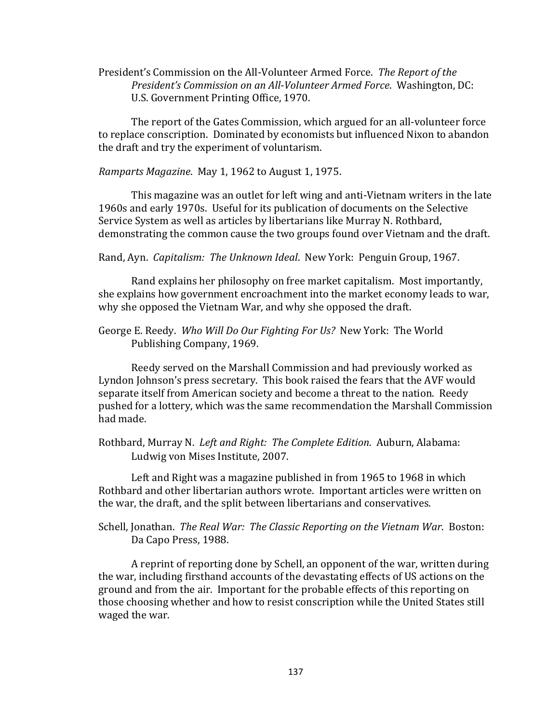President's Commission on the All-Volunteer Armed Force. The Report of the *President's Commission on an All-Volunteer Armed Force.* Washington, DC: U.S. Government Printing Office, 1970.

The report of the Gates Commission, which argued for an all-volunteer force to replace conscription. Dominated by economists but influenced Nixon to abandon the draft and try the experiment of voluntarism.

*Ramparts Magazine.* May 1, 1962 to August 1, 1975.

This magazine was an outlet for left wing and anti-Vietnam writers in the late 1960s and early 1970s. Useful for its publication of documents on the Selective Service System as well as articles by libertarians like Murray N. Rothbard, demonstrating the common cause the two groups found over Vietnam and the draft.

Rand, Ayn. *Capitalism: The Unknown Ideal.* New York: Penguin Group, 1967.

Rand explains her philosophy on free market capitalism. Most importantly, she explains how government encroachment into the market economy leads to war, why she opposed the Vietnam War, and why she opposed the draft.

George E. Reedy. Who Will Do Our Fighting For Us? New York: The World Publishing Company, 1969.

Reedy served on the Marshall Commission and had previously worked as Lyndon Johnson's press secretary. This book raised the fears that the AVF would separate itself from American society and become a threat to the nation. Reedy pushed for a lottery, which was the same recommendation the Marshall Commission had made.

Rothbard, Murray N. Left and Right: The Complete Edition. Auburn, Alabama: Ludwig von Mises Institute, 2007.

Left and Right was a magazine published in from 1965 to 1968 in which Rothbard and other libertarian authors wrote. Important articles were written on the war, the draft, and the split between libertarians and conservatives.

Schell, Jonathan. The Real War: The Classic Reporting on the Vietnam War. Boston: Da Capo Press, 1988.

A reprint of reporting done by Schell, an opponent of the war, written during the war, including firsthand accounts of the devastating effects of US actions on the ground and from the air. Important for the probable effects of this reporting on those choosing whether and how to resist conscription while the United States still waged the war.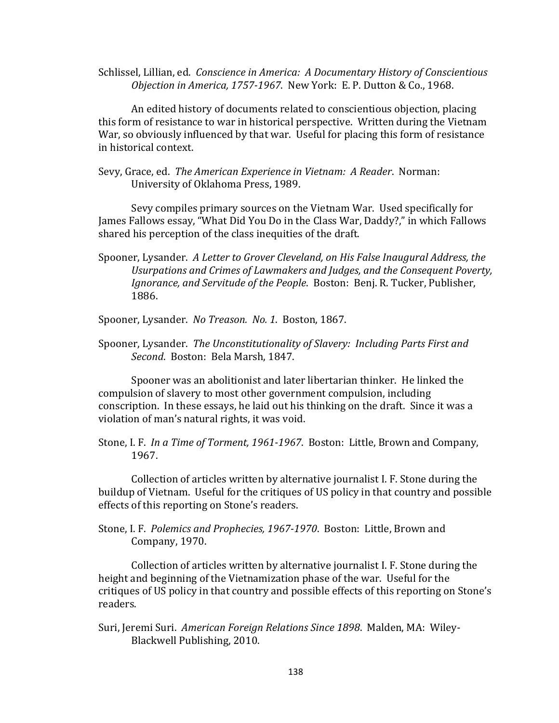Schlissel, Lillian, ed. Conscience in America: A Documentary History of Conscientious *Objection in America, 1757-1967.* New York: E. P. Dutton & Co., 1968.

An edited history of documents related to conscientious objection, placing this form of resistance to war in historical perspective. Written during the Vietnam War, so obviously influenced by that war. Useful for placing this form of resistance in historical context.

Sevy, Grace, ed. The American Experience in Vietnam: A Reader. Norman: University of Oklahoma Press, 1989.

Sevy compiles primary sources on the Vietnam War. Used specifically for James Fallows essay, "What Did You Do in the Class War, Daddy?," in which Fallows shared his perception of the class inequities of the draft.

Spooner, Lysander. A Letter to Grover Cleveland, on His False Inaugural Address, the Usurpations and Crimes of Lawmakers and Judges, and the Consequent Poverty, *Ignorance, and Servitude of the People.* Boston: Benj. R. Tucker, Publisher, 1886. 

Spooner, Lysander. No Treason. No. 1. Boston, 1867.

Spooner, Lysander. The Unconstitutionality of Slavery: Including Parts First and Second. Boston: Bela Marsh, 1847.

Spooner was an abolitionist and later libertarian thinker. He linked the compulsion of slavery to most other government compulsion, including conscription. In these essays, he laid out his thinking on the draft. Since it was a violation of man's natural rights, it was void.

Stone, I. F. *In a Time of Torment, 1961-1967*. Boston: Little, Brown and Company, 1967. 

Collection of articles written by alternative journalist I. F. Stone during the buildup of Vietnam. Useful for the critiques of US policy in that country and possible effects of this reporting on Stone's readers.

Stone, I. F. Polemics and Prophecies, 1967-1970. Boston: Little, Brown and Company, 1970.

Collection of articles written by alternative journalist I. F. Stone during the height and beginning of the Vietnamization phase of the war. Useful for the critiques of US policy in that country and possible effects of this reporting on Stone's readers. 

Suri, Jeremi Suri. American Foreign Relations Since 1898. Malden, MA: Wiley-Blackwell Publishing, 2010.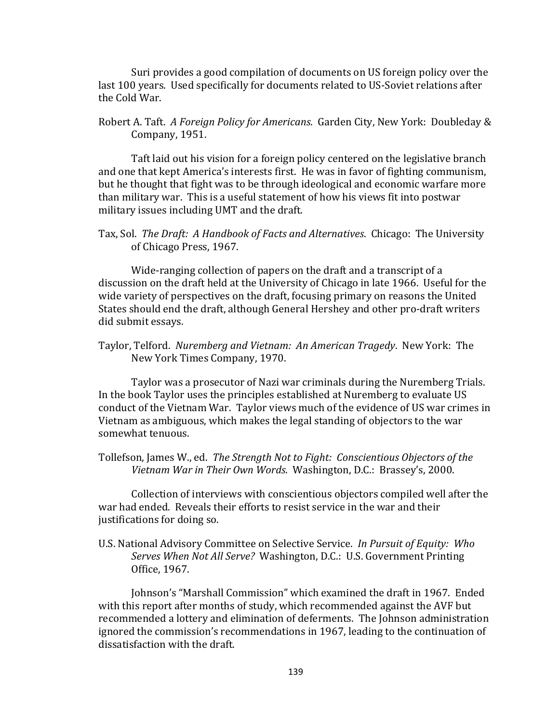Suri provides a good compilation of documents on US foreign policy over the last 100 years. Used specifically for documents related to US-Soviet relations after the Cold War.

Robert A. Taft. A Foreign Policy for Americans. Garden City, New York: Doubleday & Company, 1951.

Taft laid out his vision for a foreign policy centered on the legislative branch and one that kept America's interests first. He was in favor of fighting communism, but he thought that fight was to be through ideological and economic warfare more than military war. This is a useful statement of how his views fit into postwar military issues including UMT and the draft.

Tax, Sol. The Draft: A Handbook of Facts and Alternatives. Chicago: The University of Chicago Press, 1967.

Wide-ranging collection of papers on the draft and a transcript of a discussion on the draft held at the University of Chicago in late 1966. Useful for the wide variety of perspectives on the draft, focusing primary on reasons the United States should end the draft, although General Hershey and other pro-draft writers did submit essays.

Taylor, Telford. Nuremberg and Vietnam: An American Tragedy. New York: The New York Times Company, 1970.

Taylor was a prosecutor of Nazi war criminals during the Nuremberg Trials. In the book Taylor uses the principles established at Nuremberg to evaluate US conduct of the Vietnam War. Taylor views much of the evidence of US war crimes in Vietnam as ambiguous, which makes the legal standing of objectors to the war somewhat tenuous.

Tollefson, James W., ed. The Strength Not to Fight: Conscientious Objectors of the Vietnam War in Their Own Words. Washington, D.C.: Brassey's, 2000.

Collection of interviews with conscientious objectors compiled well after the war had ended. Reveals their efforts to resist service in the war and their justifications for doing so.

U.S. National Advisory Committee on Selective Service. In Pursuit of Equity: Who Serves When Not All Serve? Washington, D.C.: U.S. Government Printing Office, 1967.

Johnson's "Marshall Commission" which examined the draft in 1967. Ended with this report after months of study, which recommended against the AVF but recommended a lottery and elimination of deferments. The Johnson administration ignored the commission's recommendations in 1967, leading to the continuation of dissatisfaction with the draft.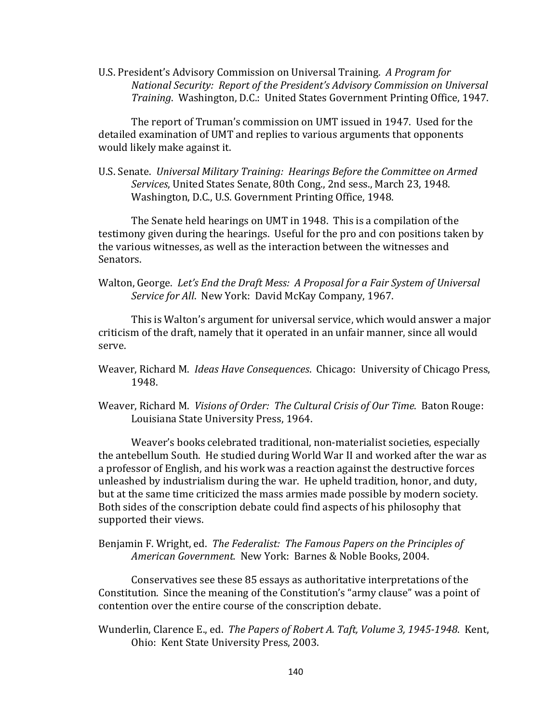U.S. President's Advisory Commission on Universal Training. *A Program for National Security: Report of the President's Advisory Commission on Universal Training.* Washington, D.C.: United States Government Printing Office, 1947.

The report of Truman's commission on UMT issued in 1947. Used for the detailed examination of UMT and replies to various arguments that opponents would likely make against it.

U.S. Senate. Universal Military Training: Hearings Before the Committee on Armed Services, United States Senate, 80th Cong., 2nd sess., March 23, 1948. Washington, D.C., U.S. Government Printing Office, 1948.

The Senate held hearings on UMT in 1948. This is a compilation of the testimony given during the hearings. Useful for the pro and con positions taken by the various witnesses, as well as the interaction between the witnesses and Senators. 

Walton, George. Let's End the Draft Mess: A Proposal for a Fair System of Universal *Service for All.* New York: David McKay Company, 1967.

This is Walton's argument for universal service, which would answer a major criticism of the draft, namely that it operated in an unfair manner, since all would serve. 

- Weaver, Richard M. *Ideas Have Consequences*. Chicago: University of Chicago Press, 1948.
- Weaver, Richard M. Visions of Order: The Cultural Crisis of Our Time. Baton Rouge: Louisiana State University Press, 1964.

Weaver's books celebrated traditional, non-materialist societies, especially the antebellum South. He studied during World War II and worked after the war as a professor of English, and his work was a reaction against the destructive forces unleashed by industrialism during the war. He upheld tradition, honor, and duty, but at the same time criticized the mass armies made possible by modern society. Both sides of the conscription debate could find aspects of his philosophy that supported their views.

Benjamin F. Wright, ed. The Federalist: The Famous Papers on the Principles of American Government. New York: Barnes & Noble Books, 2004.

Conservatives see these 85 essays as authoritative interpretations of the Constitution. Since the meaning of the Constitution's "army clause" was a point of contention over the entire course of the conscription debate.

Wunderlin, Clarence E., ed. The Papers of Robert A. Taft, Volume 3, 1945-1948. Kent, Ohio: Kent State University Press, 2003.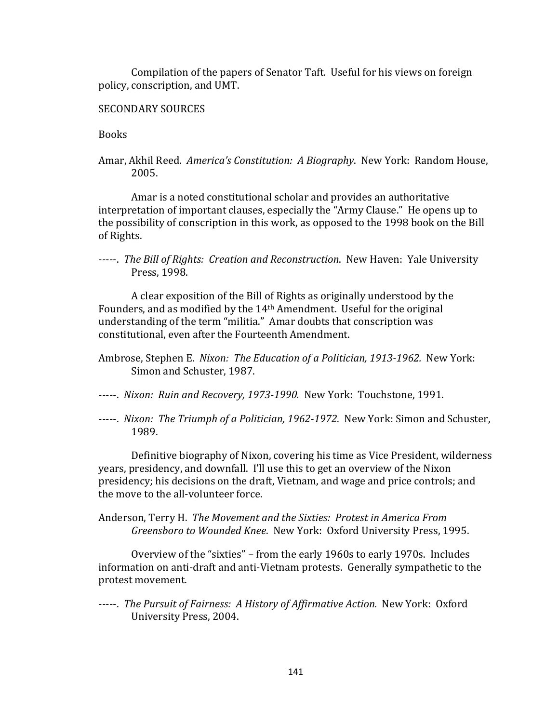Compilation of the papers of Senator Taft. Useful for his views on foreign policy, conscription, and UMT.

## SECONDARY SOURCES

**Books** 

Amar, Akhil Reed. America's Constitution: A Biography. New York: Random House, 2005. 

Amar is a noted constitutional scholar and provides an authoritative interpretation of important clauses, especially the "Army Clause." He opens up to the possibility of conscription in this work, as opposed to the 1998 book on the Bill of Rights.

-----. The Bill of Rights: Creation and Reconstruction. New Haven: Yale University Press, 1998.

A clear exposition of the Bill of Rights as originally understood by the Founders, and as modified by the  $14<sup>th</sup>$  Amendment. Useful for the original understanding of the term "militia." Amar doubts that conscription was constitutional, even after the Fourteenth Amendment.

- Ambrose, Stephen E. Nixon: The Education of a Politician, 1913-1962. New York: Simon and Schuster, 1987.
- -----. *Nixon: Ruin and Recovery, 1973-1990.* New York: Touchstone, 1991.
- -----. *Nixon: The Triumph of a Politician, 1962-1972*. New York: Simon and Schuster, 1989.

Definitive biography of Nixon, covering his time as Vice President, wilderness years, presidency, and downfall. I'll use this to get an overview of the Nixon presidency; his decisions on the draft, Vietnam, and wage and price controls; and the move to the all-volunteer force.

Anderson, Terry H. The Movement and the Sixties: Protest in America From Greensboro to Wounded Knee. New York: Oxford University Press, 1995.

Overview of the "sixties" - from the early 1960s to early 1970s. Includes information on anti-draft and anti-Vietnam protests. Generally sympathetic to the protest movement.

-----. The Pursuit of Fairness: A History of Affirmative Action. New York: Oxford University Press, 2004.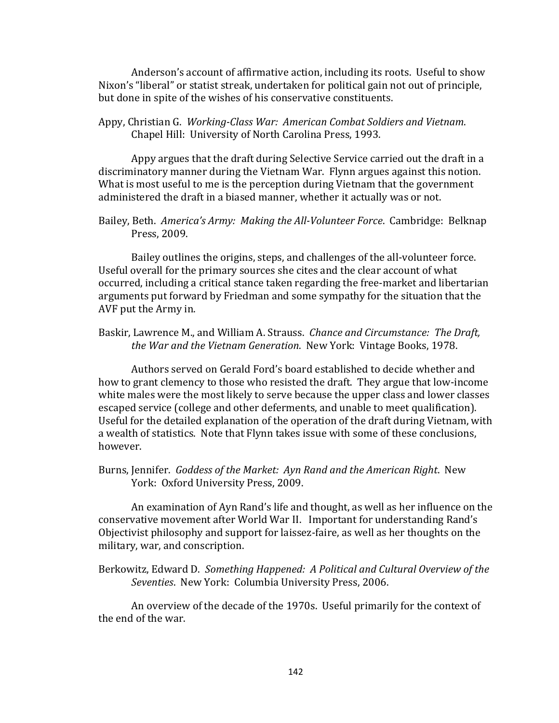Anderson's account of affirmative action, including its roots. Useful to show Nixon's "liberal" or statist streak, undertaken for political gain not out of principle, but done in spite of the wishes of his conservative constituents.

Appy, Christian G. Working-Class War: American Combat Soldiers and Vietnam. Chapel Hill: University of North Carolina Press, 1993.

Appy argues that the draft during Selective Service carried out the draft in a discriminatory manner during the Vietnam War. Flynn argues against this notion. What is most useful to me is the perception during Vietnam that the government administered the draft in a biased manner, whether it actually was or not.

Bailey, Beth. America's Army: Making the All-Volunteer Force. Cambridge: Belknap Press, 2009.

Bailey outlines the origins, steps, and challenges of the all-volunteer force. Useful overall for the primary sources she cites and the clear account of what occurred, including a critical stance taken regarding the free-market and libertarian arguments put forward by Friedman and some sympathy for the situation that the AVF put the Army in.

Baskir, Lawrence M., and William A. Strauss. *Chance and Circumstance: The Draft*, *the War and the Vietnam Generation.* New York: Vintage Books, 1978.

Authors served on Gerald Ford's board established to decide whether and how to grant clemency to those who resisted the draft. They argue that low-income white males were the most likely to serve because the upper class and lower classes escaped service (college and other deferments, and unable to meet qualification). Useful for the detailed explanation of the operation of the draft during Vietnam, with a wealth of statistics. Note that Flynn takes issue with some of these conclusions, however. 

Burns, Jennifer. Goddess of the Market: Ayn Rand and the American Right. New York: Oxford University Press, 2009.

An examination of Ayn Rand's life and thought, as well as her influence on the conservative movement after World War II. Important for understanding Rand's Objectivist philosophy and support for laissez-faire, as well as her thoughts on the military, war, and conscription.

Berkowitz, Edward D. Something Happened: A Political and Cultural Overview of the Seventies. New York: Columbia University Press, 2006.

An overview of the decade of the 1970s. Useful primarily for the context of the end of the war.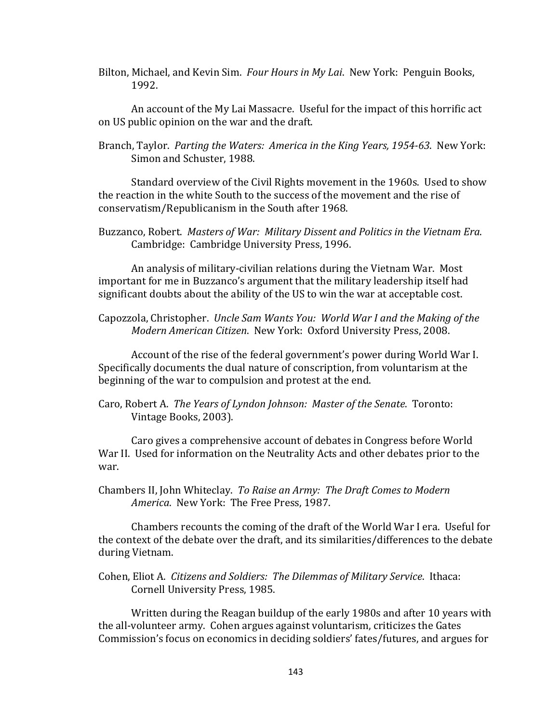Bilton, Michael, and Kevin Sim. *Four Hours in My Lai*. New York: Penguin Books, 1992. 

An account of the My Lai Massacre. Useful for the impact of this horrific act on US public opinion on the war and the draft.

Branch, Taylor. Parting the Waters: America in the King Years, 1954-63. New York: Simon and Schuster, 1988.

Standard overview of the Civil Rights movement in the 1960s. Used to show the reaction in the white South to the success of the movement and the rise of conservatism/Republicanism in the South after 1968.

Buzzanco, Robert. *Masters of War: Military Dissent and Politics in the Vietnam Era.* Cambridge: Cambridge University Press, 1996.

An analysis of military-civilian relations during the Vietnam War. Most important for me in Buzzanco's argument that the military leadership itself had significant doubts about the ability of the US to win the war at acceptable cost.

Capozzola, Christopher. *Uncle Sam Wants You: World War I and the Making of the Modern American Citizen.* New York: Oxford University Press, 2008.

Account of the rise of the federal government's power during World War I. Specifically documents the dual nature of conscription, from voluntarism at the beginning of the war to compulsion and protest at the end.

Caro, Robert A. The Years of Lyndon Johnson: Master of the Senate. Toronto: Vintage Books, 2003).

Caro gives a comprehensive account of debates in Congress before World War II. Used for information on the Neutrality Acts and other debates prior to the war. 

Chambers II, John Whiteclay. To Raise an Army: The Draft Comes to Modern *America*. New York: The Free Press, 1987.

Chambers recounts the coming of the draft of the World War I era. Useful for the context of the debate over the draft, and its similarities/differences to the debate during Vietnam.

Cohen, Eliot A. Citizens and Soldiers: The Dilemmas of Military Service. Ithaca: Cornell University Press, 1985.

Written during the Reagan buildup of the early 1980s and after 10 years with the all-volunteer army. Cohen argues against voluntarism, criticizes the Gates Commission's focus on economics in deciding soldiers' fates/futures, and argues for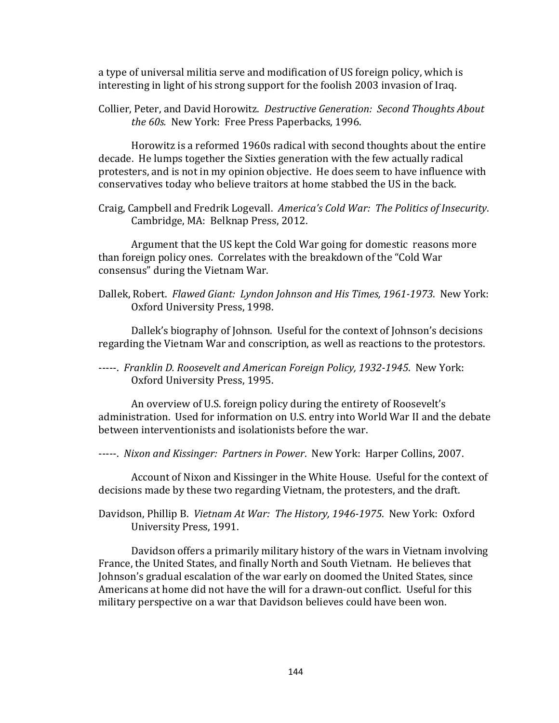a type of universal militia serve and modification of US foreign policy, which is interesting in light of his strong support for the foolish 2003 invasion of Iraq.

Collier, Peter, and David Horowitz. Destructive Generation: Second Thoughts About *the 60s.* New York: Free Press Paperbacks, 1996.

Horowitz is a reformed 1960s radical with second thoughts about the entire decade. He lumps together the Sixties generation with the few actually radical protesters, and is not in my opinion objective. He does seem to have influence with conservatives today who believe traitors at home stabbed the US in the back.

Craig, Campbell and Fredrik Logevall. America's Cold War: The Politics of Insecurity. Cambridge, MA: Belknap Press, 2012.

Argument that the US kept the Cold War going for domestic reasons more than foreign policy ones. Correlates with the breakdown of the "Cold War consensus" during the Vietnam War.

Dallek, Robert. Flawed Giant: Lyndon Johnson and His Times, 1961-1973. New York: Oxford University Press, 1998.

Dallek's biography of Johnson. Useful for the context of Johnson's decisions regarding the Vietnam War and conscription, as well as reactions to the protestors.

-----. Franklin D. Roosevelt and American Foreign Policy, 1932-1945. New York: Oxford University Press, 1995.

An overview of U.S. foreign policy during the entirety of Roosevelt's administration. Used for information on U.S. entry into World War II and the debate between interventionists and isolationists before the war.

-----. *Nixon and Kissinger: Partners in Power*. New York: Harper Collins, 2007.

Account of Nixon and Kissinger in the White House. Useful for the context of decisions made by these two regarding Vietnam, the protesters, and the draft.

Davidson, Phillip B. *Vietnam At War: The History, 1946-1975*. New York: Oxford University Press, 1991.

Davidson offers a primarily military history of the wars in Vietnam involving France, the United States, and finally North and South Vietnam. He believes that Johnson's gradual escalation of the war early on doomed the United States, since Americans at home did not have the will for a drawn-out conflict. Useful for this military perspective on a war that Davidson believes could have been won.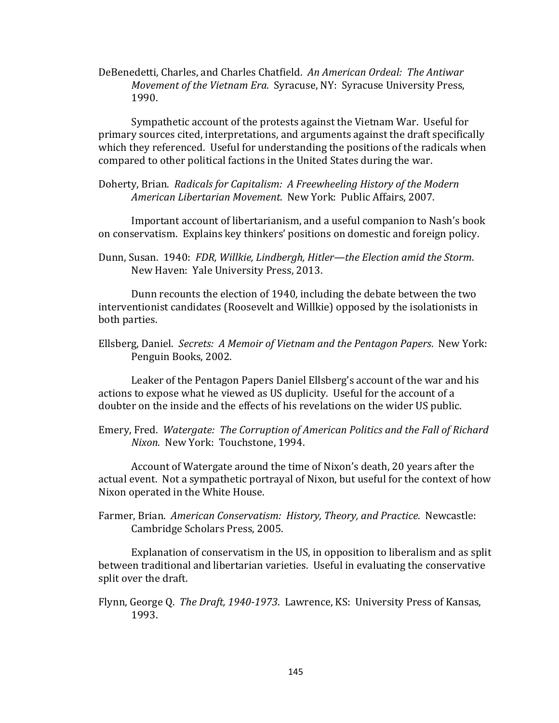DeBenedetti, Charles, and Charles Chatfield. An American Ordeal: The Antiwar *Movement of the Vietnam Era.* Syracuse, NY: Syracuse University Press, 1990. 

Sympathetic account of the protests against the Vietnam War. Useful for primary sources cited, interpretations, and arguments against the draft specifically which they referenced. Useful for understanding the positions of the radicals when compared to other political factions in the United States during the war.

Doherty, Brian. Radicals for Capitalism: A Freewheeling History of the Modern *American Libertarian Movement*. New York: Public Affairs, 2007.

Important account of libertarianism, and a useful companion to Nash's book on conservatism. Explains key thinkers' positions on domestic and foreign policy.

Dunn, Susan. 1940: FDR, Willkie, Lindbergh, Hitler—the Election amid the Storm. New Haven: Yale University Press, 2013.

Dunn recounts the election of 1940, including the debate between the two interventionist candidates (Roosevelt and Willkie) opposed by the isolationists in both parties.

Ellsberg, Daniel. Secrets: A Memoir of Vietnam and the Pentagon Papers. New York: Penguin Books, 2002.

Leaker of the Pentagon Papers Daniel Ellsberg's account of the war and his actions to expose what he viewed as US duplicity. Useful for the account of a doubter on the inside and the effects of his revelations on the wider US public.

Emery, Fred. Watergate: The Corruption of American Politics and the Fall of Richard *Nixon.* New York: Touchstone, 1994.

Account of Watergate around the time of Nixon's death, 20 years after the actual event. Not a sympathetic portrayal of Nixon, but useful for the context of how Nixon operated in the White House.

Farmer, Brian. American Conservatism: History, Theory, and Practice. Newcastle: Cambridge Scholars Press, 2005.

Explanation of conservatism in the US, in opposition to liberalism and as split between traditional and libertarian varieties. Useful in evaluating the conservative split over the draft.

Flynn, George Q. The Draft, 1940-1973. Lawrence, KS: University Press of Kansas, 1993.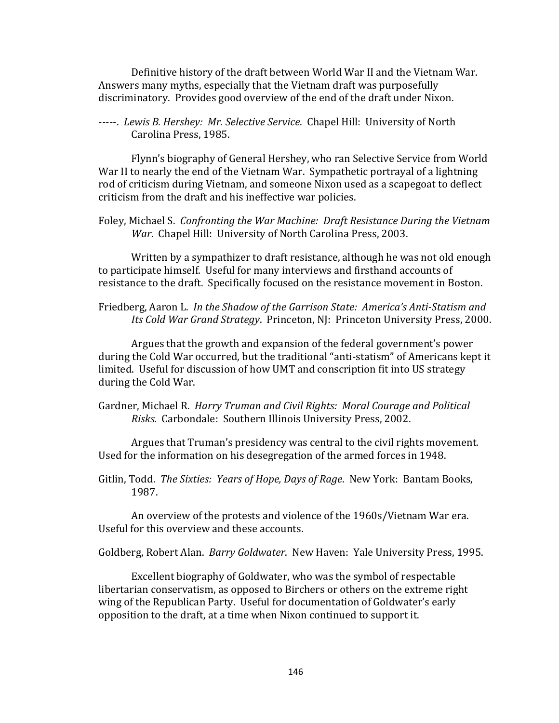Definitive history of the draft between World War II and the Vietnam War. Answers many myths, especially that the Vietnam draft was purposefully discriminatory. Provides good overview of the end of the draft under Nixon.

-----. *Lewis B. Hershey: Mr. Selective Service*. Chapel Hill: University of North Carolina Press, 1985.

Flynn's biography of General Hershey, who ran Selective Service from World War II to nearly the end of the Vietnam War. Sympathetic portrayal of a lightning rod of criticism during Vietnam, and someone Nixon used as a scapegoat to deflect criticism from the draft and his ineffective war policies.

Foley, Michael S. Confronting the War Machine: Draft Resistance During the Vietnam War. Chapel Hill: University of North Carolina Press, 2003.

Written by a sympathizer to draft resistance, although he was not old enough to participate himself. Useful for many interviews and firsthand accounts of resistance to the draft. Specifically focused on the resistance movement in Boston.

Friedberg, Aaron L. *In the Shadow of the Garrison State: America's Anti-Statism and Its* Cold War Grand Strategy. Princeton, NJ: Princeton University Press, 2000.

Argues that the growth and expansion of the federal government's power during the Cold War occurred, but the traditional "anti-statism" of Americans kept it limited. Useful for discussion of how UMT and conscription fit into US strategy during the Cold War.

Gardner, Michael R. *Harry Truman and Civil Rights: Moral Courage and Political Risks.* Carbondale: Southern Illinois University Press, 2002.

Argues that Truman's presidency was central to the civil rights movement. Used for the information on his desegregation of the armed forces in 1948.

Gitlin, Todd. The Sixties: Years of Hope, Days of Rage. New York: Bantam Books, 1987. 

An overview of the protests and violence of the 1960s/Vietnam War era. Useful for this overview and these accounts.

Goldberg, Robert Alan. *Barry Goldwater*. New Haven: Yale University Press, 1995.

Excellent biography of Goldwater, who was the symbol of respectable libertarian conservatism, as opposed to Birchers or others on the extreme right wing of the Republican Party. Useful for documentation of Goldwater's early opposition to the draft, at a time when Nixon continued to support it.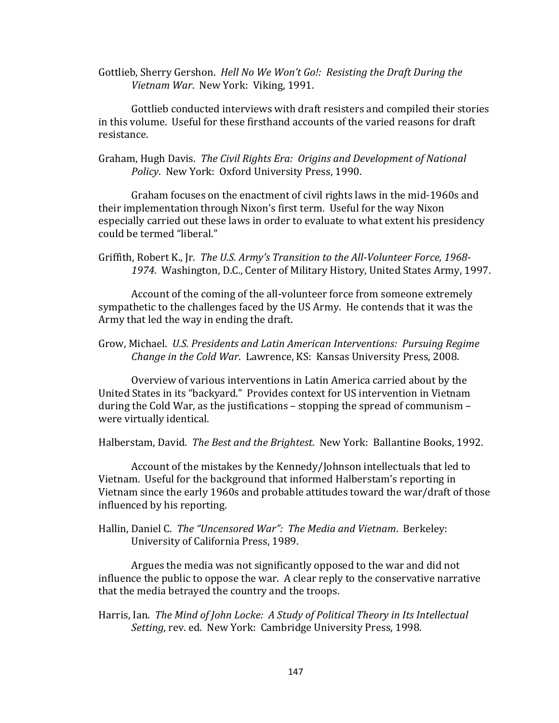Gottlieb, Sherry Gershon. Hell No We Won't Go!: Resisting the Draft During the *Vietnam War.* New York: Viking, 1991.

Gottlieb conducted interviews with draft resisters and compiled their stories in this volume. Useful for these firsthand accounts of the varied reasons for draft resistance. 

Graham, Hugh Davis. The Civil Rights Era: Origins and Development of National Policy. New York: Oxford University Press, 1990.

Graham focuses on the enactment of civil rights laws in the mid-1960s and their implementation through Nixon's first term. Useful for the way Nixon especially carried out these laws in order to evaluate to what extent his presidency could be termed "liberal."

Griffith, Robert K., Jr. The U.S. Army's Transition to the All-Volunteer Force, 1968-1974. Washington, D.C., Center of Military History, United States Army, 1997.

Account of the coming of the all-volunteer force from someone extremely sympathetic to the challenges faced by the US Army. He contends that it was the Army that led the way in ending the draft.

Grow, Michael. U.S. Presidents and Latin American Interventions: Pursuing Regime *Change in the Cold War. Lawrence, KS: Kansas University Press, 2008.* 

Overview of various interventions in Latin America carried about by the United States in its "backyard." Provides context for US intervention in Vietnam during the Cold War, as the justifications  $-$  stopping the spread of communism  $$ were virtually identical.

Halberstam, David. The Best and the Brightest. New York: Ballantine Books, 1992.

Account of the mistakes by the Kennedy/Johnson intellectuals that led to Vietnam. Useful for the background that informed Halberstam's reporting in Vietnam since the early 1960s and probable attitudes toward the war/draft of those influenced by his reporting.

Hallin, Daniel C. The "Uncensored War": The Media and Vietnam. Berkeley: University of California Press, 1989.

Argues the media was not significantly opposed to the war and did not influence the public to oppose the war. A clear reply to the conservative narrative that the media betrayed the country and the troops.

Harris, Ian. The Mind of John Locke: A Study of Political Theory in Its Intellectual *Setting*, rev. ed. New York: Cambridge University Press, 1998.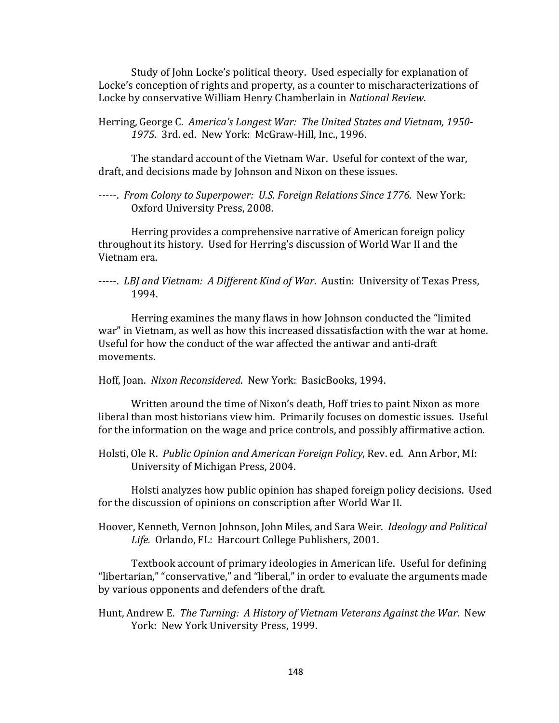Study of John Locke's political theory. Used especially for explanation of Locke's conception of rights and property, as a counter to mischaracterizations of Locke by conservative William Henry Chamberlain in *National Review*.

Herring, George C. America's Longest War: The United States and Vietnam, 1950-1975. 3rd. ed. New York: McGraw-Hill, Inc., 1996.

The standard account of the Vietnam War. Useful for context of the war, draft, and decisions made by Johnson and Nixon on these issues.

-----. From Colony to Superpower: U.S. Foreign Relations Since 1776. New York: Oxford University Press, 2008.

Herring provides a comprehensive narrative of American foreign policy throughout its history. Used for Herring's discussion of World War II and the Vietnam era. 

Herring examines the many flaws in how Johnson conducted the "limited" war" in Vietnam, as well as how this increased dissatisfaction with the war at home. Useful for how the conduct of the war affected the antiwar and anti-draft movements. 

Hoff, Joan. Nixon Reconsidered. New York: BasicBooks, 1994.

Written around the time of Nixon's death, Hoff tries to paint Nixon as more liberal than most historians view him. Primarily focuses on domestic issues. Useful for the information on the wage and price controls, and possibly affirmative action.

Holsti, Ole R. Public Opinion and American Foreign Policy, Rev. ed. Ann Arbor, MI: University of Michigan Press, 2004.

Holsti analyzes how public opinion has shaped foreign policy decisions. Used for the discussion of opinions on conscription after World War II.

Hoover, Kenneth, Vernon Johnson, John Miles, and Sara Weir. *Ideology and Political* Life. Orlando, FL: Harcourt College Publishers, 2001.

Textbook account of primary ideologies in American life. Useful for defining "libertarian," "conservative," and "liberal," in order to evaluate the arguments made by various opponents and defenders of the draft.

Hunt, Andrew E. The Turning: A History of Vietnam Veterans Against the War. New York: New York University Press, 1999.

<sup>-----.</sup> *LBJ* and Vietnam: A Different Kind of War. Austin: University of Texas Press, 1994.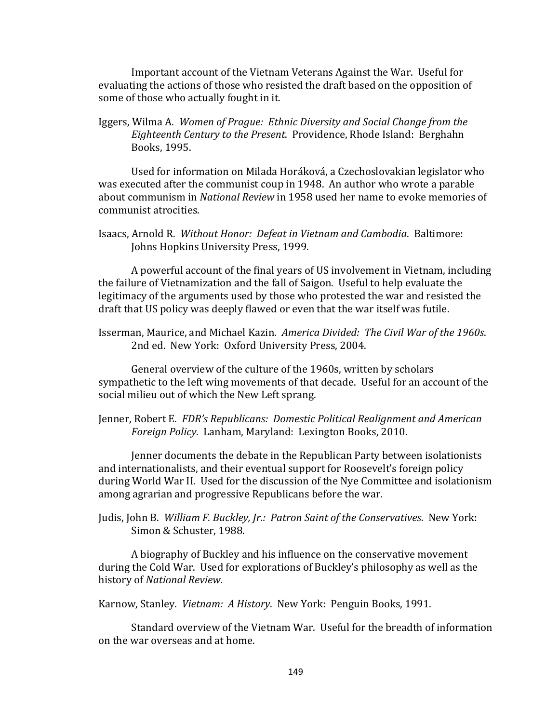Important account of the Vietnam Veterans Against the War. Useful for evaluating the actions of those who resisted the draft based on the opposition of some of those who actually fought in it.

Iggers, Wilma A. Women of Prague: Ethnic Diversity and Social Change from the *Eighteenth Century to the Present*. Providence, Rhode Island: Berghahn Books, 1995.

Used for information on Milada Horáková, a Czechoslovakian legislator who was executed after the communist coup in 1948. An author who wrote a parable about communism in *National Review* in 1958 used her name to evoke memories of communist atrocities. 

Isaacs, Arnold R. Without Honor: Defeat in Vietnam and Cambodia. Baltimore: Johns Hopkins University Press, 1999.

A powerful account of the final years of US involvement in Vietnam, including the failure of Vietnamization and the fall of Saigon. Useful to help evaluate the legitimacy of the arguments used by those who protested the war and resisted the draft that US policy was deeply flawed or even that the war itself was futile.

Isserman, Maurice, and Michael Kazin. America Divided: The Civil War of the 1960s. 2nd ed. New York: Oxford University Press, 2004.

General overview of the culture of the 1960s, written by scholars sympathetic to the left wing movements of that decade. Useful for an account of the social milieu out of which the New Left sprang.

Jenner, Robert E. FDR's Republicans: Domestic Political Realignment and American Foreign Policy. Lanham, Maryland: Lexington Books, 2010.

Jenner documents the debate in the Republican Party between isolationists and internationalists, and their eventual support for Roosevelt's foreign policy during World War II. Used for the discussion of the Nye Committee and isolationism among agrarian and progressive Republicans before the war.

Judis, John B. *William F. Buckley, Jr.: Patron Saint of the Conservatives*. New York: Simon & Schuster, 1988.

A biography of Buckley and his influence on the conservative movement during the Cold War. Used for explorations of Buckley's philosophy as well as the history of *National Review*. 

Karnow, Stanley. *Vietnam: A History*. New York: Penguin Books, 1991.

Standard overview of the Vietnam War. Useful for the breadth of information on the war overseas and at home.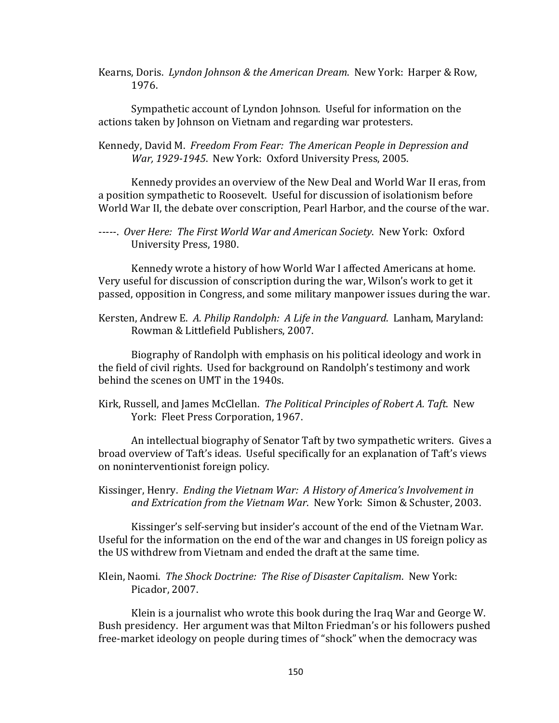Kearns, Doris. *Lyndon Johnson & the American Dream*. New York: Harper & Row, 1976. 

Sympathetic account of Lyndon Johnson. Useful for information on the actions taken by Johnson on Vietnam and regarding war protesters.

Kennedy, David M. Freedom From Fear: The American People in Depression and War, 1929-1945. New York: Oxford University Press, 2005.

Kennedy provides an overview of the New Deal and World War II eras, from a position sympathetic to Roosevelt. Useful for discussion of isolationism before World War II, the debate over conscription, Pearl Harbor, and the course of the war.

-----. *Over Here: The First World War and American Society*. New York: Oxford University Press, 1980.

Kennedy wrote a history of how World War I affected Americans at home. Very useful for discussion of conscription during the war, Wilson's work to get it passed, opposition in Congress, and some military manpower issues during the war.

Kersten, Andrew E. A. Philip Randolph: A Life in the Vanguard. Lanham, Maryland: Rowman & Littlefield Publishers, 2007.

Biography of Randolph with emphasis on his political ideology and work in the field of civil rights. Used for background on Randolph's testimony and work behind the scenes on UMT in the 1940s.

Kirk, Russell, and James McClellan. *The Political Principles of Robert A. Taft.* New York: Fleet Press Corporation, 1967.

An intellectual biography of Senator Taft by two sympathetic writers. Gives a broad overview of Taft's ideas. Useful specifically for an explanation of Taft's views on noninterventionist foreign policy.

Kissinger, Henry. Ending the Vietnam War: A History of America's Involvement in and Extrication from the Vietnam War. New York: Simon & Schuster, 2003.

Kissinger's self-serving but insider's account of the end of the Vietnam War. Useful for the information on the end of the war and changes in US foreign policy as the US withdrew from Vietnam and ended the draft at the same time.

Klein, Naomi. The Shock Doctrine: The Rise of Disaster Capitalism. New York: Picador, 2007.

Klein is a journalist who wrote this book during the Iraq War and George W. Bush presidency. Her argument was that Milton Friedman's or his followers pushed free-market ideology on people during times of "shock" when the democracy was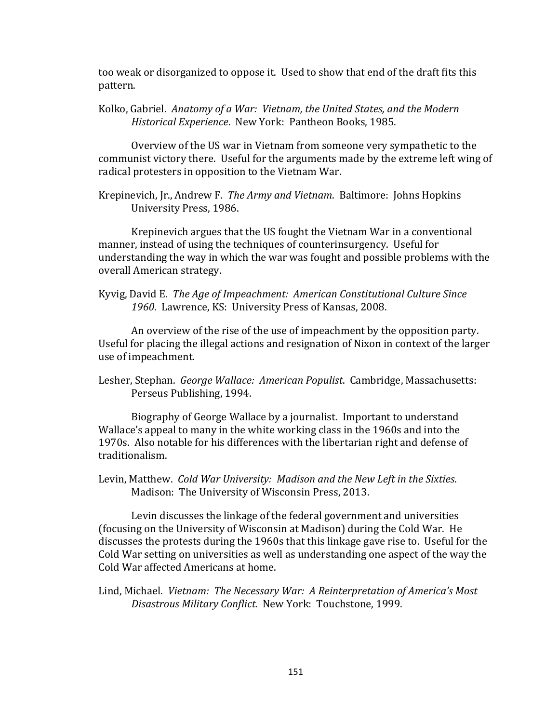too weak or disorganized to oppose it. Used to show that end of the draft fits this pattern. 

Kolko, Gabriel. Anatomy of a War: Vietnam, the United States, and the Modern *Historical Experience.* New York: Pantheon Books, 1985.

Overview of the US war in Vietnam from someone very sympathetic to the communist victory there. Useful for the arguments made by the extreme left wing of radical protesters in opposition to the Vietnam War.

Krepinevich, Jr., Andrew F. The Army and Vietnam. Baltimore: Johns Hopkins University Press, 1986.

Krepinevich argues that the US fought the Vietnam War in a conventional manner, instead of using the techniques of counterinsurgency. Useful for understanding the way in which the war was fought and possible problems with the overall American strategy.

Kyvig, David E. The Age of Impeachment: American Constitutional Culture Since 1960. Lawrence, KS: University Press of Kansas, 2008.

An overview of the rise of the use of impeachment by the opposition party. Useful for placing the illegal actions and resignation of Nixon in context of the larger use of impeachment.

Lesher, Stephan. George Wallace: American Populist. Cambridge, Massachusetts: Perseus Publishing, 1994.

Biography of George Wallace by a journalist. Important to understand Wallace's appeal to many in the white working class in the 1960s and into the 1970s. Also notable for his differences with the libertarian right and defense of traditionalism. 

Levin, Matthew. Cold War University: Madison and the New Left in the Sixties. Madison: The University of Wisconsin Press, 2013.

Levin discusses the linkage of the federal government and universities (focusing on the University of Wisconsin at Madison) during the Cold War. He discusses the protests during the 1960s that this linkage gave rise to. Useful for the Cold War setting on universities as well as understanding one aspect of the way the Cold War affected Americans at home.

Lind, Michael. Vietnam: The Necessary War: A Reinterpretation of America's Most *Disastrous Military Conflict*. New York: Touchstone, 1999.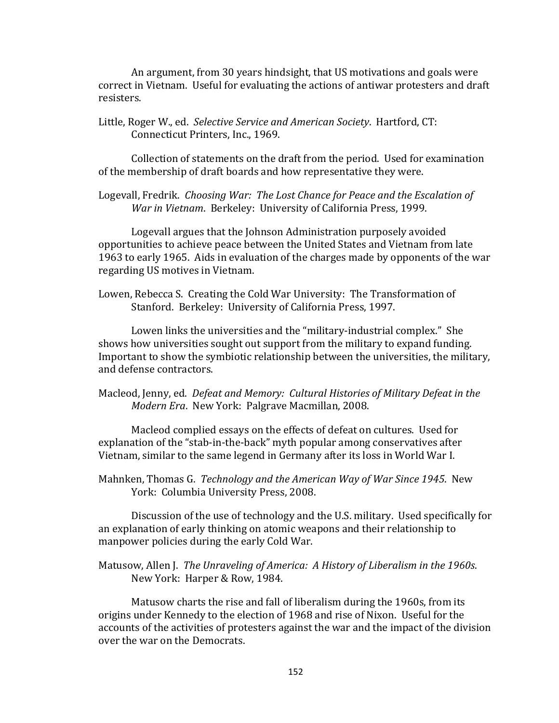An argument, from 30 years hindsight, that US motivations and goals were correct in Vietnam. Useful for evaluating the actions of antiwar protesters and draft resisters. 

Little, Roger W., ed. Selective Service and American Society. Hartford, CT: Connecticut Printers, Inc., 1969.

Collection of statements on the draft from the period. Used for examination of the membership of draft boards and how representative they were.

Logevall, Fredrik. Choosing War: The Lost Chance for Peace and the Escalation of War in Vietnam. Berkeley: University of California Press, 1999.

Logevall argues that the Johnson Administration purposely avoided opportunities to achieve peace between the United States and Vietnam from late 1963 to early 1965. Aids in evaluation of the charges made by opponents of the war regarding US motives in Vietnam.

Lowen, Rebecca S. Creating the Cold War University: The Transformation of Stanford. Berkeley: University of California Press, 1997.

Lowen links the universities and the "military-industrial complex." She shows how universities sought out support from the military to expand funding. Important to show the symbiotic relationship between the universities, the military, and defense contractors.

Macleod, Jenny, ed. Defeat and Memory: Cultural Histories of Military Defeat in the *Modern Era.* New York: Palgrave Macmillan, 2008.

Macleod complied essays on the effects of defeat on cultures. Used for explanation of the "stab-in-the-back" myth popular among conservatives after Vietnam, similar to the same legend in Germany after its loss in World War I.

Mahnken, Thomas G. *Technology and the American Way of War Since 1945*. New York: Columbia University Press, 2008.

Discussion of the use of technology and the U.S. military. Used specifically for an explanation of early thinking on atomic weapons and their relationship to manpower policies during the early Cold War.

Matusow, Allen J. The Unraveling of America: A History of Liberalism in the 1960s. New York: Harper & Row, 1984.

Matusow charts the rise and fall of liberalism during the 1960s, from its origins under Kennedy to the election of 1968 and rise of Nixon. Useful for the accounts of the activities of protesters against the war and the impact of the division over the war on the Democrats.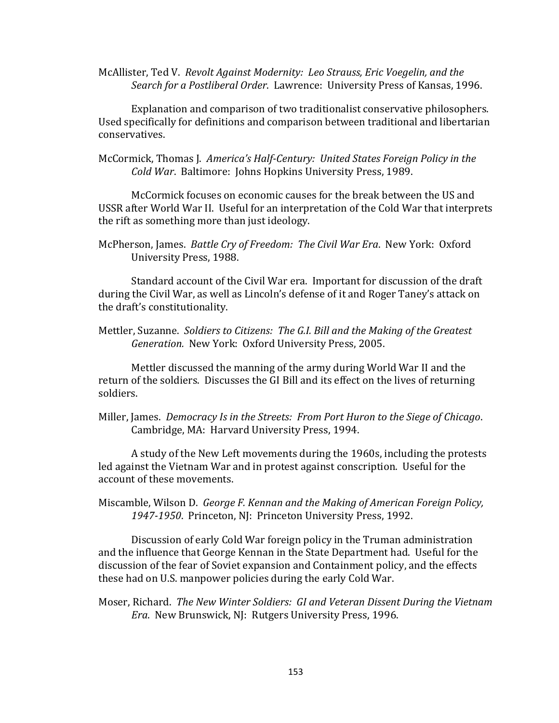McAllister, Ted V. Revolt Against Modernity: Leo Strauss, Eric Voegelin, and the Search for a Postliberal Order. Lawrence: University Press of Kansas, 1996.

Explanation and comparison of two traditionalist conservative philosophers. Used specifically for definitions and comparison between traditional and libertarian conservatives. 

McCormick, Thomas J. America's Half-Century: United States Foreign Policy in the Cold War. Baltimore: Johns Hopkins University Press, 1989.

McCormick focuses on economic causes for the break between the US and USSR after World War II. Useful for an interpretation of the Cold War that interprets the rift as something more than just ideology.

McPherson, James. *Battle Cry of Freedom: The Civil War Era*. New York: Oxford University Press, 1988.

Standard account of the Civil War era. Important for discussion of the draft during the Civil War, as well as Lincoln's defense of it and Roger Taney's attack on the draft's constitutionality.

Mettler, Suzanne. Soldiers to Citizens: The G.I. Bill and the Making of the Greatest Generation. New York: Oxford University Press, 2005.

Mettler discussed the manning of the army during World War II and the return of the soldiers. Discusses the GI Bill and its effect on the lives of returning soldiers. 

Miller, James. *Democracy Is in the Streets: From Port Huron to the Siege of Chicago.* Cambridge, MA: Harvard University Press, 1994.

A study of the New Left movements during the 1960s, including the protests led against the Vietnam War and in protest against conscription. Useful for the account of these movements.

Miscamble, Wilson D. *George F. Kennan and the Making of American Foreign Policy,* 1947-1950. Princeton, NJ: Princeton University Press, 1992.

Discussion of early Cold War foreign policy in the Truman administration and the influence that George Kennan in the State Department had. Useful for the discussion of the fear of Soviet expansion and Containment policy, and the effects these had on U.S. manpower policies during the early Cold War.

Moser, Richard. The New Winter Soldiers: GI and Veteran Dissent During the Vietnam *Era.* New Brunswick, NJ: Rutgers University Press, 1996.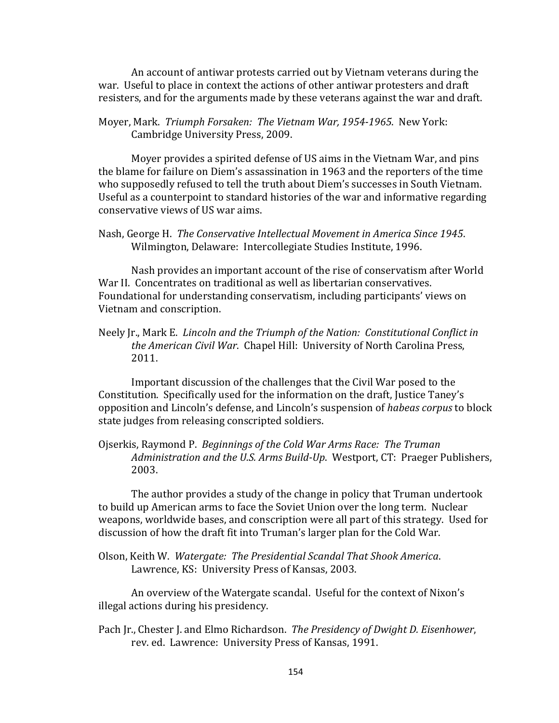An account of antiwar protests carried out by Vietnam veterans during the war. Useful to place in context the actions of other antiwar protesters and draft resisters, and for the arguments made by these veterans against the war and draft.

Moyer, Mark. *Triumph Forsaken: The Vietnam War, 1954-1965*. New York: Cambridge University Press, 2009.

Moyer provides a spirited defense of US aims in the Vietnam War, and pins the blame for failure on Diem's assassination in 1963 and the reporters of the time who supposedly refused to tell the truth about Diem's successes in South Vietnam. Useful as a counterpoint to standard histories of the war and informative regarding conservative views of US war aims.

Nash, George H. The Conservative Intellectual Movement in America Since 1945. Wilmington, Delaware: Intercollegiate Studies Institute, 1996.

Nash provides an important account of the rise of conservatism after World War II. Concentrates on traditional as well as libertarian conservatives. Foundational for understanding conservatism, including participants' views on Vietnam and conscription.

Neely  $\Gamma$ , Mark E. *Lincoln and the Triumph of the Nation: Constitutional Conflict in the American Civil War.* Chapel Hill: University of North Carolina Press, 2011.

Important discussion of the challenges that the Civil War posed to the Constitution. Specifically used for the information on the draft, Justice Taney's opposition and Lincoln's defense, and Lincoln's suspension of *habeas corpus* to block state judges from releasing conscripted soldiers.

Ojserkis, Raymond P. *Beginnings of the Cold War Arms Race: The Truman Administration and the U.S. Arms Build-Up.* Westport, CT: Praeger Publishers, 2003.

The author provides a study of the change in policy that Truman undertook to build up American arms to face the Soviet Union over the long term. Nuclear weapons, worldwide bases, and conscription were all part of this strategy. Used for discussion of how the draft fit into Truman's larger plan for the Cold War.

Olson, Keith W. Watergate: The Presidential Scandal That Shook America. Lawrence, KS: University Press of Kansas, 2003.

An overview of the Watergate scandal. Useful for the context of Nixon's illegal actions during his presidency.

Pach Jr., Chester J. and Elmo Richardson. The Presidency of Dwight D. Eisenhower, rev. ed. Lawrence: University Press of Kansas, 1991.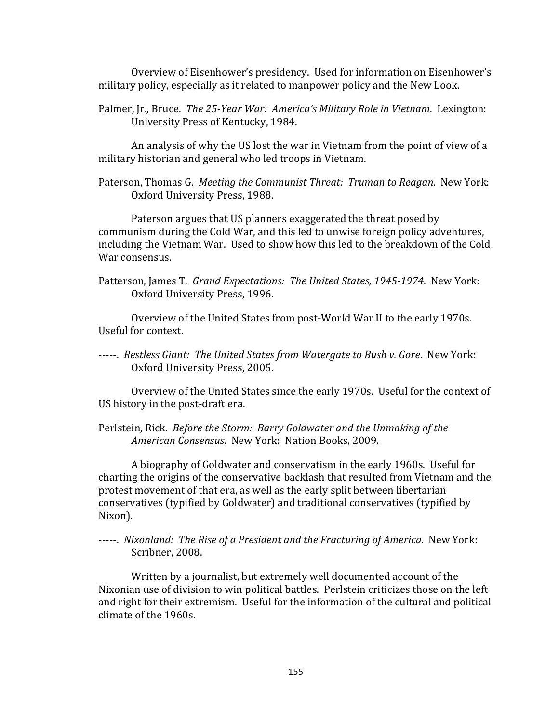Overview of Eisenhower's presidency. Used for information on Eisenhower's military policy, especially as it related to manpower policy and the New Look.

Palmer, Jr., Bruce. The 25-Year War: America's Military Role in Vietnam. Lexington: University Press of Kentucky, 1984.

An analysis of why the US lost the war in Vietnam from the point of view of a military historian and general who led troops in Vietnam.

Paterson, Thomas G. *Meeting the Communist Threat: Truman to Reagan*. New York: Oxford University Press, 1988.

Paterson argues that US planners exaggerated the threat posed by communism during the Cold War, and this led to unwise foreign policy adventures, including the Vietnam War. Used to show how this led to the breakdown of the Cold War consensus.

Patterson, James T. *Grand Expectations: The United States, 1945-1974*. New York: Oxford University Press, 1996.

Overview of the United States from post-World War II to the early 1970s. Useful for context. 

-----. Restless Giant: The United States from Watergate to Bush v. Gore. New York: Oxford University Press, 2005.

Overview of the United States since the early 1970s. Useful for the context of US history in the post-draft era.

Perlstein, Rick. *Before the Storm: Barry Goldwater and the Unmaking of the* American Consensus. New York: Nation Books, 2009.

A biography of Goldwater and conservatism in the early 1960s. Useful for charting the origins of the conservative backlash that resulted from Vietnam and the protest movement of that era, as well as the early split between libertarian conservatives (typified by Goldwater) and traditional conservatives (typified by Nixon). 

-----. *Nixonland: The Rise of a President and the Fracturing of America.* New York: Scribner, 2008.

Written by a journalist, but extremely well documented account of the Nixonian use of division to win political battles. Perlstein criticizes those on the left and right for their extremism. Useful for the information of the cultural and political climate of the 1960s.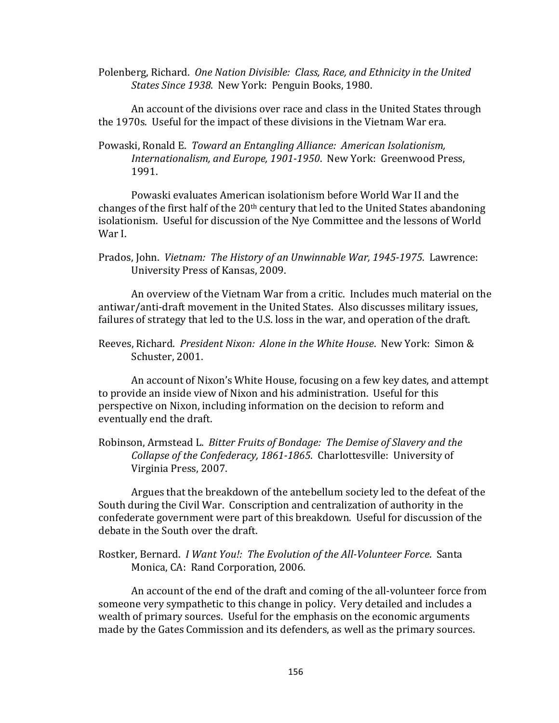Polenberg, Richard. One Nation Divisible: Class, Race, and Ethnicity in the United *States Since 1938.* New York: Penguin Books, 1980.

An account of the divisions over race and class in the United States through the 1970s. Useful for the impact of these divisions in the Vietnam War era.

Powaski, Ronald E. Toward an Entangling Alliance: American Isolationism, Internationalism, and Europe, 1901-1950. New York: Greenwood Press, 1991.

Powaski evaluates American isolationism before World War II and the changes of the first half of the  $20<sup>th</sup>$  century that led to the United States abandoning isolationism. Useful for discussion of the Nye Committee and the lessons of World War I.

Prados, John. *Vietnam: The History of an Unwinnable War, 1945-1975*. Lawrence: University Press of Kansas, 2009.

An overview of the Vietnam War from a critic. Includes much material on the antiwar/anti-draft movement in the United States. Also discusses military issues, failures of strategy that led to the U.S. loss in the war, and operation of the draft.

Reeves, Richard. *President Nixon: Alone in the White House*. New York: Simon & Schuster, 2001.

An account of Nixon's White House, focusing on a few key dates, and attempt to provide an inside view of Nixon and his administration. Useful for this perspective on Nixon, including information on the decision to reform and eventually end the draft.

Robinson, Armstead L. *Bitter Fruits of Bondage: The Demise of Slavery and the* Collapse of the Confederacy, 1861-1865. Charlottesville: University of Virginia Press, 2007.

Argues that the breakdown of the antebellum society led to the defeat of the South during the Civil War. Conscription and centralization of authority in the confederate government were part of this breakdown. Useful for discussion of the debate in the South over the draft.

Rostker, Bernard. *I Want You!: The Evolution of the All-Volunteer Force*. Santa Monica, CA: Rand Corporation, 2006.

An account of the end of the draft and coming of the all-volunteer force from someone very sympathetic to this change in policy. Very detailed and includes a wealth of primary sources. Useful for the emphasis on the economic arguments made by the Gates Commission and its defenders, as well as the primary sources.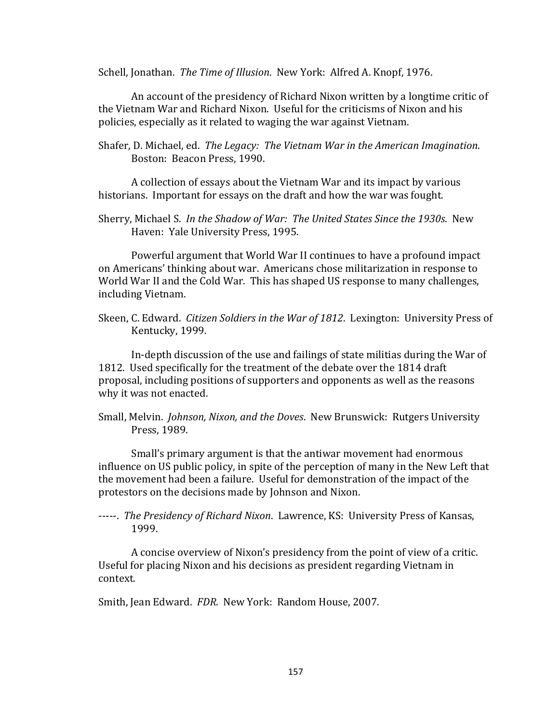Schell, Jonathan. The Time of Illusion. New York: Alfred A. Knopf, 1976.

An account of the presidency of Richard Nixon written by a longtime critic of the Vietnam War and Richard Nixon. Useful for the criticisms of Nixon and his policies, especially as it related to waging the war against Vietnam.

Shafer, D. Michael, ed. The Legacy: The Vietnam War in the American Imagination. Boston: Beacon Press, 1990.

A collection of essays about the Vietnam War and its impact by various historians. Important for essays on the draft and how the war was fought.

Sherry, Michael S. In the Shadow of War: The United States Since the 1930s. New Haven: Yale University Press, 1995.

Powerful argument that World War II continues to have a profound impact on Americans' thinking about war. Americans chose militarization in response to World War II and the Cold War. This has shaped US response to many challenges, including Vietnam. 

Skeen, C. Edward. *Citizen Soldiers in the War of 1812*. Lexington: University Press of Kentucky, 1999.

In-depth discussion of the use and failings of state militias during the War of 1812. Used specifically for the treatment of the debate over the 1814 draft proposal, including positions of supporters and opponents as well as the reasons why it was not enacted.

Small, Melvin. *Johnson, Nixon, and the Doves*. New Brunswick: Rutgers University Press, 1989.

Small's primary argument is that the antiwar movement had enormous influence on US public policy, in spite of the perception of many in the New Left that the movement had been a failure. Useful for demonstration of the impact of the protestors on the decisions made by Johnson and Nixon.

-----. *The Presidency of Richard Nixon.* Lawrence, KS: University Press of Kansas, 1999. 

A concise overview of Nixon's presidency from the point of view of a critic. Useful for placing Nixon and his decisions as president regarding Vietnam in context. 

Smith, Jean Edward. FDR. New York: Random House, 2007.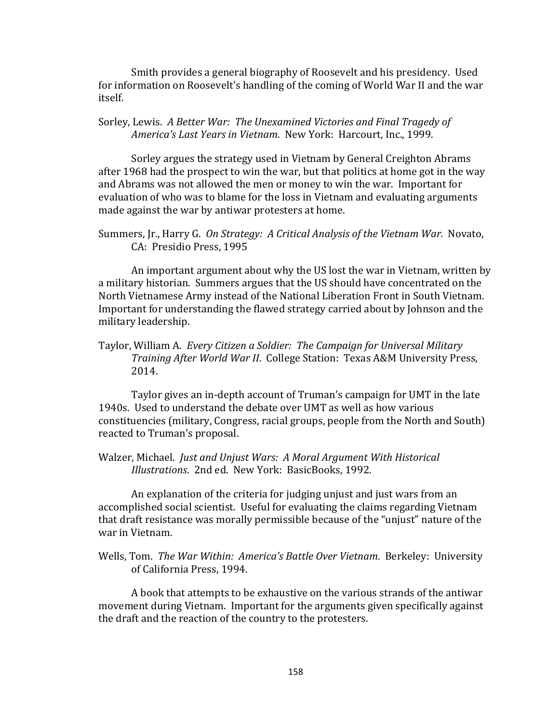Smith provides a general biography of Roosevelt and his presidency. Used for information on Roosevelt's handling of the coming of World War II and the war itself. 

Sorley, Lewis. A Better War: The Unexamined Victories and Final Tragedy of America's Last Years in Vietnam. New York: Harcourt, Inc., 1999.

Sorley argues the strategy used in Vietnam by General Creighton Abrams after 1968 had the prospect to win the war, but that politics at home got in the way and Abrams was not allowed the men or money to win the war. Important for evaluation of who was to blame for the loss in Vietnam and evaluating arguments made against the war by antiwar protesters at home.

Summers, Jr., Harry G. *On Strategy: A Critical Analysis of the Vietnam War.* Novato, CA: Presidio Press, 1995

An important argument about why the US lost the war in Vietnam, written by a military historian. Summers argues that the US should have concentrated on the North Vietnamese Army instead of the National Liberation Front in South Vietnam. Important for understanding the flawed strategy carried about by Johnson and the military leadership.

Taylor, William A. Every Citizen a Soldier: The Campaign for Universal Military *Training After World War II.* College Station: Texas A&M University Press, 2014.

Taylor gives an in-depth account of Truman's campaign for UMT in the late 1940s. Used to understand the debate over UMT as well as how various constituencies (military, Congress, racial groups, people from the North and South) reacted to Truman's proposal.

Walzer, Michael. *Just and Unjust Wars: A Moral Argument With Historical Illustrations.* 2nd ed. New York: BasicBooks, 1992.

An explanation of the criteria for judging unjust and just wars from an accomplished social scientist. Useful for evaluating the claims regarding Vietnam that draft resistance was morally permissible because of the "unjust" nature of the war in Vietnam.

A book that attempts to be exhaustive on the various strands of the antiwar movement during Vietnam. Important for the arguments given specifically against the draft and the reaction of the country to the protesters.

Wells. Tom. The War Within: America's Battle Over Vietnam. Berkeley: University of California Press, 1994.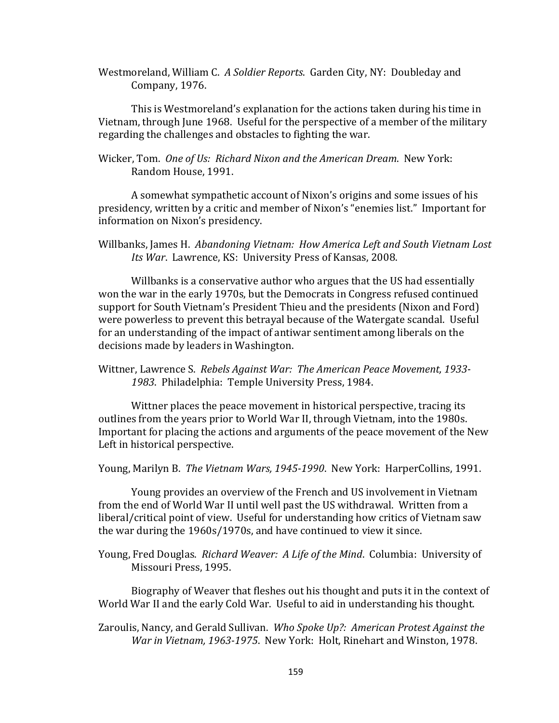Westmoreland, William C. A Soldier Reports. Garden City, NY: Doubleday and Company, 1976.

This is Westmoreland's explanation for the actions taken during his time in Vietnam, through June 1968. Useful for the perspective of a member of the military regarding the challenges and obstacles to fighting the war.

Wicker, Tom. One of Us: Richard Nixon and the American Dream. New York: Random House, 1991.

A somewhat sympathetic account of Nixon's origins and some issues of his presidency, written by a critic and member of Nixon's "enemies list." Important for information on Nixon's presidency.

Willbanks, James H. Abandoning Vietnam: How America Left and South Vietnam Lost *Its War. Lawrence, KS: University Press of Kansas, 2008.* 

Willbanks is a conservative author who argues that the US had essentially won the war in the early 1970s, but the Democrats in Congress refused continued support for South Vietnam's President Thieu and the presidents (Nixon and Ford) were powerless to prevent this betrayal because of the Watergate scandal. Useful for an understanding of the impact of antiwar sentiment among liberals on the decisions made by leaders in Washington.

Wittner, Lawrence S. Rebels Against War: The American Peace Movement, 1933-1983. Philadelphia: Temple University Press, 1984.

Wittner places the peace movement in historical perspective, tracing its outlines from the years prior to World War II, through Vietnam, into the 1980s. Important for placing the actions and arguments of the peace movement of the New Left in historical perspective.

Young, Marilyn B. *The Vietnam Wars, 1945-1990*. New York: HarperCollins, 1991.

Young provides an overview of the French and US involvement in Vietnam from the end of World War II until well past the US withdrawal. Written from a liberal/critical point of view. Useful for understanding how critics of Vietnam saw the war during the 1960s/1970s, and have continued to view it since.

Young, Fred Douglas. Richard Weaver: A Life of the Mind. Columbia: University of Missouri Press, 1995.

Biography of Weaver that fleshes out his thought and puts it in the context of World War II and the early Cold War. Useful to aid in understanding his thought.

Zaroulis, Nancy, and Gerald Sullivan. Who Spoke Up?: American Protest Against the *War in Vietnam, 1963-1975.* New York: Holt, Rinehart and Winston, 1978.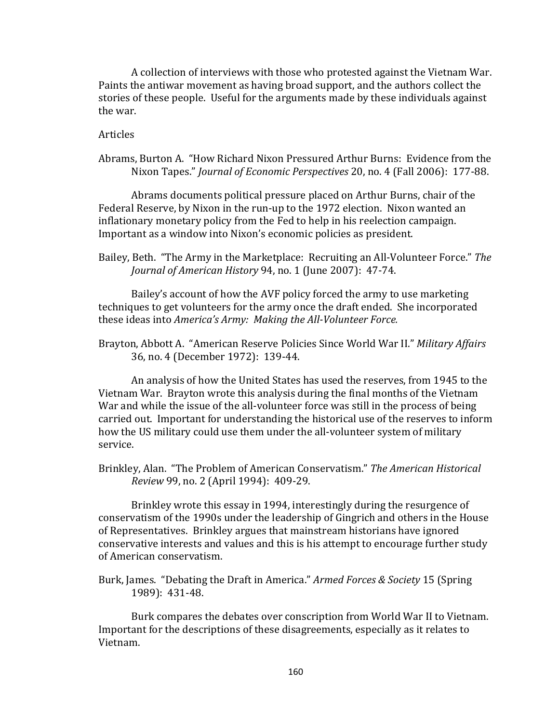A collection of interviews with those who protested against the Vietnam War. Paints the antiwar movement as having broad support, and the authors collect the stories of these people. Useful for the arguments made by these individuals against the war.

Articles

Abrams, Burton A. "How Richard Nixon Pressured Arthur Burns: Evidence from the Nixon Tapes." *Journal of Economic Perspectives* 20, no. 4 (Fall 2006): 177-88.

Abrams documents political pressure placed on Arthur Burns, chair of the Federal Reserve, by Nixon in the run-up to the 1972 election. Nixon wanted an inflationary monetary policy from the Fed to help in his reelection campaign. Important as a window into Nixon's economic policies as president.

Bailey, Beth. "The Army in the Marketplace: Recruiting an All-Volunteer Force." The *Journal of American History* 94, no. 1 (June 2007): 47-74.

Bailey's account of how the AVF policy forced the army to use marketing techniques to get volunteers for the army once the draft ended. She incorporated these ideas into *America's Army: Making the All-Volunteer Force.* 

Brayton, Abbott A. "American Reserve Policies Since World War II." Military Affairs 36, no. 4 (December 1972): 139-44.

An analysis of how the United States has used the reserves, from 1945 to the Vietnam War. Brayton wrote this analysis during the final months of the Vietnam War and while the issue of the all-volunteer force was still in the process of being carried out. Important for understanding the historical use of the reserves to inform how the US military could use them under the all-volunteer system of military service. 

Brinkley, Alan. "The Problem of American Conservatism." The American Historical *Review* 99, no. 2 (April 1994): 409-29.

Brinkley wrote this essay in 1994, interestingly during the resurgence of conservatism of the 1990s under the leadership of Gingrich and others in the House of Representatives. Brinkley argues that mainstream historians have ignored conservative interests and values and this is his attempt to encourage further study of American conservatism. 

Burk, James. "Debating the Draft in America." *Armed Forces & Society* 15 (Spring 1989): 431-48. 

Burk compares the debates over conscription from World War II to Vietnam. Important for the descriptions of these disagreements, especially as it relates to Vietnam.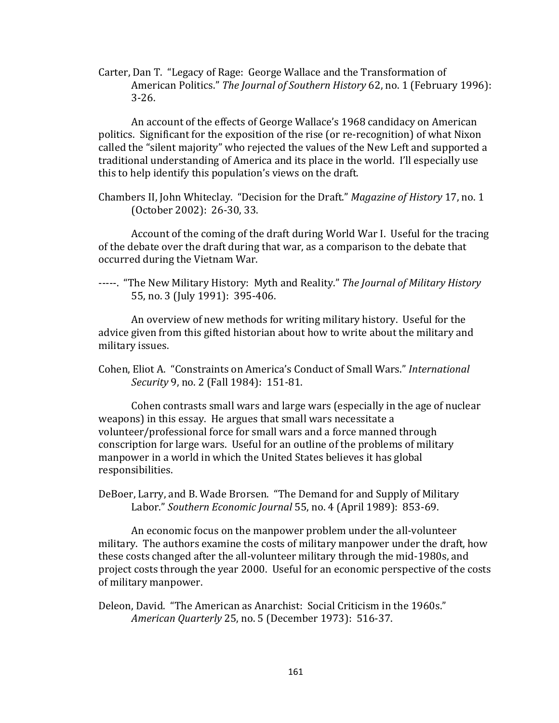Carter, Dan T. "Legacy of Rage: George Wallace and the Transformation of American Politics." The *Journal of Southern History* 62, no. 1 (February 1996): 3-26. 

An account of the effects of George Wallace's 1968 candidacy on American politics. Significant for the exposition of the rise (or re-recognition) of what Nixon called the "silent majority" who rejected the values of the New Left and supported a traditional understanding of America and its place in the world. I'll especially use this to help identify this population's views on the draft.

Chambers II, John Whiteclay. "Decision for the Draft." *Magazine of History* 17, no. 1 (October 2002): 26-30, 33.

Account of the coming of the draft during World War I. Useful for the tracing of the debate over the draft during that war, as a comparison to the debate that occurred during the Vietnam War.

-----. "The New Military History: Myth and Reality." The Journal of Military History 55, no. 3 (July 1991): 395-406.

An overview of new methods for writing military history. Useful for the advice given from this gifted historian about how to write about the military and military issues.

Cohen, Eliot A. "Constraints on America's Conduct of Small Wars." *International Security* 9, no. 2 (Fall 1984): 151-81.

Cohen contrasts small wars and large wars (especially in the age of nuclear weapons) in this essay. He argues that small wars necessitate a volunteer/professional force for small wars and a force manned through conscription for large wars. Useful for an outline of the problems of military manpower in a world in which the United States believes it has global responsibilities. 

DeBoer, Larry, and B. Wade Brorsen. "The Demand for and Supply of Military Labor." Southern Economic Journal 55, no. 4 (April 1989): 853-69.

An economic focus on the manpower problem under the all-volunteer military. The authors examine the costs of military manpower under the draft, how these costs changed after the all-volunteer military through the mid-1980s, and project costs through the year 2000. Useful for an economic perspective of the costs of military manpower.

Deleon, David. "The American as Anarchist: Social Criticism in the 1960s." *American Quarterly* 25, no. 5 (December 1973): 516-37.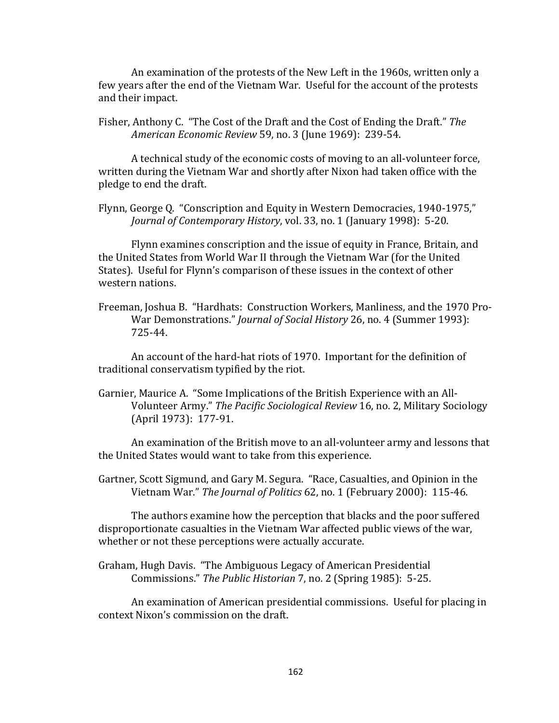An examination of the protests of the New Left in the 1960s, written only a few years after the end of the Vietnam War. Useful for the account of the protests and their impact.

Fisher, Anthony C. "The Cost of the Draft and the Cost of Ending the Draft." The *American Economic Review* 59, no. 3 (June 1969): 239-54. 

A technical study of the economic costs of moving to an all-volunteer force, written during the Vietnam War and shortly after Nixon had taken office with the pledge to end the draft.

Flynn, George Q. "Conscription and Equity in Western Democracies, 1940-1975," *Journal of Contemporary History*, vol. 33, no. 1 (January 1998): 5-20.

Flynn examines conscription and the issue of equity in France, Britain, and the United States from World War II through the Vietnam War (for the United States). Useful for Flynn's comparison of these issues in the context of other western nations.

Freeman, Joshua B. "Hardhats: Construction Workers, Manliness, and the 1970 Pro-War Demonstrations." *Journal of Social History* 26, no. 4 (Summer 1993): 725-44. 

An account of the hard-hat riots of 1970. Important for the definition of traditional conservatism typified by the riot.

Garnier, Maurice A. "Some Implications of the British Experience with an All-Volunteer Army." The Pacific Sociological Review 16, no. 2, Military Sociology (April 1973): 177-91.

An examination of the British move to an all-volunteer army and lessons that the United States would want to take from this experience.

Gartner, Scott Sigmund, and Gary M. Segura. "Race, Casualties, and Opinion in the Vietnam War." The Journal of Politics 62, no. 1 (February 2000): 115-46.

The authors examine how the perception that blacks and the poor suffered disproportionate casualties in the Vietnam War affected public views of the war, whether or not these perceptions were actually accurate.

Graham, Hugh Davis. "The Ambiguous Legacy of American Presidential Commissions." The Public Historian 7, no. 2 (Spring 1985): 5-25.

An examination of American presidential commissions. Useful for placing in context Nixon's commission on the draft.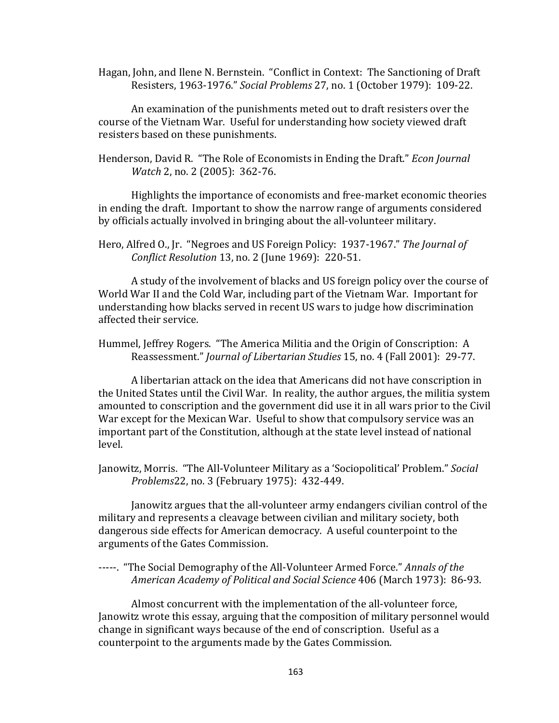Hagan, John, and Ilene N. Bernstein. "Conflict in Context: The Sanctioning of Draft Resisters, 1963-1976." Social Problems 27, no. 1 (October 1979): 109-22.

An examination of the punishments meted out to draft resisters over the course of the Vietnam War. Useful for understanding how society viewed draft resisters based on these punishments.

Henderson, David R. "The Role of Economists in Ending the Draft." *Econ Journal Watch* 2, no. 2 (2005): 362-76.

Highlights the importance of economists and free-market economic theories in ending the draft. Important to show the narrow range of arguments considered by officials actually involved in bringing about the all-volunteer military.

A study of the involvement of blacks and US foreign policy over the course of World War II and the Cold War, including part of the Vietnam War. Important for understanding how blacks served in recent US wars to judge how discrimination affected their service.

Hummel, Jeffrey Rogers. "The America Militia and the Origin of Conscription: A Reassessment." *Journal of Libertarian Studies* 15, no. 4 (Fall 2001): 29-77.

A libertarian attack on the idea that Americans did not have conscription in the United States until the Civil War. In reality, the author argues, the militia system amounted to conscription and the government did use it in all wars prior to the Civil War except for the Mexican War. Useful to show that compulsory service was an important part of the Constitution, although at the state level instead of national level. 

Janowitz, Morris. "The All-Volunteer Military as a 'Sociopolitical' Problem." Social *Problems*22, no. 3 (February 1975): 432-449.

Janowitz argues that the all-volunteer army endangers civilian control of the military and represents a cleavage between civilian and military society, both dangerous side effects for American democracy. A useful counterpoint to the arguments of the Gates Commission.

## -----. "The Social Demography of the All-Volunteer Armed Force." Annals of the *American Academy of Political and Social Science* 406 (March 1973): 86-93.

Almost concurrent with the implementation of the all-volunteer force, Janowitz wrote this essay, arguing that the composition of military personnel would change in significant ways because of the end of conscription. Useful as a counterpoint to the arguments made by the Gates Commission.

Hero, Alfred O., Jr. "Negroes and US Foreign Policy: 1937-1967." The Journal of *Conflict Resolution* 13, no. 2 (June 1969): 220-51.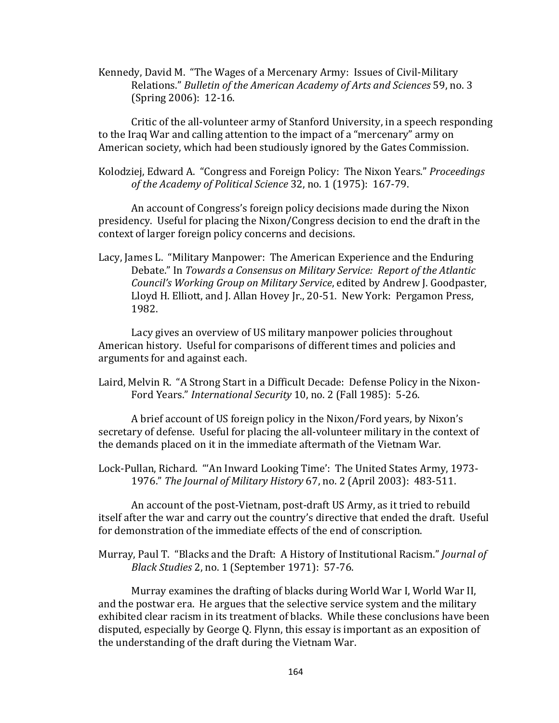Kennedy, David M. "The Wages of a Mercenary Army: Issues of Civil-Military Relations." Bulletin of the American Academy of Arts and Sciences 59, no. 3 (Spring 2006): 12-16.

Critic of the all-volunteer army of Stanford University, in a speech responding to the Iraq War and calling attention to the impact of a "mercenary" army on American society, which had been studiously ignored by the Gates Commission.

Kolodziej, Edward A. "Congress and Foreign Policy: The Nixon Years." *Proceedings* of the Academy of Political Science 32, no. 1 (1975): 167-79.

An account of Congress's foreign policy decisions made during the Nixon presidency. Useful for placing the Nixon/Congress decision to end the draft in the context of larger foreign policy concerns and decisions.

Lacy, James L. "Military Manpower: The American Experience and the Enduring Debate." In *Towards a Consensus on Military Service: Report of the Atlantic Council's Working Group on Military Service*, edited by Andrew J. Goodpaster, Lloyd H. Elliott, and J. Allan Hovey Jr., 20-51. New York: Pergamon Press, 1982.

Lacy gives an overview of US military manpower policies throughout American history. Useful for comparisons of different times and policies and arguments for and against each.

Laird, Melvin R. "A Strong Start in a Difficult Decade: Defense Policy in the Nixon-Ford Years." *International Security* 10, no. 2 (Fall 1985): 5-26.

A brief account of US foreign policy in the Nixon/Ford years, by Nixon's secretary of defense. Useful for placing the all-volunteer military in the context of the demands placed on it in the immediate aftermath of the Vietnam War.

Lock-Pullan, Richard. "'An Inward Looking Time': The United States Army, 1973-1976." The Journal of Military History 67, no. 2 (April 2003): 483-511.

An account of the post-Vietnam, post-draft US Army, as it tried to rebuild itself after the war and carry out the country's directive that ended the draft. Useful for demonstration of the immediate effects of the end of conscription.

Murray, Paul T. "Blacks and the Draft: A History of Institutional Racism." *Journal of Black Studies* 2, no. 1 (September 1971): 57-76.

Murray examines the drafting of blacks during World War I, World War II, and the postwar era. He argues that the selective service system and the military exhibited clear racism in its treatment of blacks. While these conclusions have been disputed, especially by George Q. Flynn, this essay is important as an exposition of the understanding of the draft during the Vietnam War.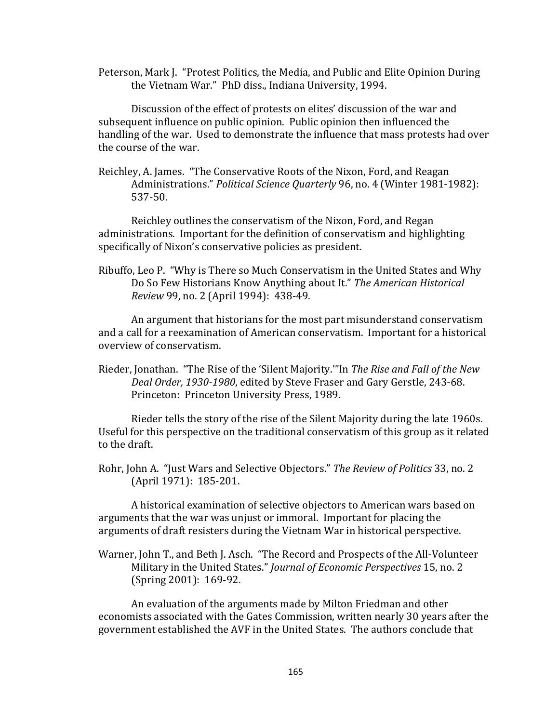Peterson, Mark J. "Protest Politics, the Media, and Public and Elite Opinion During the Vietnam War." PhD diss., Indiana University, 1994.

Discussion of the effect of protests on elites' discussion of the war and subsequent influence on public opinion. Public opinion then influenced the handling of the war. Used to demonstrate the influence that mass protests had over the course of the war.

Reichley, A. James. "The Conservative Roots of the Nixon, Ford, and Reagan Administrations." Political Science Quarterly 96, no. 4 (Winter 1981-1982): 537-50. 

Reichley outlines the conservatism of the Nixon, Ford, and Regan administrations. Important for the definition of conservatism and highlighting specifically of Nixon's conservative policies as president.

Ribuffo, Leo P. "Why is There so Much Conservatism in the United States and Why Do So Few Historians Know Anything about It." The American Historical *Review* 99, no. 2 (April 1994): 438-49.

An argument that historians for the most part misunderstand conservatism and a call for a reexamination of American conservatism. Important for a historical overview of conservatism. 

Rieder, Jonathan. "The Rise of the 'Silent Majority." In The Rise and Fall of the New Deal Order, 1930-1980, edited by Steve Fraser and Gary Gerstle, 243-68. Princeton: Princeton University Press, 1989.

Rieder tells the story of the rise of the Silent Majority during the late 1960s. Useful for this perspective on the traditional conservatism of this group as it related to the draft

Rohr, John A. "Just Wars and Selective Objectors." The Review of Politics 33, no. 2 (April 1971): 185-201.

A historical examination of selective objectors to American wars based on arguments that the war was unjust or immoral. Important for placing the arguments of draft resisters during the Vietnam War in historical perspective.

Warner, John T., and Beth J. Asch. "The Record and Prospects of the All-Volunteer Military in the United States." *Journal of Economic Perspectives* 15, no. 2 (Spring 2001): 169-92.

An evaluation of the arguments made by Milton Friedman and other economists associated with the Gates Commission, written nearly 30 years after the government established the AVF in the United States. The authors conclude that